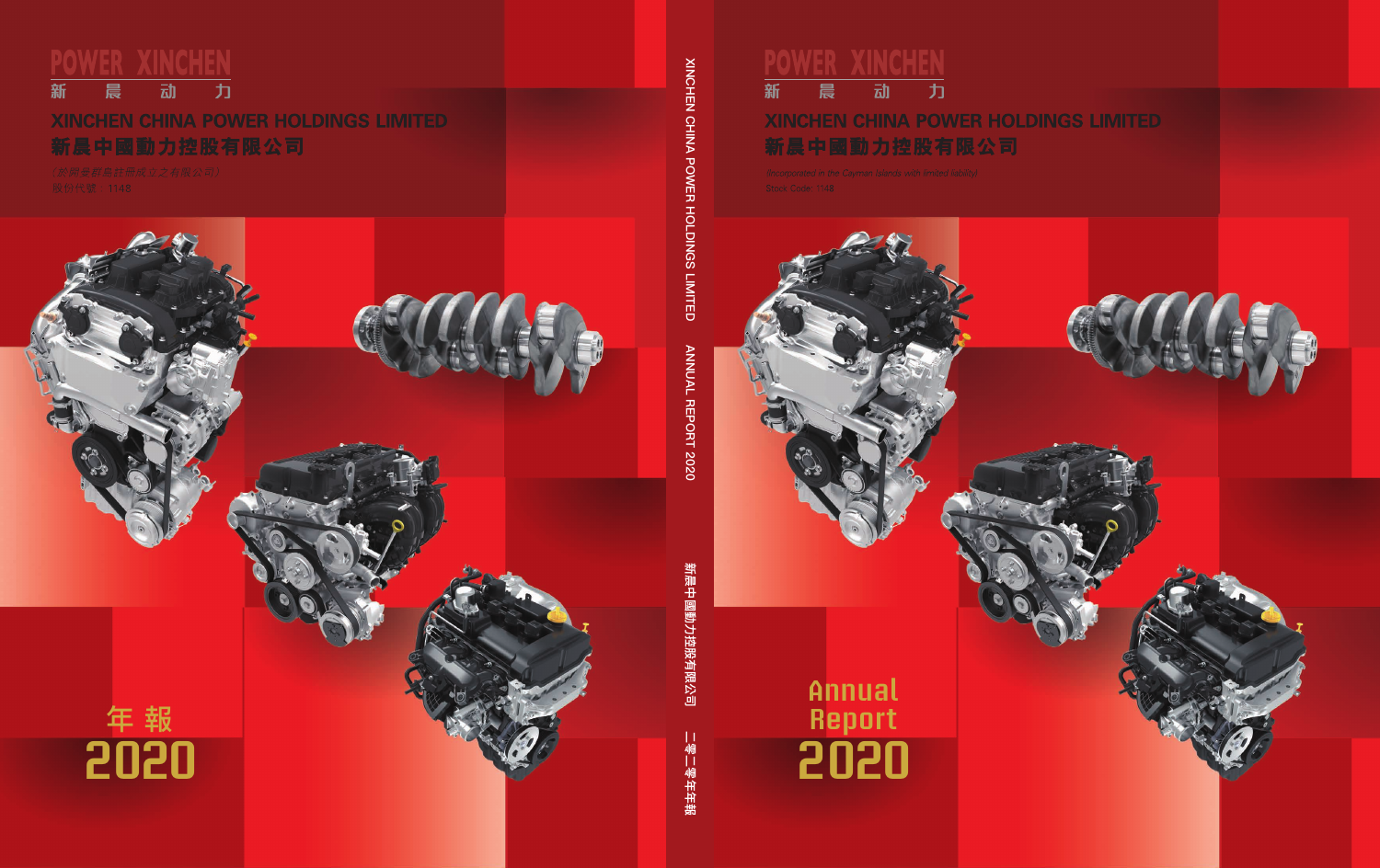**OWER XINCHEN** 动力 新

# **XINCHEN CHINA POWER HOLDINGS LIMITED** 新晨中國動力控股有限公司

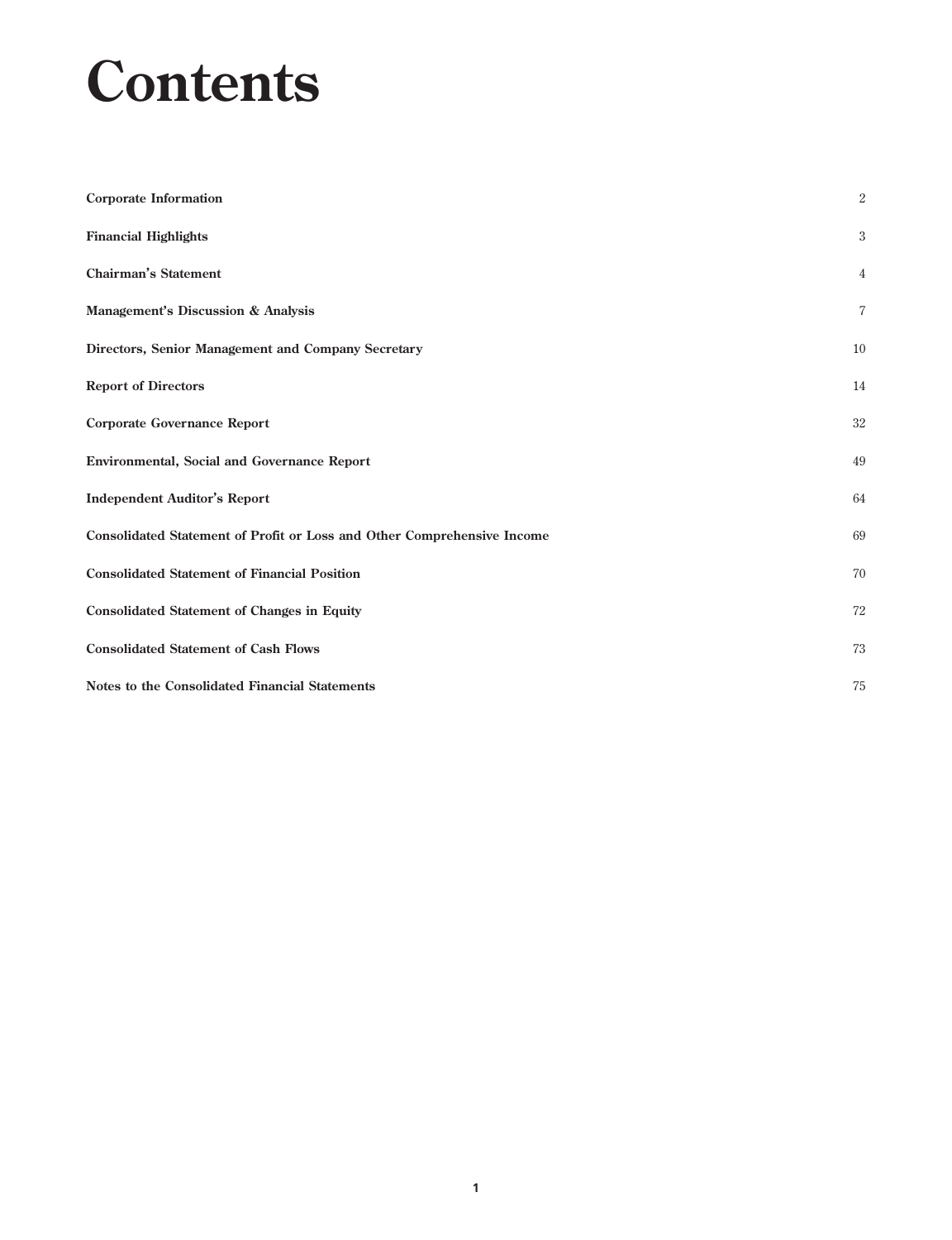# **Contents**

| <b>Corporate Information</b>                                                   | $\sqrt{2}$     |
|--------------------------------------------------------------------------------|----------------|
| <b>Financial Highlights</b>                                                    | $\sqrt{3}$     |
| <b>Chairman's Statement</b>                                                    | $\overline{4}$ |
| Management's Discussion & Analysis                                             | $\overline{7}$ |
| Directors, Senior Management and Company Secretary                             | 10             |
| <b>Report of Directors</b>                                                     | 14             |
| <b>Corporate Governance Report</b>                                             | 32             |
| <b>Environmental, Social and Governance Report</b>                             | 49             |
| <b>Independent Auditor's Report</b>                                            | 64             |
| <b>Consolidated Statement of Profit or Loss and Other Comprehensive Income</b> | 69             |
| <b>Consolidated Statement of Financial Position</b>                            | 70             |
| <b>Consolidated Statement of Changes in Equity</b>                             | 72             |
| <b>Consolidated Statement of Cash Flows</b>                                    | 73             |
| Notes to the Consolidated Financial Statements                                 | 75             |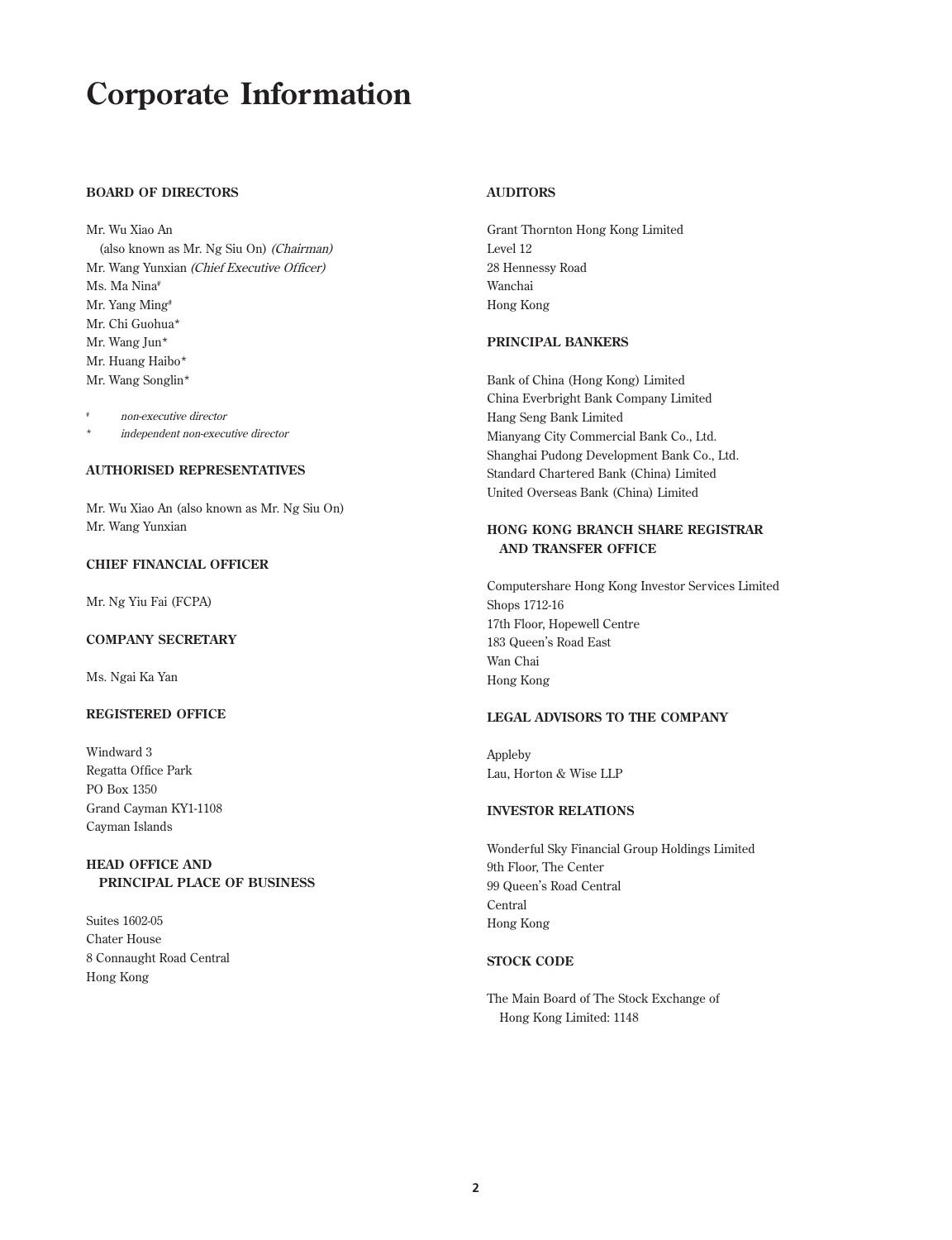# **Corporate Information**

### **BOARD OF DIRECTORS**

Mr. Wu Xiao An (also known as Mr. Ng Siu On) (Chairman) Mr. Wang Yunxian (Chief Executive Officer) Ms. Ma Nina# Mr. Yang Ming# Mr. Chi Guohua\* Mr. Wang Jun\* Mr. Huang Haibo\* Mr. Wang Songlin\*

non-executive director

independent non-executive director

#### **AUTHORISED REPRESENTATIVES**

Mr. Wu Xiao An (also known as Mr. Ng Siu On) Mr. Wang Yunxian

### **CHIEF FINANCIAL OFFICER**

Mr. Ng Yiu Fai (FCPA)

#### **COMPANY SECRETARY**

Ms. Ngai Ka Yan

### **REGISTERED OFFICE**

Windward 3 Regatta Office Park PO Box 1350 Grand Cayman KY1-1108 Cayman Islands

### **HEAD OFFICE AND PRINCIPAL PLACE OF BUSINESS**

Suites 1602-05 Chater House 8 Connaught Road Central Hong Kong

### **AUDITORS**

Grant Thornton Hong Kong Limited Level 12 28 Hennessy Road Wanchai Hong Kong

### **PRINCIPAL BANKERS**

Bank of China (Hong Kong) Limited China Everbright Bank Company Limited Hang Seng Bank Limited Mianyang City Commercial Bank Co., Ltd. Shanghai Pudong Development Bank Co., Ltd. Standard Chartered Bank (China) Limited United Overseas Bank (China) Limited

### **HONG KONG BRANCH SHARE REGISTRAR AND TRANSFER OFFICE**

Computershare Hong Kong Investor Services Limited Shops 1712-16 17th Floor, Hopewell Centre 183 Queen's Road East Wan Chai Hong Kong

#### **LEGAL ADVISORS TO THE COMPANY**

Appleby Lau, Horton & Wise LLP

### **INVESTOR RELATIONS**

Wonderful Sky Financial Group Holdings Limited 9th Floor, The Center 99 Queen's Road Central Central Hong Kong

### **STOCK CODE**

The Main Board of The Stock Exchange of Hong Kong Limited: 1148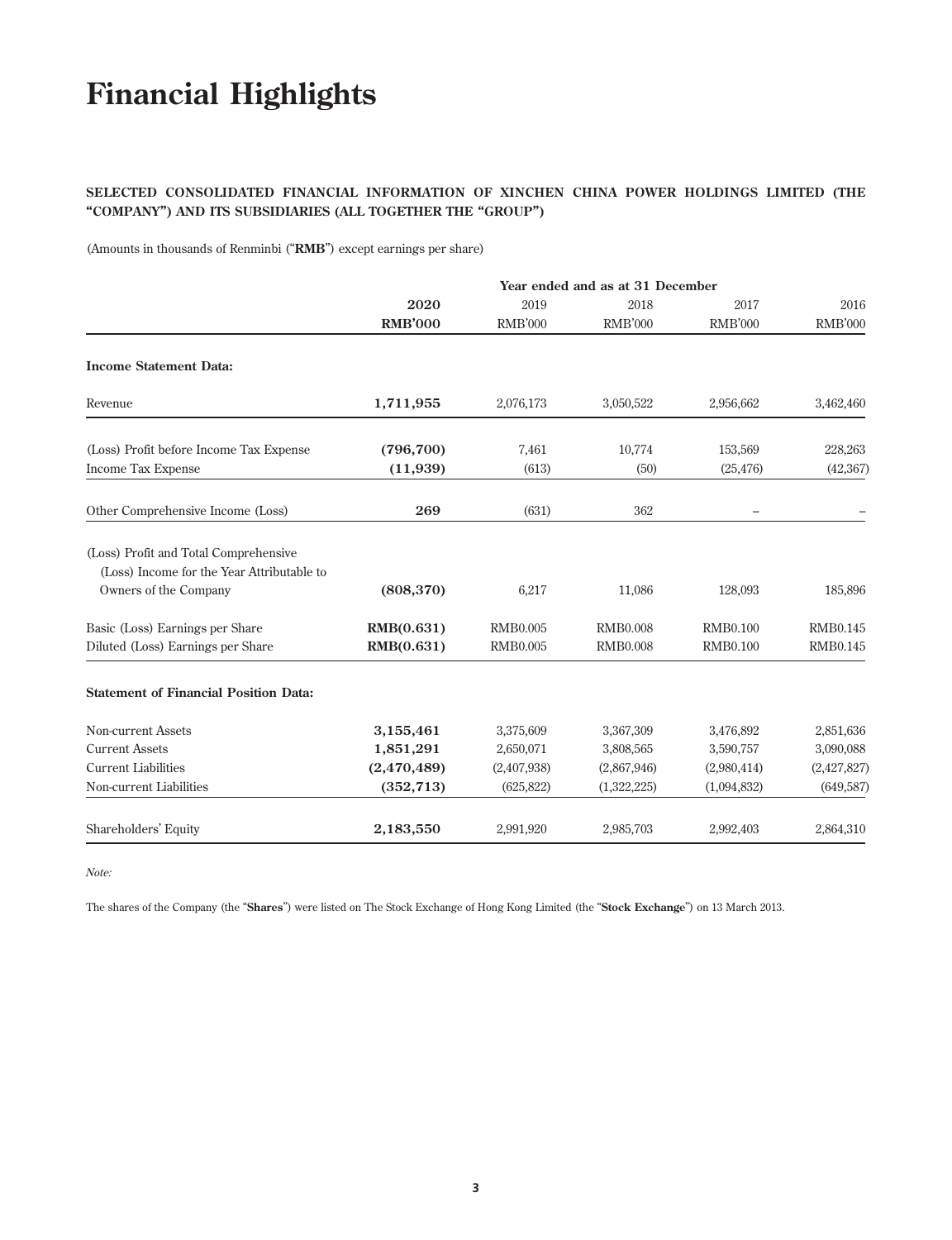# **Financial Highlights**

### **SELECTED CONSOLIDATED FINANCIAL INFORMATION OF XINCHEN CHINA POWER HOLDINGS LIMITED (THE "COMPANY") AND ITS SUBSIDIARIES (ALL TOGETHER THE "GROUP")**

(Amounts in thousands of Renminbi ("**RMB**") except earnings per share)

|                                                                                                              |                          |                      | Year ended and as at 31 December   |                             |                                    |
|--------------------------------------------------------------------------------------------------------------|--------------------------|----------------------|------------------------------------|-----------------------------|------------------------------------|
|                                                                                                              | 2020                     | 2019                 | 2018                               | 2017                        | 2016                               |
|                                                                                                              | <b>RMB'000</b>           | <b>RMB'000</b>       | <b>RMB'000</b>                     | <b>RMB'000</b>              | <b>RMB'000</b>                     |
| <b>Income Statement Data:</b>                                                                                |                          |                      |                                    |                             |                                    |
| Revenue                                                                                                      | 1,711,955                | 2,076,173            | 3,050,522                          | 2,956,662                   | 3,462,460                          |
| (Loss) Profit before Income Tax Expense                                                                      | (796, 700)               | 7,461                | 10,774                             | 153,569                     | 228,263                            |
| <b>Income Tax Expense</b>                                                                                    | (11, 939)                | (613)                | (50)                               | (25, 476)                   | (42, 367)                          |
| Other Comprehensive Income (Loss)                                                                            | 269                      | (631)                | 362                                | $\overline{\phantom{0}}$    |                                    |
| (Loss) Profit and Total Comprehensive<br>(Loss) Income for the Year Attributable to<br>Owners of the Company | (808, 370)               | 6,217                | 11,086                             | 128,093                     | 185,896                            |
| Basic (Loss) Earnings per Share<br>Diluted (Loss) Earnings per Share                                         | RMB(0.631)<br>RMB(0.631) | RMB0.005<br>RMB0.005 | <b>RMB0.008</b><br><b>RMB0.008</b> | RMB0.100<br><b>RMB0.100</b> | <b>RMB0.145</b><br><b>RMB0.145</b> |
| <b>Statement of Financial Position Data:</b>                                                                 |                          |                      |                                    |                             |                                    |
| <b>Non-current Assets</b>                                                                                    | 3,155,461                | 3,375,609            | 3,367,309                          | 3,476,892                   | 2,851,636                          |
| <b>Current Assets</b>                                                                                        | 1,851,291                | 2,650,071            | 3,808,565                          | 3,590,757                   | 3,090,088                          |
| <b>Current Liabilities</b>                                                                                   | (2,470,489)              | (2,407,938)          | (2,867,946)                        | (2,980,414)                 | (2,427,827)                        |
| <b>Non-current Liabilities</b>                                                                               | (352, 713)               | (625, 822)           | (1,322,225)                        | (1,094,832)                 | (649, 587)                         |
| Shareholders' Equity                                                                                         | 2,183,550                | 2,991,920            | 2,985,703                          | 2,992,403                   | 2,864,310                          |

Note:

The shares of the Company (the "**Shares**") were listed on The Stock Exchange of Hong Kong Limited (the "**Stock Exchange**") on 13 March 2013.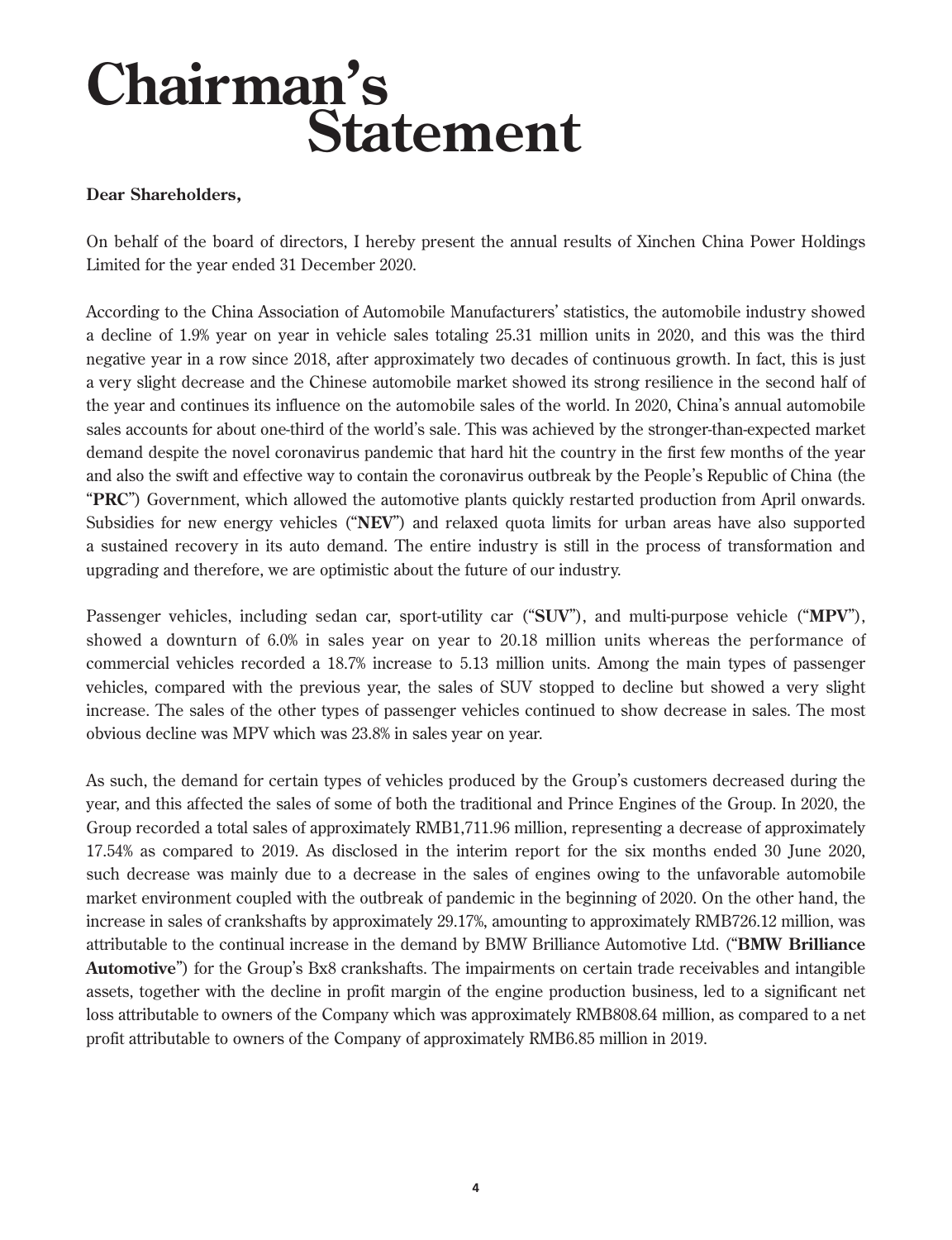# **Chairman's Statement**

### **Dear Shareholders,**

On behalf of the board of directors, I hereby present the annual results of Xinchen China Power Holdings Limited for the year ended 31 December 2020.

According to the China Association of Automobile Manufacturers' statistics, the automobile industry showed a decline of 1.9% year on year in vehicle sales totaling 25.31 million units in 2020, and this was the third negative year in a row since 2018, after approximately two decades of continuous growth. In fact, this is just a very slight decrease and the Chinese automobile market showed its strong resilience in the second half of the year and continues its influence on the automobile sales of the world. In 2020, China's annual automobile sales accounts for about one-third of the world's sale. This was achieved by the stronger-than-expected market demand despite the novel coronavirus pandemic that hard hit the country in the first few months of the year and also the swift and effective way to contain the coronavirus outbreak by the People's Republic of China (the "**PRC**") Government, which allowed the automotive plants quickly restarted production from April onwards. Subsidies for new energy vehicles ("**NEV**") and relaxed quota limits for urban areas have also supported a sustained recovery in its auto demand. The entire industry is still in the process of transformation and upgrading and therefore, we are optimistic about the future of our industry.

Passenger vehicles, including sedan car, sport-utility car ("**SUV**"), and multi-purpose vehicle ("**MPV**"), showed a downturn of 6.0% in sales year on year to 20.18 million units whereas the performance of commercial vehicles recorded a 18.7% increase to 5.13 million units. Among the main types of passenger vehicles, compared with the previous year, the sales of SUV stopped to decline but showed a very slight increase. The sales of the other types of passenger vehicles continued to show decrease in sales. The most obvious decline was MPV which was 23.8% in sales year on year.

As such, the demand for certain types of vehicles produced by the Group's customers decreased during the year, and this affected the sales of some of both the traditional and Prince Engines of the Group. In 2020, the Group recorded a total sales of approximately RMB1,711.96 million, representing a decrease of approximately 17.54% as compared to 2019. As disclosed in the interim report for the six months ended 30 June 2020, such decrease was mainly due to a decrease in the sales of engines owing to the unfavorable automobile market environment coupled with the outbreak of pandemic in the beginning of 2020. On the other hand, the increase in sales of crankshafts by approximately 29.17%, amounting to approximately RMB726.12 million, was attributable to the continual increase in the demand by BMW Brilliance Automotive Ltd. ("**BMW Brilliance Automotive**") for the Group's Bx8 crankshafts. The impairments on certain trade receivables and intangible assets, together with the decline in profit margin of the engine production business, led to a significant net loss attributable to owners of the Company which was approximately RMB808.64 million, as compared to a net profit attributable to owners of the Company of approximately RMB6.85 million in 2019.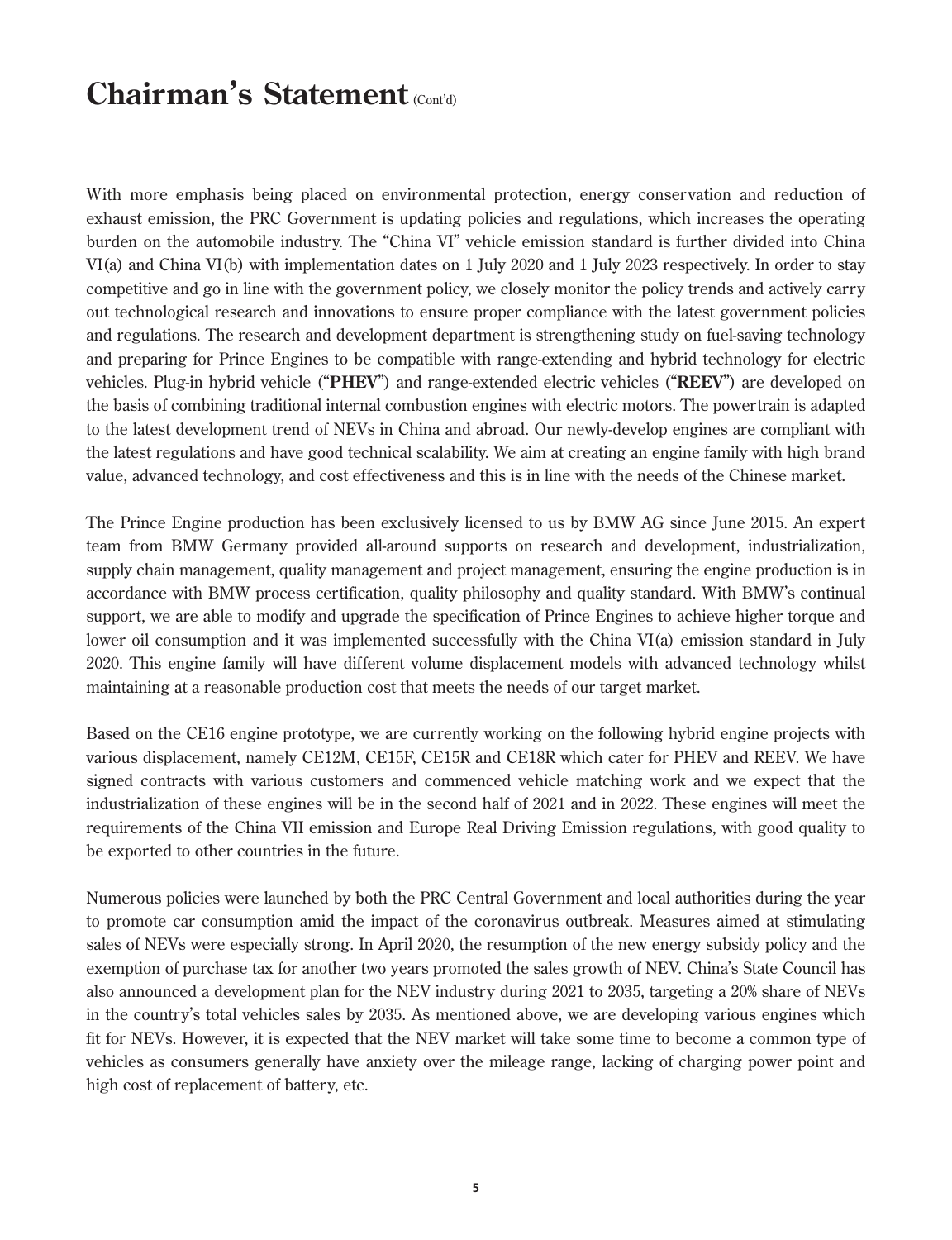# **Chairman's Statement** (Cont'd)

With more emphasis being placed on environmental protection, energy conservation and reduction of exhaust emission, the PRC Government is updating policies and regulations, which increases the operating burden on the automobile industry. The "China VI" vehicle emission standard is further divided into China VI(a) and China VI(b) with implementation dates on 1 July 2020 and 1 July 2023 respectively. In order to stay competitive and go in line with the government policy, we closely monitor the policy trends and actively carry out technological research and innovations to ensure proper compliance with the latest government policies and regulations. The research and development department is strengthening study on fuel-saving technology and preparing for Prince Engines to be compatible with range-extending and hybrid technology for electric vehicles. Plug-in hybrid vehicle ("**PHEV**") and range-extended electric vehicles ("**REEV**") are developed on the basis of combining traditional internal combustion engines with electric motors. The powertrain is adapted to the latest development trend of NEVs in China and abroad. Our newly-develop engines are compliant with the latest regulations and have good technical scalability. We aim at creating an engine family with high brand value, advanced technology, and cost effectiveness and this is in line with the needs of the Chinese market.

The Prince Engine production has been exclusively licensed to us by BMW AG since June 2015. An expert team from BMW Germany provided all-around supports on research and development, industrialization, supply chain management, quality management and project management, ensuring the engine production is in accordance with BMW process certification, quality philosophy and quality standard. With BMW's continual support, we are able to modify and upgrade the specification of Prince Engines to achieve higher torque and lower oil consumption and it was implemented successfully with the China VI(a) emission standard in July 2020. This engine family will have different volume displacement models with advanced technology whilst maintaining at a reasonable production cost that meets the needs of our target market.

Based on the CE16 engine prototype, we are currently working on the following hybrid engine projects with various displacement, namely CE12M, CE15F, CE15R and CE18R which cater for PHEV and REEV. We have signed contracts with various customers and commenced vehicle matching work and we expect that the industrialization of these engines will be in the second half of 2021 and in 2022. These engines will meet the requirements of the China VII emission and Europe Real Driving Emission regulations, with good quality to be exported to other countries in the future.

Numerous policies were launched by both the PRC Central Government and local authorities during the year to promote car consumption amid the impact of the coronavirus outbreak. Measures aimed at stimulating sales of NEVs were especially strong. In April 2020, the resumption of the new energy subsidy policy and the exemption of purchase tax for another two years promoted the sales growth of NEV. China's State Council has also announced a development plan for the NEV industry during 2021 to 2035, targeting a 20% share of NEVs in the country's total vehicles sales by 2035. As mentioned above, we are developing various engines which fit for NEVs. However, it is expected that the NEV market will take some time to become a common type of vehicles as consumers generally have anxiety over the mileage range, lacking of charging power point and high cost of replacement of battery, etc.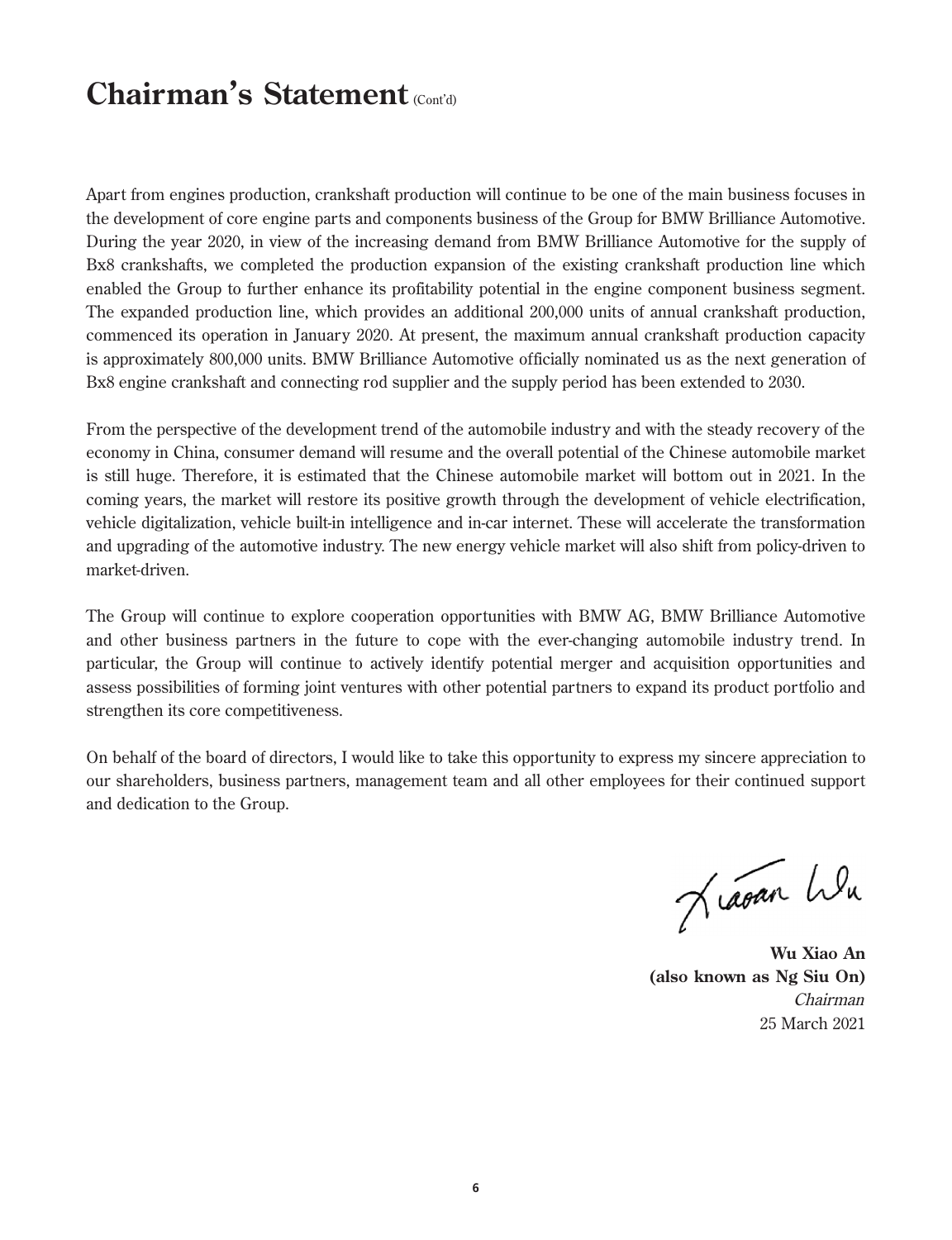### **Chairman's Statement** (Cont'd)

Apart from engines production, crankshaft production will continue to be one of the main business focuses in the development of core engine parts and components business of the Group for BMW Brilliance Automotive. During the year 2020, in view of the increasing demand from BMW Brilliance Automotive for the supply of Bx8 crankshafts, we completed the production expansion of the existing crankshaft production line which enabled the Group to further enhance its profitability potential in the engine component business segment. The expanded production line, which provides an additional 200,000 units of annual crankshaft production, commenced its operation in January 2020. At present, the maximum annual crankshaft production capacity is approximately 800,000 units. BMW Brilliance Automotive officially nominated us as the next generation of Bx8 engine crankshaft and connecting rod supplier and the supply period has been extended to 2030.

From the perspective of the development trend of the automobile industry and with the steady recovery of the economy in China, consumer demand will resume and the overall potential of the Chinese automobile market is still huge. Therefore, it is estimated that the Chinese automobile market will bottom out in 2021. In the coming years, the market will restore its positive growth through the development of vehicle electrification, vehicle digitalization, vehicle built-in intelligence and in-car internet. These will accelerate the transformation and upgrading of the automotive industry. The new energy vehicle market will also shift from policy-driven to market-driven.

The Group will continue to explore cooperation opportunities with BMW AG, BMW Brilliance Automotive and other business partners in the future to cope with the ever-changing automobile industry trend. In particular, the Group will continue to actively identify potential merger and acquisition opportunities and assess possibilities of forming joint ventures with other potential partners to expand its product portfolio and strengthen its core competitiveness.

On behalf of the board of directors, I would like to take this opportunity to express my sincere appreciation to our shareholders, business partners, management team and all other employees for their continued support and dedication to the Group.

Lavan Wu

**Wu Xiao An (also known as Ng Siu On)** Chairman 25 March 2021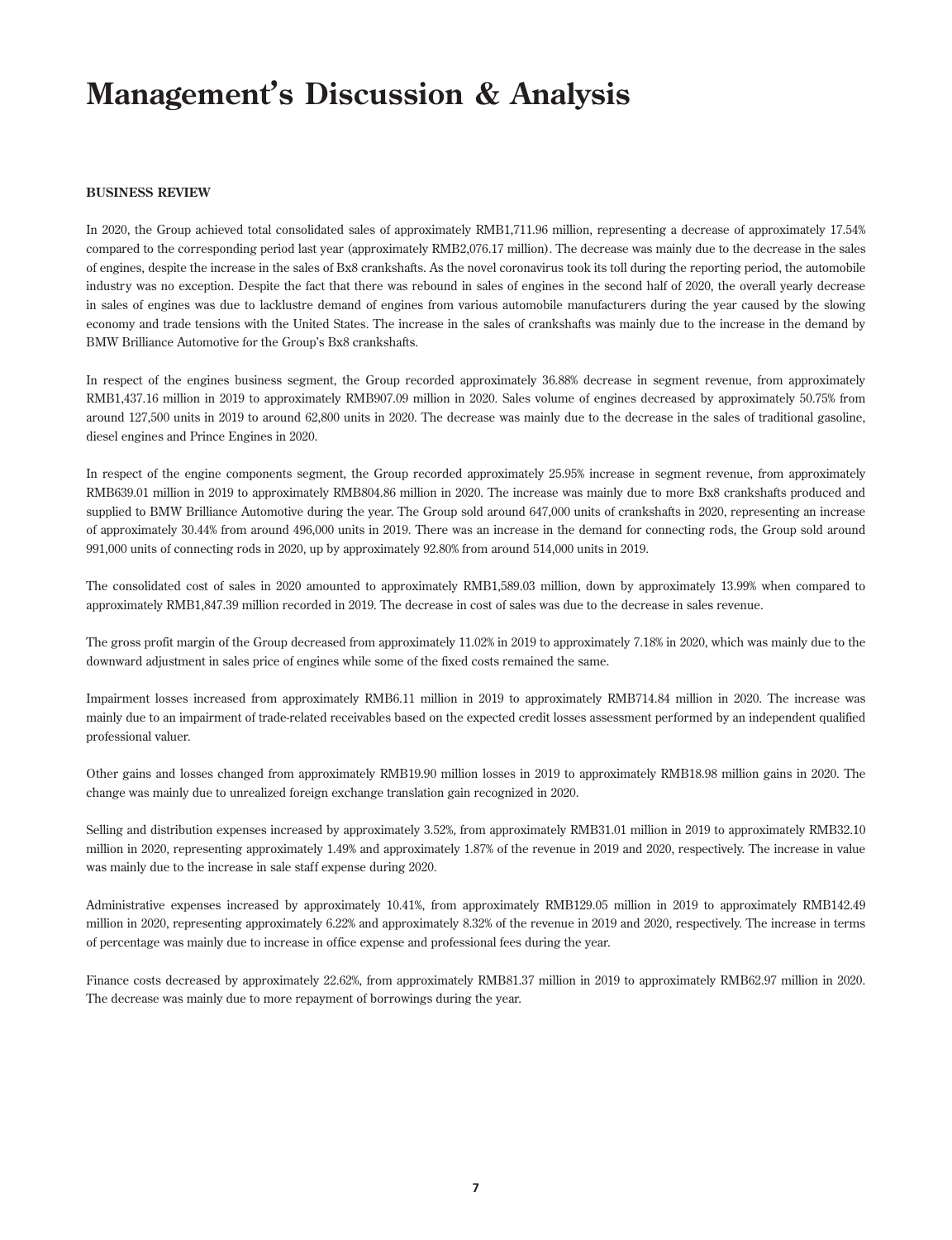# **Management's Discussion & Analysis**

#### **BUSINESS REVIEW**

In 2020, the Group achieved total consolidated sales of approximately RMB1,711.96 million, representing a decrease of approximately 17.54% compared to the corresponding period last year (approximately RMB2,076.17 million). The decrease was mainly due to the decrease in the sales of engines, despite the increase in the sales of Bx8 crankshafts. As the novel coronavirus took its toll during the reporting period, the automobile industry was no exception. Despite the fact that there was rebound in sales of engines in the second half of 2020, the overall yearly decrease in sales of engines was due to lacklustre demand of engines from various automobile manufacturers during the year caused by the slowing economy and trade tensions with the United States. The increase in the sales of crankshafts was mainly due to the increase in the demand by BMW Brilliance Automotive for the Group's Bx8 crankshafts.

In respect of the engines business segment, the Group recorded approximately 36.88% decrease in segment revenue, from approximately RMB1,437.16 million in 2019 to approximately RMB907.09 million in 2020. Sales volume of engines decreased by approximately 50.75% from around 127,500 units in 2019 to around 62,800 units in 2020. The decrease was mainly due to the decrease in the sales of traditional gasoline, diesel engines and Prince Engines in 2020.

In respect of the engine components segment, the Group recorded approximately 25.95% increase in segment revenue, from approximately RMB639.01 million in 2019 to approximately RMB804.86 million in 2020. The increase was mainly due to more Bx8 crankshafts produced and supplied to BMW Brilliance Automotive during the year. The Group sold around 647,000 units of crankshafts in 2020, representing an increase of approximately 30.44% from around 496,000 units in 2019. There was an increase in the demand for connecting rods, the Group sold around 991,000 units of connecting rods in 2020, up by approximately 92.80% from around 514,000 units in 2019.

The consolidated cost of sales in 2020 amounted to approximately RMB1,589.03 million, down by approximately 13.99% when compared to approximately RMB1,847.39 million recorded in 2019. The decrease in cost of sales was due to the decrease in sales revenue.

The gross profit margin of the Group decreased from approximately 11.02% in 2019 to approximately 7.18% in 2020, which was mainly due to the downward adjustment in sales price of engines while some of the fixed costs remained the same.

Impairment losses increased from approximately RMB6.11 million in 2019 to approximately RMB714.84 million in 2020. The increase was mainly due to an impairment of trade-related receivables based on the expected credit losses assessment performed by an independent qualified professional valuer.

Other gains and losses changed from approximately RMB19.90 million losses in 2019 to approximately RMB18.98 million gains in 2020. The change was mainly due to unrealized foreign exchange translation gain recognized in 2020.

Selling and distribution expenses increased by approximately 3.52%, from approximately RMB31.01 million in 2019 to approximately RMB32.10 million in 2020, representing approximately 1.49% and approximately 1.87% of the revenue in 2019 and 2020, respectively. The increase in value was mainly due to the increase in sale staff expense during 2020.

Administrative expenses increased by approximately 10.41%, from approximately RMB129.05 million in 2019 to approximately RMB142.49 million in 2020, representing approximately 6.22% and approximately 8.32% of the revenue in 2019 and 2020, respectively. The increase in terms of percentage was mainly due to increase in office expense and professional fees during the year.

Finance costs decreased by approximately 22.62%, from approximately RMB81.37 million in 2019 to approximately RMB62.97 million in 2020. The decrease was mainly due to more repayment of borrowings during the year.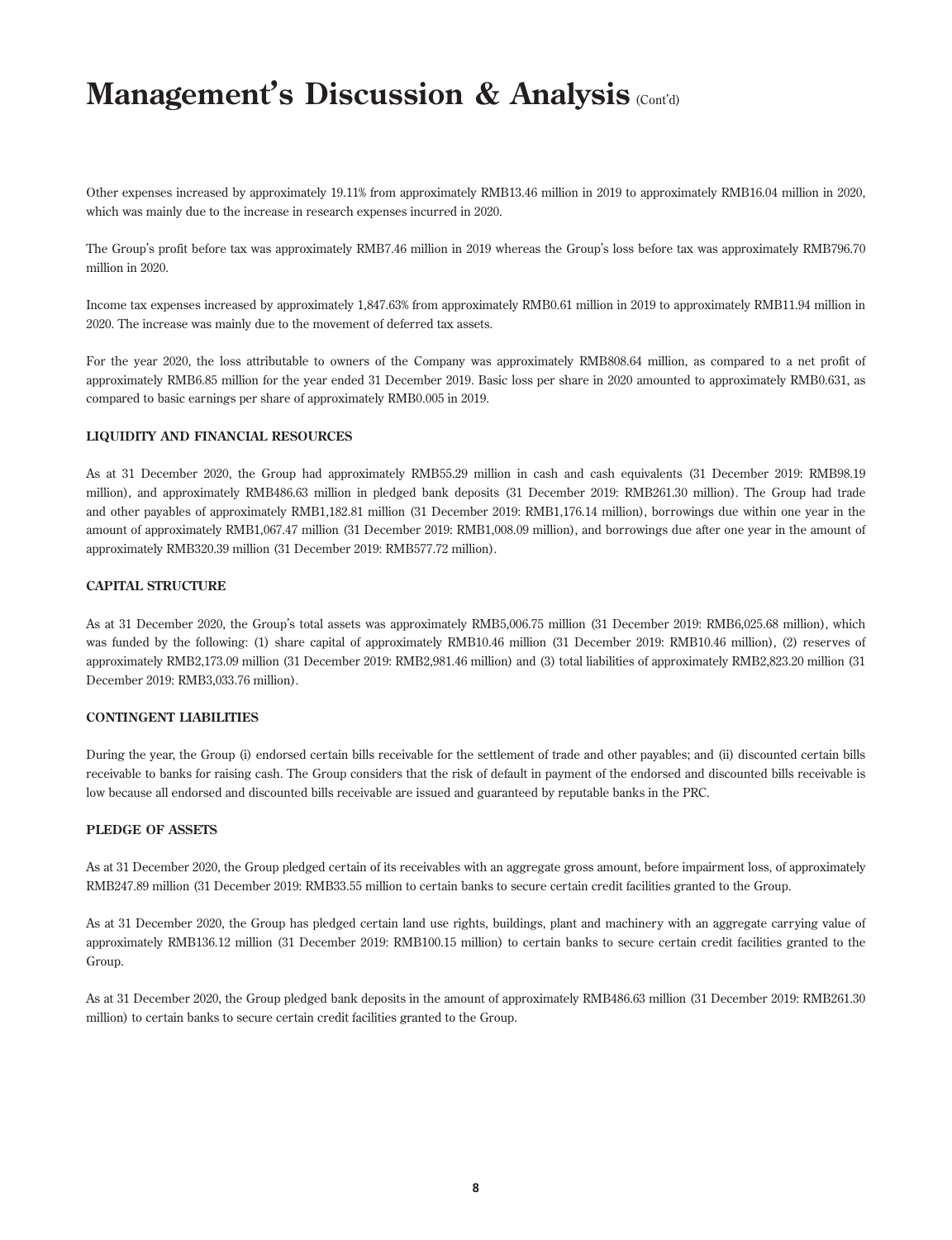# **Management's Discussion & Analysis** (Cont'd)

Other expenses increased by approximately 19.11% from approximately RMB13.46 million in 2019 to approximately RMB16.04 million in 2020, which was mainly due to the increase in research expenses incurred in 2020.

The Group's profit before tax was approximately RMB7.46 million in 2019 whereas the Group's loss before tax was approximately RMB796.70 million in 2020.

Income tax expenses increased by approximately 1,847.63% from approximately RMB0.61 million in 2019 to approximately RMB11.94 million in 2020. The increase was mainly due to the movement of deferred tax assets.

For the year 2020, the loss attributable to owners of the Company was approximately RMB808.64 million, as compared to a net profit of approximately RMB6.85 million for the year ended 31 December 2019. Basic loss per share in 2020 amounted to approximately RMB0.631, as compared to basic earnings per share of approximately RMB0.005 in 2019.

#### **LIQUIDITY AND FINANCIAL RESOURCES**

As at 31 December 2020, the Group had approximately RMB55.29 million in cash and cash equivalents (31 December 2019: RMB98.19 million), and approximately RMB486.63 million in pledged bank deposits (31 December 2019: RMB261.30 million). The Group had trade and other payables of approximately RMB1,182.81 million (31 December 2019: RMB1,176.14 million), borrowings due within one year in the amount of approximately RMB1,067.47 million (31 December 2019: RMB1,008.09 million), and borrowings due after one year in the amount of approximately RMB320.39 million (31 December 2019: RMB577.72 million).

#### **CAPITAL STRUCTURE**

As at 31 December 2020, the Group's total assets was approximately RMB5,006.75 million (31 December 2019: RMB6,025.68 million), which was funded by the following: (1) share capital of approximately RMB10.46 million (31 December 2019: RMB10.46 million), (2) reserves of approximately RMB2,173.09 million (31 December 2019: RMB2,981.46 million) and (3) total liabilities of approximately RMB2,823.20 million (31 December 2019: RMB3,033.76 million).

#### **CONTINGENT LIABILITIES**

During the year, the Group (i) endorsed certain bills receivable for the settlement of trade and other payables; and (ii) discounted certain bills receivable to banks for raising cash. The Group considers that the risk of default in payment of the endorsed and discounted bills receivable is low because all endorsed and discounted bills receivable are issued and guaranteed by reputable banks in the PRC.

### **PLEDGE OF ASSETS**

As at 31 December 2020, the Group pledged certain of its receivables with an aggregate gross amount, before impairment loss, of approximately RMB247.89 million (31 December 2019: RMB33.55 million to certain banks to secure certain credit facilities granted to the Group.

As at 31 December 2020, the Group has pledged certain land use rights, buildings, plant and machinery with an aggregate carrying value of approximately RMB136.12 million (31 December 2019: RMB100.15 million) to certain banks to secure certain credit facilities granted to the Group.

As at 31 December 2020, the Group pledged bank deposits in the amount of approximately RMB486.63 million (31 December 2019: RMB261.30 million) to certain banks to secure certain credit facilities granted to the Group.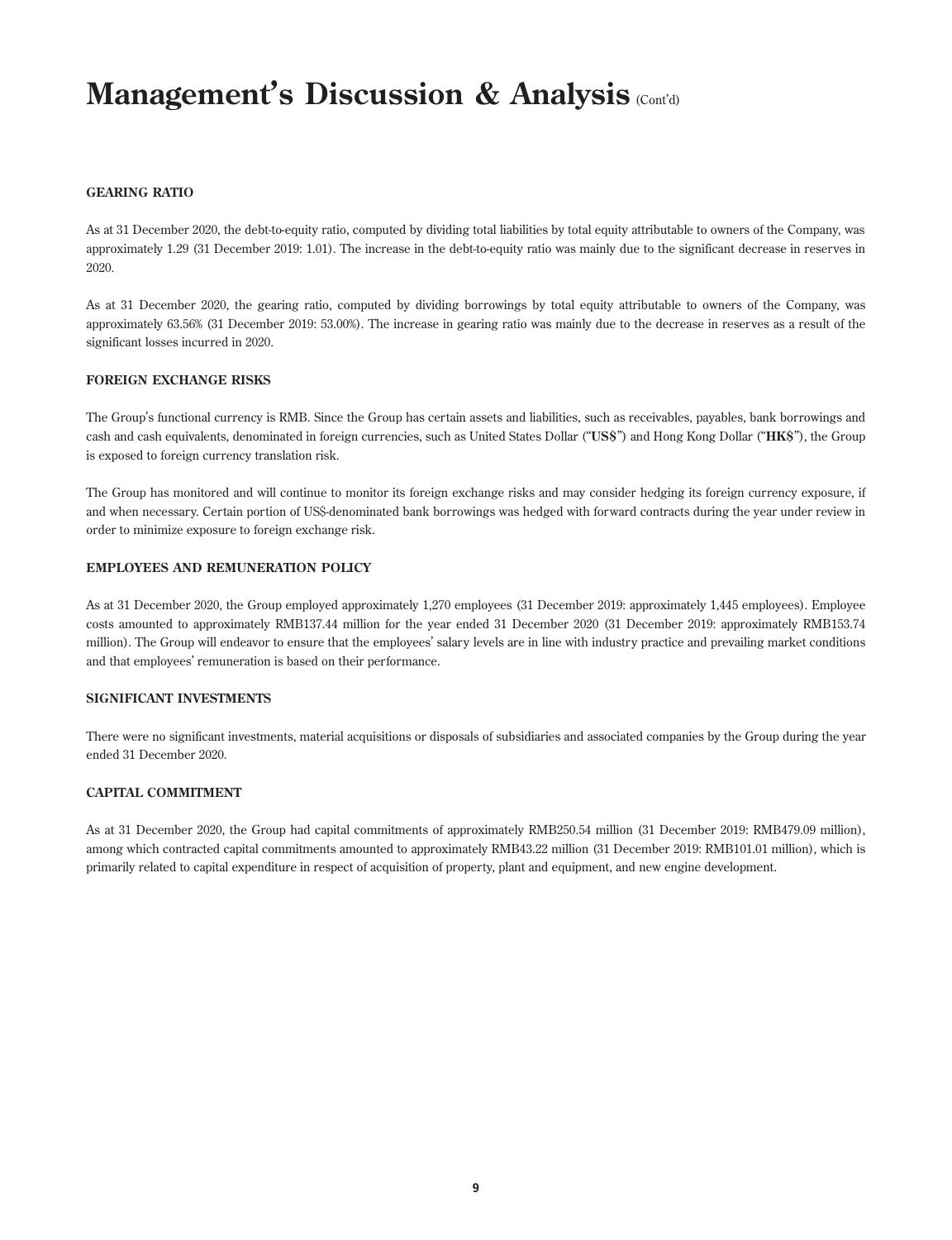# **Management's Discussion & Analysis** (Cont'd)

### **GEARING RATIO**

As at 31 December 2020, the debt-to-equity ratio, computed by dividing total liabilities by total equity attributable to owners of the Company, was approximately 1.29 (31 December 2019: 1.01). The increase in the debt-to-equity ratio was mainly due to the significant decrease in reserves in 2020.

As at 31 December 2020, the gearing ratio, computed by dividing borrowings by total equity attributable to owners of the Company, was approximately 63.56% (31 December 2019: 53.00%). The increase in gearing ratio was mainly due to the decrease in reserves as a result of the significant losses incurred in 2020.

#### **FOREIGN EXCHANGE RISKS**

The Group's functional currency is RMB. Since the Group has certain assets and liabilities, such as receivables, payables, bank borrowings and cash and cash equivalents, denominated in foreign currencies, such as United States Dollar ("**US\$**") and Hong Kong Dollar ("**HK\$**"), the Group is exposed to foreign currency translation risk.

The Group has monitored and will continue to monitor its foreign exchange risks and may consider hedging its foreign currency exposure, if and when necessary. Certain portion of US\$-denominated bank borrowings was hedged with forward contracts during the year under review in order to minimize exposure to foreign exchange risk.

### **EMPLOYEES AND REMUNERATION POLICY**

As at 31 December 2020, the Group employed approximately 1,270 employees (31 December 2019: approximately 1,445 employees). Employee costs amounted to approximately RMB137.44 million for the year ended 31 December 2020 (31 December 2019: approximately RMB153.74 million). The Group will endeavor to ensure that the employees' salary levels are in line with industry practice and prevailing market conditions and that employees' remuneration is based on their performance.

#### **SIGNIFICANT INVESTMENTS**

There were no significant investments, material acquisitions or disposals of subsidiaries and associated companies by the Group during the year ended 31 December 2020.

### **CAPITAL COMMITMENT**

As at 31 December 2020, the Group had capital commitments of approximately RMB250.54 million (31 December 2019: RMB479.09 million), among which contracted capital commitments amounted to approximately RMB43.22 million (31 December 2019: RMB101.01 million), which is primarily related to capital expenditure in respect of acquisition of property, plant and equipment, and new engine development.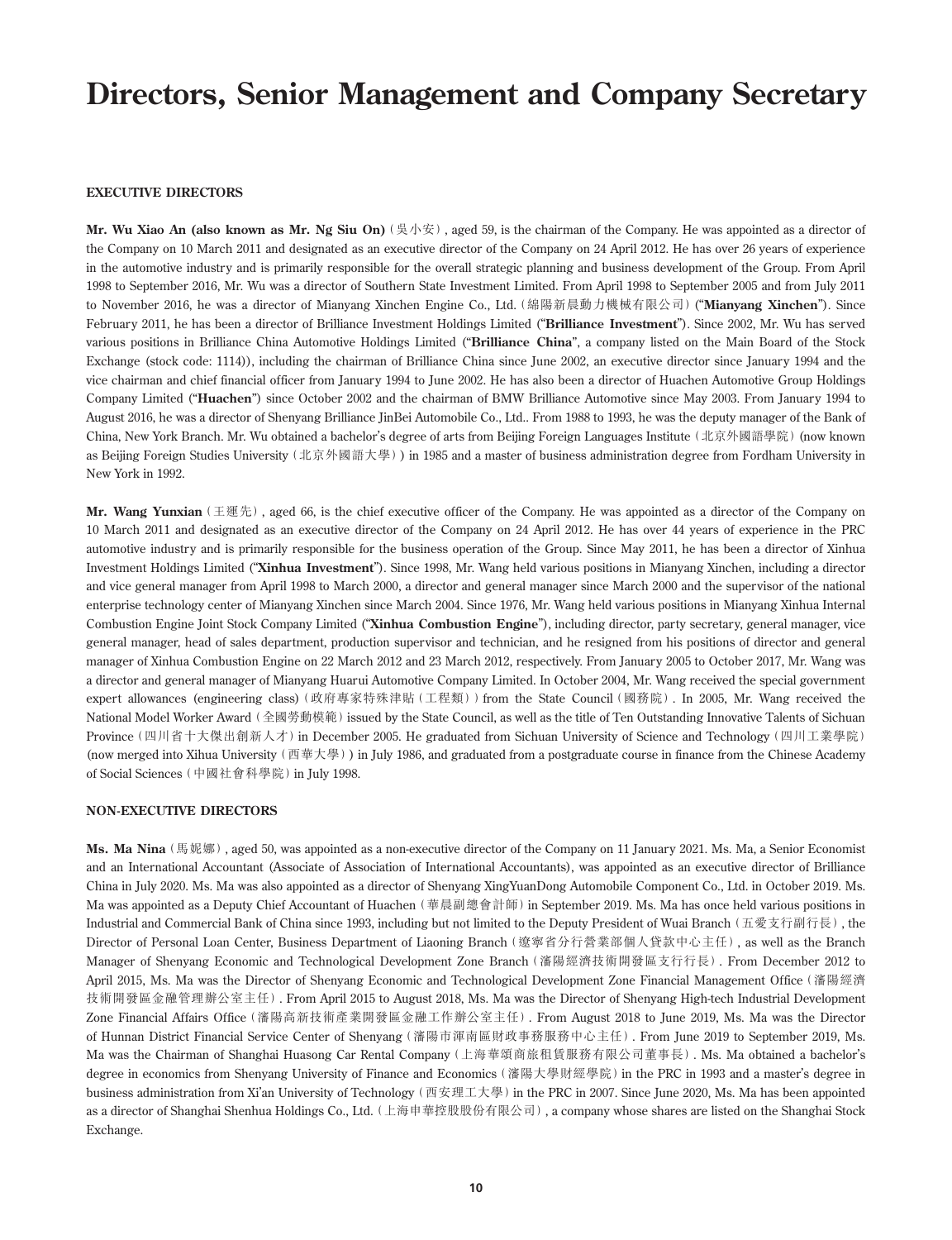### **Directors, Senior Management and Company Secretary**

#### **EXECUTIVE DIRECTORS**

**Mr. Wu Xiao An (also known as Mr. Ng Siu On)** (吳小安), aged 59, is the chairman of the Company. He was appointed as a director of the Company on 10 March 2011 and designated as an executive director of the Company on 24 April 2012. He has over 26 years of experience in the automotive industry and is primarily responsible for the overall strategic planning and business development of the Group. From April 1998 to September 2016, Mr. Wu was a director of Southern State Investment Limited. From April 1998 to September 2005 and from July 2011 to November 2016, he was a director of Mianyang Xinchen Engine Co., Ltd.(綿陽新晨動力機械有限公司)("**Mianyang Xinchen**"). Since February 2011, he has been a director of Brilliance Investment Holdings Limited ("**Brilliance Investment**"). Since 2002, Mr. Wu has served various positions in Brilliance China Automotive Holdings Limited ("**Brilliance China**", a company listed on the Main Board of the Stock Exchange (stock code: 1114)), including the chairman of Brilliance China since June 2002, an executive director since January 1994 and the vice chairman and chief financial officer from January 1994 to June 2002. He has also been a director of Huachen Automotive Group Holdings Company Limited ("**Huachen**") since October 2002 and the chairman of BMW Brilliance Automotive since May 2003. From January 1994 to August 2016, he was a director of Shenyang Brilliance JinBei Automobile Co., Ltd.. From 1988 to 1993, he was the deputy manager of the Bank of China, New York Branch. Mr. Wu obtained a bachelor's degree of arts from Beijing Foreign Languages Institute(北京外國語學院)(now known as Beijing Foreign Studies University(北京外國語大學)) in 1985 and a master of business administration degree from Fordham University in New York in 1992.

**Mr. Wang Yunxian**(王運先), aged 66, is the chief executive officer of the Company. He was appointed as a director of the Company on 10 March 2011 and designated as an executive director of the Company on 24 April 2012. He has over 44 years of experience in the PRC automotive industry and is primarily responsible for the business operation of the Group. Since May 2011, he has been a director of Xinhua Investment Holdings Limited ("**Xinhua Investment**"). Since 1998, Mr. Wang held various positions in Mianyang Xinchen, including a director and vice general manager from April 1998 to March 2000, a director and general manager since March 2000 and the supervisor of the national enterprise technology center of Mianyang Xinchen since March 2004. Since 1976, Mr. Wang held various positions in Mianyang Xinhua Internal Combustion Engine Joint Stock Company Limited ("**Xinhua Combustion Engine**"), including director, party secretary, general manager, vice general manager, head of sales department, production supervisor and technician, and he resigned from his positions of director and general manager of Xinhua Combustion Engine on 22 March 2012 and 23 March 2012, respectively. From January 2005 to October 2017, Mr. Wang was a director and general manager of Mianyang Huarui Automotive Company Limited. In October 2004, Mr. Wang received the special government expert allowances (engineering class)(政府專家特殊津貼(工程類))from the State Council(國務院). In 2005, Mr. Wang received the National Model Worker Award (全國勞動模範) issued by the State Council, as well as the title of Ten Outstanding Innovative Talents of Sichuan Province(四川省十大傑出創新人才)in December 2005. He graduated from Sichuan University of Science and Technology(四川工業學院) (now merged into Xihua University(西華大學)) in July 1986, and graduated from a postgraduate course in finance from the Chinese Academy of Social Sciences(中國社會科學院)in July 1998.

#### **NON-EXECUTIVE DIRECTORS**

**Ms. Ma Nina** (馬妮娜), aged 50, was appointed as a non-executive director of the Company on 11 January 2021. Ms. Ma, a Senior Economist and an International Accountant (Associate of Association of International Accountants), was appointed as an executive director of Brilliance China in July 2020. Ms. Ma was also appointed as a director of Shenyang XingYuanDong Automobile Component Co., Ltd. in October 2019. Ms. Ma was appointed as a Deputy Chief Accountant of Huachen (華晨副總會計師) in September 2019. Ms. Ma has once held various positions in Industrial and Commercial Bank of China since 1993, including but not limited to the Deputy President of Wuai Branch(五愛支行副行長), the Director of Personal Loan Center, Business Department of Liaoning Branch(遼寧省分行營業部個人貸款中心主任), as well as the Branch Manager of Shenyang Economic and Technological Development Zone Branch(瀋陽經濟技術開發區支行行長). From December 2012 to April 2015, Ms. Ma was the Director of Shenyang Economic and Technological Development Zone Financial Management Office(瀋陽經濟 技術開發區金融管理辦公室主任). From April 2015 to August 2018, Ms. Ma was the Director of Shenyang High-tech Industrial Development Zone Financial Affairs Office(瀋陽高新技術產業開發區金融工作辦公室主任). From August 2018 to June 2019, Ms. Ma was the Director of Hunnan District Financial Service Center of Shenyang(瀋陽市渾南區財政事務服務中心主任). From June 2019 to September 2019, Ms. Ma was the Chairman of Shanghai Huasong Car Rental Company(上海華頌商旅租賃服務有限公司董事長). Ms. Ma obtained a bachelor's degree in economics from Shenyang University of Finance and Economics (瀋陽大學財經學院) in the PRC in 1993 and a master's degree in business administration from Xi'an University of Technology (西安理工大學) in the PRC in 2007. Since June 2020, Ms. Ma has been appointed as a director of Shanghai Shenhua Holdings Co., Ltd.(上海申華控股股份有限公司), a company whose shares are listed on the Shanghai Stock Exchange.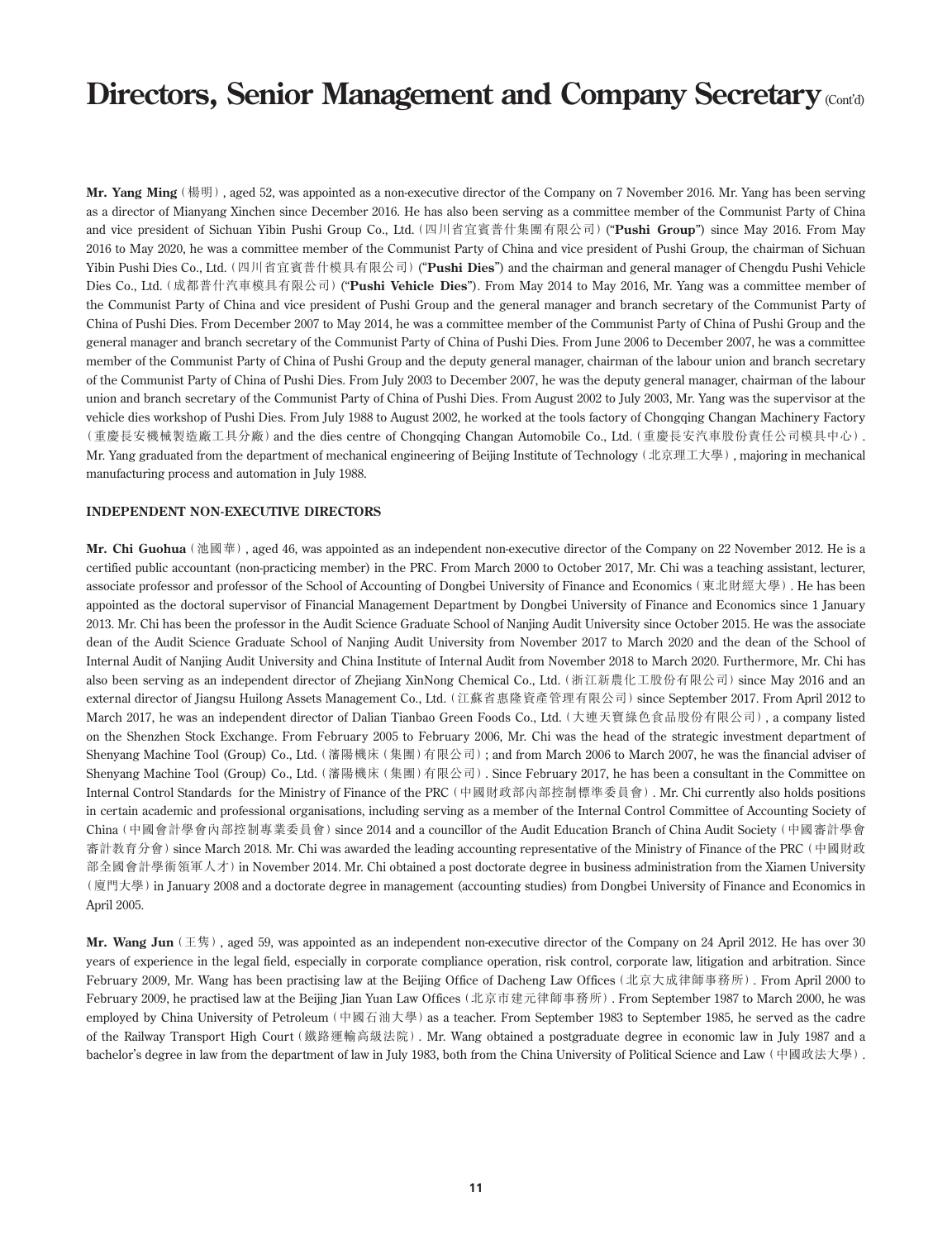### **Directors, Senior Management and Company Secretary** (Cont'd)

Mr. Yang Ming (楊明), aged 52, was appointed as a non-executive director of the Company on 7 November 2016. Mr. Yang has been serving as a director of Mianyang Xinchen since December 2016. He has also been serving as a committee member of the Communist Party of China and vice president of Sichuan Yibin Pushi Group Co., Ltd.(四川省宜賓普什集團有限公司)("**Pushi Group**") since May 2016. From May 2016 to May 2020, he was a committee member of the Communist Party of China and vice president of Pushi Group, the chairman of Sichuan Yibin Pushi Dies Co., Ltd.(四川省宜賓普什模具有限公司)("**Pushi Dies**") and the chairman and general manager of Chengdu Pushi Vehicle Dies Co., Ltd.(成都普什汽車模具有限公司)("**Pushi Vehicle Dies**"). From May 2014 to May 2016, Mr. Yang was a committee member of the Communist Party of China and vice president of Pushi Group and the general manager and branch secretary of the Communist Party of China of Pushi Dies. From December 2007 to May 2014, he was a committee member of the Communist Party of China of Pushi Group and the general manager and branch secretary of the Communist Party of China of Pushi Dies. From June 2006 to December 2007, he was a committee member of the Communist Party of China of Pushi Group and the deputy general manager, chairman of the labour union and branch secretary of the Communist Party of China of Pushi Dies. From July 2003 to December 2007, he was the deputy general manager, chairman of the labour union and branch secretary of the Communist Party of China of Pushi Dies. From August 2002 to July 2003, Mr. Yang was the supervisor at the vehicle dies workshop of Pushi Dies. From July 1988 to August 2002, he worked at the tools factory of Chongqing Changan Machinery Factory (重慶長安機械製造廠工具分廠)and the dies centre of Chongqing Changan Automobile Co., Ltd.(重慶長安汽車股份責任公司模具中心). Mr. Yang graduated from the department of mechanical engineering of Beijing Institute of Technology (北京理工大學), majoring in mechanical manufacturing process and automation in July 1988.

#### **INDEPENDENT NON-EXECUTIVE DIRECTORS**

**Mr. Chi Guohua** (池國華), aged 46, was appointed as an independent non-executive director of the Company on 22 November 2012. He is a certified public accountant (non-practicing member) in the PRC. From March 2000 to October 2017, Mr. Chi was a teaching assistant, lecturer, associate professor and professor of the School of Accounting of Dongbei University of Finance and Economics(東北財經大學). He has been appointed as the doctoral supervisor of Financial Management Department by Dongbei University of Finance and Economics since 1 January 2013. Mr. Chi has been the professor in the Audit Science Graduate School of Nanjing Audit University since October 2015. He was the associate dean of the Audit Science Graduate School of Nanjing Audit University from November 2017 to March 2020 and the dean of the School of Internal Audit of Nanjing Audit University and China Institute of Internal Audit from November 2018 to March 2020. Furthermore, Mr. Chi has also been serving as an independent director of Zhejiang XinNong Chemical Co., Ltd. (浙江新農化工股份有限公司) since May 2016 and an external director of Jiangsu Huilong Assets Management Co., Ltd. (江蘇省惠隆資產管理有限公司) since September 2017. From April 2012 to March 2017, he was an independent director of Dalian Tianbao Green Foods Co., Ltd.(大連天寶綠色食品股份有限公司), a company listed on the Shenzhen Stock Exchange. From February 2005 to February 2006, Mr. Chi was the head of the strategic investment department of Shenyang Machine Tool (Group) Co., Ltd.(瀋陽機床(集團)有限公司); and from March 2006 to March 2007, he was the financial adviser of Shenyang Machine Tool (Group) Co., Ltd.(瀋陽機床(集團)有限公司). Since February 2017, he has been a consultant in the Committee on Internal Control Standards for the Ministry of Finance of the PRC(中國財政部內部控制標準委員會). Mr. Chi currently also holds positions in certain academic and professional organisations, including serving as a member of the Internal Control Committee of Accounting Society of China(中國會計學會內部控制專業委員會)since 2014 and a councillor of the Audit Education Branch of China Audit Society(中國審計學會 審計教育分會) since March 2018. Mr. Chi was awarded the leading accounting representative of the Ministry of Finance of the PRC (中國財政 部全國會計學術領軍人才) in November 2014. Mr. Chi obtained a post doctorate degree in business administration from the Xiamen University (廈門大學)in January 2008 and a doctorate degree in management (accounting studies) from Dongbei University of Finance and Economics in April 2005.

**Mr. Wang Jun**(王隽), aged 59, was appointed as an independent non-executive director of the Company on 24 April 2012. He has over 30 years of experience in the legal field, especially in corporate compliance operation, risk control, corporate law, litigation and arbitration. Since February 2009, Mr. Wang has been practising law at the Beijing Office of Dacheng Law Offices(北京大成律師事務所). From April 2000 to February 2009, he practised law at the Beijing Jian Yuan Law Offices (北京市建元律師事務所). From September 1987 to March 2000, he was employed by China University of Petroleum (中國石油大學) as a teacher. From September 1983 to September 1985, he served as the cadre of the Railway Transport High Court(鐵路運輸高級法院). Mr. Wang obtained a postgraduate degree in economic law in July 1987 and a bachelor's degree in law from the department of law in July 1983, both from the China University of Political Science and Law (中國政法大學).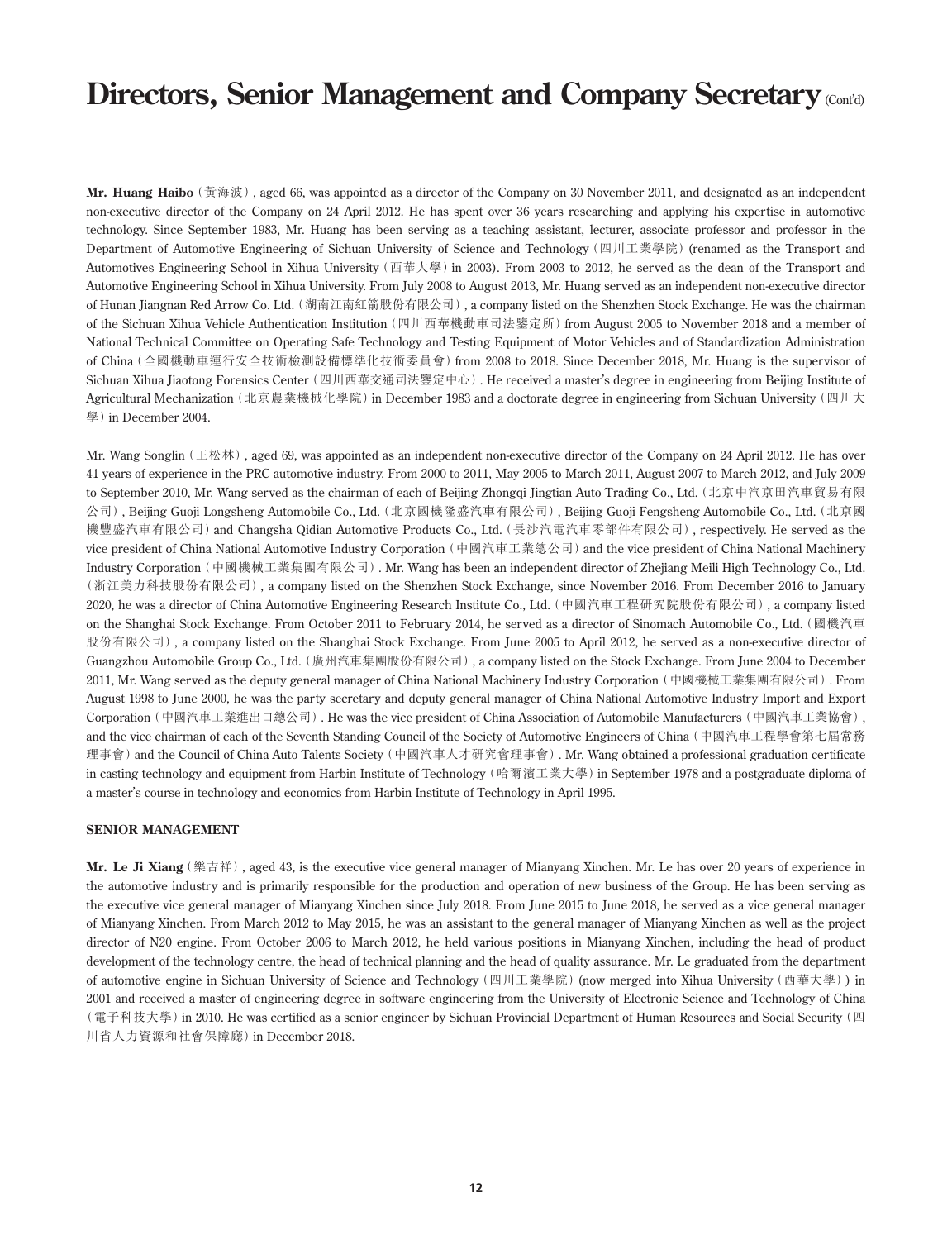### **Directors, Senior Management and Company Secretary** (Cont'd)

**Mr. Huang Haibo**(黃海波), aged 66, was appointed as a director of the Company on 30 November 2011, and designated as an independent non-executive director of the Company on 24 April 2012. He has spent over 36 years researching and applying his expertise in automotive technology. Since September 1983, Mr. Huang has been serving as a teaching assistant, lecturer, associate professor and professor in the Department of Automotive Engineering of Sichuan University of Science and Technology (四川工業學院) (renamed as the Transport and Automotives Engineering School in Xihua University(西華大學)in 2003). From 2003 to 2012, he served as the dean of the Transport and Automotive Engineering School in Xihua University. From July 2008 to August 2013, Mr. Huang served as an independent non-executive director of Hunan Jiangnan Red Arrow Co. Ltd.(湖南江南紅箭股份有限公司), a company listed on the Shenzhen Stock Exchange. He was the chairman of the Sichuan Xihua Vehicle Authentication Institution (四川西華機動車司法鑒定所) from August 2005 to November 2018 and a member of National Technical Committee on Operating Safe Technology and Testing Equipment of Motor Vehicles and of Standardization Administration of China(全國機動車運行安全技術檢測設備標準化技術委員會)from 2008 to 2018. Since December 2018, Mr. Huang is the supervisor of Sichuan Xihua Jiaotong Forensics Center(四川西華交通司法鑒定中心). He received a master's degree in engineering from Beijing Institute of Agricultural Mechanization (北京農業機械化學院) in December 1983 and a doctorate degree in engineering from Sichuan University (四川大 學)in December 2004.

Mr. Wang Songlin (王松林), aged 69, was appointed as an independent non-executive director of the Company on 24 April 2012. He has over 41 years of experience in the PRC automotive industry. From 2000 to 2011, May 2005 to March 2011, August 2007 to March 2012, and July 2009 to September 2010, Mr. Wang served as the chairman of each of Beijing Zhongqi Jingtian Auto Trading Co., Ltd.(北京中汽京田汽車貿易有限 公司), Beijing Guoji Longsheng Automobile Co., Ltd.(北京國機隆盛汽車有限公司), Beijing Guoji Fengsheng Automobile Co., Ltd.(北京國 機豐盛汽車有限公司)and Changsha Qidian Automotive Products Co., Ltd.(長沙汽電汽車零部件有限公司), respectively. He served as the vice president of China National Automotive Industry Corporation (中國汽車工業總公司) and the vice president of China National Machinery Industry Corporation(中國機械工業集團有限公司). Mr. Wang has been an independent director of Zhejiang Meili High Technology Co., Ltd. (浙江美力科技股份有限公司), a company listed on the Shenzhen Stock Exchange, since November 2016. From December 2016 to January 2020, he was a director of China Automotive Engineering Research Institute Co., Ltd.(中國汽車工程研究院股份有限公司), a company listed on the Shanghai Stock Exchange. From October 2011 to February 2014, he served as a director of Sinomach Automobile Co., Ltd.(國機汽車 股份有限公司), a company listed on the Shanghai Stock Exchange. From June 2005 to April 2012, he served as a non-executive director of Guangzhou Automobile Group Co., Ltd.(廣州汽車集團股份有限公司), a company listed on the Stock Exchange. From June 2004 to December 2011, Mr. Wang served as the deputy general manager of China National Machinery Industry Corporation(中國機械工業集團有限公司). From August 1998 to June 2000, he was the party secretary and deputy general manager of China National Automotive Industry Import and Export Corporation(中國汽車工業進出口總公司). He was the vice president of China Association of Automobile Manufacturers(中國汽車工業協會), and the vice chairman of each of the Seventh Standing Council of the Society of Automotive Engineers of China(中國汽車工程學會第七屆常務 理事會) and the Council of China Auto Talents Society (中國汽車人才研究會理事會). Mr. Wang obtained a professional graduation certificate in casting technology and equipment from Harbin Institute of Technology (哈爾濱工業大學) in September 1978 and a postgraduate diploma of a master's course in technology and economics from Harbin Institute of Technology in April 1995.

#### **SENIOR MANAGEMENT**

**Mr. Le Ji Xiang** (樂吉祥), aged 43, is the executive vice general manager of Mianyang Xinchen. Mr. Le has over 20 years of experience in the automotive industry and is primarily responsible for the production and operation of new business of the Group. He has been serving as the executive vice general manager of Mianyang Xinchen since July 2018. From June 2015 to June 2018, he served as a vice general manager of Mianyang Xinchen. From March 2012 to May 2015, he was an assistant to the general manager of Mianyang Xinchen as well as the project director of N20 engine. From October 2006 to March 2012, he held various positions in Mianyang Xinchen, including the head of product development of the technology centre, the head of technical planning and the head of quality assurance. Mr. Le graduated from the department of automotive engine in Sichuan University of Science and Technology(四川工業學院)(now merged into Xihua University(西華大學)) in 2001 and received a master of engineering degree in software engineering from the University of Electronic Science and Technology of China (電子科技大學)in 2010. He was certified as a senior engineer by Sichuan Provincial Department of Human Resources and Social Security(四 川省人力資源和社會保障廳)in December 2018.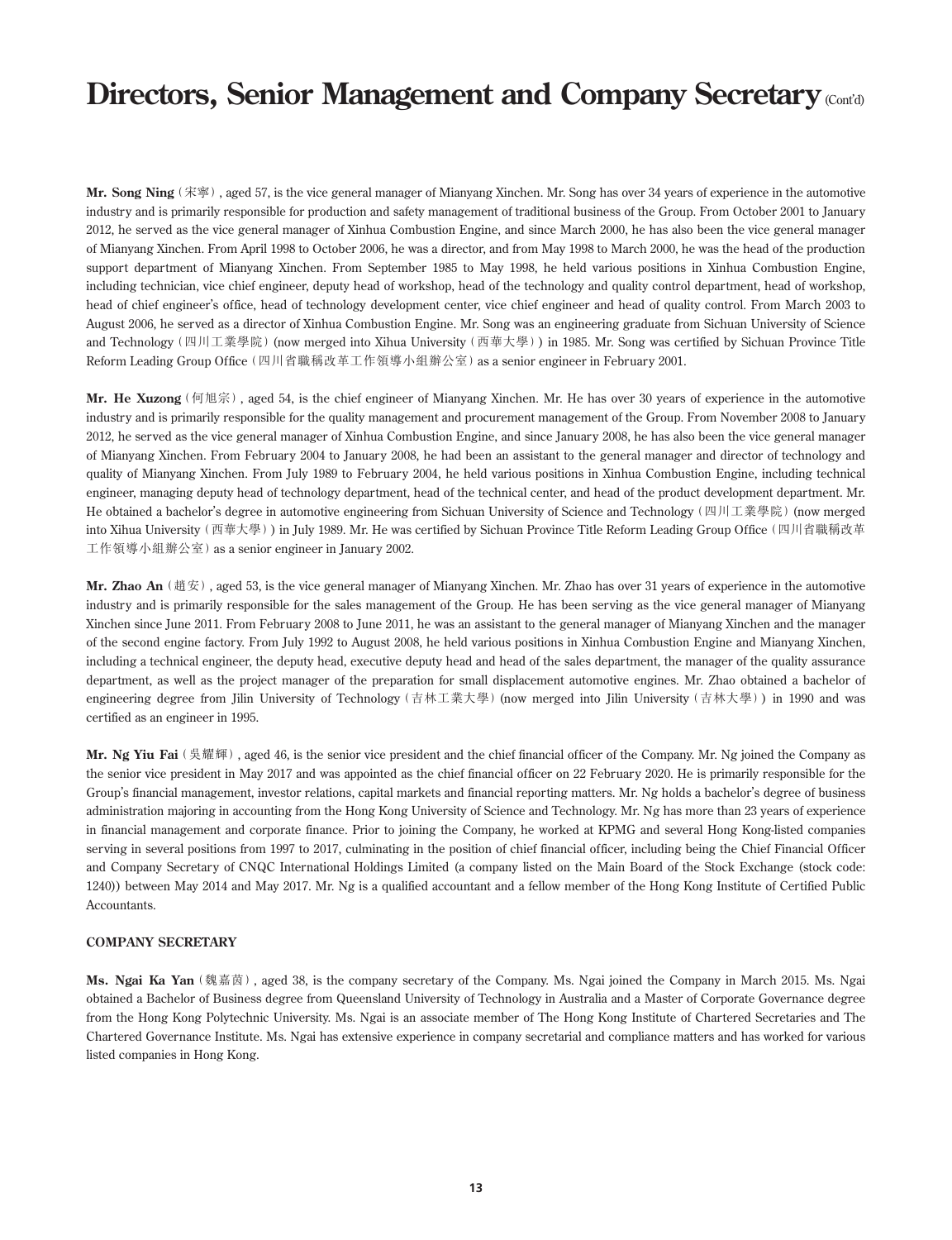### **Directors, Senior Management and Company Secretary** (Cont'd)

**Mr. Song Ning**(宋寧), aged 57, is the vice general manager of Mianyang Xinchen. Mr. Song has over 34 years of experience in the automotive industry and is primarily responsible for production and safety management of traditional business of the Group. From October 2001 to January 2012, he served as the vice general manager of Xinhua Combustion Engine, and since March 2000, he has also been the vice general manager of Mianyang Xinchen. From April 1998 to October 2006, he was a director, and from May 1998 to March 2000, he was the head of the production support department of Mianyang Xinchen. From September 1985 to May 1998, he held various positions in Xinhua Combustion Engine, including technician, vice chief engineer, deputy head of workshop, head of the technology and quality control department, head of workshop, head of chief engineer's office, head of technology development center, vice chief engineer and head of quality control. From March 2003 to August 2006, he served as a director of Xinhua Combustion Engine. Mr. Song was an engineering graduate from Sichuan University of Science and Technology(四川工業學院)(now merged into Xihua University(西華大學)) in 1985. Mr. Song was certified by Sichuan Province Title Reform Leading Group Office(四川省職稱改革工作領導小組辦公室)as a senior engineer in February 2001.

**Mr. He Xuzong** (何旭宗), aged 54, is the chief engineer of Mianyang Xinchen. Mr. He has over 30 years of experience in the automotive industry and is primarily responsible for the quality management and procurement management of the Group. From November 2008 to January 2012, he served as the vice general manager of Xinhua Combustion Engine, and since January 2008, he has also been the vice general manager of Mianyang Xinchen. From February 2004 to January 2008, he had been an assistant to the general manager and director of technology and quality of Mianyang Xinchen. From July 1989 to February 2004, he held various positions in Xinhua Combustion Engine, including technical engineer, managing deputy head of technology department, head of the technical center, and head of the product development department. Mr. He obtained a bachelor's degree in automotive engineering from Sichuan University of Science and Technology(四川工業學院)(now merged into Xihua University(西華大學)) in July 1989. Mr. He was certified by Sichuan Province Title Reform Leading Group Office(四川省職稱改革 工作領導小組辦公室) as a senior engineer in January 2002.

**Mr. Zhao An** (趙安), aged 53, is the vice general manager of Mianyang Xinchen. Mr. Zhao has over 31 years of experience in the automotive industry and is primarily responsible for the sales management of the Group. He has been serving as the vice general manager of Mianyang Xinchen since June 2011. From February 2008 to June 2011, he was an assistant to the general manager of Mianyang Xinchen and the manager of the second engine factory. From July 1992 to August 2008, he held various positions in Xinhua Combustion Engine and Mianyang Xinchen, including a technical engineer, the deputy head, executive deputy head and head of the sales department, the manager of the quality assurance department, as well as the project manager of the preparation for small displacement automotive engines. Mr. Zhao obtained a bachelor of engineering degree from Jilin University of Technology (吉林工業大學) (now merged into Jilin University (吉林大學)) in 1990 and was certified as an engineer in 1995.

**Mr. Ng Yiu Fai** (吳耀輝), aged 46, is the senior vice president and the chief financial officer of the Company. Mr. Ng joined the Company as the senior vice president in May 2017 and was appointed as the chief financial officer on 22 February 2020. He is primarily responsible for the Group's financial management, investor relations, capital markets and financial reporting matters. Mr. Ng holds a bachelor's degree of business administration majoring in accounting from the Hong Kong University of Science and Technology. Mr. Ng has more than 23 years of experience in financial management and corporate finance. Prior to joining the Company, he worked at KPMG and several Hong Kong-listed companies serving in several positions from 1997 to 2017, culminating in the position of chief financial officer, including being the Chief Financial Officer and Company Secretary of CNQC International Holdings Limited (a company listed on the Main Board of the Stock Exchange (stock code: 1240)) between May 2014 and May 2017. Mr. Ng is a qualified accountant and a fellow member of the Hong Kong Institute of Certified Public Accountants.

#### **COMPANY SECRETARY**

**Ms. Ngai Ka Yan**(魏嘉茵), aged 38, is the company secretary of the Company. Ms. Ngai joined the Company in March 2015. Ms. Ngai obtained a Bachelor of Business degree from Queensland University of Technology in Australia and a Master of Corporate Governance degree from the Hong Kong Polytechnic University. Ms. Ngai is an associate member of The Hong Kong Institute of Chartered Secretaries and The Chartered Governance Institute. Ms. Ngai has extensive experience in company secretarial and compliance matters and has worked for various listed companies in Hong Kong.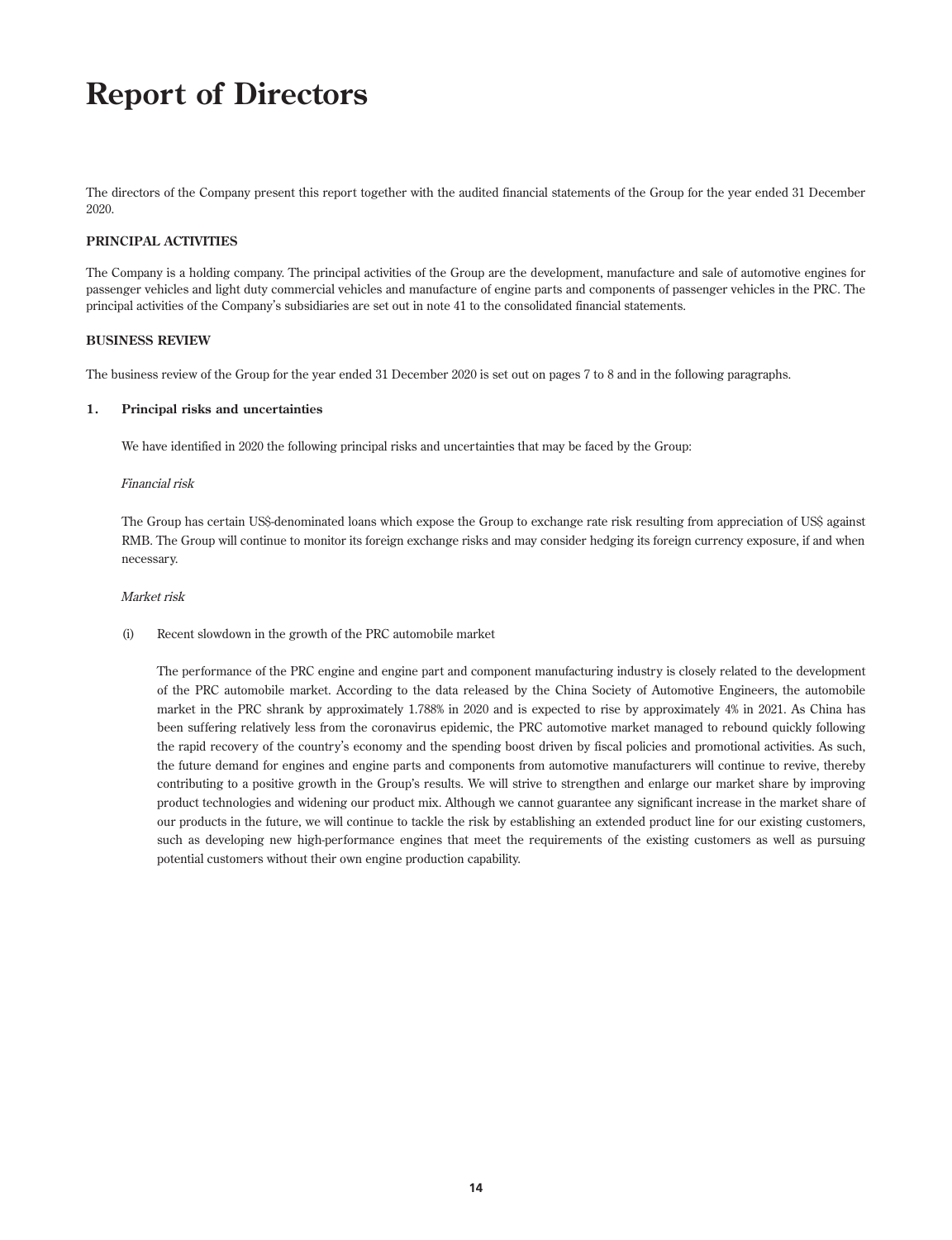# **Report of Directors**

The directors of the Company present this report together with the audited financial statements of the Group for the year ended 31 December 2020.

#### **PRINCIPAL ACTIVITIES**

The Company is a holding company. The principal activities of the Group are the development, manufacture and sale of automotive engines for passenger vehicles and light duty commercial vehicles and manufacture of engine parts and components of passenger vehicles in the PRC. The principal activities of the Company's subsidiaries are set out in note 41 to the consolidated financial statements.

#### **BUSINESS REVIEW**

The business review of the Group for the year ended 31 December 2020 is set out on pages 7 to 8 and in the following paragraphs.

#### **1. Principal risks and uncertainties**

We have identified in 2020 the following principal risks and uncertainties that may be faced by the Group:

#### Financial risk

The Group has certain US\$-denominated loans which expose the Group to exchange rate risk resulting from appreciation of US\$ against RMB. The Group will continue to monitor its foreign exchange risks and may consider hedging its foreign currency exposure, if and when necessary.

#### Market risk

(i) Recent slowdown in the growth of the PRC automobile market

The performance of the PRC engine and engine part and component manufacturing industry is closely related to the development of the PRC automobile market. According to the data released by the China Society of Automotive Engineers, the automobile market in the PRC shrank by approximately 1.788% in 2020 and is expected to rise by approximately 4% in 2021. As China has been suffering relatively less from the coronavirus epidemic, the PRC automotive market managed to rebound quickly following the rapid recovery of the country's economy and the spending boost driven by fiscal policies and promotional activities. As such, the future demand for engines and engine parts and components from automotive manufacturers will continue to revive, thereby contributing to a positive growth in the Group's results. We will strive to strengthen and enlarge our market share by improving product technologies and widening our product mix. Although we cannot guarantee any significant increase in the market share of our products in the future, we will continue to tackle the risk by establishing an extended product line for our existing customers, such as developing new high-performance engines that meet the requirements of the existing customers as well as pursuing potential customers without their own engine production capability.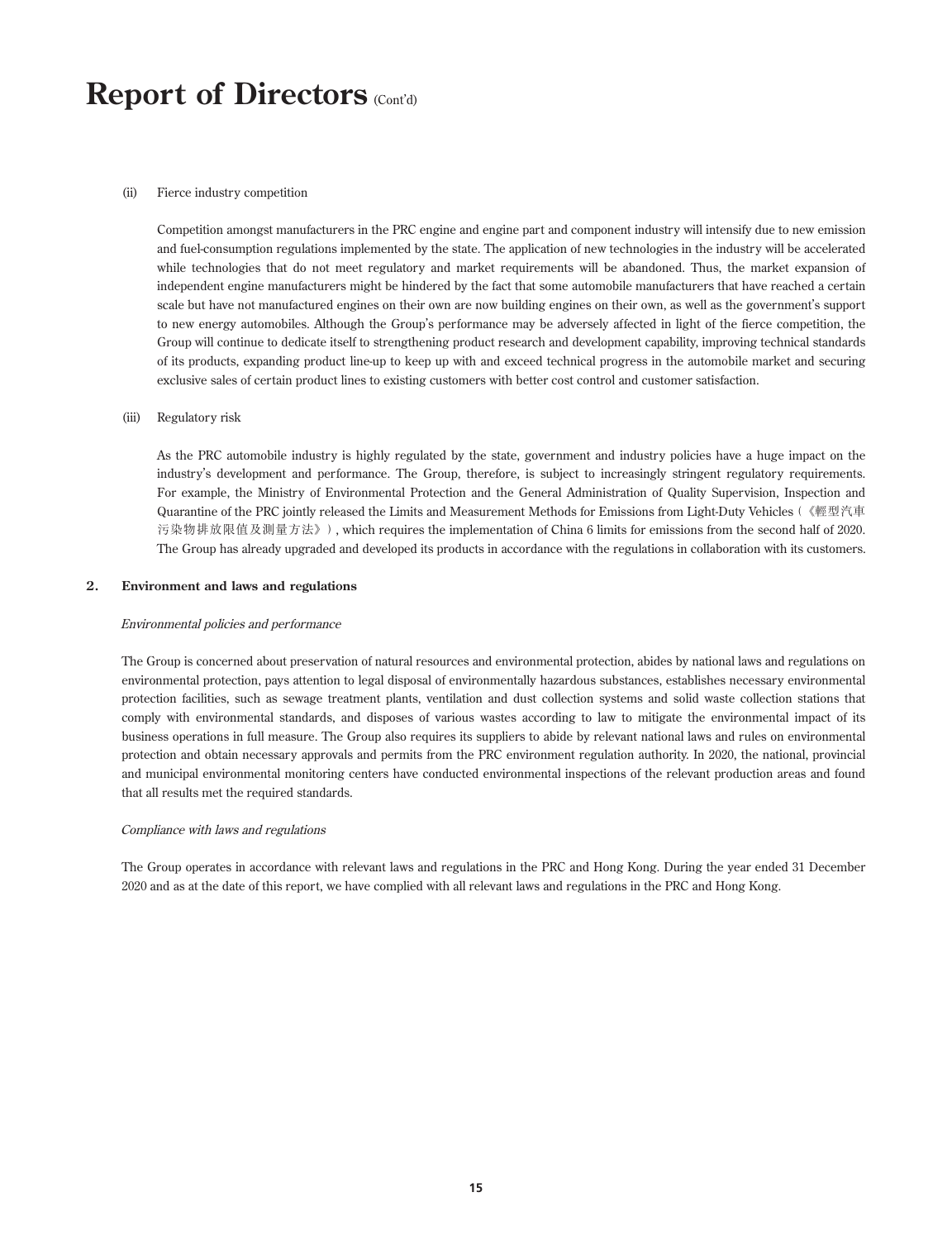#### (ii) Fierce industry competition

Competition amongst manufacturers in the PRC engine and engine part and component industry will intensify due to new emission and fuel-consumption regulations implemented by the state. The application of new technologies in the industry will be accelerated while technologies that do not meet regulatory and market requirements will be abandoned. Thus, the market expansion of independent engine manufacturers might be hindered by the fact that some automobile manufacturers that have reached a certain scale but have not manufactured engines on their own are now building engines on their own, as well as the government's support to new energy automobiles. Although the Group's performance may be adversely affected in light of the fierce competition, the Group will continue to dedicate itself to strengthening product research and development capability, improving technical standards of its products, expanding product line-up to keep up with and exceed technical progress in the automobile market and securing exclusive sales of certain product lines to existing customers with better cost control and customer satisfaction.

#### (iii) Regulatory risk

As the PRC automobile industry is highly regulated by the state, government and industry policies have a huge impact on the industry's development and performance. The Group, therefore, is subject to increasingly stringent regulatory requirements. For example, the Ministry of Environmental Protection and the General Administration of Quality Supervision, Inspection and Quarantine of the PRC jointly released the Limits and Measurement Methods for Emissions from Light-Duty Vehicles(《輕型汽車 污染物排放限值及測量方法》), which requires the implementation of China 6 limits for emissions from the second half of 2020. The Group has already upgraded and developed its products in accordance with the regulations in collaboration with its customers.

#### **2. Environment and laws and regulations**

#### Environmental policies and performance

The Group is concerned about preservation of natural resources and environmental protection, abides by national laws and regulations on environmental protection, pays attention to legal disposal of environmentally hazardous substances, establishes necessary environmental protection facilities, such as sewage treatment plants, ventilation and dust collection systems and solid waste collection stations that comply with environmental standards, and disposes of various wastes according to law to mitigate the environmental impact of its business operations in full measure. The Group also requires its suppliers to abide by relevant national laws and rules on environmental protection and obtain necessary approvals and permits from the PRC environment regulation authority. In 2020, the national, provincial and municipal environmental monitoring centers have conducted environmental inspections of the relevant production areas and found that all results met the required standards.

#### Compliance with laws and regulations

The Group operates in accordance with relevant laws and regulations in the PRC and Hong Kong. During the year ended 31 December 2020 and as at the date of this report, we have complied with all relevant laws and regulations in the PRC and Hong Kong.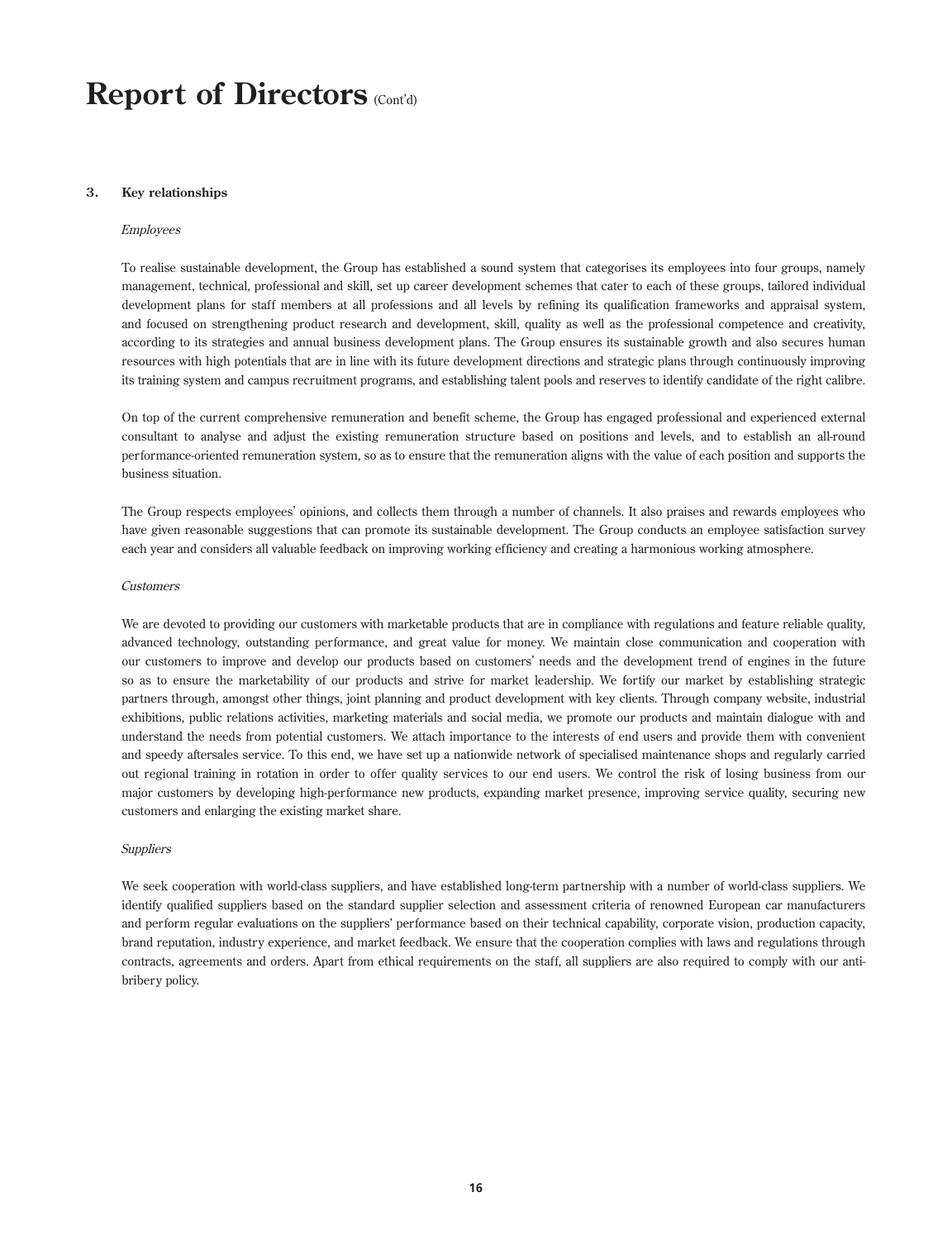#### **3. Key relationships**

#### Employees

To realise sustainable development, the Group has established a sound system that categorises its employees into four groups, namely management, technical, professional and skill, set up career development schemes that cater to each of these groups, tailored individual development plans for staff members at all professions and all levels by refining its qualification frameworks and appraisal system, and focused on strengthening product research and development, skill, quality as well as the professional competence and creativity, according to its strategies and annual business development plans. The Group ensures its sustainable growth and also secures human resources with high potentials that are in line with its future development directions and strategic plans through continuously improving its training system and campus recruitment programs, and establishing talent pools and reserves to identify candidate of the right calibre.

On top of the current comprehensive remuneration and benefit scheme, the Group has engaged professional and experienced external consultant to analyse and adjust the existing remuneration structure based on positions and levels, and to establish an all-round performance-oriented remuneration system, so as to ensure that the remuneration aligns with the value of each position and supports the business situation.

The Group respects employees' opinions, and collects them through a number of channels. It also praises and rewards employees who have given reasonable suggestions that can promote its sustainable development. The Group conducts an employee satisfaction survey each year and considers all valuable feedback on improving working efficiency and creating a harmonious working atmosphere.

#### **Customers**

We are devoted to providing our customers with marketable products that are in compliance with regulations and feature reliable quality, advanced technology, outstanding performance, and great value for money. We maintain close communication and cooperation with our customers to improve and develop our products based on customers' needs and the development trend of engines in the future so as to ensure the marketability of our products and strive for market leadership. We fortify our market by establishing strategic partners through, amongst other things, joint planning and product development with key clients. Through company website, industrial exhibitions, public relations activities, marketing materials and social media, we promote our products and maintain dialogue with and understand the needs from potential customers. We attach importance to the interests of end users and provide them with convenient and speedy aftersales service. To this end, we have set up a nationwide network of specialised maintenance shops and regularly carried out regional training in rotation in order to offer quality services to our end users. We control the risk of losing business from our major customers by developing high-performance new products, expanding market presence, improving service quality, securing new customers and enlarging the existing market share.

#### **Suppliers**

We seek cooperation with world-class suppliers, and have established long-term partnership with a number of world-class suppliers. We identify qualified suppliers based on the standard supplier selection and assessment criteria of renowned European car manufacturers and perform regular evaluations on the suppliers' performance based on their technical capability, corporate vision, production capacity, brand reputation, industry experience, and market feedback. We ensure that the cooperation complies with laws and regulations through contracts, agreements and orders. Apart from ethical requirements on the staff, all suppliers are also required to comply with our antibribery policy.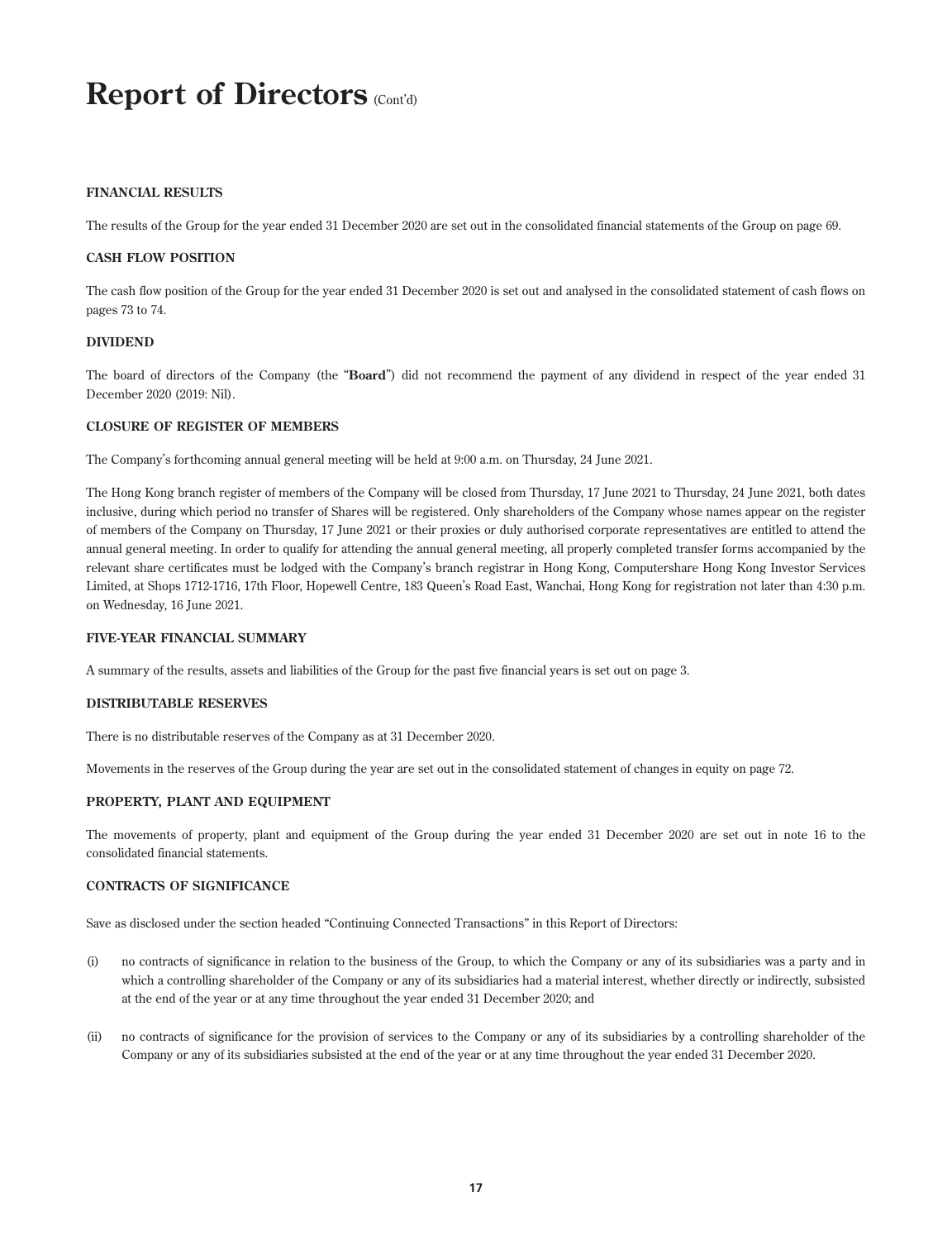### **FINANCIAL RESULTS**

The results of the Group for the year ended 31 December 2020 are set out in the consolidated financial statements of the Group on page 69.

#### **CASH FLOW POSITION**

The cash flow position of the Group for the year ended 31 December 2020 is set out and analysed in the consolidated statement of cash flows on pages 73 to 74.

#### **DIVIDEND**

The board of directors of the Company (the "**Board**") did not recommend the payment of any dividend in respect of the year ended 31 December 2020 (2019: Nil).

#### **CLOSURE OF REGISTER OF MEMBERS**

The Company's forthcoming annual general meeting will be held at 9:00 a.m. on Thursday, 24 June 2021.

The Hong Kong branch register of members of the Company will be closed from Thursday, 17 June 2021 to Thursday, 24 June 2021, both dates inclusive, during which period no transfer of Shares will be registered. Only shareholders of the Company whose names appear on the register of members of the Company on Thursday, 17 June 2021 or their proxies or duly authorised corporate representatives are entitled to attend the annual general meeting. In order to qualify for attending the annual general meeting, all properly completed transfer forms accompanied by the relevant share certificates must be lodged with the Company's branch registrar in Hong Kong, Computershare Hong Kong Investor Services Limited, at Shops 1712-1716, 17th Floor, Hopewell Centre, 183 Queen's Road East, Wanchai, Hong Kong for registration not later than 4:30 p.m. on Wednesday, 16 June 2021.

#### **FIVE-YEAR FINANCIAL SUMMARY**

A summary of the results, assets and liabilities of the Group for the past five financial years is set out on page 3.

#### **DISTRIBUTABLE RESERVES**

There is no distributable reserves of the Company as at 31 December 2020.

Movements in the reserves of the Group during the year are set out in the consolidated statement of changes in equity on page 72.

#### **PROPERTY, PLANT AND EQUIPMENT**

The movements of property, plant and equipment of the Group during the year ended 31 December 2020 are set out in note 16 to the consolidated financial statements.

### **CONTRACTS OF SIGNIFICANCE**

Save as disclosed under the section headed "Continuing Connected Transactions" in this Report of Directors:

- (i) no contracts of significance in relation to the business of the Group, to which the Company or any of its subsidiaries was a party and in which a controlling shareholder of the Company or any of its subsidiaries had a material interest, whether directly or indirectly, subsisted at the end of the year or at any time throughout the year ended 31 December 2020; and
- (ii) no contracts of significance for the provision of services to the Company or any of its subsidiaries by a controlling shareholder of the Company or any of its subsidiaries subsisted at the end of the year or at any time throughout the year ended 31 December 2020.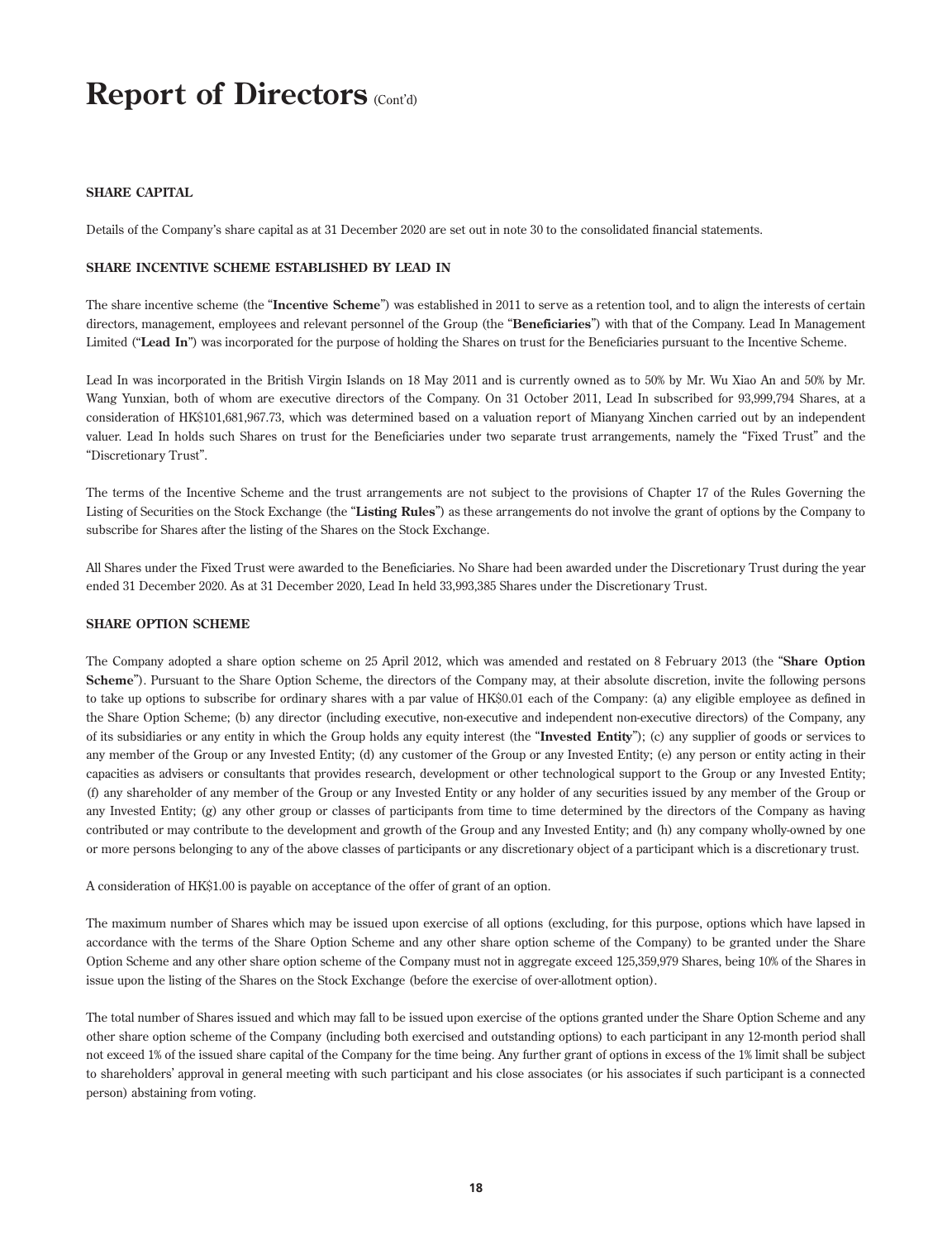### **SHARE CAPITAL**

Details of the Company's share capital as at 31 December 2020 are set out in note 30 to the consolidated financial statements.

#### **SHARE INCENTIVE SCHEME ESTABLISHED BY LEAD IN**

The share incentive scheme (the "**Incentive Scheme**") was established in 2011 to serve as a retention tool, and to align the interests of certain directors, management, employees and relevant personnel of the Group (the "**Beneficiaries**") with that of the Company. Lead In Management Limited ("**Lead In**") was incorporated for the purpose of holding the Shares on trust for the Beneficiaries pursuant to the Incentive Scheme.

Lead In was incorporated in the British Virgin Islands on 18 May 2011 and is currently owned as to 50% by Mr. Wu Xiao An and 50% by Mr. Wang Yunxian, both of whom are executive directors of the Company. On 31 October 2011, Lead In subscribed for 93,999,794 Shares, at a consideration of HK\$101,681,967.73, which was determined based on a valuation report of Mianyang Xinchen carried out by an independent valuer. Lead In holds such Shares on trust for the Beneficiaries under two separate trust arrangements, namely the "Fixed Trust" and the "Discretionary Trust".

The terms of the Incentive Scheme and the trust arrangements are not subject to the provisions of Chapter 17 of the Rules Governing the Listing of Securities on the Stock Exchange (the "**Listing Rules**") as these arrangements do not involve the grant of options by the Company to subscribe for Shares after the listing of the Shares on the Stock Exchange.

All Shares under the Fixed Trust were awarded to the Beneficiaries. No Share had been awarded under the Discretionary Trust during the year ended 31 December 2020. As at 31 December 2020, Lead In held 33,993,385 Shares under the Discretionary Trust.

#### **SHARE OPTION SCHEME**

The Company adopted a share option scheme on 25 April 2012, which was amended and restated on 8 February 2013 (the "**Share Option Scheme**"). Pursuant to the Share Option Scheme, the directors of the Company may, at their absolute discretion, invite the following persons to take up options to subscribe for ordinary shares with a par value of HK\$0.01 each of the Company: (a) any eligible employee as defined in the Share Option Scheme; (b) any director (including executive, non-executive and independent non-executive directors) of the Company, any of its subsidiaries or any entity in which the Group holds any equity interest (the "**Invested Entity**"); (c) any supplier of goods or services to any member of the Group or any Invested Entity; (d) any customer of the Group or any Invested Entity; (e) any person or entity acting in their capacities as advisers or consultants that provides research, development or other technological support to the Group or any Invested Entity; (f) any shareholder of any member of the Group or any Invested Entity or any holder of any securities issued by any member of the Group or any Invested Entity; (g) any other group or classes of participants from time to time determined by the directors of the Company as having contributed or may contribute to the development and growth of the Group and any Invested Entity; and (h) any company wholly-owned by one or more persons belonging to any of the above classes of participants or any discretionary object of a participant which is a discretionary trust.

A consideration of HK\$1.00 is payable on acceptance of the offer of grant of an option.

The maximum number of Shares which may be issued upon exercise of all options (excluding, for this purpose, options which have lapsed in accordance with the terms of the Share Option Scheme and any other share option scheme of the Company) to be granted under the Share Option Scheme and any other share option scheme of the Company must not in aggregate exceed 125,359,979 Shares, being 10% of the Shares in issue upon the listing of the Shares on the Stock Exchange (before the exercise of over-allotment option).

The total number of Shares issued and which may fall to be issued upon exercise of the options granted under the Share Option Scheme and any other share option scheme of the Company (including both exercised and outstanding options) to each participant in any 12-month period shall not exceed 1% of the issued share capital of the Company for the time being. Any further grant of options in excess of the 1% limit shall be subject to shareholders' approval in general meeting with such participant and his close associates (or his associates if such participant is a connected person) abstaining from voting.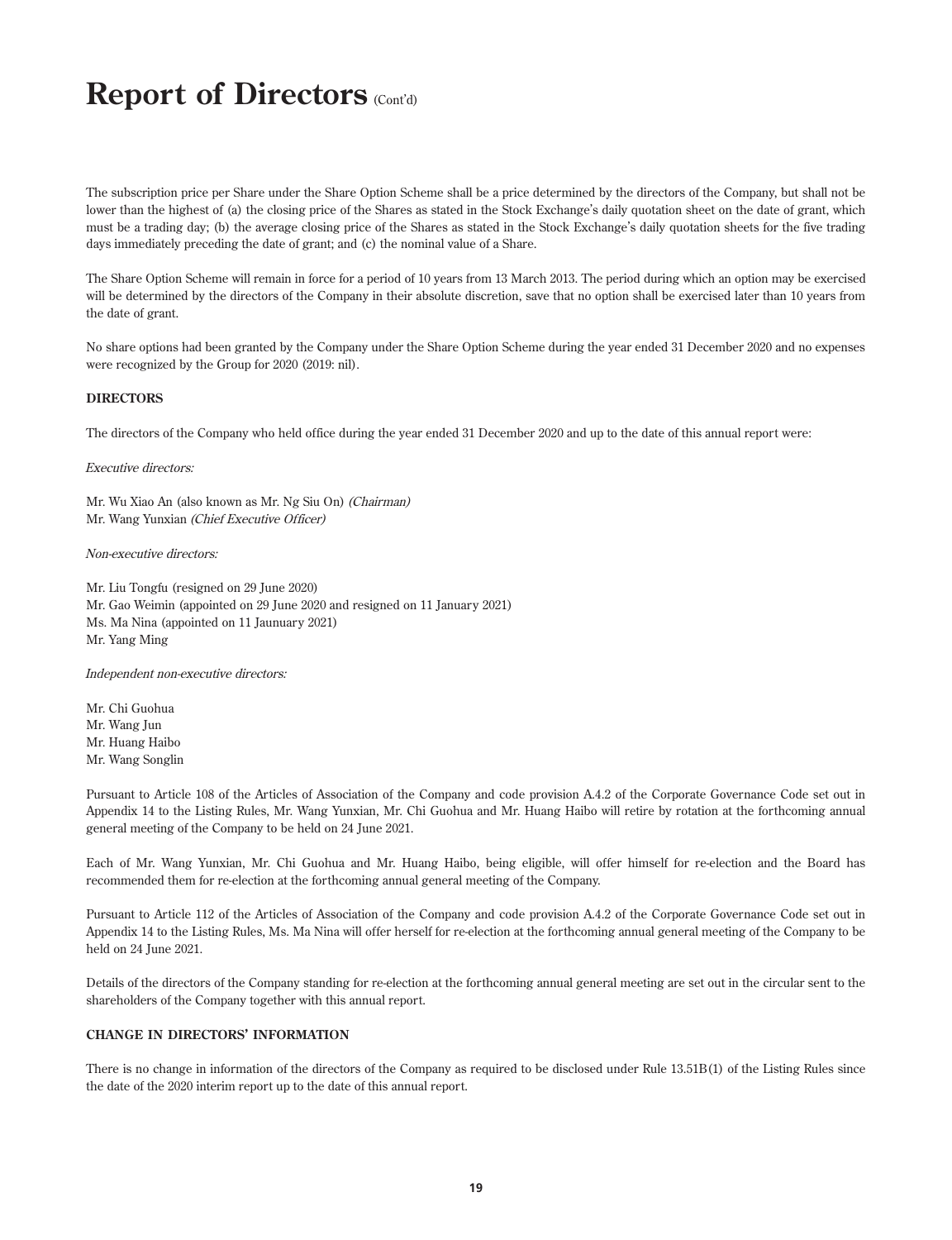The subscription price per Share under the Share Option Scheme shall be a price determined by the directors of the Company, but shall not be lower than the highest of (a) the closing price of the Shares as stated in the Stock Exchange's daily quotation sheet on the date of grant, which must be a trading day; (b) the average closing price of the Shares as stated in the Stock Exchange's daily quotation sheets for the five trading days immediately preceding the date of grant; and (c) the nominal value of a Share.

The Share Option Scheme will remain in force for a period of 10 years from 13 March 2013. The period during which an option may be exercised will be determined by the directors of the Company in their absolute discretion, save that no option shall be exercised later than 10 years from the date of grant.

No share options had been granted by the Company under the Share Option Scheme during the year ended 31 December 2020 and no expenses were recognized by the Group for 2020 (2019: nil).

#### **DIRECTORS**

The directors of the Company who held office during the year ended 31 December 2020 and up to the date of this annual report were:

Executive directors:

Mr. Wu Xiao An (also known as Mr. Ng Siu On) (Chairman) Mr. Wang Yunxian (Chief Executive Officer)

#### Non-executive directors:

Mr. Liu Tongfu (resigned on 29 June 2020) Mr. Gao Weimin (appointed on 29 June 2020 and resigned on 11 January 2021) Ms. Ma Nina (appointed on 11 Jaunuary 2021) Mr. Yang Ming

Independent non-executive directors:

Mr. Chi Guohua Mr. Wang Jun Mr. Huang Haibo Mr. Wang Songlin

Pursuant to Article 108 of the Articles of Association of the Company and code provision A.4.2 of the Corporate Governance Code set out in Appendix 14 to the Listing Rules, Mr. Wang Yunxian, Mr. Chi Guohua and Mr. Huang Haibo will retire by rotation at the forthcoming annual general meeting of the Company to be held on 24 June 2021.

Each of Mr. Wang Yunxian, Mr. Chi Guohua and Mr. Huang Haibo, being eligible, will offer himself for re-election and the Board has recommended them for re-election at the forthcoming annual general meeting of the Company.

Pursuant to Article 112 of the Articles of Association of the Company and code provision A.4.2 of the Corporate Governance Code set out in Appendix 14 to the Listing Rules, Ms. Ma Nina will offer herself for re-election at the forthcoming annual general meeting of the Company to be held on 24 June 2021.

Details of the directors of the Company standing for re-election at the forthcoming annual general meeting are set out in the circular sent to the shareholders of the Company together with this annual report.

#### **CHANGE IN DIRECTORS' INFORMATION**

There is no change in information of the directors of the Company as required to be disclosed under Rule 13.51B(1) of the Listing Rules since the date of the 2020 interim report up to the date of this annual report.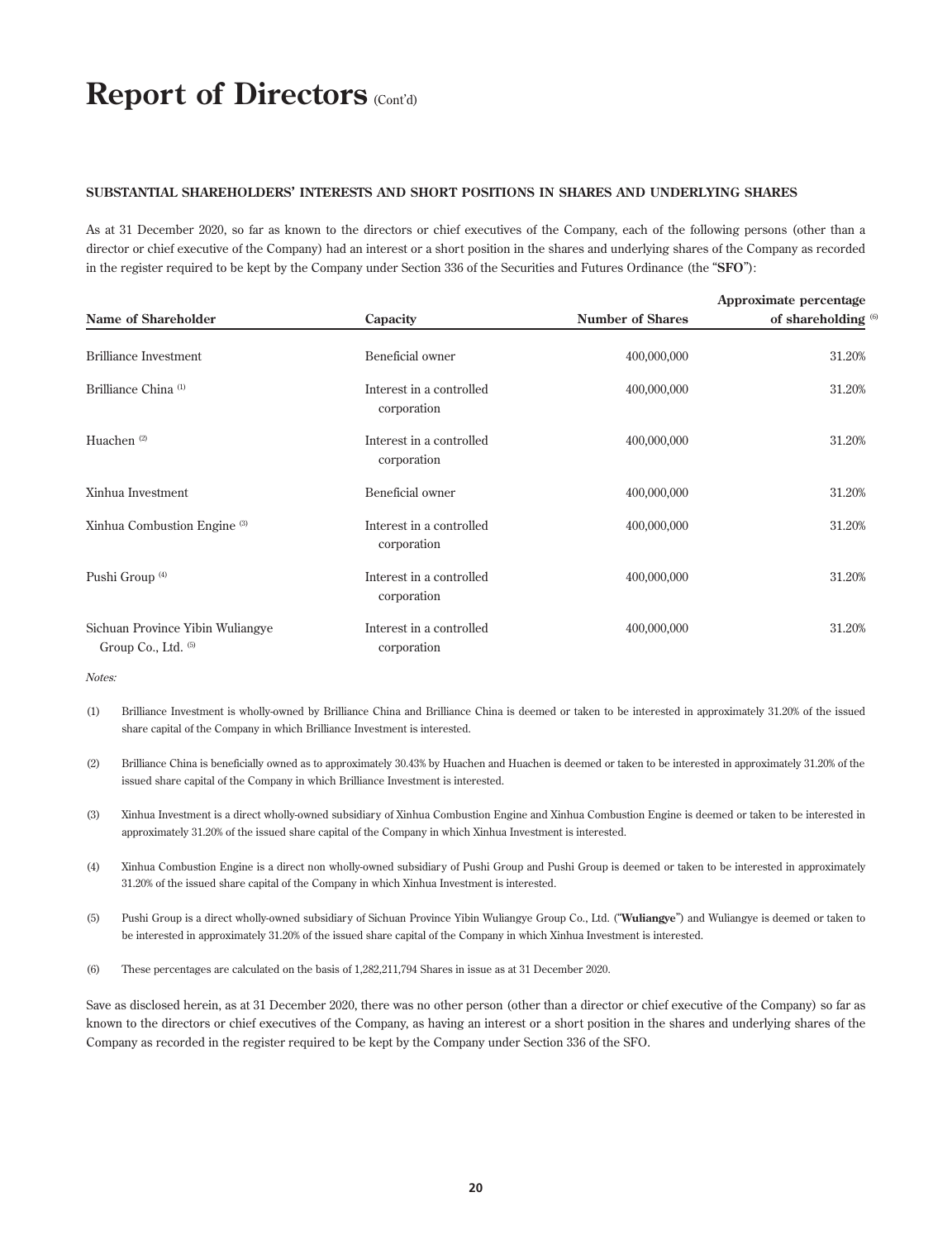### **SUBSTANTIAL SHAREHOLDERS' INTERESTS AND SHORT POSITIONS IN SHARES AND UNDERLYING SHARES**

As at 31 December 2020, so far as known to the directors or chief executives of the Company, each of the following persons (other than a director or chief executive of the Company) had an interest or a short position in the shares and underlying shares of the Company as recorded in the register required to be kept by the Company under Section 336 of the Securities and Futures Ordinance (the "**SFO**"):

|                                                           |                                         |                         | Approximate percentage |
|-----------------------------------------------------------|-----------------------------------------|-------------------------|------------------------|
| Name of Shareholder                                       | Capacity                                | <b>Number of Shares</b> | of shareholding $(6)$  |
| <b>Brilliance Investment</b>                              | Beneficial owner                        | 400,000,000             | 31.20%                 |
| Brilliance China <sup>(1)</sup>                           | Interest in a controlled<br>corporation | 400,000,000             | 31.20%                 |
| Huachen <sup>(2)</sup>                                    | Interest in a controlled<br>corporation | 400,000,000             | 31.20%                 |
| Xinhua Investment                                         | Beneficial owner                        | 400,000,000             | 31.20%                 |
| Xinhua Combustion Engine <sup>(3)</sup>                   | Interest in a controlled<br>corporation | 400,000,000             | 31.20%                 |
| Pushi Group <sup>(4)</sup>                                | Interest in a controlled<br>corporation | 400,000,000             | 31.20%                 |
| Sichuan Province Yibin Wuliangye<br>Group Co., Ltd. $(5)$ | Interest in a controlled<br>corporation | 400,000,000             | 31.20%                 |

Notes:

- (1) Brilliance Investment is wholly-owned by Brilliance China and Brilliance China is deemed or taken to be interested in approximately 31.20% of the issued share capital of the Company in which Brilliance Investment is interested.
- (2) Brilliance China is beneficially owned as to approximately 30.43% by Huachen and Huachen is deemed or taken to be interested in approximately 31.20% of the issued share capital of the Company in which Brilliance Investment is interested.
- (3) Xinhua Investment is a direct wholly-owned subsidiary of Xinhua Combustion Engine and Xinhua Combustion Engine is deemed or taken to be interested in approximately 31.20% of the issued share capital of the Company in which Xinhua Investment is interested.
- (4) Xinhua Combustion Engine is a direct non wholly-owned subsidiary of Pushi Group and Pushi Group is deemed or taken to be interested in approximately 31.20% of the issued share capital of the Company in which Xinhua Investment is interested.
- (5) Pushi Group is a direct wholly-owned subsidiary of Sichuan Province Yibin Wuliangye Group Co., Ltd. ("**Wuliangye**") and Wuliangye is deemed or taken to be interested in approximately 31.20% of the issued share capital of the Company in which Xinhua Investment is interested.
- (6) These percentages are calculated on the basis of 1,282,211,794 Shares in issue as at 31 December 2020.

Save as disclosed herein, as at 31 December 2020, there was no other person (other than a director or chief executive of the Company) so far as known to the directors or chief executives of the Company, as having an interest or a short position in the shares and underlying shares of the Company as recorded in the register required to be kept by the Company under Section 336 of the SFO.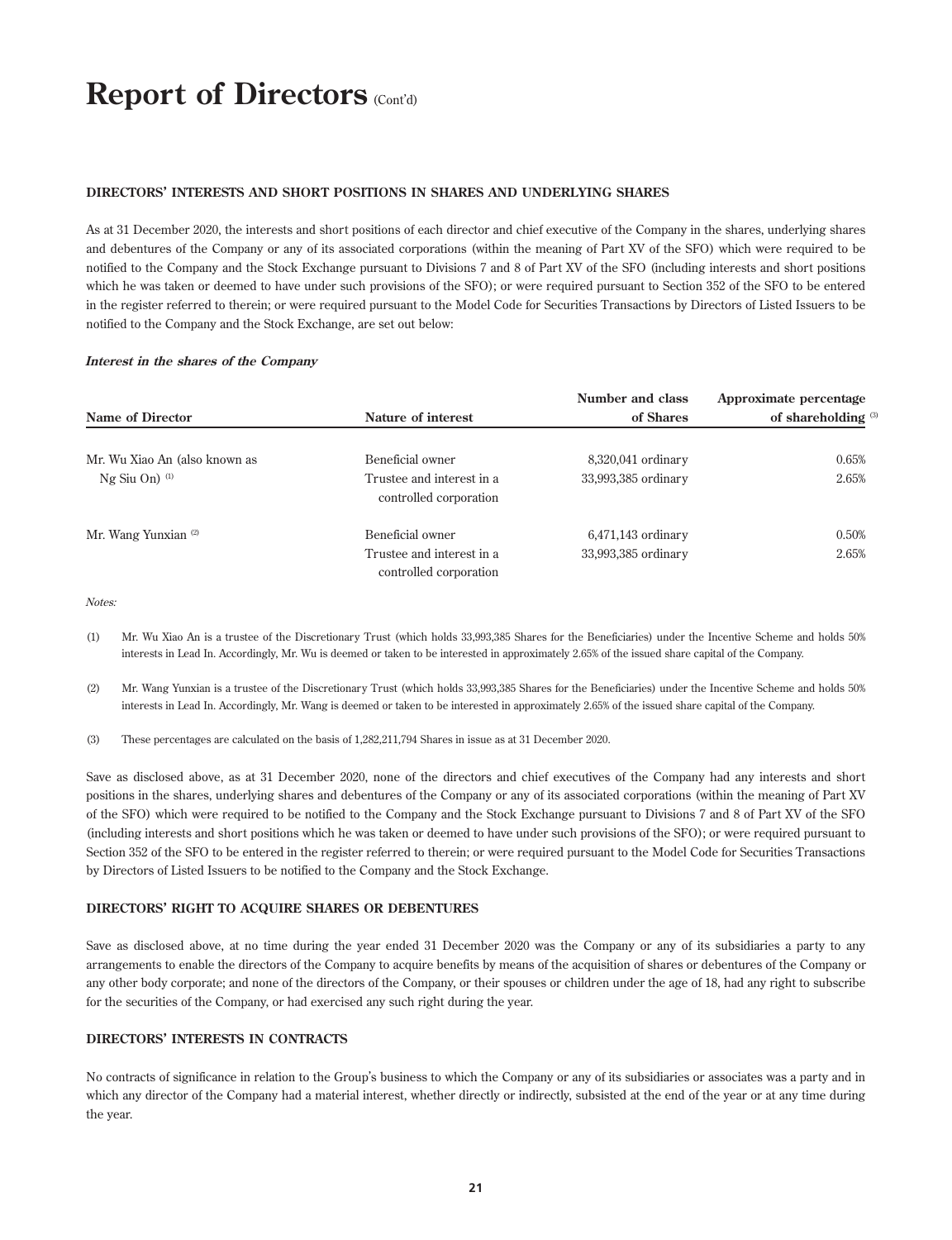#### **DIRECTORS' INTERESTS AND SHORT POSITIONS IN SHARES AND UNDERLYING SHARES**

As at 31 December 2020, the interests and short positions of each director and chief executive of the Company in the shares, underlying shares and debentures of the Company or any of its associated corporations (within the meaning of Part XV of the SFO) which were required to be notified to the Company and the Stock Exchange pursuant to Divisions 7 and 8 of Part XV of the SFO (including interests and short positions which he was taken or deemed to have under such provisions of the SFO); or were required pursuant to Section 352 of the SFO to be entered in the register referred to therein; or were required pursuant to the Model Code for Securities Transactions by Directors of Listed Issuers to be notified to the Company and the Stock Exchange, are set out below:

#### **Interest in the shares of the Company**

|                                 |                                                     | Number and class     | Approximate percentage |
|---------------------------------|-----------------------------------------------------|----------------------|------------------------|
| Name of Director                | Nature of interest                                  | of Shares            | of shareholding $(3)$  |
| Mr. Wu Xiao An (also known as   | Beneficial owner                                    | 8,320,041 ordinary   | 0.65%                  |
| Ng Siu On $)$ <sup>(1)</sup>    | Trustee and interest in a<br>controlled corporation | 33,993,385 ordinary  | 2.65%                  |
| Mr. Wang Yunxian <sup>(2)</sup> | Beneficial owner                                    | $6,471,143$ ordinary | 0.50%                  |
|                                 | Trustee and interest in a                           | 33,993,385 ordinary  | 2.65%                  |
|                                 | controlled corporation                              |                      |                        |

Notes:

- (1) Mr. Wu Xiao An is a trustee of the Discretionary Trust (which holds 33,993,385 Shares for the Beneficiaries) under the Incentive Scheme and holds 50% interests in Lead In. Accordingly, Mr. Wu is deemed or taken to be interested in approximately 2.65% of the issued share capital of the Company.
- (2) Mr. Wang Yunxian is a trustee of the Discretionary Trust (which holds 33,993,385 Shares for the Beneficiaries) under the Incentive Scheme and holds 50% interests in Lead In. Accordingly, Mr. Wang is deemed or taken to be interested in approximately 2.65% of the issued share capital of the Company.
- (3) These percentages are calculated on the basis of 1,282,211,794 Shares in issue as at 31 December 2020.

Save as disclosed above, as at 31 December 2020, none of the directors and chief executives of the Company had any interests and short positions in the shares, underlying shares and debentures of the Company or any of its associated corporations (within the meaning of Part XV of the SFO) which were required to be notified to the Company and the Stock Exchange pursuant to Divisions 7 and 8 of Part XV of the SFO (including interests and short positions which he was taken or deemed to have under such provisions of the SFO); or were required pursuant to Section 352 of the SFO to be entered in the register referred to therein; or were required pursuant to the Model Code for Securities Transactions by Directors of Listed Issuers to be notified to the Company and the Stock Exchange.

#### **DIRECTORS' RIGHT TO ACQUIRE SHARES OR DEBENTURES**

Save as disclosed above, at no time during the year ended 31 December 2020 was the Company or any of its subsidiaries a party to any arrangements to enable the directors of the Company to acquire benefits by means of the acquisition of shares or debentures of the Company or any other body corporate; and none of the directors of the Company, or their spouses or children under the age of 18, had any right to subscribe for the securities of the Company, or had exercised any such right during the year.

### **DIRECTORS' INTERESTS IN CONTRACTS**

No contracts of significance in relation to the Group's business to which the Company or any of its subsidiaries or associates was a party and in which any director of the Company had a material interest, whether directly or indirectly, subsisted at the end of the year or at any time during the year.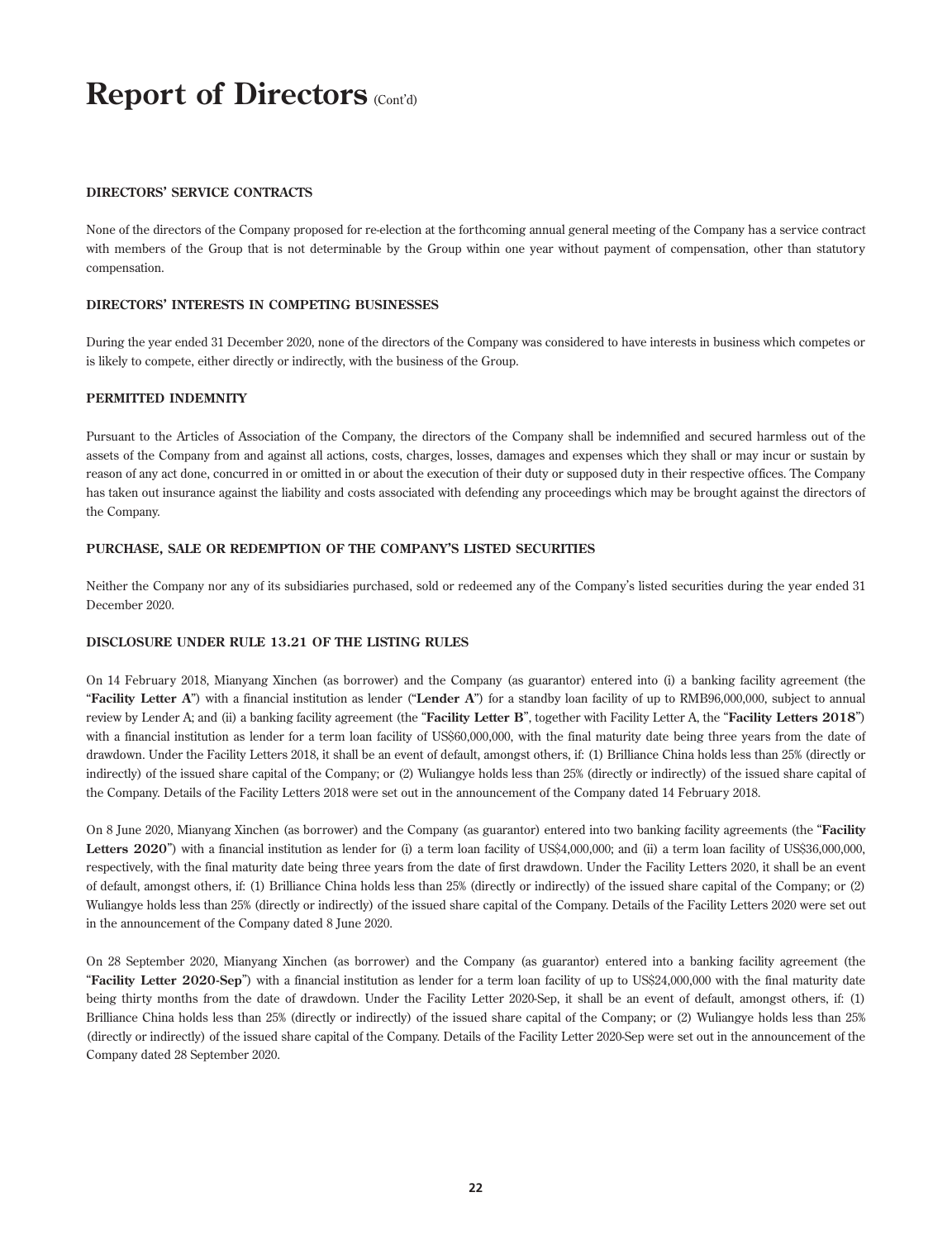#### **DIRECTORS' SERVICE CONTRACTS**

None of the directors of the Company proposed for re-election at the forthcoming annual general meeting of the Company has a service contract with members of the Group that is not determinable by the Group within one year without payment of compensation, other than statutory compensation.

#### **DIRECTORS' INTERESTS IN COMPETING BUSINESSES**

During the year ended 31 December 2020, none of the directors of the Company was considered to have interests in business which competes or is likely to compete, either directly or indirectly, with the business of the Group.

#### **PERMITTED INDEMNITY**

Pursuant to the Articles of Association of the Company, the directors of the Company shall be indemnified and secured harmless out of the assets of the Company from and against all actions, costs, charges, losses, damages and expenses which they shall or may incur or sustain by reason of any act done, concurred in or omitted in or about the execution of their duty or supposed duty in their respective offices. The Company has taken out insurance against the liability and costs associated with defending any proceedings which may be brought against the directors of the Company.

#### **PURCHASE, SALE OR REDEMPTION OF THE COMPANY'S LISTED SECURITIES**

Neither the Company nor any of its subsidiaries purchased, sold or redeemed any of the Company's listed securities during the year ended 31 December 2020.

#### **DISCLOSURE UNDER RULE 13.21 OF THE LISTING RULES**

On 14 February 2018, Mianyang Xinchen (as borrower) and the Company (as guarantor) entered into (i) a banking facility agreement (the "**Facility Letter A**") with a financial institution as lender ("**Lender A**") for a standby loan facility of up to RMB96,000,000, subject to annual review by Lender A; and (ii) a banking facility agreement (the "**Facility Letter B**", together with Facility Letter A, the "**Facility Letters 2018**") with a financial institution as lender for a term loan facility of US\$60,000,000, with the final maturity date being three years from the date of drawdown. Under the Facility Letters 2018, it shall be an event of default, amongst others, if: (1) Brilliance China holds less than 25% (directly or indirectly) of the issued share capital of the Company; or (2) Wuliangye holds less than 25% (directly or indirectly) of the issued share capital of the Company. Details of the Facility Letters 2018 were set out in the announcement of the Company dated 14 February 2018.

On 8 June 2020, Mianyang Xinchen (as borrower) and the Company (as guarantor) entered into two banking facility agreements (the "**Facility**  Letters 2020") with a financial institution as lender for (i) a term loan facility of US\$4,000,000; and (ii) a term loan facility of US\$36,000,000, respectively, with the final maturity date being three years from the date of first drawdown. Under the Facility Letters 2020, it shall be an event of default, amongst others, if: (1) Brilliance China holds less than 25% (directly or indirectly) of the issued share capital of the Company; or (2) Wuliangye holds less than 25% (directly or indirectly) of the issued share capital of the Company. Details of the Facility Letters 2020 were set out in the announcement of the Company dated 8 June 2020.

On 28 September 2020, Mianyang Xinchen (as borrower) and the Company (as guarantor) entered into a banking facility agreement (the "**Facility Letter 2020-Sep**") with a financial institution as lender for a term loan facility of up to US\$24,000,000 with the final maturity date being thirty months from the date of drawdown. Under the Facility Letter 2020-Sep, it shall be an event of default, amongst others, if: (1) Brilliance China holds less than 25% (directly or indirectly) of the issued share capital of the Company; or (2) Wuliangye holds less than 25% (directly or indirectly) of the issued share capital of the Company. Details of the Facility Letter 2020-Sep were set out in the announcement of the Company dated 28 September 2020.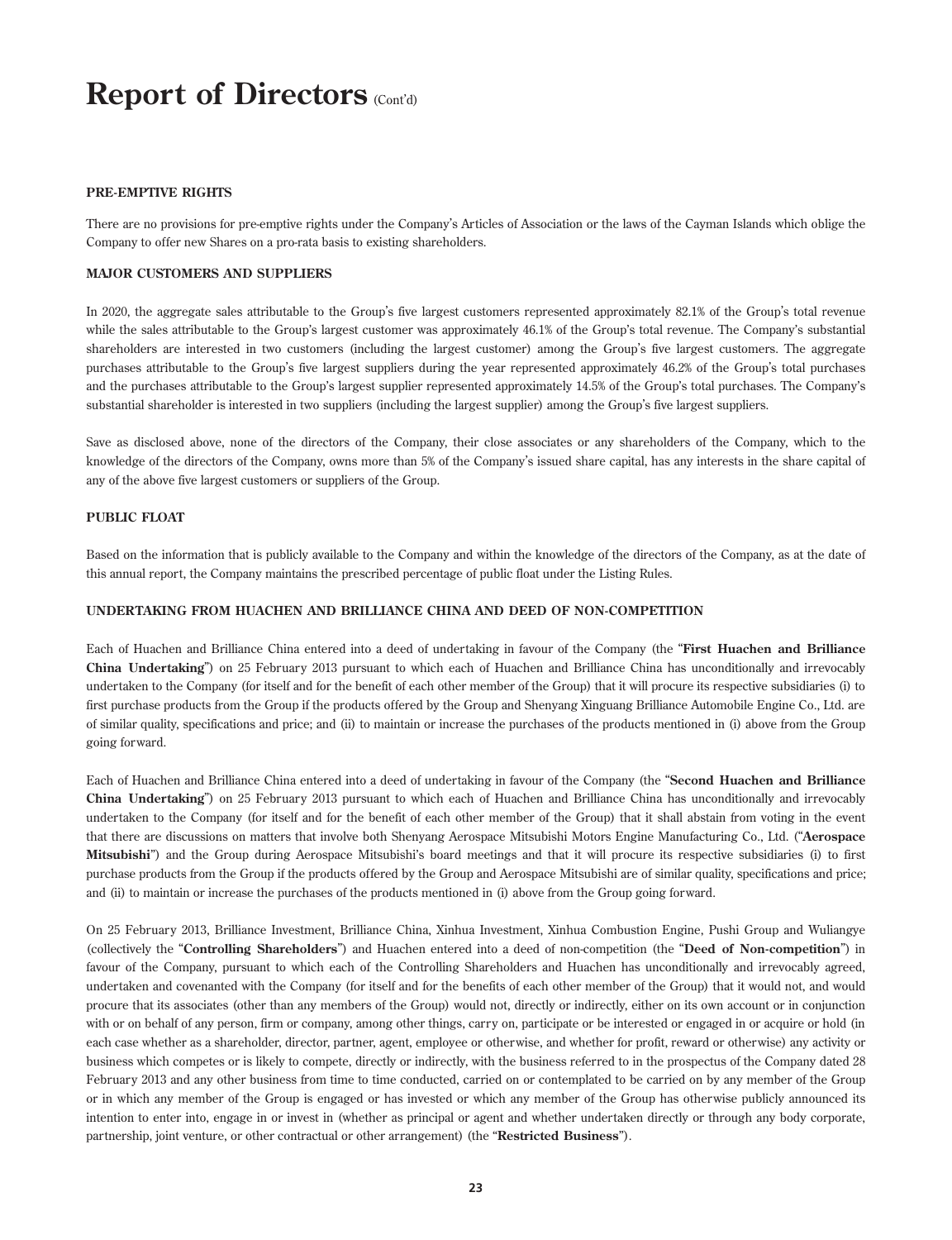#### **PRE-EMPTIVE RIGHTS**

There are no provisions for pre-emptive rights under the Company's Articles of Association or the laws of the Cayman Islands which oblige the Company to offer new Shares on a pro-rata basis to existing shareholders.

#### **MAJOR CUSTOMERS AND SUPPLIERS**

In 2020, the aggregate sales attributable to the Group's five largest customers represented approximately 82.1% of the Group's total revenue while the sales attributable to the Group's largest customer was approximately 46.1% of the Group's total revenue. The Company's substantial shareholders are interested in two customers (including the largest customer) among the Group's five largest customers. The aggregate purchases attributable to the Group's five largest suppliers during the year represented approximately 46.2% of the Group's total purchases and the purchases attributable to the Group's largest supplier represented approximately 14.5% of the Group's total purchases. The Company's substantial shareholder is interested in two suppliers (including the largest supplier) among the Group's five largest suppliers.

Save as disclosed above, none of the directors of the Company, their close associates or any shareholders of the Company, which to the knowledge of the directors of the Company, owns more than 5% of the Company's issued share capital, has any interests in the share capital of any of the above five largest customers or suppliers of the Group.

#### **PUBLIC FLOAT**

Based on the information that is publicly available to the Company and within the knowledge of the directors of the Company, as at the date of this annual report, the Company maintains the prescribed percentage of public float under the Listing Rules.

#### **UNDERTAKING FROM HUACHEN AND BRILLIANCE CHINA AND DEED OF NON-COMPETITION**

Each of Huachen and Brilliance China entered into a deed of undertaking in favour of the Company (the "**First Huachen and Brilliance China Undertaking**") on 25 February 2013 pursuant to which each of Huachen and Brilliance China has unconditionally and irrevocably undertaken to the Company (for itself and for the benefit of each other member of the Group) that it will procure its respective subsidiaries (i) to first purchase products from the Group if the products offered by the Group and Shenyang Xinguang Brilliance Automobile Engine Co., Ltd. are of similar quality, specifications and price; and (ii) to maintain or increase the purchases of the products mentioned in (i) above from the Group going forward.

Each of Huachen and Brilliance China entered into a deed of undertaking in favour of the Company (the "**Second Huachen and Brilliance China Undertaking**") on 25 February 2013 pursuant to which each of Huachen and Brilliance China has unconditionally and irrevocably undertaken to the Company (for itself and for the benefit of each other member of the Group) that it shall abstain from voting in the event that there are discussions on matters that involve both Shenyang Aerospace Mitsubishi Motors Engine Manufacturing Co., Ltd. ("**Aerospace Mitsubishi**") and the Group during Aerospace Mitsubishi's board meetings and that it will procure its respective subsidiaries (i) to first purchase products from the Group if the products offered by the Group and Aerospace Mitsubishi are of similar quality, specifications and price; and (ii) to maintain or increase the purchases of the products mentioned in (i) above from the Group going forward.

On 25 February 2013, Brilliance Investment, Brilliance China, Xinhua Investment, Xinhua Combustion Engine, Pushi Group and Wuliangye (collectively the "**Controlling Shareholders**") and Huachen entered into a deed of non-competition (the "**Deed of Non-competition**") in favour of the Company, pursuant to which each of the Controlling Shareholders and Huachen has unconditionally and irrevocably agreed, undertaken and covenanted with the Company (for itself and for the benefits of each other member of the Group) that it would not, and would procure that its associates (other than any members of the Group) would not, directly or indirectly, either on its own account or in conjunction with or on behalf of any person, firm or company, among other things, carry on, participate or be interested or engaged in or acquire or hold (in each case whether as a shareholder, director, partner, agent, employee or otherwise, and whether for profit, reward or otherwise) any activity or business which competes or is likely to compete, directly or indirectly, with the business referred to in the prospectus of the Company dated 28 February 2013 and any other business from time to time conducted, carried on or contemplated to be carried on by any member of the Group or in which any member of the Group is engaged or has invested or which any member of the Group has otherwise publicly announced its intention to enter into, engage in or invest in (whether as principal or agent and whether undertaken directly or through any body corporate, partnership, joint venture, or other contractual or other arrangement) (the "**Restricted Business**").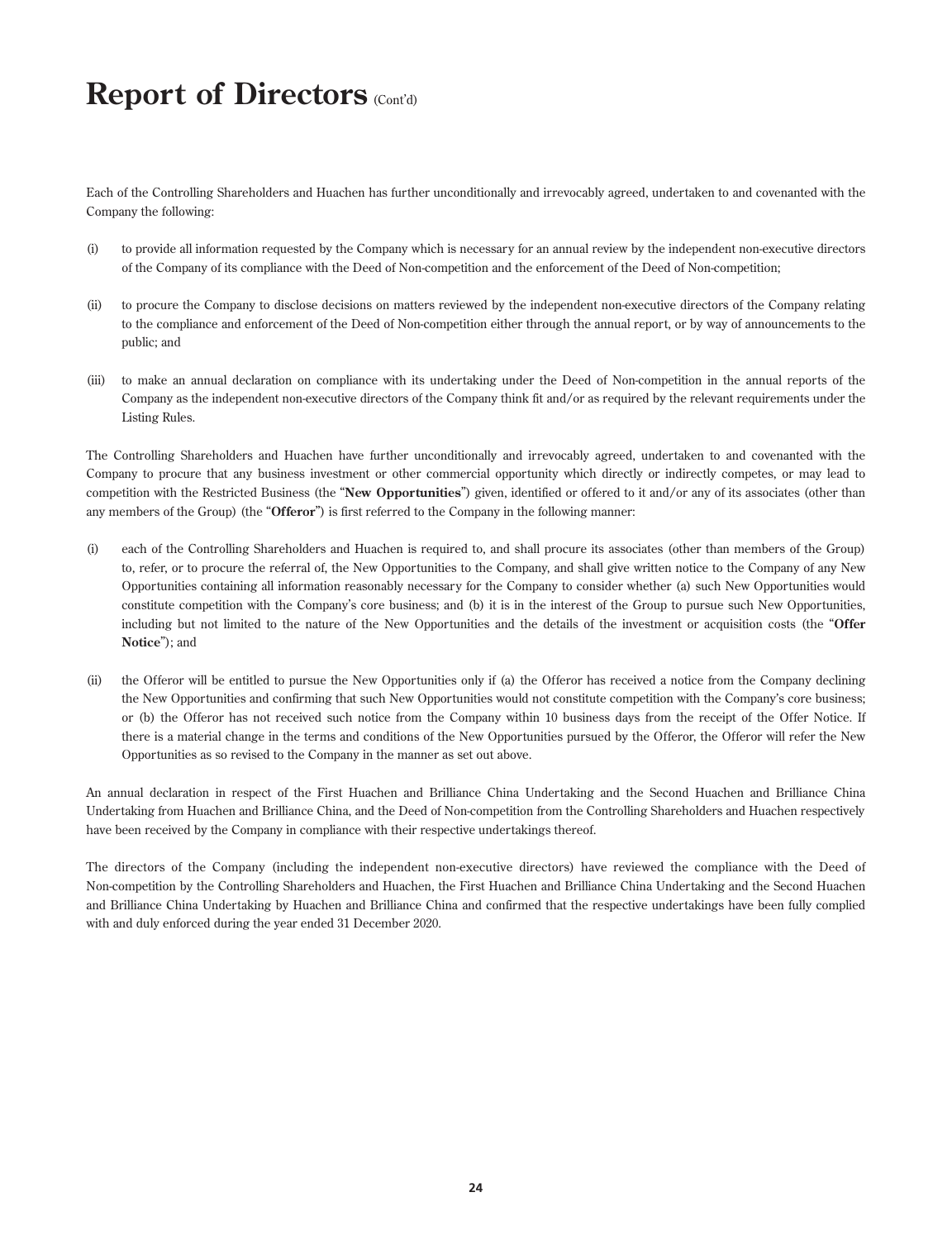Each of the Controlling Shareholders and Huachen has further unconditionally and irrevocably agreed, undertaken to and covenanted with the Company the following:

- (i) to provide all information requested by the Company which is necessary for an annual review by the independent non-executive directors of the Company of its compliance with the Deed of Non-competition and the enforcement of the Deed of Non-competition;
- (ii) to procure the Company to disclose decisions on matters reviewed by the independent non-executive directors of the Company relating to the compliance and enforcement of the Deed of Non-competition either through the annual report, or by way of announcements to the public; and
- (iii) to make an annual declaration on compliance with its undertaking under the Deed of Non-competition in the annual reports of the Company as the independent non-executive directors of the Company think fit and/or as required by the relevant requirements under the Listing Rules.

The Controlling Shareholders and Huachen have further unconditionally and irrevocably agreed, undertaken to and covenanted with the Company to procure that any business investment or other commercial opportunity which directly or indirectly competes, or may lead to competition with the Restricted Business (the "**New Opportunities**") given, identified or offered to it and/or any of its associates (other than any members of the Group) (the "**Offeror**") is first referred to the Company in the following manner:

- (i) each of the Controlling Shareholders and Huachen is required to, and shall procure its associates (other than members of the Group) to, refer, or to procure the referral of, the New Opportunities to the Company, and shall give written notice to the Company of any New Opportunities containing all information reasonably necessary for the Company to consider whether (a) such New Opportunities would constitute competition with the Company's core business; and (b) it is in the interest of the Group to pursue such New Opportunities, including but not limited to the nature of the New Opportunities and the details of the investment or acquisition costs (the "**Offer Notice**"); and
- (ii) the Offeror will be entitled to pursue the New Opportunities only if (a) the Offeror has received a notice from the Company declining the New Opportunities and confirming that such New Opportunities would not constitute competition with the Company's core business; or (b) the Offeror has not received such notice from the Company within 10 business days from the receipt of the Offer Notice. If there is a material change in the terms and conditions of the New Opportunities pursued by the Offeror, the Offeror will refer the New Opportunities as so revised to the Company in the manner as set out above.

An annual declaration in respect of the First Huachen and Brilliance China Undertaking and the Second Huachen and Brilliance China Undertaking from Huachen and Brilliance China, and the Deed of Non-competition from the Controlling Shareholders and Huachen respectively have been received by the Company in compliance with their respective undertakings thereof.

The directors of the Company (including the independent non-executive directors) have reviewed the compliance with the Deed of Non-competition by the Controlling Shareholders and Huachen, the First Huachen and Brilliance China Undertaking and the Second Huachen and Brilliance China Undertaking by Huachen and Brilliance China and confirmed that the respective undertakings have been fully complied with and duly enforced during the year ended 31 December 2020.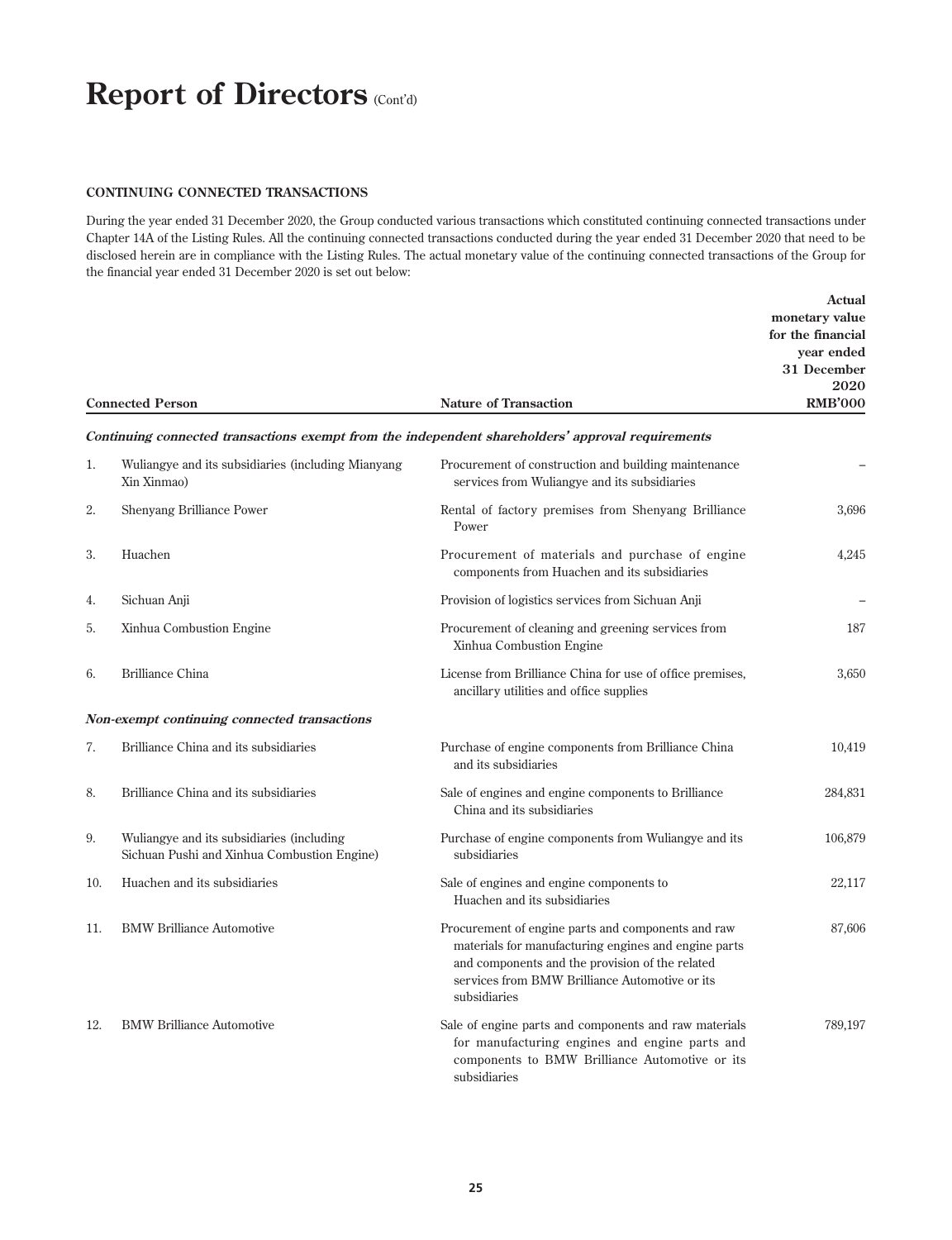### **CONTINUING CONNECTED TRANSACTIONS**

During the year ended 31 December 2020, the Group conducted various transactions which constituted continuing connected transactions under Chapter 14A of the Listing Rules. All the continuing connected transactions conducted during the year ended 31 December 2020 that need to be disclosed herein are in compliance with the Listing Rules. The actual monetary value of the continuing connected transactions of the Group for the financial year ended 31 December 2020 is set out below:

|     |                                                                                                   |                                                                                                                                                                                                                                 | Actual<br>monetary value<br>for the financial<br>year ended<br>31 December<br>2020 |
|-----|---------------------------------------------------------------------------------------------------|---------------------------------------------------------------------------------------------------------------------------------------------------------------------------------------------------------------------------------|------------------------------------------------------------------------------------|
|     | <b>Connected Person</b>                                                                           | <b>Nature of Transaction</b>                                                                                                                                                                                                    | <b>RMB'000</b>                                                                     |
|     | Continuing connected transactions exempt from the independent shareholders' approval requirements |                                                                                                                                                                                                                                 |                                                                                    |
| 1.  | Wuliangye and its subsidiaries (including Mianyang<br>Xin Xinmao)                                 | Procurement of construction and building maintenance<br>services from Wullangye and its subsidiaries                                                                                                                            |                                                                                    |
| 2.  | Shenyang Brilliance Power                                                                         | Rental of factory premises from Shenyang Brilliance<br>Power                                                                                                                                                                    | 3,696                                                                              |
| 3.  | Huachen                                                                                           | Procurement of materials and purchase of engine<br>components from Huachen and its subsidiaries                                                                                                                                 | 4,245                                                                              |
| 4.  | Sichuan Anji                                                                                      | Provision of logistics services from Sichuan Anji                                                                                                                                                                               |                                                                                    |
| 5.  | Xinhua Combustion Engine                                                                          | Procurement of cleaning and greening services from<br>Xinhua Combustion Engine                                                                                                                                                  | 187                                                                                |
| 6.  | <b>Brilliance China</b>                                                                           | License from Brilliance China for use of office premises,<br>ancillary utilities and office supplies                                                                                                                            | 3,650                                                                              |
|     | Non-exempt continuing connected transactions                                                      |                                                                                                                                                                                                                                 |                                                                                    |
| 7.  | Brilliance China and its subsidiaries                                                             | Purchase of engine components from Brilliance China<br>and its subsidiaries                                                                                                                                                     | 10.419                                                                             |
| 8.  | Brilliance China and its subsidiaries                                                             | Sale of engines and engine components to Brilliance<br>China and its subsidiaries                                                                                                                                               | 284,831                                                                            |
| 9.  | Wuliangye and its subsidiaries (including<br>Sichuan Pushi and Xinhua Combustion Engine)          | Purchase of engine components from Wullangye and its<br>subsidiaries                                                                                                                                                            | 106,879                                                                            |
| 10. | Huachen and its subsidiaries                                                                      | Sale of engines and engine components to<br>Huachen and its subsidiaries                                                                                                                                                        | 22,117                                                                             |
| 11. | <b>BMW Brilliance Automotive</b>                                                                  | Procurement of engine parts and components and raw<br>materials for manufacturing engines and engine parts<br>and components and the provision of the related<br>services from BMW Brilliance Automotive or its<br>subsidiaries | 87,606                                                                             |
| 12. | <b>BMW Brilliance Automotive</b>                                                                  | Sale of engine parts and components and raw materials<br>for manufacturing engines and engine parts and<br>components to BMW Brilliance Automotive or its<br>subsidiaries                                                       | 789,197                                                                            |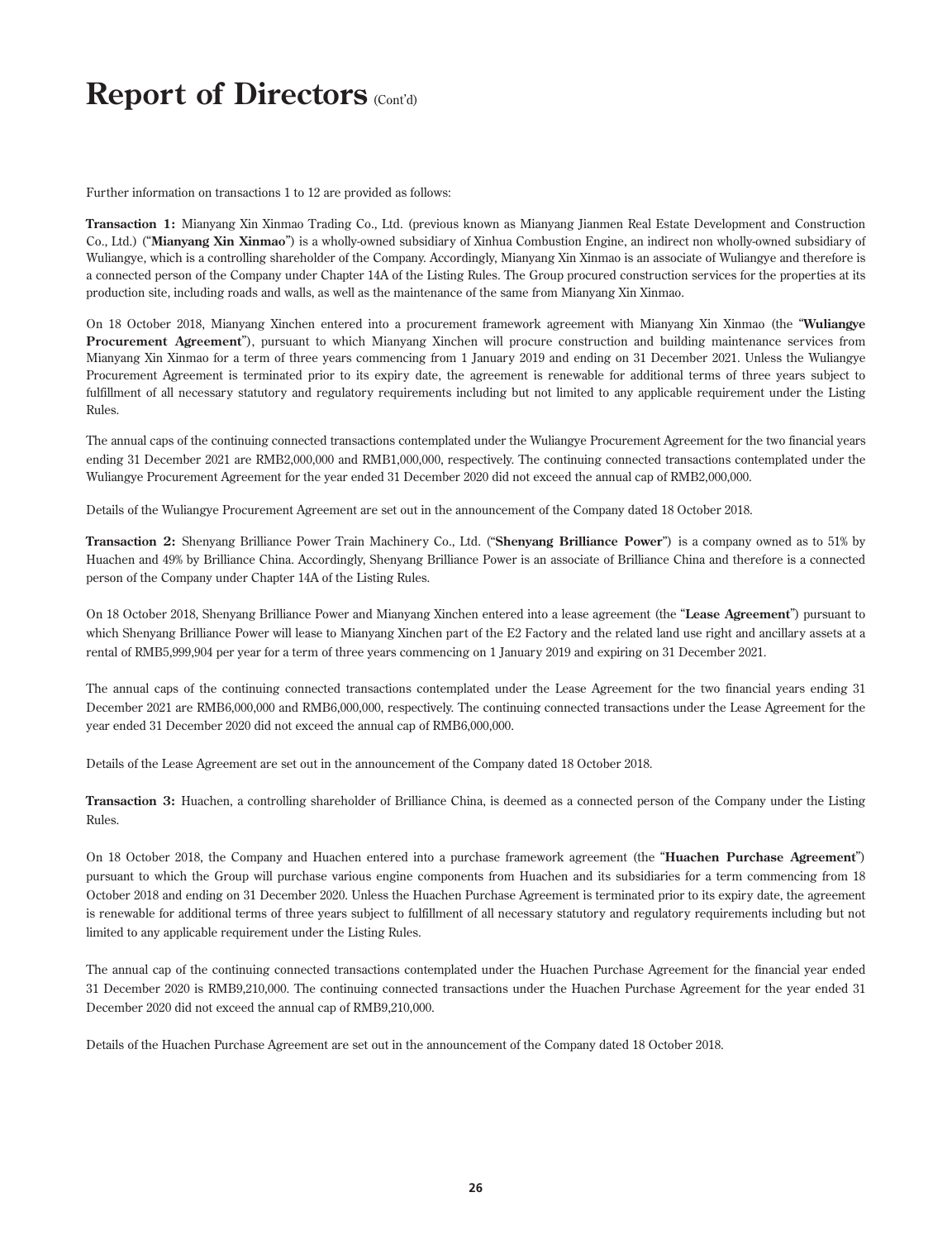Further information on transactions 1 to 12 are provided as follows:

**Transaction 1:** Mianyang Xin Xinmao Trading Co., Ltd. (previous known as Mianyang Jianmen Real Estate Development and Construction Co., Ltd.) ("**Mianyang Xin Xinmao**") is a wholly-owned subsidiary of Xinhua Combustion Engine, an indirect non wholly-owned subsidiary of Wuliangye, which is a controlling shareholder of the Company. Accordingly, Mianyang Xin Xinmao is an associate of Wuliangye and therefore is a connected person of the Company under Chapter 14A of the Listing Rules. The Group procured construction services for the properties at its production site, including roads and walls, as well as the maintenance of the same from Mianyang Xin Xinmao.

On 18 October 2018, Mianyang Xinchen entered into a procurement framework agreement with Mianyang Xin Xinmao (the "**Wuliangye Procurement Agreement**"), pursuant to which Mianyang Xinchen will procure construction and building maintenance services from Mianyang Xin Xinmao for a term of three years commencing from 1 January 2019 and ending on 31 December 2021. Unless the Wuliangye Procurement Agreement is terminated prior to its expiry date, the agreement is renewable for additional terms of three years subject to fulfillment of all necessary statutory and regulatory requirements including but not limited to any applicable requirement under the Listing Rules.

The annual caps of the continuing connected transactions contemplated under the Wuliangye Procurement Agreement for the two financial years ending 31 December 2021 are RMB2,000,000 and RMB1,000,000, respectively. The continuing connected transactions contemplated under the Wuliangye Procurement Agreement for the year ended 31 December 2020 did not exceed the annual cap of RMB2,000,000.

Details of the Wuliangye Procurement Agreement are set out in the announcement of the Company dated 18 October 2018.

**Transaction 2:** Shenyang Brilliance Power Train Machinery Co., Ltd. ("**Shenyang Brilliance Power**") is a company owned as to 51% by Huachen and 49% by Brilliance China. Accordingly, Shenyang Brilliance Power is an associate of Brilliance China and therefore is a connected person of the Company under Chapter 14A of the Listing Rules.

On 18 October 2018, Shenyang Brilliance Power and Mianyang Xinchen entered into a lease agreement (the "**Lease Agreement**") pursuant to which Shenyang Brilliance Power will lease to Mianyang Xinchen part of the E2 Factory and the related land use right and ancillary assets at a rental of RMB5,999,904 per year for a term of three years commencing on 1 January 2019 and expiring on 31 December 2021.

The annual caps of the continuing connected transactions contemplated under the Lease Agreement for the two financial years ending 31 December 2021 are RMB6,000,000 and RMB6,000,000, respectively. The continuing connected transactions under the Lease Agreement for the year ended 31 December 2020 did not exceed the annual cap of RMB6,000,000.

Details of the Lease Agreement are set out in the announcement of the Company dated 18 October 2018.

**Transaction 3:** Huachen, a controlling shareholder of Brilliance China, is deemed as a connected person of the Company under the Listing Rules.

On 18 October 2018, the Company and Huachen entered into a purchase framework agreement (the "**Huachen Purchase Agreement**") pursuant to which the Group will purchase various engine components from Huachen and its subsidiaries for a term commencing from 18 October 2018 and ending on 31 December 2020. Unless the Huachen Purchase Agreement is terminated prior to its expiry date, the agreement is renewable for additional terms of three years subject to fulfillment of all necessary statutory and regulatory requirements including but not limited to any applicable requirement under the Listing Rules.

The annual cap of the continuing connected transactions contemplated under the Huachen Purchase Agreement for the financial year ended 31 December 2020 is RMB9,210,000. The continuing connected transactions under the Huachen Purchase Agreement for the year ended 31 December 2020 did not exceed the annual cap of RMB9,210,000.

Details of the Huachen Purchase Agreement are set out in the announcement of the Company dated 18 October 2018.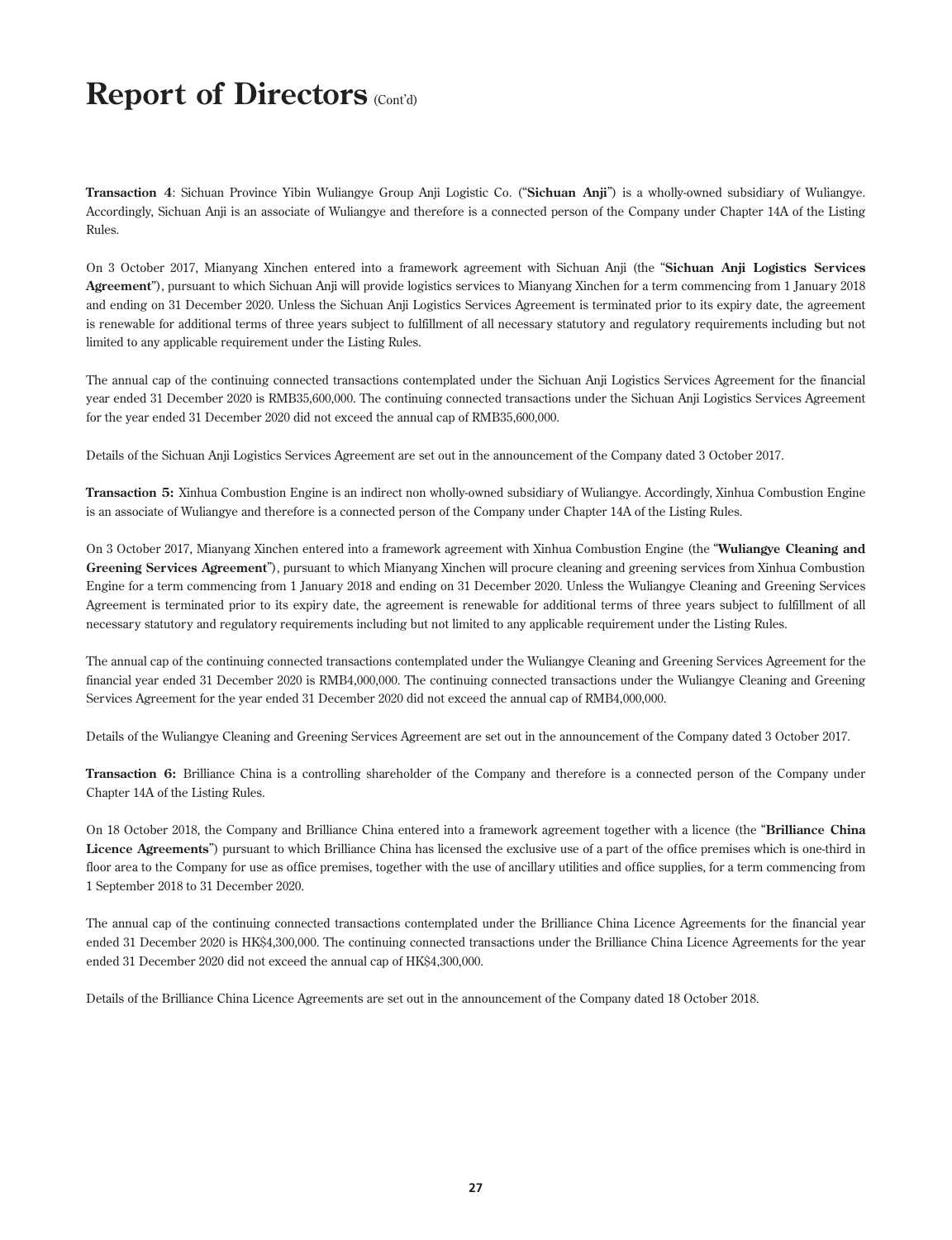**Transaction 4**: Sichuan Province Yibin Wuliangye Group Anji Logistic Co. ("**Sichuan Anji**") is a wholly-owned subsidiary of Wuliangye. Accordingly, Sichuan Anji is an associate of Wuliangye and therefore is a connected person of the Company under Chapter 14A of the Listing Rules.

On 3 October 2017, Mianyang Xinchen entered into a framework agreement with Sichuan Anji (the "**Sichuan Anji Logistics Services Agreement**"), pursuant to which Sichuan Anji will provide logistics services to Mianyang Xinchen for a term commencing from 1 January 2018 and ending on 31 December 2020. Unless the Sichuan Anji Logistics Services Agreement is terminated prior to its expiry date, the agreement is renewable for additional terms of three years subject to fulfillment of all necessary statutory and regulatory requirements including but not limited to any applicable requirement under the Listing Rules.

The annual cap of the continuing connected transactions contemplated under the Sichuan Anji Logistics Services Agreement for the financial year ended 31 December 2020 is RMB35,600,000. The continuing connected transactions under the Sichuan Anji Logistics Services Agreement for the year ended 31 December 2020 did not exceed the annual cap of RMB35,600,000.

Details of the Sichuan Anji Logistics Services Agreement are set out in the announcement of the Company dated 3 October 2017.

**Transaction 5:** Xinhua Combustion Engine is an indirect non wholly-owned subsidiary of Wuliangye. Accordingly, Xinhua Combustion Engine is an associate of Wuliangye and therefore is a connected person of the Company under Chapter 14A of the Listing Rules.

On 3 October 2017, Mianyang Xinchen entered into a framework agreement with Xinhua Combustion Engine (the "**Wuliangye Cleaning and Greening Services Agreement**"), pursuant to which Mianyang Xinchen will procure cleaning and greening services from Xinhua Combustion Engine for a term commencing from 1 January 2018 and ending on 31 December 2020. Unless the Wuliangye Cleaning and Greening Services Agreement is terminated prior to its expiry date, the agreement is renewable for additional terms of three years subject to fulfillment of all necessary statutory and regulatory requirements including but not limited to any applicable requirement under the Listing Rules.

The annual cap of the continuing connected transactions contemplated under the Wuliangye Cleaning and Greening Services Agreement for the financial year ended 31 December 2020 is RMB4,000,000. The continuing connected transactions under the Wuliangye Cleaning and Greening Services Agreement for the year ended 31 December 2020 did not exceed the annual cap of RMB4,000,000.

Details of the Wuliangye Cleaning and Greening Services Agreement are set out in the announcement of the Company dated 3 October 2017.

**Transaction 6:** Brilliance China is a controlling shareholder of the Company and therefore is a connected person of the Company under Chapter 14A of the Listing Rules.

On 18 October 2018, the Company and Brilliance China entered into a framework agreement together with a licence (the "**Brilliance China Licence Agreements**") pursuant to which Brilliance China has licensed the exclusive use of a part of the office premises which is one-third in floor area to the Company for use as office premises, together with the use of ancillary utilities and office supplies, for a term commencing from 1 September 2018 to 31 December 2020.

The annual cap of the continuing connected transactions contemplated under the Brilliance China Licence Agreements for the financial year ended 31 December 2020 is HK\$4,300,000. The continuing connected transactions under the Brilliance China Licence Agreements for the year ended 31 December 2020 did not exceed the annual cap of HK\$4,300,000.

Details of the Brilliance China Licence Agreements are set out in the announcement of the Company dated 18 October 2018.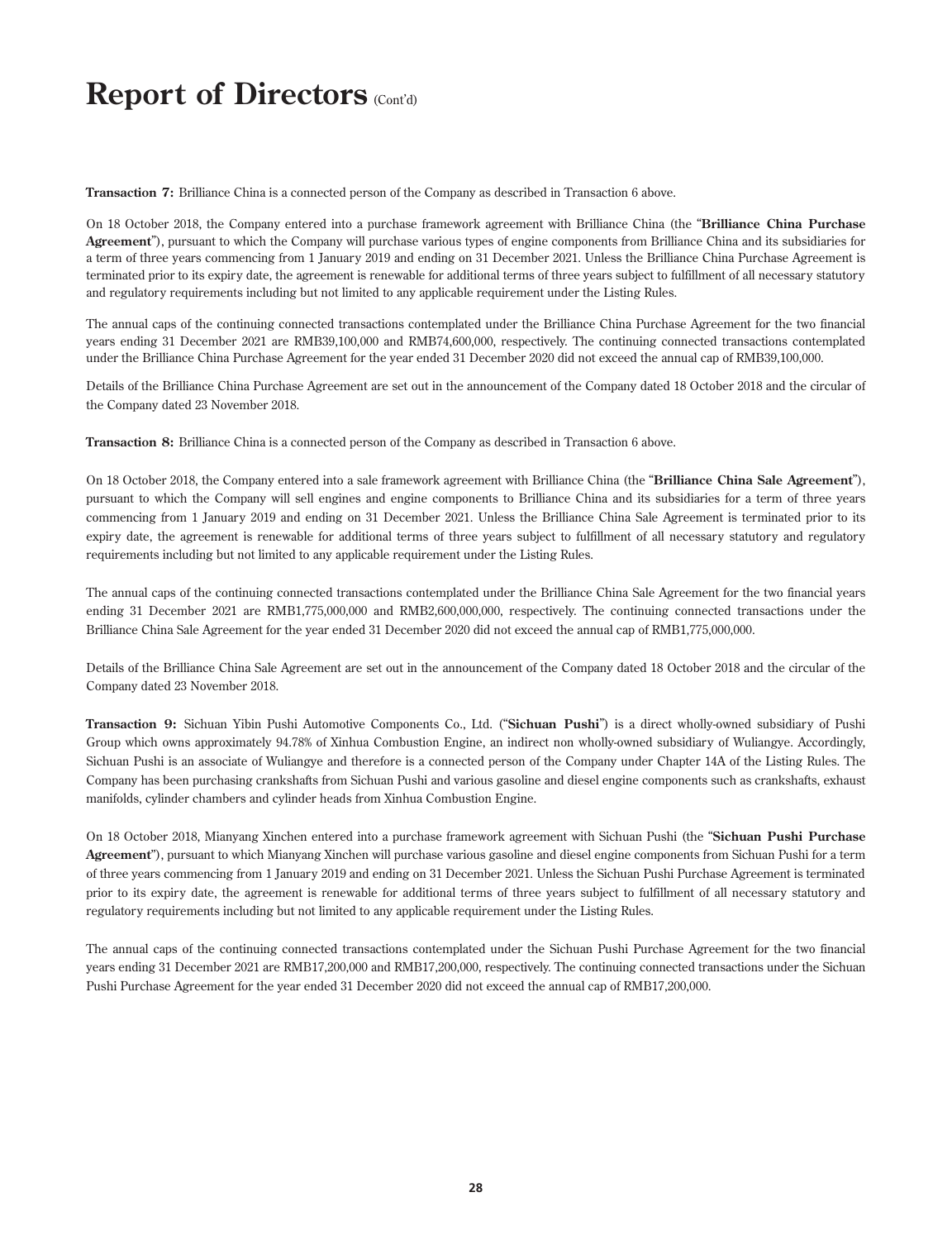**Transaction 7:** Brilliance China is a connected person of the Company as described in Transaction 6 above.

On 18 October 2018, the Company entered into a purchase framework agreement with Brilliance China (the "**Brilliance China Purchase Agreement**"), pursuant to which the Company will purchase various types of engine components from Brilliance China and its subsidiaries for a term of three years commencing from 1 January 2019 and ending on 31 December 2021. Unless the Brilliance China Purchase Agreement is terminated prior to its expiry date, the agreement is renewable for additional terms of three years subject to fulfillment of all necessary statutory and regulatory requirements including but not limited to any applicable requirement under the Listing Rules.

The annual caps of the continuing connected transactions contemplated under the Brilliance China Purchase Agreement for the two financial years ending 31 December 2021 are RMB39,100,000 and RMB74,600,000, respectively. The continuing connected transactions contemplated under the Brilliance China Purchase Agreement for the year ended 31 December 2020 did not exceed the annual cap of RMB39,100,000.

Details of the Brilliance China Purchase Agreement are set out in the announcement of the Company dated 18 October 2018 and the circular of the Company dated 23 November 2018.

**Transaction 8:** Brilliance China is a connected person of the Company as described in Transaction 6 above.

On 18 October 2018, the Company entered into a sale framework agreement with Brilliance China (the "**Brilliance China Sale Agreement**"), pursuant to which the Company will sell engines and engine components to Brilliance China and its subsidiaries for a term of three years commencing from 1 January 2019 and ending on 31 December 2021. Unless the Brilliance China Sale Agreement is terminated prior to its expiry date, the agreement is renewable for additional terms of three years subject to fulfillment of all necessary statutory and regulatory requirements including but not limited to any applicable requirement under the Listing Rules.

The annual caps of the continuing connected transactions contemplated under the Brilliance China Sale Agreement for the two financial years ending 31 December 2021 are RMB1,775,000,000 and RMB2,600,000,000, respectively. The continuing connected transactions under the Brilliance China Sale Agreement for the year ended 31 December 2020 did not exceed the annual cap of RMB1,775,000,000.

Details of the Brilliance China Sale Agreement are set out in the announcement of the Company dated 18 October 2018 and the circular of the Company dated 23 November 2018.

**Transaction 9:** Sichuan Yibin Pushi Automotive Components Co., Ltd. ("**Sichuan Pushi**") is a direct wholly-owned subsidiary of Pushi Group which owns approximately 94.78% of Xinhua Combustion Engine, an indirect non wholly-owned subsidiary of Wuliangye. Accordingly, Sichuan Pushi is an associate of Wuliangye and therefore is a connected person of the Company under Chapter 14A of the Listing Rules. The Company has been purchasing crankshafts from Sichuan Pushi and various gasoline and diesel engine components such as crankshafts, exhaust manifolds, cylinder chambers and cylinder heads from Xinhua Combustion Engine.

On 18 October 2018, Mianyang Xinchen entered into a purchase framework agreement with Sichuan Pushi (the "**Sichuan Pushi Purchase Agreement**"), pursuant to which Mianyang Xinchen will purchase various gasoline and diesel engine components from Sichuan Pushi for a term of three years commencing from 1 January 2019 and ending on 31 December 2021. Unless the Sichuan Pushi Purchase Agreement is terminated prior to its expiry date, the agreement is renewable for additional terms of three years subject to fulfillment of all necessary statutory and regulatory requirements including but not limited to any applicable requirement under the Listing Rules.

The annual caps of the continuing connected transactions contemplated under the Sichuan Pushi Purchase Agreement for the two financial years ending 31 December 2021 are RMB17,200,000 and RMB17,200,000, respectively. The continuing connected transactions under the Sichuan Pushi Purchase Agreement for the year ended 31 December 2020 did not exceed the annual cap of RMB17,200,000.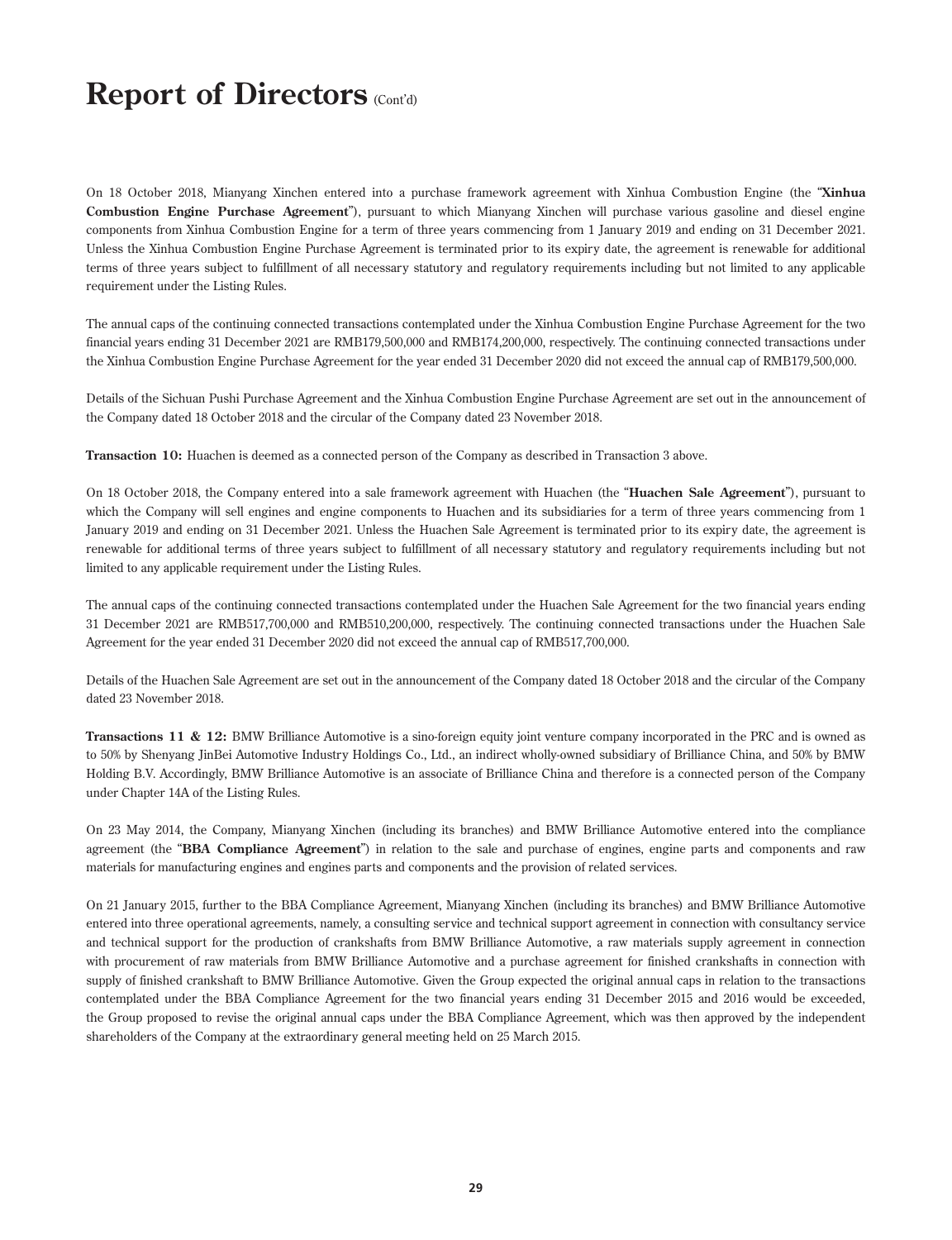On 18 October 2018, Mianyang Xinchen entered into a purchase framework agreement with Xinhua Combustion Engine (the "**Xinhua Combustion Engine Purchase Agreement**"), pursuant to which Mianyang Xinchen will purchase various gasoline and diesel engine components from Xinhua Combustion Engine for a term of three years commencing from 1 January 2019 and ending on 31 December 2021. Unless the Xinhua Combustion Engine Purchase Agreement is terminated prior to its expiry date, the agreement is renewable for additional terms of three years subject to fulfillment of all necessary statutory and regulatory requirements including but not limited to any applicable requirement under the Listing Rules.

The annual caps of the continuing connected transactions contemplated under the Xinhua Combustion Engine Purchase Agreement for the two financial years ending 31 December 2021 are RMB179,500,000 and RMB174,200,000, respectively. The continuing connected transactions under the Xinhua Combustion Engine Purchase Agreement for the year ended 31 December 2020 did not exceed the annual cap of RMB179,500,000.

Details of the Sichuan Pushi Purchase Agreement and the Xinhua Combustion Engine Purchase Agreement are set out in the announcement of the Company dated 18 October 2018 and the circular of the Company dated 23 November 2018.

**Transaction 10:** Huachen is deemed as a connected person of the Company as described in Transaction 3 above.

On 18 October 2018, the Company entered into a sale framework agreement with Huachen (the "**Huachen Sale Agreement**"), pursuant to which the Company will sell engines and engine components to Huachen and its subsidiaries for a term of three years commencing from 1 January 2019 and ending on 31 December 2021. Unless the Huachen Sale Agreement is terminated prior to its expiry date, the agreement is renewable for additional terms of three years subject to fulfillment of all necessary statutory and regulatory requirements including but not limited to any applicable requirement under the Listing Rules.

The annual caps of the continuing connected transactions contemplated under the Huachen Sale Agreement for the two financial years ending 31 December 2021 are RMB517,700,000 and RMB510,200,000, respectively. The continuing connected transactions under the Huachen Sale Agreement for the year ended 31 December 2020 did not exceed the annual cap of RMB517,700,000.

Details of the Huachen Sale Agreement are set out in the announcement of the Company dated 18 October 2018 and the circular of the Company dated 23 November 2018.

**Transactions 11 & 12:** BMW Brilliance Automotive is a sino-foreign equity joint venture company incorporated in the PRC and is owned as to 50% by Shenyang JinBei Automotive Industry Holdings Co., Ltd., an indirect wholly-owned subsidiary of Brilliance China, and 50% by BMW Holding B.V. Accordingly, BMW Brilliance Automotive is an associate of Brilliance China and therefore is a connected person of the Company under Chapter 14A of the Listing Rules.

On 23 May 2014, the Company, Mianyang Xinchen (including its branches) and BMW Brilliance Automotive entered into the compliance agreement (the "**BBA Compliance Agreement**") in relation to the sale and purchase of engines, engine parts and components and raw materials for manufacturing engines and engines parts and components and the provision of related services.

On 21 January 2015, further to the BBA Compliance Agreement, Mianyang Xinchen (including its branches) and BMW Brilliance Automotive entered into three operational agreements, namely, a consulting service and technical support agreement in connection with consultancy service and technical support for the production of crankshafts from BMW Brilliance Automotive, a raw materials supply agreement in connection with procurement of raw materials from BMW Brilliance Automotive and a purchase agreement for finished crankshafts in connection with supply of finished crankshaft to BMW Brilliance Automotive. Given the Group expected the original annual caps in relation to the transactions contemplated under the BBA Compliance Agreement for the two financial years ending 31 December 2015 and 2016 would be exceeded, the Group proposed to revise the original annual caps under the BBA Compliance Agreement, which was then approved by the independent shareholders of the Company at the extraordinary general meeting held on 25 March 2015.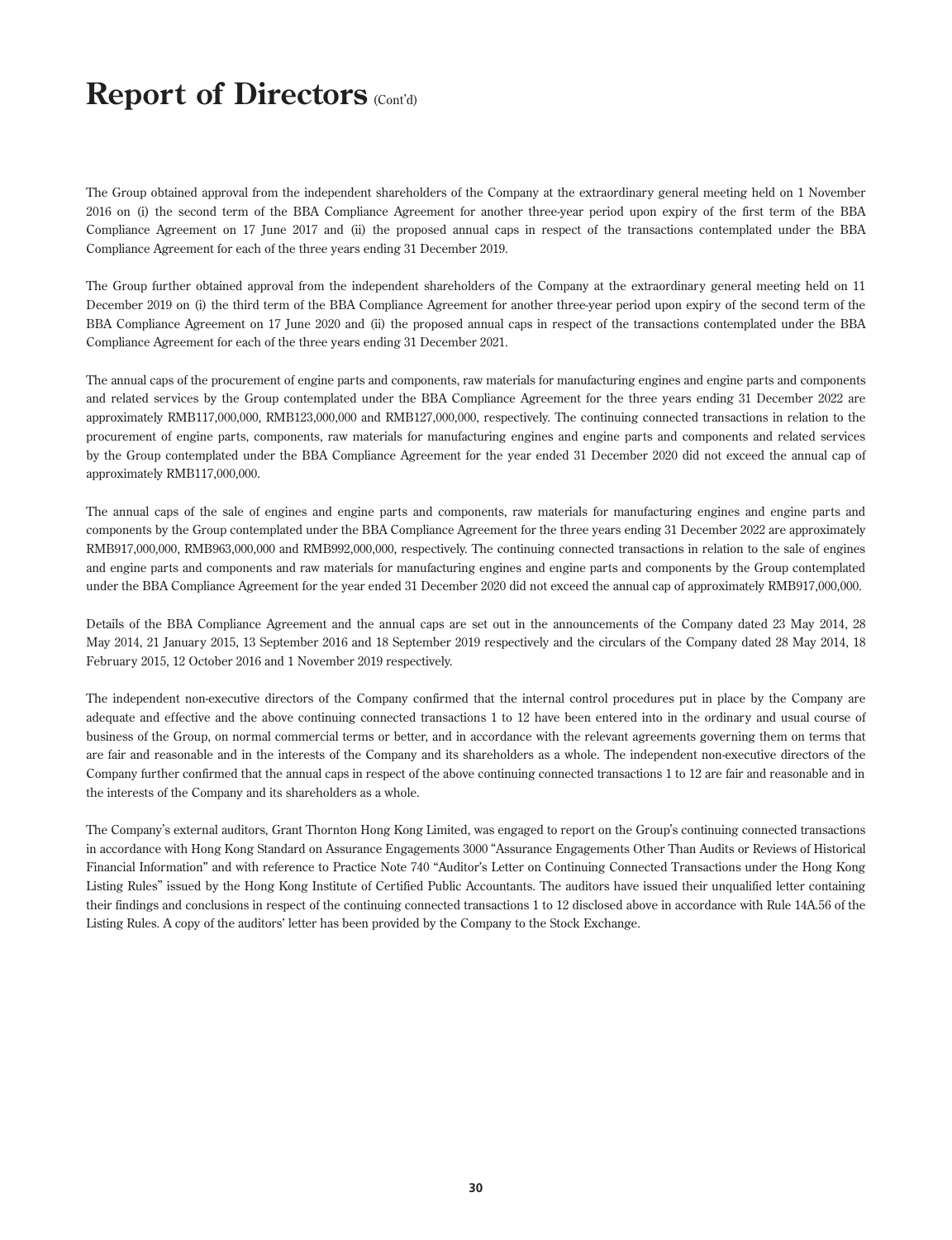The Group obtained approval from the independent shareholders of the Company at the extraordinary general meeting held on 1 November 2016 on (i) the second term of the BBA Compliance Agreement for another three-year period upon expiry of the first term of the BBA Compliance Agreement on 17 June 2017 and (ii) the proposed annual caps in respect of the transactions contemplated under the BBA Compliance Agreement for each of the three years ending 31 December 2019.

The Group further obtained approval from the independent shareholders of the Company at the extraordinary general meeting held on 11 December 2019 on (i) the third term of the BBA Compliance Agreement for another three-year period upon expiry of the second term of the BBA Compliance Agreement on 17 June 2020 and (ii) the proposed annual caps in respect of the transactions contemplated under the BBA Compliance Agreement for each of the three years ending 31 December 2021.

The annual caps of the procurement of engine parts and components, raw materials for manufacturing engines and engine parts and components and related services by the Group contemplated under the BBA Compliance Agreement for the three years ending 31 December 2022 are approximately RMB117,000,000, RMB123,000,000 and RMB127,000,000, respectively. The continuing connected transactions in relation to the procurement of engine parts, components, raw materials for manufacturing engines and engine parts and components and related services by the Group contemplated under the BBA Compliance Agreement for the year ended 31 December 2020 did not exceed the annual cap of approximately RMB117,000,000.

The annual caps of the sale of engines and engine parts and components, raw materials for manufacturing engines and engine parts and components by the Group contemplated under the BBA Compliance Agreement for the three years ending 31 December 2022 are approximately RMB917,000,000, RMB963,000,000 and RMB992,000,000, respectively. The continuing connected transactions in relation to the sale of engines and engine parts and components and raw materials for manufacturing engines and engine parts and components by the Group contemplated under the BBA Compliance Agreement for the year ended 31 December 2020 did not exceed the annual cap of approximately RMB917,000,000.

Details of the BBA Compliance Agreement and the annual caps are set out in the announcements of the Company dated 23 May 2014, 28 May 2014, 21 January 2015, 13 September 2016 and 18 September 2019 respectively and the circulars of the Company dated 28 May 2014, 18 February 2015, 12 October 2016 and 1 November 2019 respectively.

The independent non-executive directors of the Company confirmed that the internal control procedures put in place by the Company are adequate and effective and the above continuing connected transactions 1 to 12 have been entered into in the ordinary and usual course of business of the Group, on normal commercial terms or better, and in accordance with the relevant agreements governing them on terms that are fair and reasonable and in the interests of the Company and its shareholders as a whole. The independent non-executive directors of the Company further confirmed that the annual caps in respect of the above continuing connected transactions 1 to 12 are fair and reasonable and in the interests of the Company and its shareholders as a whole.

The Company's external auditors, Grant Thornton Hong Kong Limited, was engaged to report on the Group's continuing connected transactions in accordance with Hong Kong Standard on Assurance Engagements 3000 "Assurance Engagements Other Than Audits or Reviews of Historical Financial Information" and with reference to Practice Note 740 "Auditor's Letter on Continuing Connected Transactions under the Hong Kong Listing Rules" issued by the Hong Kong Institute of Certified Public Accountants. The auditors have issued their unqualified letter containing their findings and conclusions in respect of the continuing connected transactions 1 to 12 disclosed above in accordance with Rule 14A.56 of the Listing Rules. A copy of the auditors' letter has been provided by the Company to the Stock Exchange.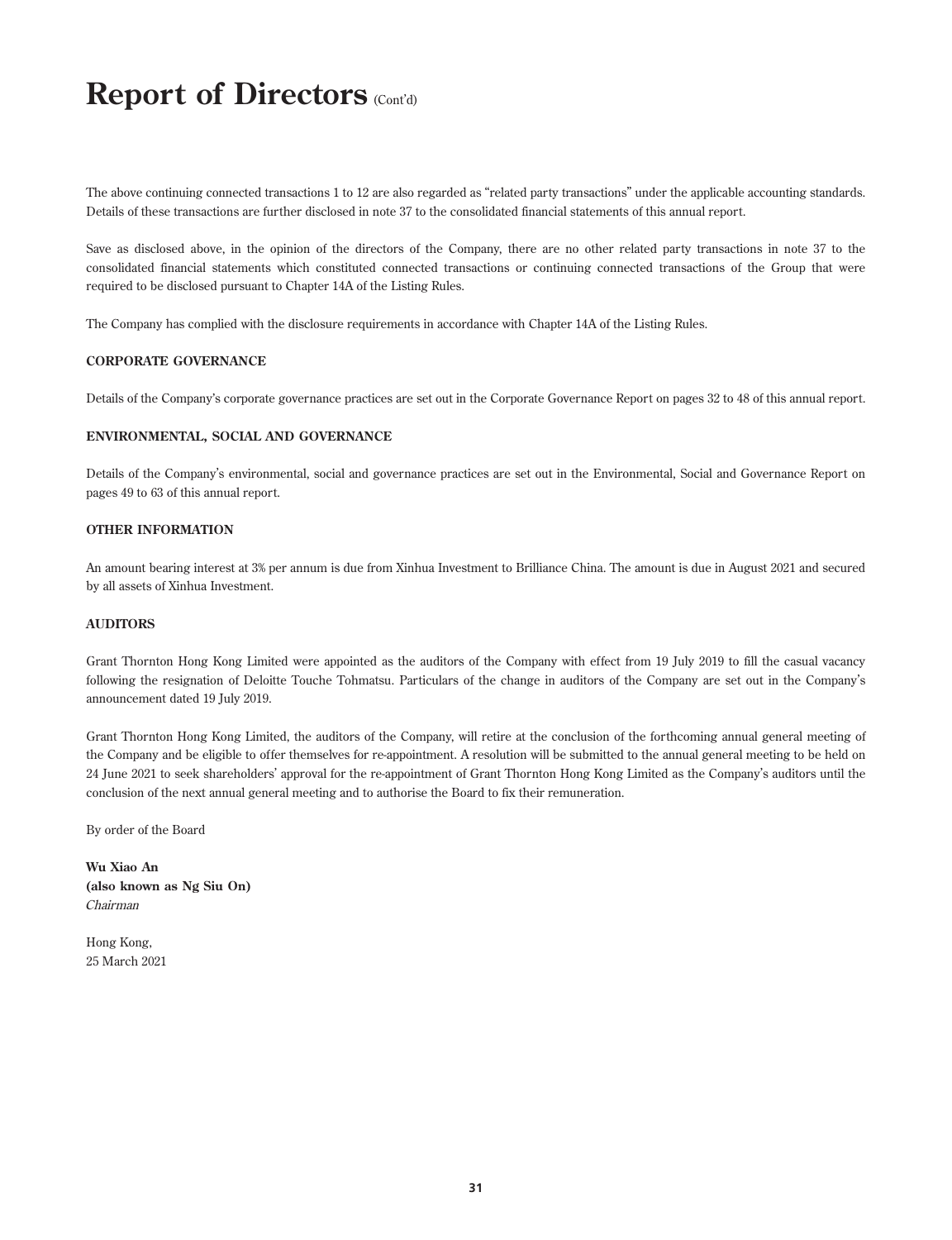The above continuing connected transactions 1 to 12 are also regarded as "related party transactions" under the applicable accounting standards. Details of these transactions are further disclosed in note 37 to the consolidated financial statements of this annual report.

Save as disclosed above, in the opinion of the directors of the Company, there are no other related party transactions in note 37 to the consolidated financial statements which constituted connected transactions or continuing connected transactions of the Group that were required to be disclosed pursuant to Chapter 14A of the Listing Rules.

The Company has complied with the disclosure requirements in accordance with Chapter 14A of the Listing Rules.

#### **CORPORATE GOVERNANCE**

Details of the Company's corporate governance practices are set out in the Corporate Governance Report on pages 32 to 48 of this annual report.

#### **ENVIRONMENTAL, SOCIAL AND GOVERNANCE**

Details of the Company's environmental, social and governance practices are set out in the Environmental, Social and Governance Report on pages 49 to 63 of this annual report.

#### **OTHER INFORMATION**

An amount bearing interest at 3% per annum is due from Xinhua Investment to Brilliance China. The amount is due in August 2021 and secured by all assets of Xinhua Investment.

### **AUDITORS**

Grant Thornton Hong Kong Limited were appointed as the auditors of the Company with effect from 19 July 2019 to fill the casual vacancy following the resignation of Deloitte Touche Tohmatsu. Particulars of the change in auditors of the Company are set out in the Company's announcement dated 19 July 2019.

Grant Thornton Hong Kong Limited, the auditors of the Company, will retire at the conclusion of the forthcoming annual general meeting of the Company and be eligible to offer themselves for re-appointment. A resolution will be submitted to the annual general meeting to be held on 24 June 2021 to seek shareholders' approval for the re-appointment of Grant Thornton Hong Kong Limited as the Company's auditors until the conclusion of the next annual general meeting and to authorise the Board to fix their remuneration.

By order of the Board

**Wu Xiao An (also known as Ng Siu On)** Chairman

Hong Kong, 25 March 2021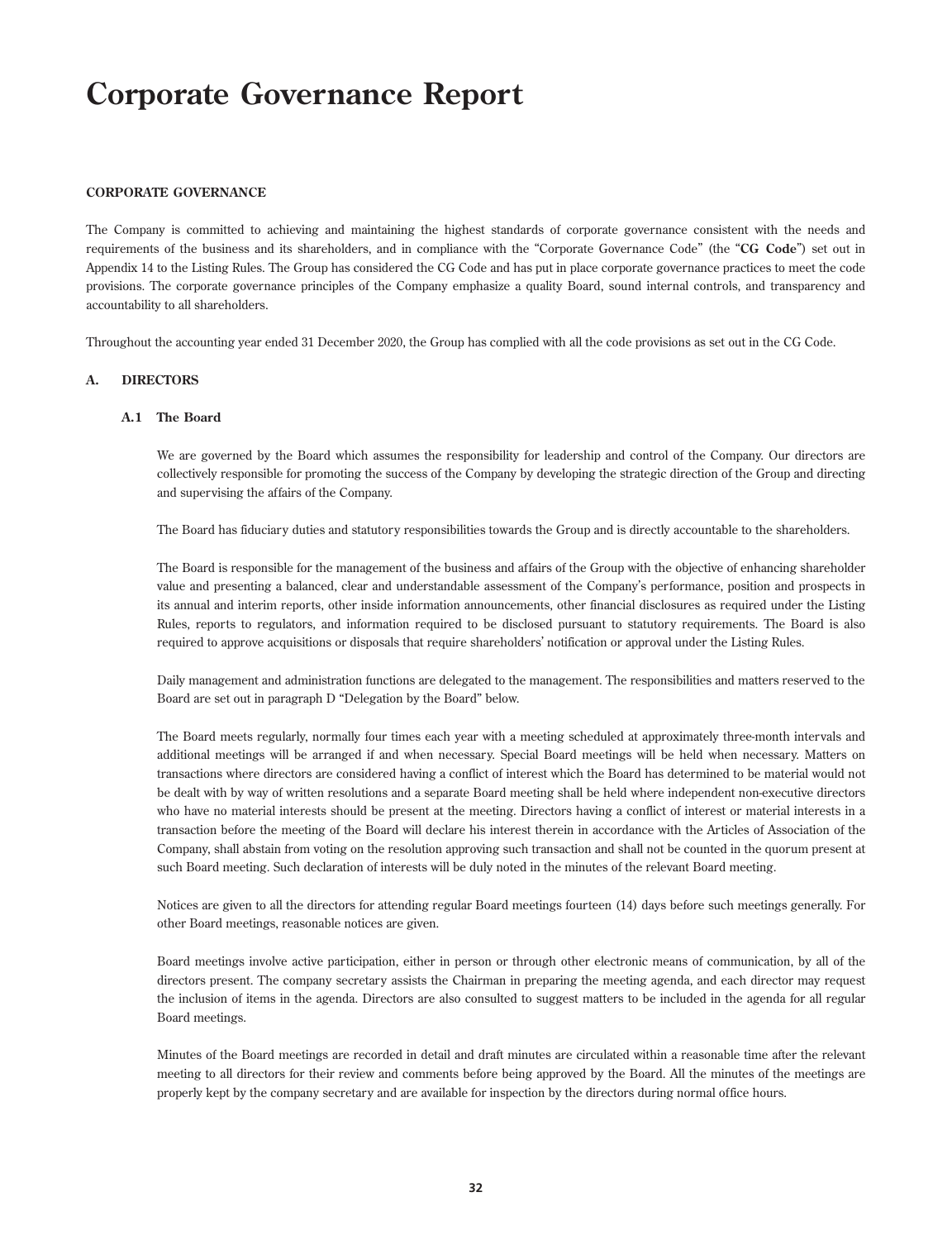### **Corporate Governance Report**

#### **CORPORATE GOVERNANCE**

The Company is committed to achieving and maintaining the highest standards of corporate governance consistent with the needs and requirements of the business and its shareholders, and in compliance with the "Corporate Governance Code" (the "**CG Code**") set out in Appendix 14 to the Listing Rules. The Group has considered the CG Code and has put in place corporate governance practices to meet the code provisions. The corporate governance principles of the Company emphasize a quality Board, sound internal controls, and transparency and accountability to all shareholders.

Throughout the accounting year ended 31 December 2020, the Group has complied with all the code provisions as set out in the CG Code.

#### **A. DIRECTORS**

#### **A.1 The Board**

We are governed by the Board which assumes the responsibility for leadership and control of the Company. Our directors are collectively responsible for promoting the success of the Company by developing the strategic direction of the Group and directing and supervising the affairs of the Company.

The Board has fiduciary duties and statutory responsibilities towards the Group and is directly accountable to the shareholders.

The Board is responsible for the management of the business and affairs of the Group with the objective of enhancing shareholder value and presenting a balanced, clear and understandable assessment of the Company's performance, position and prospects in its annual and interim reports, other inside information announcements, other financial disclosures as required under the Listing Rules, reports to regulators, and information required to be disclosed pursuant to statutory requirements. The Board is also required to approve acquisitions or disposals that require shareholders' notification or approval under the Listing Rules.

Daily management and administration functions are delegated to the management. The responsibilities and matters reserved to the Board are set out in paragraph D "Delegation by the Board" below.

The Board meets regularly, normally four times each year with a meeting scheduled at approximately three-month intervals and additional meetings will be arranged if and when necessary. Special Board meetings will be held when necessary. Matters on transactions where directors are considered having a conflict of interest which the Board has determined to be material would not be dealt with by way of written resolutions and a separate Board meeting shall be held where independent non-executive directors who have no material interests should be present at the meeting. Directors having a conflict of interest or material interests in a transaction before the meeting of the Board will declare his interest therein in accordance with the Articles of Association of the Company, shall abstain from voting on the resolution approving such transaction and shall not be counted in the quorum present at such Board meeting. Such declaration of interests will be duly noted in the minutes of the relevant Board meeting.

Notices are given to all the directors for attending regular Board meetings fourteen (14) days before such meetings generally. For other Board meetings, reasonable notices are given.

Board meetings involve active participation, either in person or through other electronic means of communication, by all of the directors present. The company secretary assists the Chairman in preparing the meeting agenda, and each director may request the inclusion of items in the agenda. Directors are also consulted to suggest matters to be included in the agenda for all regular Board meetings.

Minutes of the Board meetings are recorded in detail and draft minutes are circulated within a reasonable time after the relevant meeting to all directors for their review and comments before being approved by the Board. All the minutes of the meetings are properly kept by the company secretary and are available for inspection by the directors during normal office hours.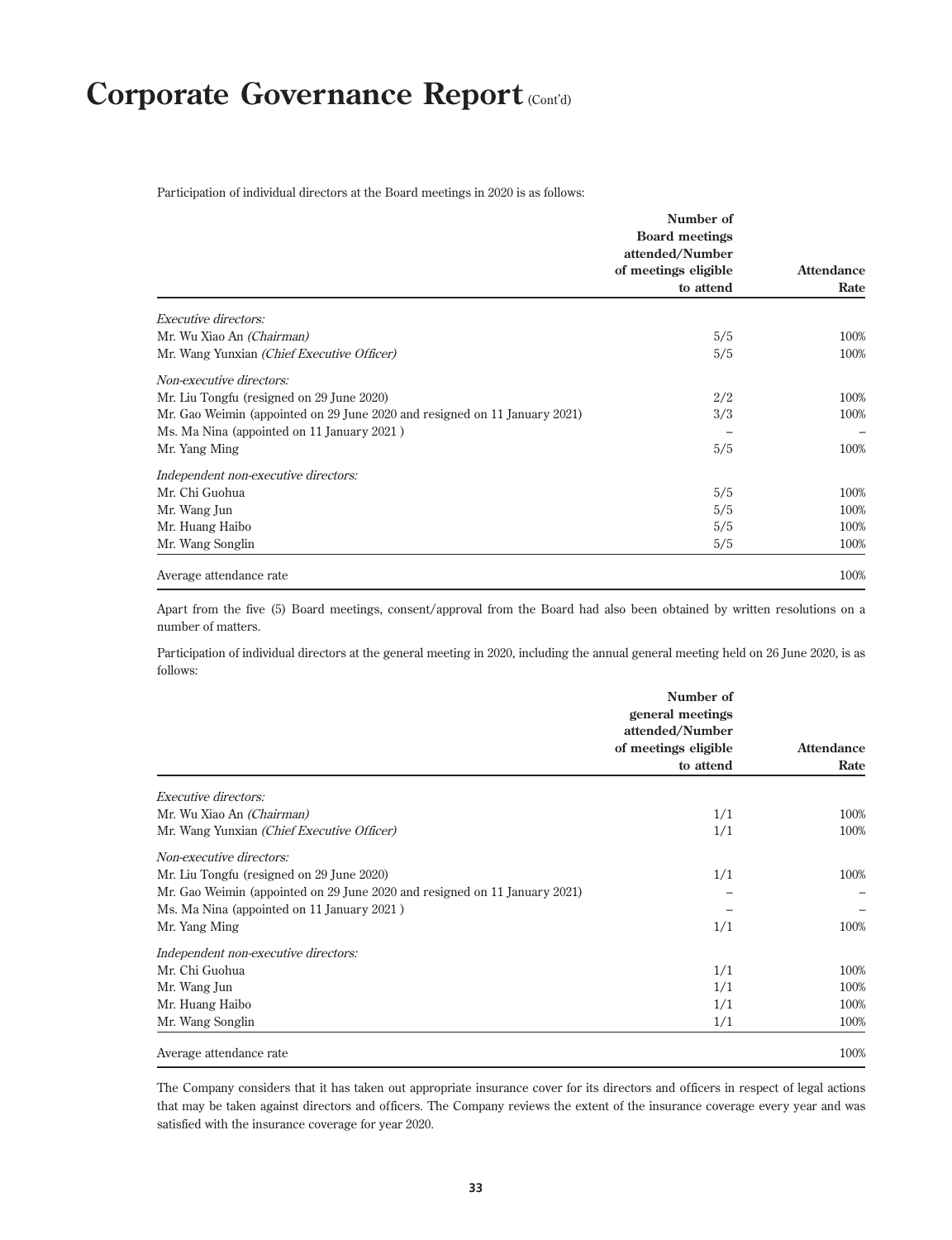# Corporate Governance Report (Cont'd)

Participation of individual directors at the Board meetings in 2020 is as follows:

|                                                                            | Number of<br><b>Board</b> meetings      | <b>Attendance</b><br>Rate |
|----------------------------------------------------------------------------|-----------------------------------------|---------------------------|
|                                                                            | attended/Number<br>of meetings eligible |                           |
|                                                                            | to attend                               |                           |
| <i>Executive directors:</i>                                                |                                         |                           |
| Mr. Wu Xiao An <i>(Chairman)</i>                                           | 5/5                                     | 100%                      |
| Mr. Wang Yunxian <i>(Chief Executive Officer)</i>                          | 5/5                                     | 100%                      |
| Non-executive directors:                                                   |                                         |                           |
| Mr. Liu Tongfu (resigned on 29 June 2020)                                  | 2/2                                     | 100%                      |
| Mr. Gao Weimin (appointed on 29 June 2020 and resigned on 11 January 2021) | 3/3                                     | 100%                      |
| Ms. Ma Nina (appointed on 11 January 2021)                                 |                                         |                           |
| Mr. Yang Ming                                                              | 5/5                                     | 100%                      |
| Independent non-executive directors:                                       |                                         |                           |
| Mr. Chi Guohua                                                             | 5/5                                     | 100%                      |
| Mr. Wang Jun                                                               | 5/5                                     | 100%                      |
| Mr. Huang Haibo                                                            | 5/5                                     | 100%                      |
| Mr. Wang Songlin                                                           | 5/5                                     | 100%                      |
| Average attendance rate                                                    |                                         | 100%                      |

Apart from the five (5) Board meetings, consent/approval from the Board had also been obtained by written resolutions on a number of matters.

Participation of individual directors at the general meeting in 2020, including the annual general meeting held on 26 June 2020, is as follows:

|                                                                            | Number of                           |                           |  |
|----------------------------------------------------------------------------|-------------------------------------|---------------------------|--|
|                                                                            | general meetings<br>attended/Number | <b>Attendance</b><br>Rate |  |
|                                                                            | of meetings eligible                |                           |  |
|                                                                            | to attend                           |                           |  |
| <i>Executive directors:</i>                                                |                                     |                           |  |
| Mr. Wu Xiao An (Chairman)                                                  | 1/1                                 | 100%                      |  |
| Mr. Wang Yunxian <i>(Chief Executive Officer)</i>                          | 1/1                                 | 100%                      |  |
| Non-executive directors:                                                   |                                     |                           |  |
| Mr. Liu Tongfu (resigned on 29 June 2020)                                  | 1/1                                 | 100%                      |  |
| Mr. Gao Weimin (appointed on 29 June 2020 and resigned on 11 January 2021) |                                     |                           |  |
| Ms. Ma Nina (appointed on 11 January 2021)                                 |                                     |                           |  |
| Mr. Yang Ming                                                              | 1/1                                 | 100%                      |  |
| Independent non-executive directors:                                       |                                     |                           |  |
| Mr. Chi Guohua                                                             | 1/1                                 | 100%                      |  |
| Mr. Wang Jun                                                               | 1/1                                 | 100%                      |  |
| Mr. Huang Haibo                                                            | 1/1                                 | 100%                      |  |
| Mr. Wang Songlin                                                           | 1/1                                 | 100%                      |  |
| Average attendance rate                                                    |                                     | 100%                      |  |

The Company considers that it has taken out appropriate insurance cover for its directors and officers in respect of legal actions that may be taken against directors and officers. The Company reviews the extent of the insurance coverage every year and was satisfied with the insurance coverage for year 2020.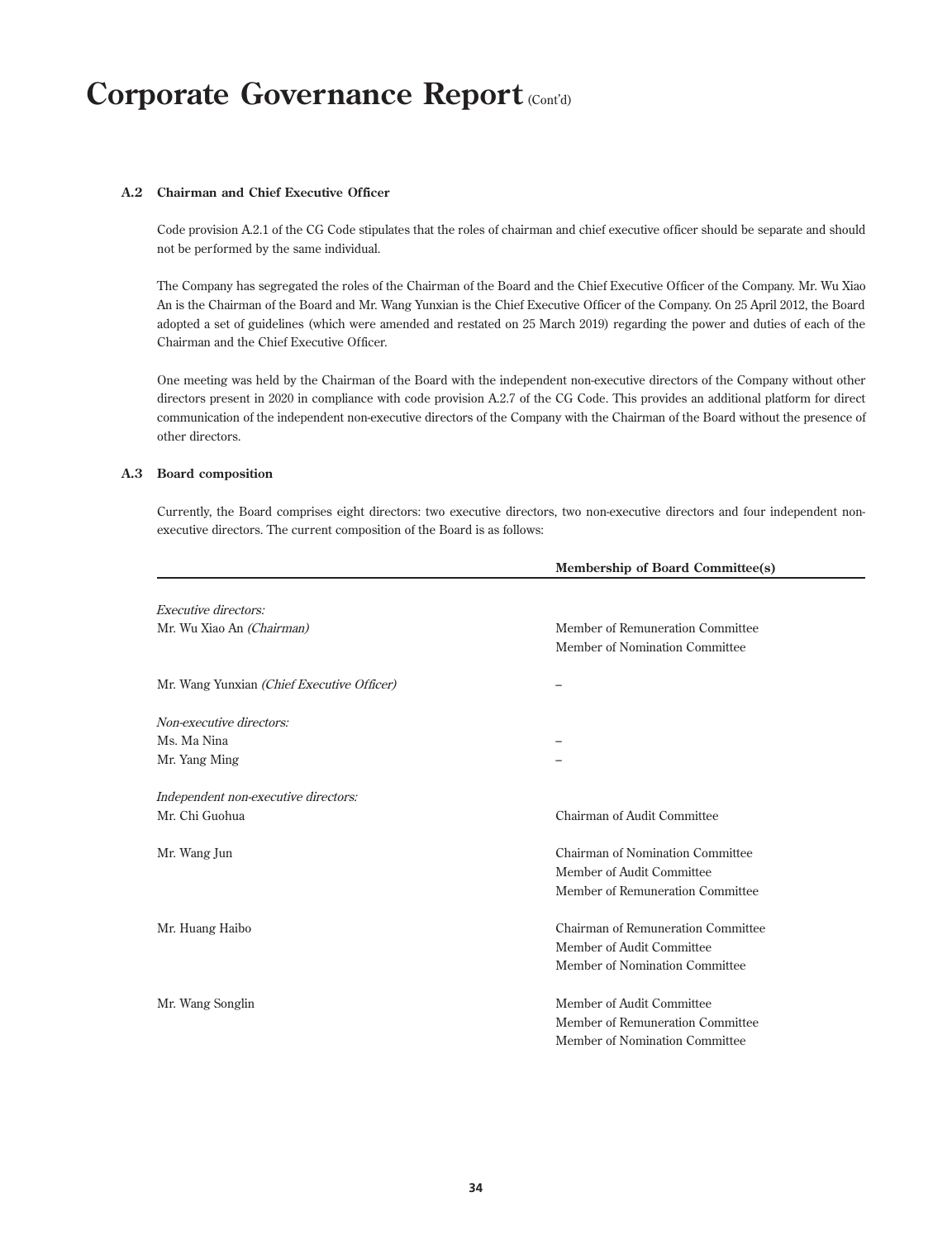### **Corporate Governance Report** (Cont'd)

#### **A.2 Chairman and Chief Executive Officer**

Code provision A.2.1 of the CG Code stipulates that the roles of chairman and chief executive officer should be separate and should not be performed by the same individual.

The Company has segregated the roles of the Chairman of the Board and the Chief Executive Officer of the Company. Mr. Wu Xiao An is the Chairman of the Board and Mr. Wang Yunxian is the Chief Executive Officer of the Company. On 25 April 2012, the Board adopted a set of guidelines (which were amended and restated on 25 March 2019) regarding the power and duties of each of the Chairman and the Chief Executive Officer.

One meeting was held by the Chairman of the Board with the independent non-executive directors of the Company without other directors present in 2020 in compliance with code provision A.2.7 of the CG Code. This provides an additional platform for direct communication of the independent non-executive directors of the Company with the Chairman of the Board without the presence of other directors.

#### **A.3 Board composition**

Currently, the Board comprises eight directors: two executive directors, two non-executive directors and four independent nonexecutive directors. The current composition of the Board is as follows:

|                                                   | <b>Membership of Board Committee(s)</b> |
|---------------------------------------------------|-----------------------------------------|
|                                                   |                                         |
| Executive directors:                              |                                         |
| Mr. Wu Xiao An (Chairman)                         | Member of Remuneration Committee        |
|                                                   | Member of Nomination Committee          |
| Mr. Wang Yunxian <i>(Chief Executive Officer)</i> |                                         |
| Non-executive directors:                          |                                         |
| Ms. Ma Nina                                       |                                         |
| Mr. Yang Ming                                     |                                         |
| Independent non-executive directors:              |                                         |
| Mr. Chi Guohua                                    | Chairman of Audit Committee             |
| Mr. Wang Jun                                      | Chairman of Nomination Committee        |
|                                                   | Member of Audit Committee               |
|                                                   | Member of Remuneration Committee        |
| Mr. Huang Haibo                                   | Chairman of Remuneration Committee      |
|                                                   | Member of Audit Committee               |
|                                                   | Member of Nomination Committee          |
| Mr. Wang Songlin                                  | Member of Audit Committee               |
|                                                   | Member of Remuneration Committee        |
|                                                   | Member of Nomination Committee          |
|                                                   |                                         |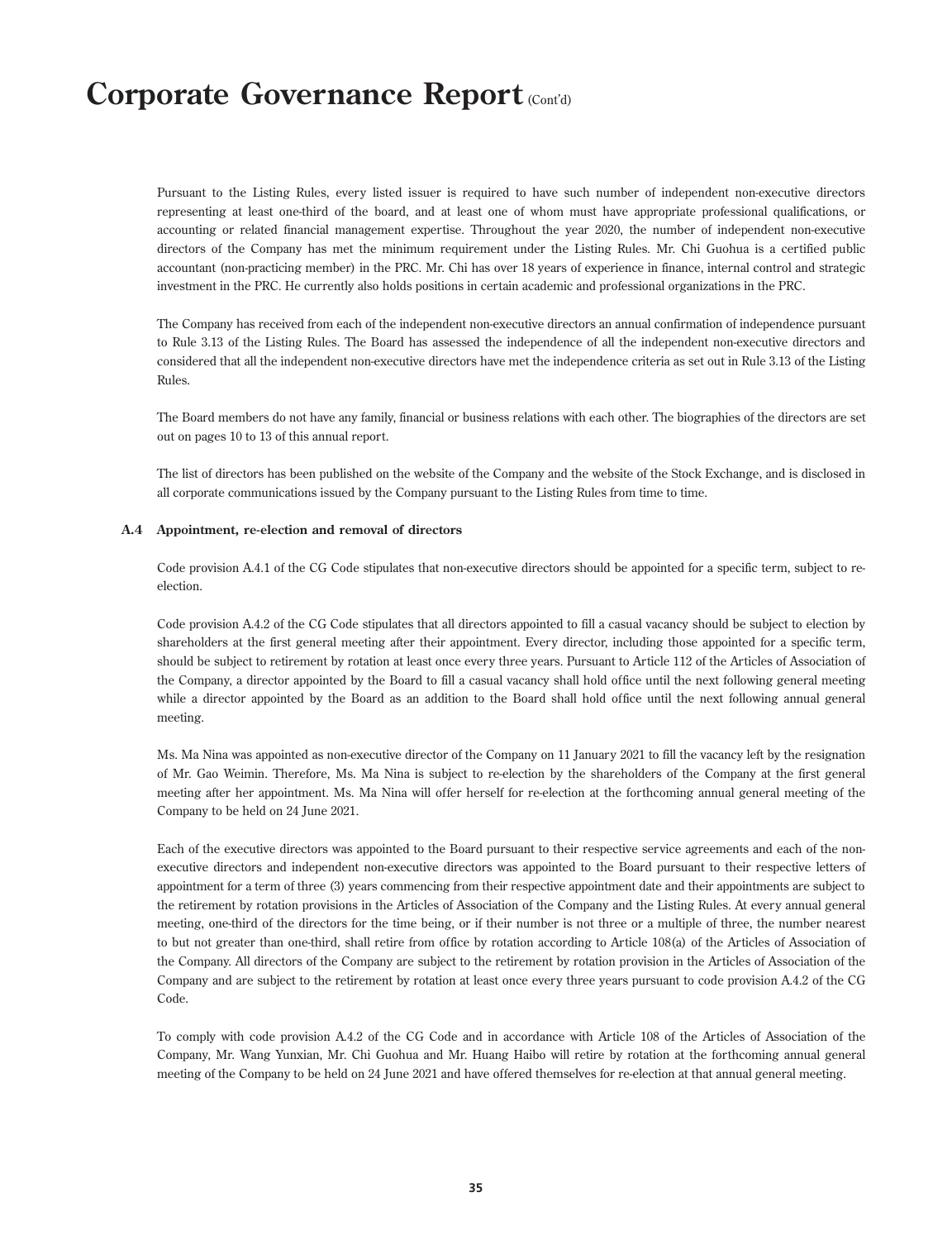Pursuant to the Listing Rules, every listed issuer is required to have such number of independent non-executive directors representing at least one-third of the board, and at least one of whom must have appropriate professional qualifications, or accounting or related financial management expertise. Throughout the year 2020, the number of independent non-executive directors of the Company has met the minimum requirement under the Listing Rules. Mr. Chi Guohua is a certified public accountant (non-practicing member) in the PRC. Mr. Chi has over 18 years of experience in finance, internal control and strategic investment in the PRC. He currently also holds positions in certain academic and professional organizations in the PRC.

The Company has received from each of the independent non-executive directors an annual confirmation of independence pursuant to Rule 3.13 of the Listing Rules. The Board has assessed the independence of all the independent non-executive directors and considered that all the independent non-executive directors have met the independence criteria as set out in Rule 3.13 of the Listing Rules.

The Board members do not have any family, financial or business relations with each other. The biographies of the directors are set out on pages 10 to 13 of this annual report.

The list of directors has been published on the website of the Company and the website of the Stock Exchange, and is disclosed in all corporate communications issued by the Company pursuant to the Listing Rules from time to time.

### **A.4 Appointment, re-election and removal of directors**

Code provision A.4.1 of the CG Code stipulates that non-executive directors should be appointed for a specific term, subject to reelection.

Code provision A.4.2 of the CG Code stipulates that all directors appointed to fill a casual vacancy should be subject to election by shareholders at the first general meeting after their appointment. Every director, including those appointed for a specific term, should be subject to retirement by rotation at least once every three years. Pursuant to Article 112 of the Articles of Association of the Company, a director appointed by the Board to fill a casual vacancy shall hold office until the next following general meeting while a director appointed by the Board as an addition to the Board shall hold office until the next following annual general meeting.

Ms. Ma Nina was appointed as non-executive director of the Company on 11 January 2021 to fill the vacancy left by the resignation of Mr. Gao Weimin. Therefore, Ms. Ma Nina is subject to re-election by the shareholders of the Company at the first general meeting after her appointment. Ms. Ma Nina will offer herself for re-election at the forthcoming annual general meeting of the Company to be held on 24 June 2021.

Each of the executive directors was appointed to the Board pursuant to their respective service agreements and each of the nonexecutive directors and independent non-executive directors was appointed to the Board pursuant to their respective letters of appointment for a term of three (3) years commencing from their respective appointment date and their appointments are subject to the retirement by rotation provisions in the Articles of Association of the Company and the Listing Rules. At every annual general meeting, one-third of the directors for the time being, or if their number is not three or a multiple of three, the number nearest to but not greater than one-third, shall retire from office by rotation according to Article 108(a) of the Articles of Association of the Company. All directors of the Company are subject to the retirement by rotation provision in the Articles of Association of the Company and are subject to the retirement by rotation at least once every three years pursuant to code provision A.4.2 of the CG Code.

To comply with code provision A.4.2 of the CG Code and in accordance with Article 108 of the Articles of Association of the Company, Mr. Wang Yunxian, Mr. Chi Guohua and Mr. Huang Haibo will retire by rotation at the forthcoming annual general meeting of the Company to be held on 24 June 2021 and have offered themselves for re-election at that annual general meeting.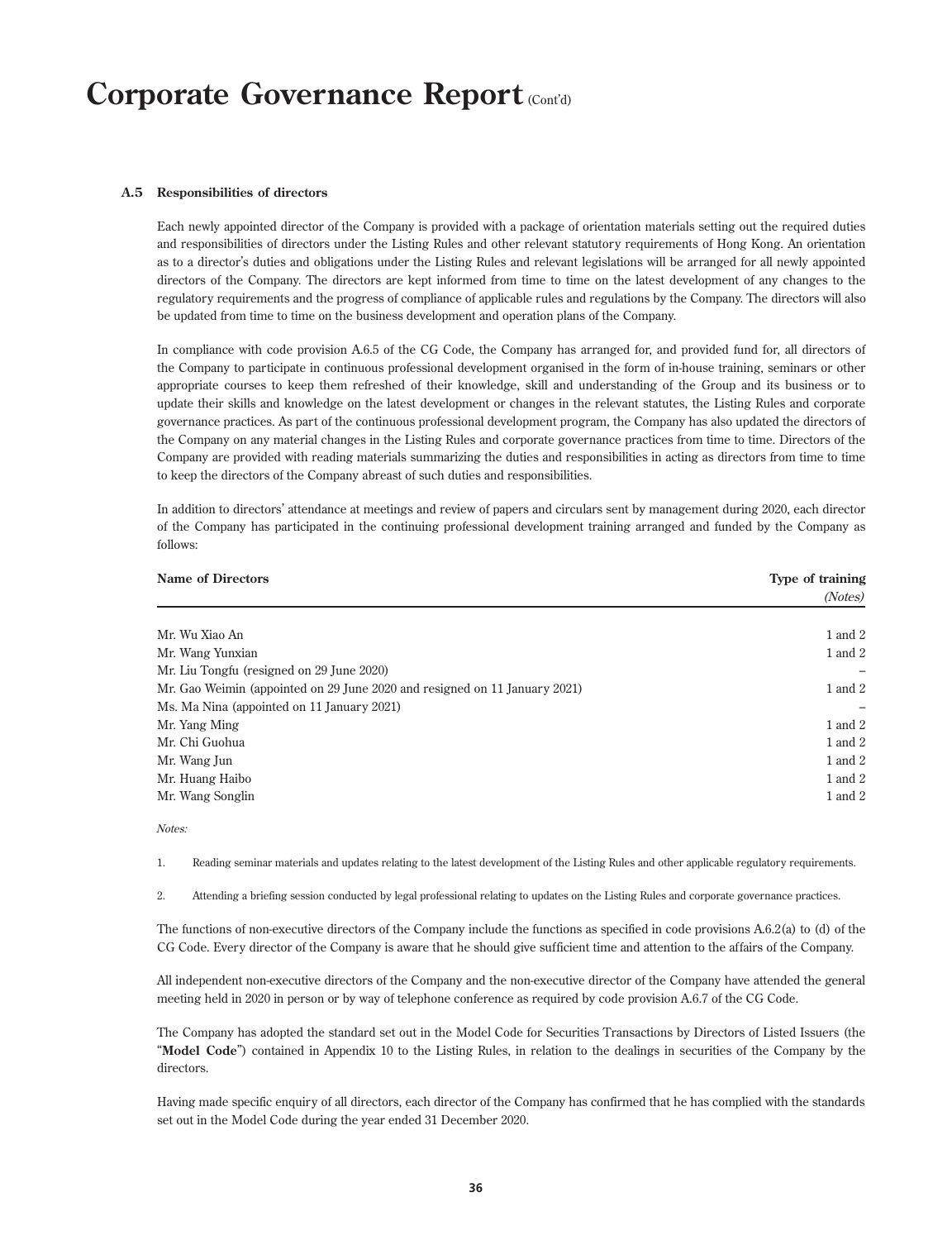#### **A.5 Responsibilities of directors**

Each newly appointed director of the Company is provided with a package of orientation materials setting out the required duties and responsibilities of directors under the Listing Rules and other relevant statutory requirements of Hong Kong. An orientation as to a director's duties and obligations under the Listing Rules and relevant legislations will be arranged for all newly appointed directors of the Company. The directors are kept informed from time to time on the latest development of any changes to the regulatory requirements and the progress of compliance of applicable rules and regulations by the Company. The directors will also be updated from time to time on the business development and operation plans of the Company.

In compliance with code provision A.6.5 of the CG Code, the Company has arranged for, and provided fund for, all directors of the Company to participate in continuous professional development organised in the form of in-house training, seminars or other appropriate courses to keep them refreshed of their knowledge, skill and understanding of the Group and its business or to update their skills and knowledge on the latest development or changes in the relevant statutes, the Listing Rules and corporate governance practices. As part of the continuous professional development program, the Company has also updated the directors of the Company on any material changes in the Listing Rules and corporate governance practices from time to time. Directors of the Company are provided with reading materials summarizing the duties and responsibilities in acting as directors from time to time to keep the directors of the Company abreast of such duties and responsibilities.

In addition to directors' attendance at meetings and review of papers and circulars sent by management during 2020, each director of the Company has participated in the continuing professional development training arranged and funded by the Company as follows:

| <b>Name of Directors</b>                                                   | Type of training |
|----------------------------------------------------------------------------|------------------|
|                                                                            | (Notes)          |
|                                                                            |                  |
| Mr. Wu Xiao An                                                             | 1 and $2$        |
| Mr. Wang Yunxian                                                           | 1 and 2          |
| Mr. Liu Tongfu (resigned on 29 June 2020)                                  |                  |
| Mr. Gao Weimin (appointed on 29 June 2020 and resigned on 11 January 2021) | 1 and 2          |
| Ms. Ma Nina (appointed on 11 January 2021)                                 |                  |
| Mr. Yang Ming                                                              | 1 and 2          |
| Mr. Chi Guohua                                                             | 1 and 2          |
| Mr. Wang Jun                                                               | 1 and 2          |
| Mr. Huang Haibo                                                            | 1 and 2          |
| Mr. Wang Songlin                                                           | 1 and 2          |

Notes:

1. Reading seminar materials and updates relating to the latest development of the Listing Rules and other applicable regulatory requirements.

2. Attending a briefing session conducted by legal professional relating to updates on the Listing Rules and corporate governance practices.

The functions of non-executive directors of the Company include the functions as specified in code provisions A.6.2(a) to (d) of the CG Code. Every director of the Company is aware that he should give sufficient time and attention to the affairs of the Company.

All independent non-executive directors of the Company and the non-executive director of the Company have attended the general meeting held in 2020 in person or by way of telephone conference as required by code provision A.6.7 of the CG Code.

The Company has adopted the standard set out in the Model Code for Securities Transactions by Directors of Listed Issuers (the "**Model Code**") contained in Appendix 10 to the Listing Rules, in relation to the dealings in securities of the Company by the directors.

Having made specific enquiry of all directors, each director of the Company has confirmed that he has complied with the standards set out in the Model Code during the year ended 31 December 2020.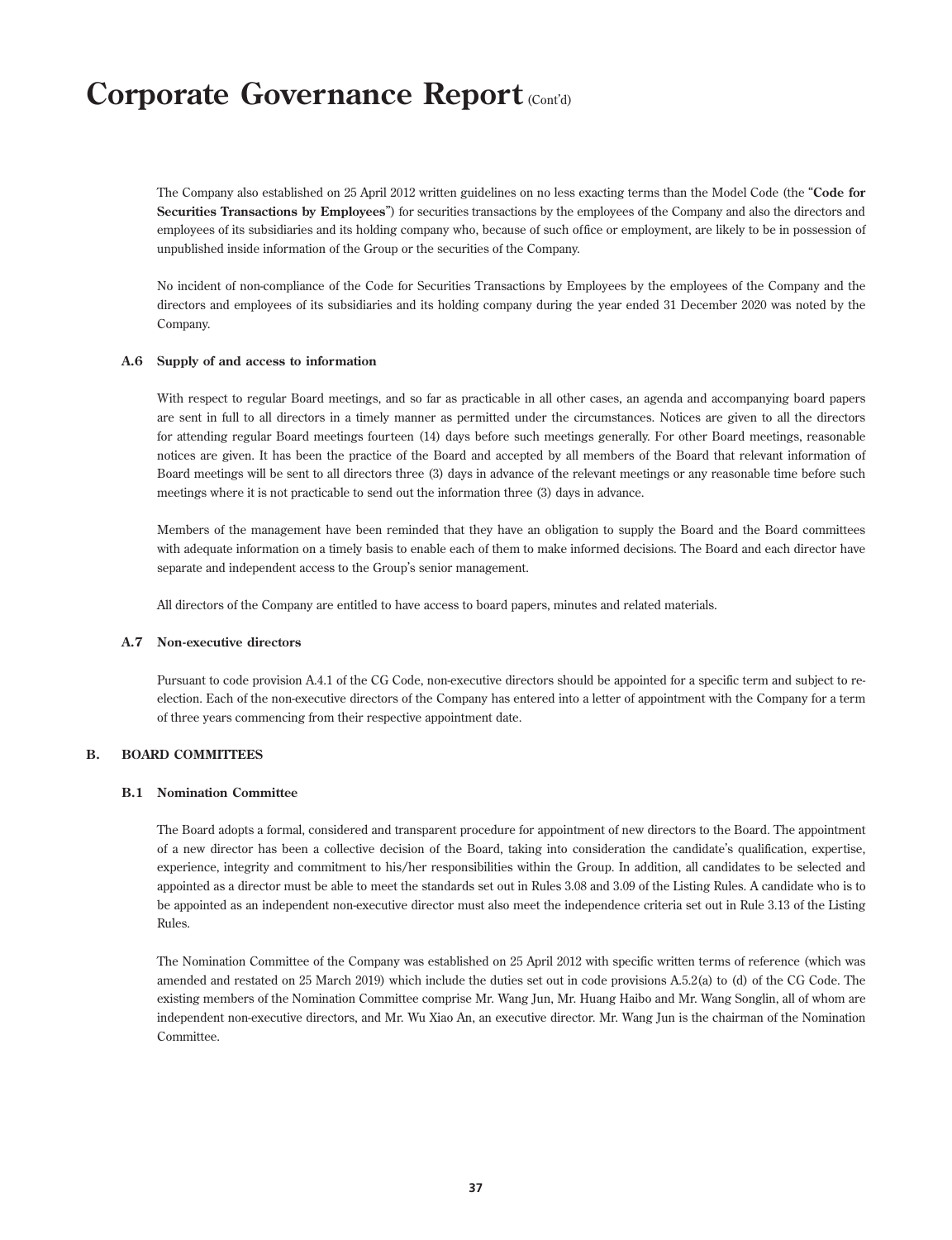The Company also established on 25 April 2012 written guidelines on no less exacting terms than the Model Code (the "**Code for Securities Transactions by Employees**") for securities transactions by the employees of the Company and also the directors and employees of its subsidiaries and its holding company who, because of such office or employment, are likely to be in possession of unpublished inside information of the Group or the securities of the Company.

No incident of non-compliance of the Code for Securities Transactions by Employees by the employees of the Company and the directors and employees of its subsidiaries and its holding company during the year ended 31 December 2020 was noted by the Company.

### **A.6 Supply of and access to information**

With respect to regular Board meetings, and so far as practicable in all other cases, an agenda and accompanying board papers are sent in full to all directors in a timely manner as permitted under the circumstances. Notices are given to all the directors for attending regular Board meetings fourteen (14) days before such meetings generally. For other Board meetings, reasonable notices are given. It has been the practice of the Board and accepted by all members of the Board that relevant information of Board meetings will be sent to all directors three (3) days in advance of the relevant meetings or any reasonable time before such meetings where it is not practicable to send out the information three (3) days in advance.

Members of the management have been reminded that they have an obligation to supply the Board and the Board committees with adequate information on a timely basis to enable each of them to make informed decisions. The Board and each director have separate and independent access to the Group's senior management.

All directors of the Company are entitled to have access to board papers, minutes and related materials.

#### **A.7 Non-executive directors**

Pursuant to code provision A.4.1 of the CG Code, non-executive directors should be appointed for a specific term and subject to reelection. Each of the non-executive directors of the Company has entered into a letter of appointment with the Company for a term of three years commencing from their respective appointment date.

# **B. BOARD COMMITTEES**

### **B.1 Nomination Committee**

The Board adopts a formal, considered and transparent procedure for appointment of new directors to the Board. The appointment of a new director has been a collective decision of the Board, taking into consideration the candidate's qualification, expertise, experience, integrity and commitment to his/her responsibilities within the Group. In addition, all candidates to be selected and appointed as a director must be able to meet the standards set out in Rules 3.08 and 3.09 of the Listing Rules. A candidate who is to be appointed as an independent non-executive director must also meet the independence criteria set out in Rule 3.13 of the Listing Rules.

The Nomination Committee of the Company was established on 25 April 2012 with specific written terms of reference (which was amended and restated on 25 March 2019) which include the duties set out in code provisions A.5.2(a) to (d) of the CG Code. The existing members of the Nomination Committee comprise Mr. Wang Jun, Mr. Huang Haibo and Mr. Wang Songlin, all of whom are independent non-executive directors, and Mr. Wu Xiao An, an executive director. Mr. Wang Jun is the chairman of the Nomination Committee.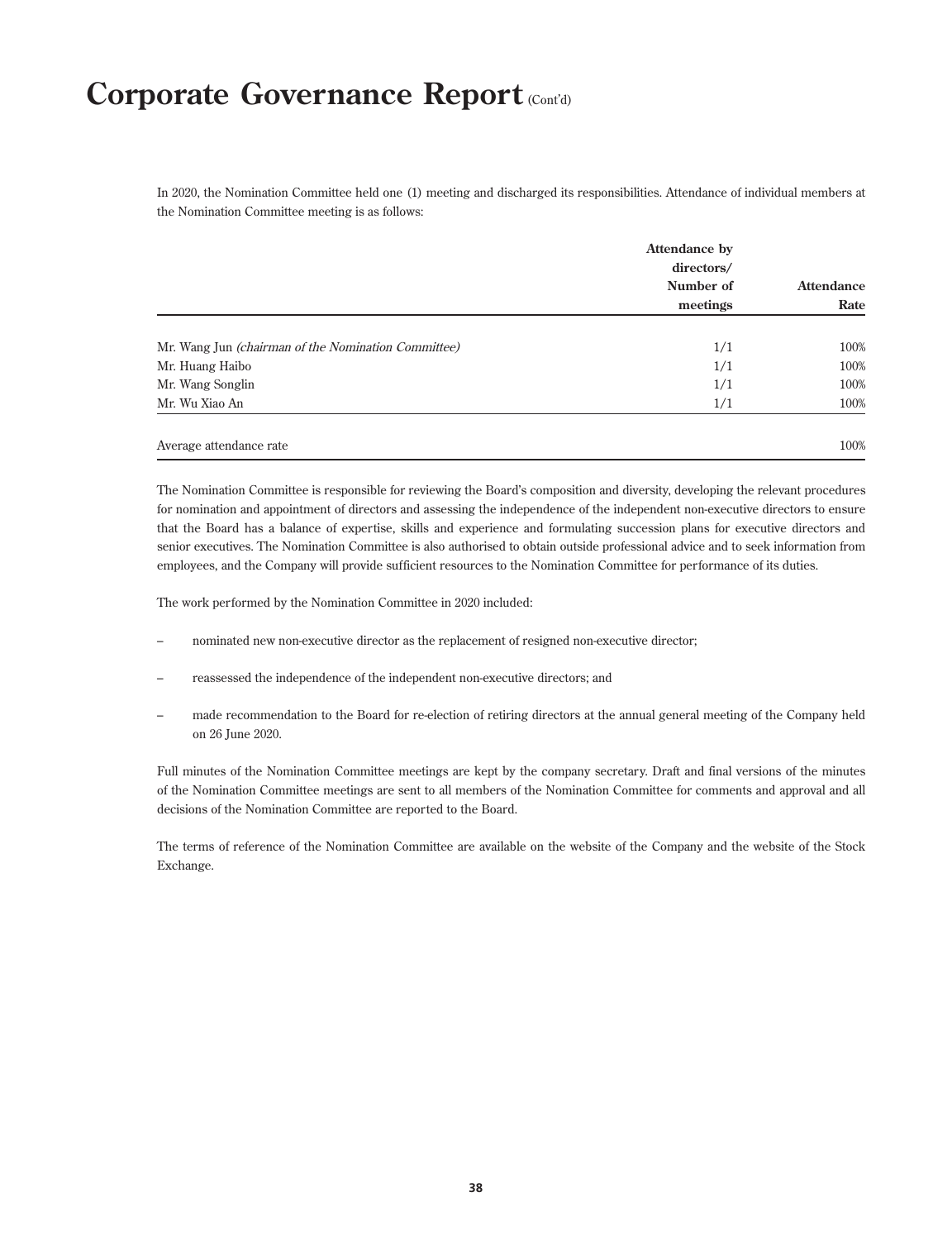In 2020, the Nomination Committee held one (1) meeting and discharged its responsibilities. Attendance of individual members at the Nomination Committee meeting is as follows:

|                                                     | <b>Attendance by</b><br>directors/ |                           |
|-----------------------------------------------------|------------------------------------|---------------------------|
|                                                     | Number of                          | <b>Attendance</b><br>Rate |
|                                                     | meetings                           |                           |
| Mr. Wang Jun (chairman of the Nomination Committee) | 1/1                                | 100%                      |
| Mr. Huang Haibo                                     | 1/1                                | 100%                      |
| Mr. Wang Songlin                                    | 1/1                                | 100%                      |
| Mr. Wu Xiao An                                      | 1/1                                | 100%                      |
|                                                     |                                    |                           |
| Average attendance rate                             |                                    | 100%                      |

The Nomination Committee is responsible for reviewing the Board's composition and diversity, developing the relevant procedures for nomination and appointment of directors and assessing the independence of the independent non-executive directors to ensure that the Board has a balance of expertise, skills and experience and formulating succession plans for executive directors and senior executives. The Nomination Committee is also authorised to obtain outside professional advice and to seek information from employees, and the Company will provide sufficient resources to the Nomination Committee for performance of its duties.

The work performed by the Nomination Committee in 2020 included:

- nominated new non-executive director as the replacement of resigned non-executive director;
- reassessed the independence of the independent non-executive directors; and
- made recommendation to the Board for re-election of retiring directors at the annual general meeting of the Company held on 26 June 2020.

Full minutes of the Nomination Committee meetings are kept by the company secretary. Draft and final versions of the minutes of the Nomination Committee meetings are sent to all members of the Nomination Committee for comments and approval and all decisions of the Nomination Committee are reported to the Board.

The terms of reference of the Nomination Committee are available on the website of the Company and the website of the Stock Exchange.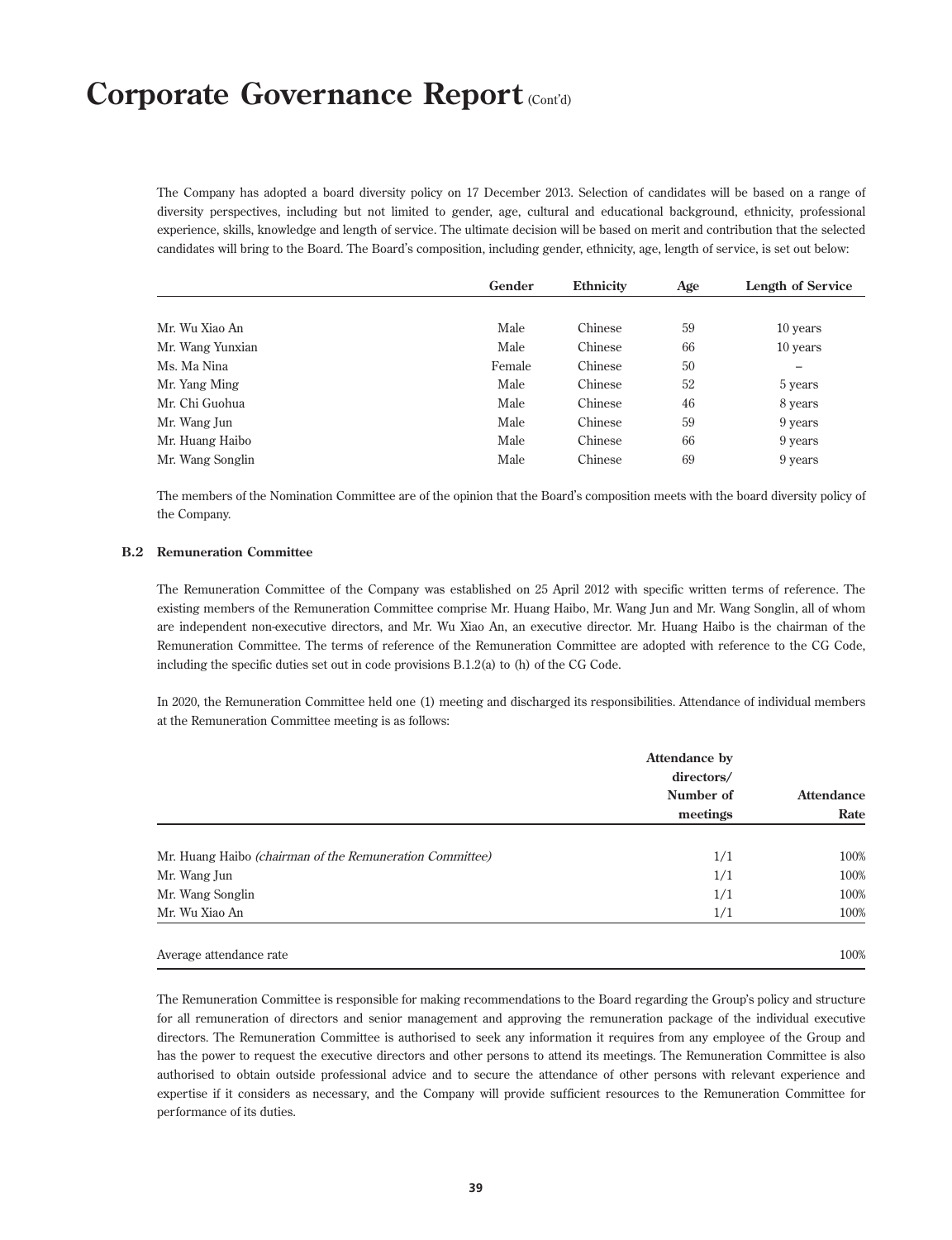The Company has adopted a board diversity policy on 17 December 2013. Selection of candidates will be based on a range of diversity perspectives, including but not limited to gender, age, cultural and educational background, ethnicity, professional experience, skills, knowledge and length of service. The ultimate decision will be based on merit and contribution that the selected candidates will bring to the Board. The Board's composition, including gender, ethnicity, age, length of service, is set out below:

|                  | Gender | <b>Ethnicity</b> | Age | <b>Length of Service</b> |
|------------------|--------|------------------|-----|--------------------------|
|                  |        |                  |     |                          |
| Mr. Wu Xiao An   | Male   | Chinese          | 59  | 10 years                 |
| Mr. Wang Yunxian | Male   | Chinese          | 66  | 10 years                 |
| Ms. Ma Nina      | Female | Chinese          | 50  |                          |
| Mr. Yang Ming    | Male   | Chinese          | 52  | 5 years                  |
| Mr. Chi Guohua   | Male   | Chinese          | 46  | 8 years                  |
| Mr. Wang Jun     | Male   | Chinese          | 59  | 9 years                  |
| Mr. Huang Haibo  | Male   | Chinese          | 66  | 9 years                  |
| Mr. Wang Songlin | Male   | Chinese          | 69  | 9 years                  |

The members of the Nomination Committee are of the opinion that the Board's composition meets with the board diversity policy of the Company.

### **B.2 Remuneration Committee**

The Remuneration Committee of the Company was established on 25 April 2012 with specific written terms of reference. The existing members of the Remuneration Committee comprise Mr. Huang Haibo, Mr. Wang Jun and Mr. Wang Songlin, all of whom are independent non-executive directors, and Mr. Wu Xiao An, an executive director. Mr. Huang Haibo is the chairman of the Remuneration Committee. The terms of reference of the Remuneration Committee are adopted with reference to the CG Code, including the specific duties set out in code provisions B.1.2(a) to (h) of the CG Code.

In 2020, the Remuneration Committee held one (1) meeting and discharged its responsibilities. Attendance of individual members at the Remuneration Committee meeting is as follows:

|                                                          | Attendance by<br>directors/ |                   |
|----------------------------------------------------------|-----------------------------|-------------------|
|                                                          | Number of                   | <b>Attendance</b> |
|                                                          | meetings                    | Rate              |
| Mr. Huang Haibo (chairman of the Remuneration Committee) | 1/1                         | 100%              |
| Mr. Wang Jun                                             | 1/1                         | 100%              |
| Mr. Wang Songlin                                         | 1/1                         | 100%              |
| Mr. Wu Xiao An                                           | 1/1                         | 100%              |
| Average attendance rate                                  |                             | 100%              |

The Remuneration Committee is responsible for making recommendations to the Board regarding the Group's policy and structure for all remuneration of directors and senior management and approving the remuneration package of the individual executive directors. The Remuneration Committee is authorised to seek any information it requires from any employee of the Group and has the power to request the executive directors and other persons to attend its meetings. The Remuneration Committee is also authorised to obtain outside professional advice and to secure the attendance of other persons with relevant experience and expertise if it considers as necessary, and the Company will provide sufficient resources to the Remuneration Committee for performance of its duties.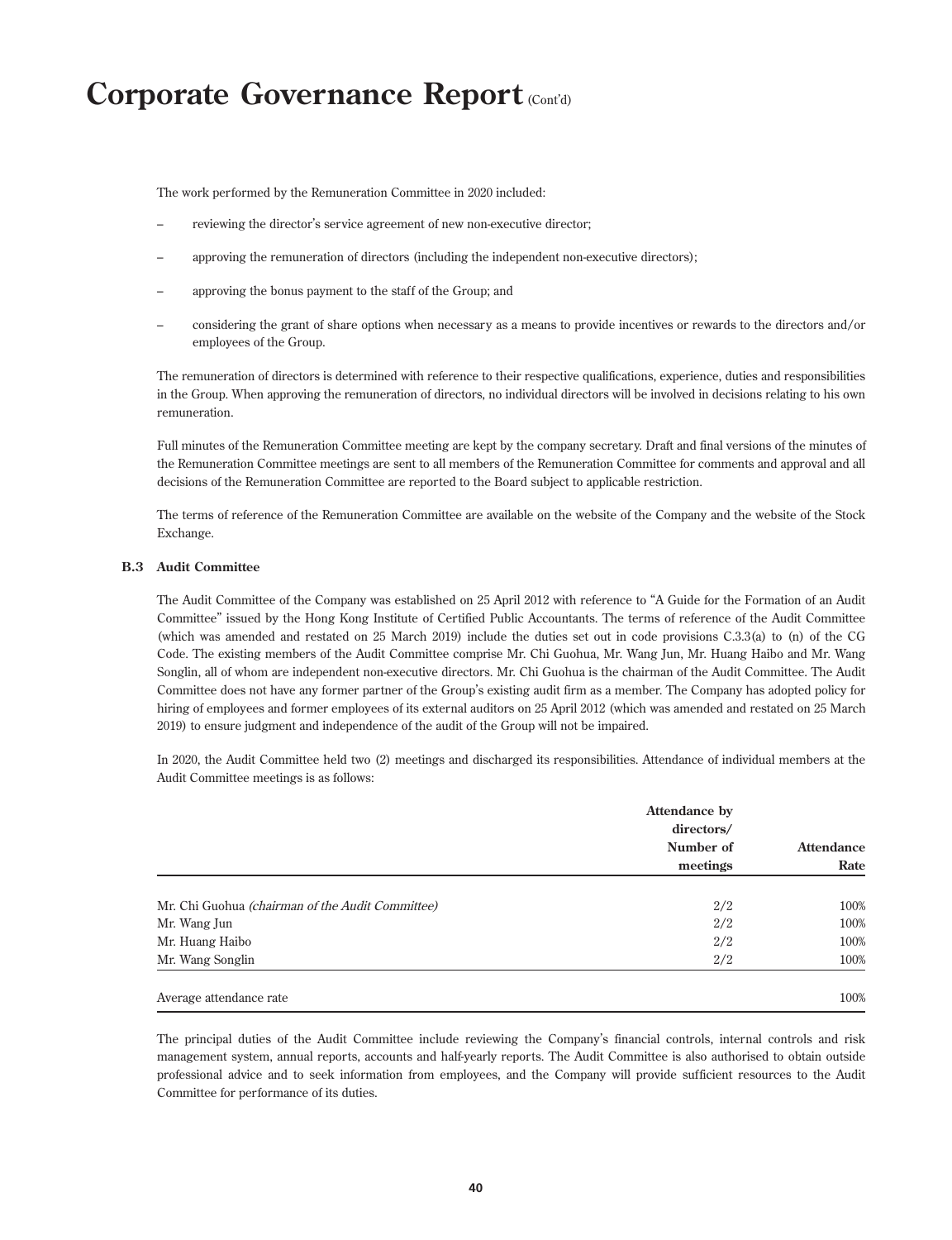The work performed by the Remuneration Committee in 2020 included:

- reviewing the director's service agreement of new non-executive director;
- approving the remuneration of directors (including the independent non-executive directors);
- approving the bonus payment to the staff of the Group; and
- considering the grant of share options when necessary as a means to provide incentives or rewards to the directors and/or employees of the Group.

The remuneration of directors is determined with reference to their respective qualifications, experience, duties and responsibilities in the Group. When approving the remuneration of directors, no individual directors will be involved in decisions relating to his own remuneration.

Full minutes of the Remuneration Committee meeting are kept by the company secretary. Draft and final versions of the minutes of the Remuneration Committee meetings are sent to all members of the Remuneration Committee for comments and approval and all decisions of the Remuneration Committee are reported to the Board subject to applicable restriction.

The terms of reference of the Remuneration Committee are available on the website of the Company and the website of the Stock Exchange.

### **B.3 Audit Committee**

The Audit Committee of the Company was established on 25 April 2012 with reference to "A Guide for the Formation of an Audit Committee" issued by the Hong Kong Institute of Certified Public Accountants. The terms of reference of the Audit Committee (which was amended and restated on 25 March 2019) include the duties set out in code provisions C.3.3(a) to (n) of the CG Code. The existing members of the Audit Committee comprise Mr. Chi Guohua, Mr. Wang Jun, Mr. Huang Haibo and Mr. Wang Songlin, all of whom are independent non-executive directors. Mr. Chi Guohua is the chairman of the Audit Committee. The Audit Committee does not have any former partner of the Group's existing audit firm as a member. The Company has adopted policy for hiring of employees and former employees of its external auditors on 25 April 2012 (which was amended and restated on 25 March 2019) to ensure judgment and independence of the audit of the Group will not be impaired.

In 2020, the Audit Committee held two (2) meetings and discharged its responsibilities. Attendance of individual members at the Audit Committee meetings is as follows:

|                                                  | Attendance by<br>directors/ |                   |
|--------------------------------------------------|-----------------------------|-------------------|
|                                                  | Number of                   | <b>Attendance</b> |
|                                                  | meetings                    | Rate              |
| Mr. Chi Guohua (chairman of the Audit Committee) | 2/2                         | 100%              |
| Mr. Wang Jun                                     | 2/2                         | 100%              |
| Mr. Huang Haibo                                  | 2/2                         | 100%              |
| Mr. Wang Songlin                                 | 2/2                         | 100%              |
| Average attendance rate                          |                             | 100%              |

The principal duties of the Audit Committee include reviewing the Company's financial controls, internal controls and risk management system, annual reports, accounts and half-yearly reports. The Audit Committee is also authorised to obtain outside professional advice and to seek information from employees, and the Company will provide sufficient resources to the Audit Committee for performance of its duties.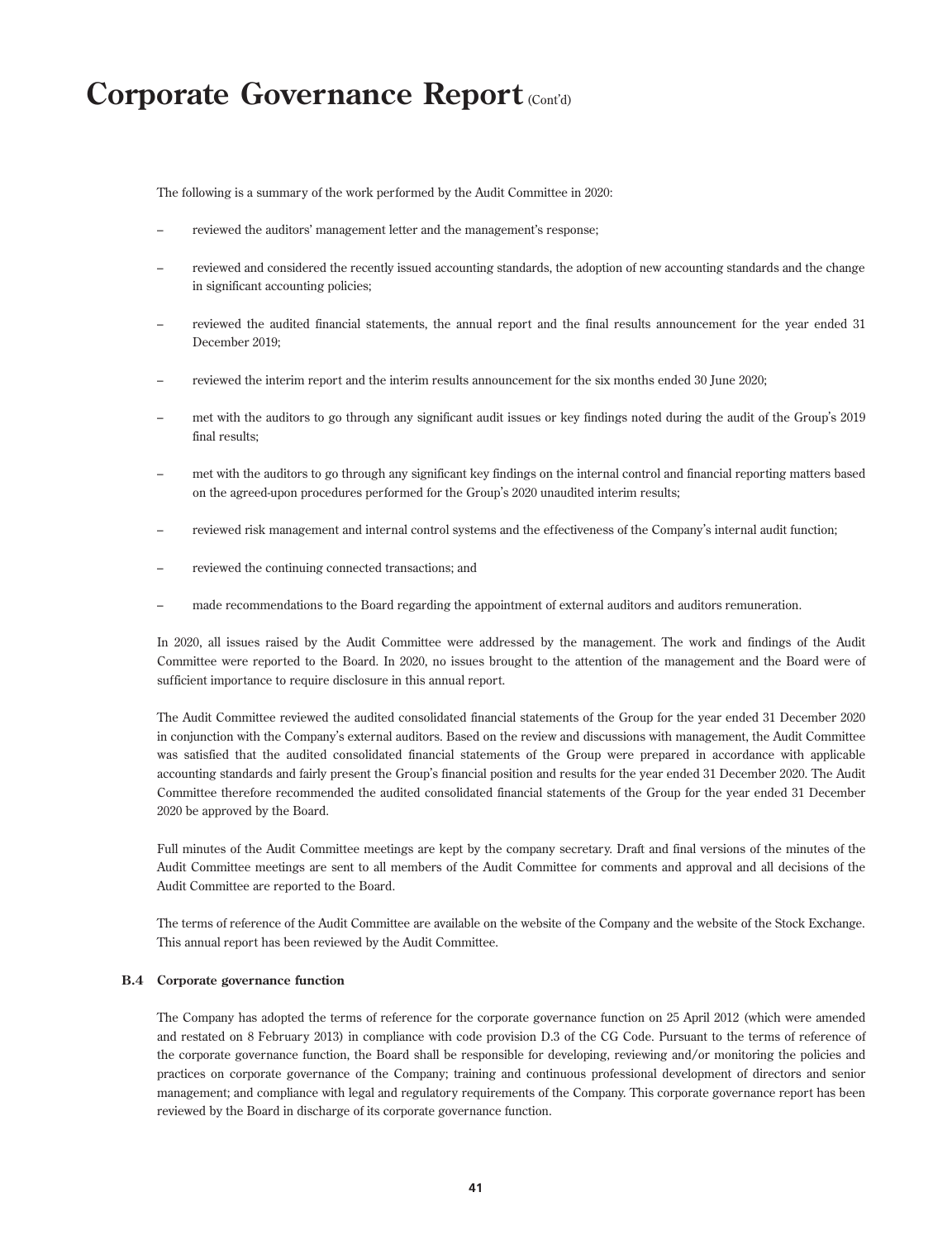The following is a summary of the work performed by the Audit Committee in 2020:

- reviewed the auditors' management letter and the management's response;
- reviewed and considered the recently issued accounting standards, the adoption of new accounting standards and the change in significant accounting policies;
- reviewed the audited financial statements, the annual report and the final results announcement for the year ended 31 December 2019;
- reviewed the interim report and the interim results announcement for the six months ended 30 June 2020;
- met with the auditors to go through any significant audit issues or key findings noted during the audit of the Group's 2019 final results;
- met with the auditors to go through any significant key findings on the internal control and financial reporting matters based on the agreed-upon procedures performed for the Group's 2020 unaudited interim results;
- reviewed risk management and internal control systems and the effectiveness of the Company's internal audit function;
- reviewed the continuing connected transactions; and
- made recommendations to the Board regarding the appointment of external auditors and auditors remuneration.

In 2020, all issues raised by the Audit Committee were addressed by the management. The work and findings of the Audit Committee were reported to the Board. In 2020, no issues brought to the attention of the management and the Board were of sufficient importance to require disclosure in this annual report.

The Audit Committee reviewed the audited consolidated financial statements of the Group for the year ended 31 December 2020 in conjunction with the Company's external auditors. Based on the review and discussions with management, the Audit Committee was satisfied that the audited consolidated financial statements of the Group were prepared in accordance with applicable accounting standards and fairly present the Group's financial position and results for the year ended 31 December 2020. The Audit Committee therefore recommended the audited consolidated financial statements of the Group for the year ended 31 December 2020 be approved by the Board.

Full minutes of the Audit Committee meetings are kept by the company secretary. Draft and final versions of the minutes of the Audit Committee meetings are sent to all members of the Audit Committee for comments and approval and all decisions of the Audit Committee are reported to the Board.

The terms of reference of the Audit Committee are available on the website of the Company and the website of the Stock Exchange. This annual report has been reviewed by the Audit Committee.

#### **B.4 Corporate governance function**

The Company has adopted the terms of reference for the corporate governance function on 25 April 2012 (which were amended and restated on 8 February 2013) in compliance with code provision D.3 of the CG Code. Pursuant to the terms of reference of the corporate governance function, the Board shall be responsible for developing, reviewing and/or monitoring the policies and practices on corporate governance of the Company; training and continuous professional development of directors and senior management; and compliance with legal and regulatory requirements of the Company. This corporate governance report has been reviewed by the Board in discharge of its corporate governance function.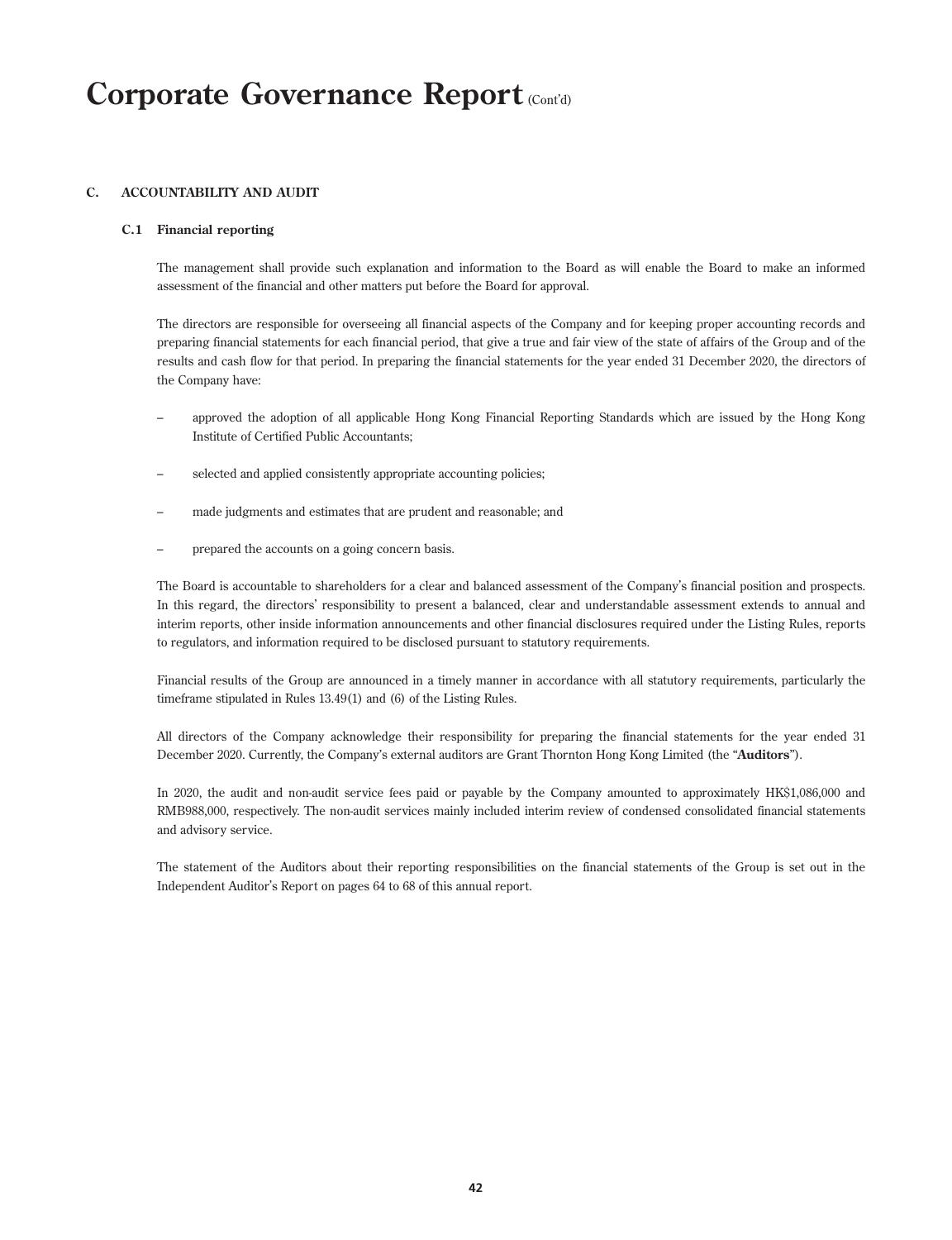# **C. ACCOUNTABILITY AND AUDIT**

### **C.1 Financial reporting**

The management shall provide such explanation and information to the Board as will enable the Board to make an informed assessment of the financial and other matters put before the Board for approval.

The directors are responsible for overseeing all financial aspects of the Company and for keeping proper accounting records and preparing financial statements for each financial period, that give a true and fair view of the state of affairs of the Group and of the results and cash flow for that period. In preparing the financial statements for the year ended 31 December 2020, the directors of the Company have:

- approved the adoption of all applicable Hong Kong Financial Reporting Standards which are issued by the Hong Kong Institute of Certified Public Accountants;
- selected and applied consistently appropriate accounting policies;
- made judgments and estimates that are prudent and reasonable; and
- prepared the accounts on a going concern basis.

The Board is accountable to shareholders for a clear and balanced assessment of the Company's financial position and prospects. In this regard, the directors' responsibility to present a balanced, clear and understandable assessment extends to annual and interim reports, other inside information announcements and other financial disclosures required under the Listing Rules, reports to regulators, and information required to be disclosed pursuant to statutory requirements.

Financial results of the Group are announced in a timely manner in accordance with all statutory requirements, particularly the timeframe stipulated in Rules 13.49(1) and (6) of the Listing Rules.

All directors of the Company acknowledge their responsibility for preparing the financial statements for the year ended 31 December 2020. Currently, the Company's external auditors are Grant Thornton Hong Kong Limited (the "**Auditors**").

In 2020, the audit and non-audit service fees paid or payable by the Company amounted to approximately HK\$1,086,000 and RMB988,000, respectively. The non-audit services mainly included interim review of condensed consolidated financial statements and advisory service.

The statement of the Auditors about their reporting responsibilities on the financial statements of the Group is set out in the Independent Auditor's Report on pages 64 to 68 of this annual report.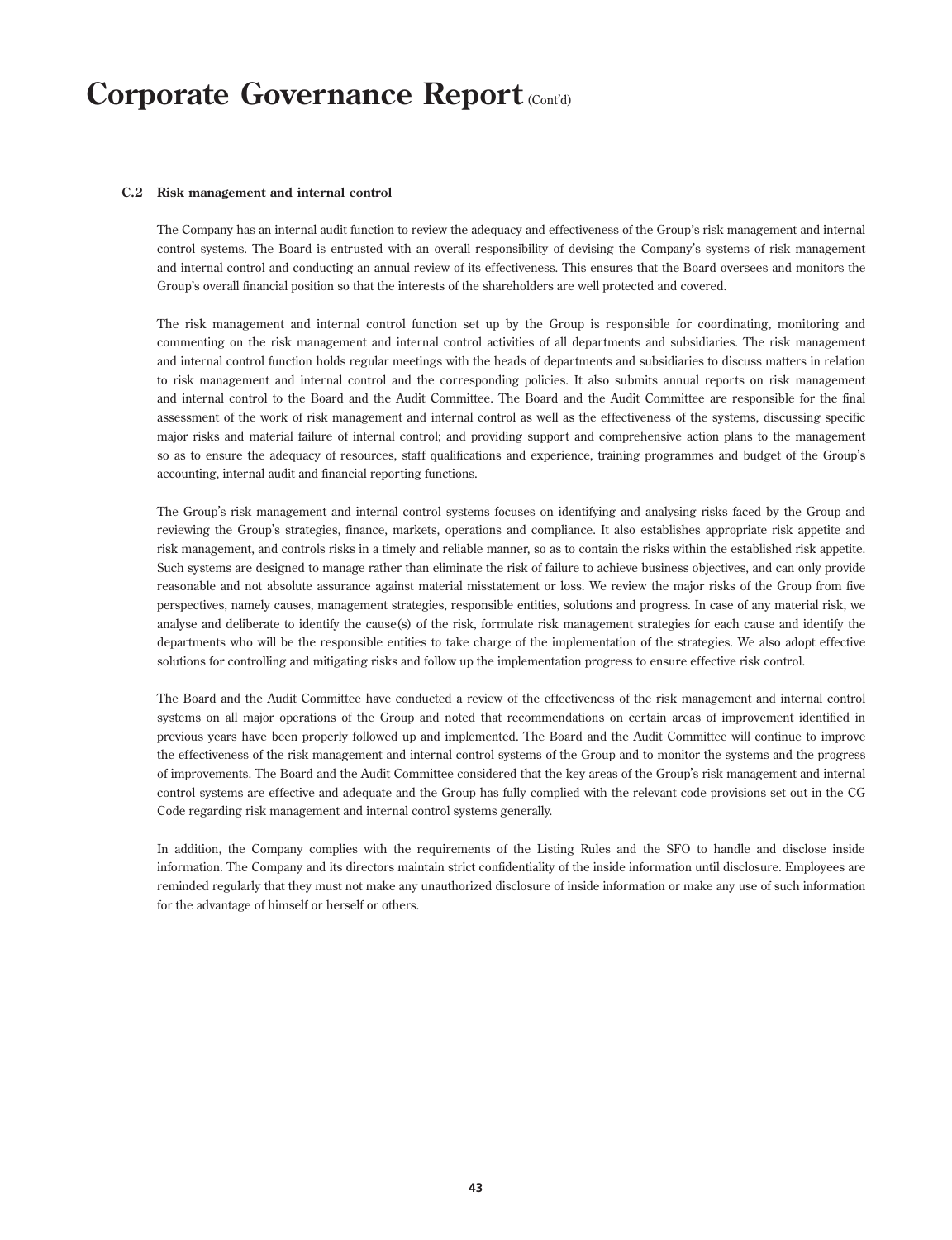### **C.2 Risk management and internal control**

The Company has an internal audit function to review the adequacy and effectiveness of the Group's risk management and internal control systems. The Board is entrusted with an overall responsibility of devising the Company's systems of risk management and internal control and conducting an annual review of its effectiveness. This ensures that the Board oversees and monitors the Group's overall financial position so that the interests of the shareholders are well protected and covered.

The risk management and internal control function set up by the Group is responsible for coordinating, monitoring and commenting on the risk management and internal control activities of all departments and subsidiaries. The risk management and internal control function holds regular meetings with the heads of departments and subsidiaries to discuss matters in relation to risk management and internal control and the corresponding policies. It also submits annual reports on risk management and internal control to the Board and the Audit Committee. The Board and the Audit Committee are responsible for the final assessment of the work of risk management and internal control as well as the effectiveness of the systems, discussing specific major risks and material failure of internal control; and providing support and comprehensive action plans to the management so as to ensure the adequacy of resources, staff qualifications and experience, training programmes and budget of the Group's accounting, internal audit and financial reporting functions.

The Group's risk management and internal control systems focuses on identifying and analysing risks faced by the Group and reviewing the Group's strategies, finance, markets, operations and compliance. It also establishes appropriate risk appetite and risk management, and controls risks in a timely and reliable manner, so as to contain the risks within the established risk appetite. Such systems are designed to manage rather than eliminate the risk of failure to achieve business objectives, and can only provide reasonable and not absolute assurance against material misstatement or loss. We review the major risks of the Group from five perspectives, namely causes, management strategies, responsible entities, solutions and progress. In case of any material risk, we analyse and deliberate to identify the cause(s) of the risk, formulate risk management strategies for each cause and identify the departments who will be the responsible entities to take charge of the implementation of the strategies. We also adopt effective solutions for controlling and mitigating risks and follow up the implementation progress to ensure effective risk control.

The Board and the Audit Committee have conducted a review of the effectiveness of the risk management and internal control systems on all major operations of the Group and noted that recommendations on certain areas of improvement identified in previous years have been properly followed up and implemented. The Board and the Audit Committee will continue to improve the effectiveness of the risk management and internal control systems of the Group and to monitor the systems and the progress of improvements. The Board and the Audit Committee considered that the key areas of the Group's risk management and internal control systems are effective and adequate and the Group has fully complied with the relevant code provisions set out in the CG Code regarding risk management and internal control systems generally.

In addition, the Company complies with the requirements of the Listing Rules and the SFO to handle and disclose inside information. The Company and its directors maintain strict confidentiality of the inside information until disclosure. Employees are reminded regularly that they must not make any unauthorized disclosure of inside information or make any use of such information for the advantage of himself or herself or others.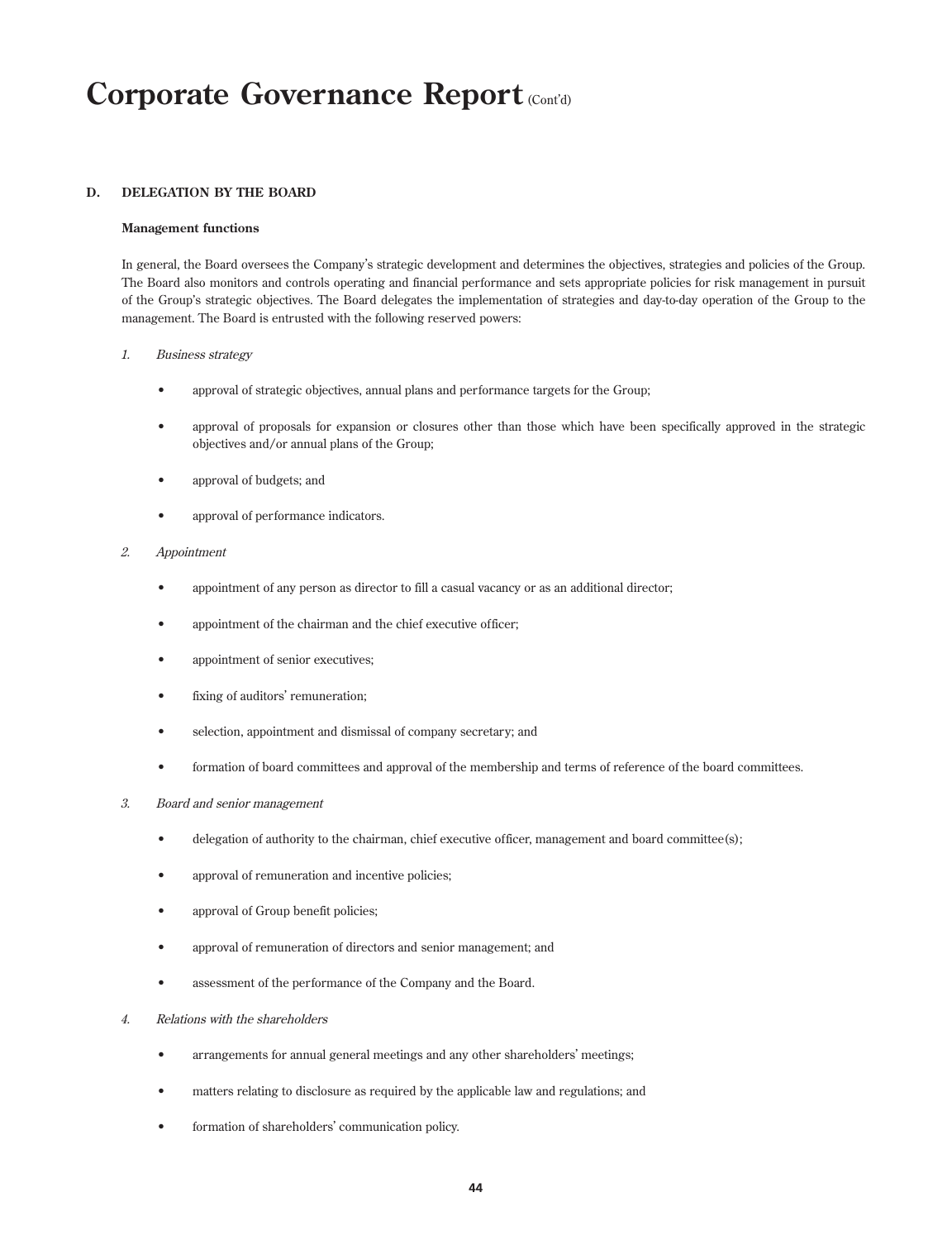# **D. DELEGATION BY THE BOARD**

### **Management functions**

In general, the Board oversees the Company's strategic development and determines the objectives, strategies and policies of the Group. The Board also monitors and controls operating and financial performance and sets appropriate policies for risk management in pursuit of the Group's strategic objectives. The Board delegates the implementation of strategies and day-to-day operation of the Group to the management. The Board is entrusted with the following reserved powers:

### 1. Business strategy

- approval of strategic objectives, annual plans and performance targets for the Group;
- approval of proposals for expansion or closures other than those which have been specifically approved in the strategic objectives and/or annual plans of the Group;
- approval of budgets; and
- approval of performance indicators.

### 2. Appointment

- appointment of any person as director to fill a casual vacancy or as an additional director;
- appointment of the chairman and the chief executive officer;
- appointment of senior executives;
- fixing of auditors' remuneration;
- selection, appointment and dismissal of company secretary; and
- formation of board committees and approval of the membership and terms of reference of the board committees.

### 3. Board and senior management

- delegation of authority to the chairman, chief executive officer, management and board committee(s);
- approval of remuneration and incentive policies;
- approval of Group benefit policies;
- approval of remuneration of directors and senior management; and
- assessment of the performance of the Company and the Board.

### 4. Relations with the shareholders

- arrangements for annual general meetings and any other shareholders' meetings;
- matters relating to disclosure as required by the applicable law and regulations; and
- formation of shareholders' communication policy.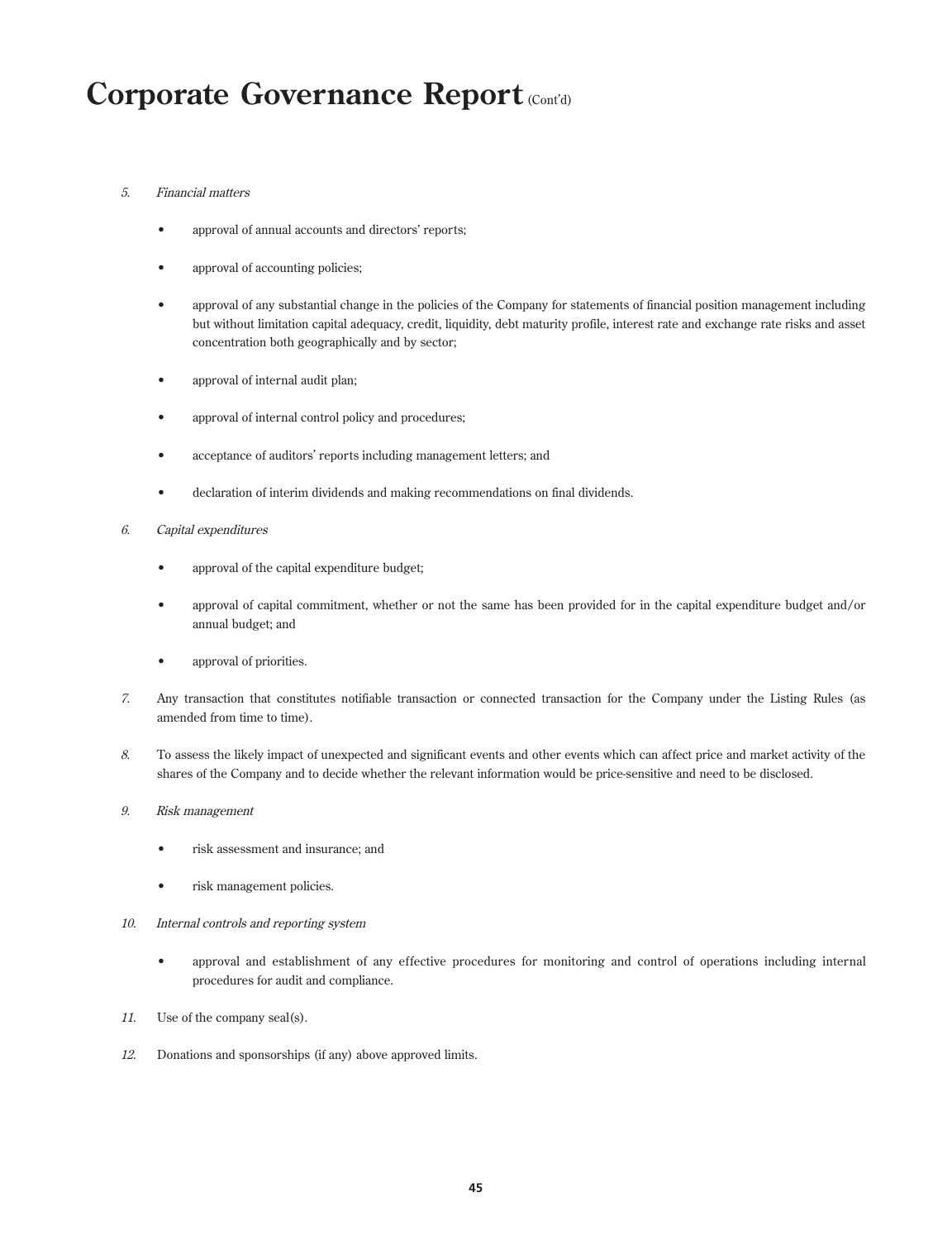### 5. Financial matters

- approval of annual accounts and directors' reports;
- approval of accounting policies;
- approval of any substantial change in the policies of the Company for statements of financial position management including but without limitation capital adequacy, credit, liquidity, debt maturity profile, interest rate and exchange rate risks and asset concentration both geographically and by sector;
- approval of internal audit plan;
- approval of internal control policy and procedures;
- acceptance of auditors' reports including management letters; and
- declaration of interim dividends and making recommendations on final dividends.
- 6. Capital expenditures
	- approval of the capital expenditure budget;
	- approval of capital commitment, whether or not the same has been provided for in the capital expenditure budget and/or annual budget; and
	- approval of priorities.
- 7. Any transaction that constitutes notifiable transaction or connected transaction for the Company under the Listing Rules (as amended from time to time).
- 8. To assess the likely impact of unexpected and significant events and other events which can affect price and market activity of the shares of the Company and to decide whether the relevant information would be price-sensitive and need to be disclosed.
- 9. Risk management
	- risk assessment and insurance; and
	- risk management policies.
- 10. Internal controls and reporting system
	- approval and establishment of any effective procedures for monitoring and control of operations including internal procedures for audit and compliance.
- 11. Use of the company seal(s).
- 12. Donations and sponsorships (if any) above approved limits.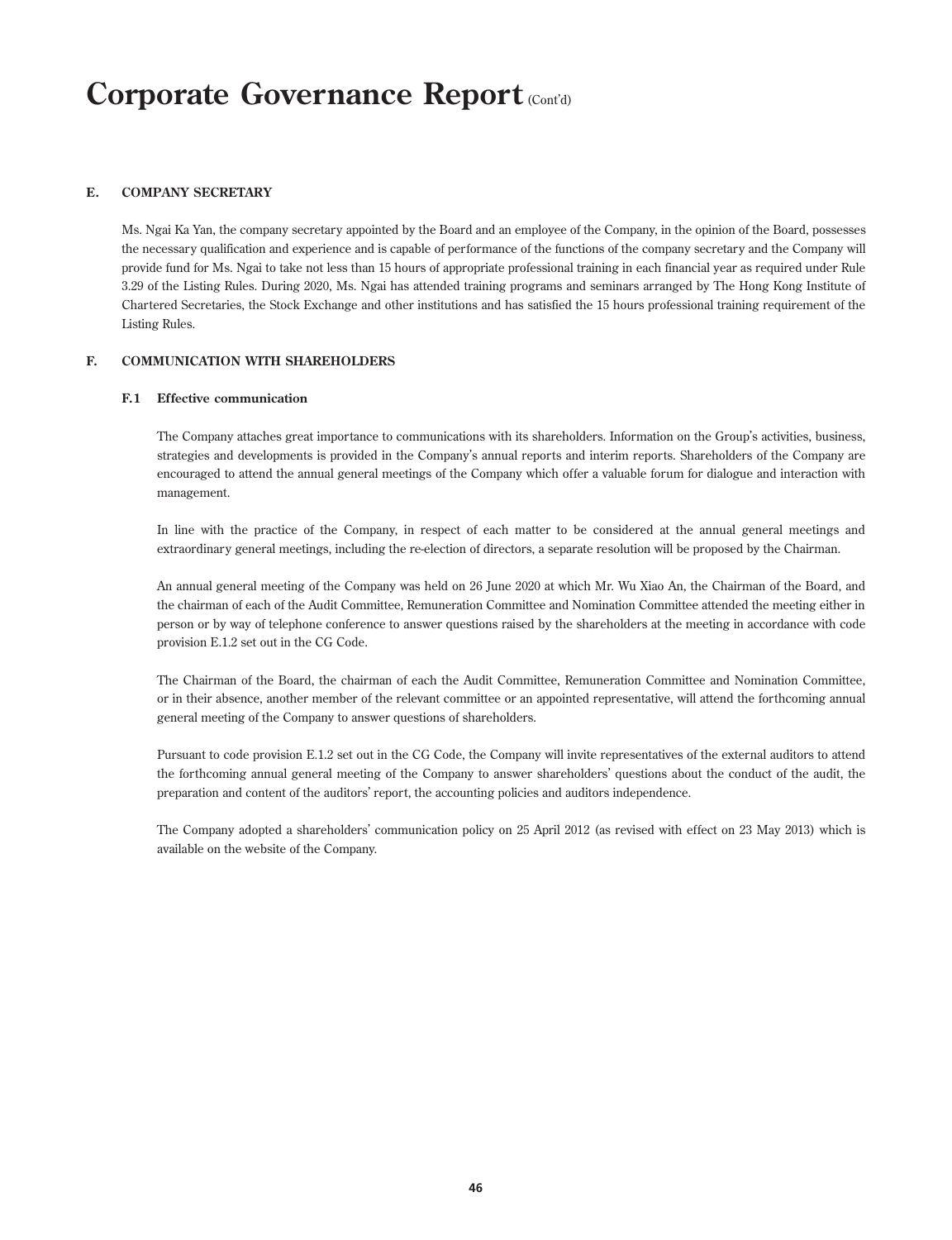# **E. COMPANY SECRETARY**

Ms. Ngai Ka Yan, the company secretary appointed by the Board and an employee of the Company, in the opinion of the Board, possesses the necessary qualification and experience and is capable of performance of the functions of the company secretary and the Company will provide fund for Ms. Ngai to take not less than 15 hours of appropriate professional training in each financial year as required under Rule 3.29 of the Listing Rules. During 2020, Ms. Ngai has attended training programs and seminars arranged by The Hong Kong Institute of Chartered Secretaries, the Stock Exchange and other institutions and has satisfied the 15 hours professional training requirement of the Listing Rules.

# **F. COMMUNICATION WITH SHAREHOLDERS**

### **F.1 Effective communication**

The Company attaches great importance to communications with its shareholders. Information on the Group's activities, business, strategies and developments is provided in the Company's annual reports and interim reports. Shareholders of the Company are encouraged to attend the annual general meetings of the Company which offer a valuable forum for dialogue and interaction with management.

In line with the practice of the Company, in respect of each matter to be considered at the annual general meetings and extraordinary general meetings, including the re-election of directors, a separate resolution will be proposed by the Chairman.

An annual general meeting of the Company was held on 26 June 2020 at which Mr. Wu Xiao An, the Chairman of the Board, and the chairman of each of the Audit Committee, Remuneration Committee and Nomination Committee attended the meeting either in person or by way of telephone conference to answer questions raised by the shareholders at the meeting in accordance with code provision E.1.2 set out in the CG Code.

The Chairman of the Board, the chairman of each the Audit Committee, Remuneration Committee and Nomination Committee, or in their absence, another member of the relevant committee or an appointed representative, will attend the forthcoming annual general meeting of the Company to answer questions of shareholders.

Pursuant to code provision E.1.2 set out in the CG Code, the Company will invite representatives of the external auditors to attend the forthcoming annual general meeting of the Company to answer shareholders' questions about the conduct of the audit, the preparation and content of the auditors' report, the accounting policies and auditors independence.

The Company adopted a shareholders' communication policy on 25 April 2012 (as revised with effect on 23 May 2013) which is available on the website of the Company.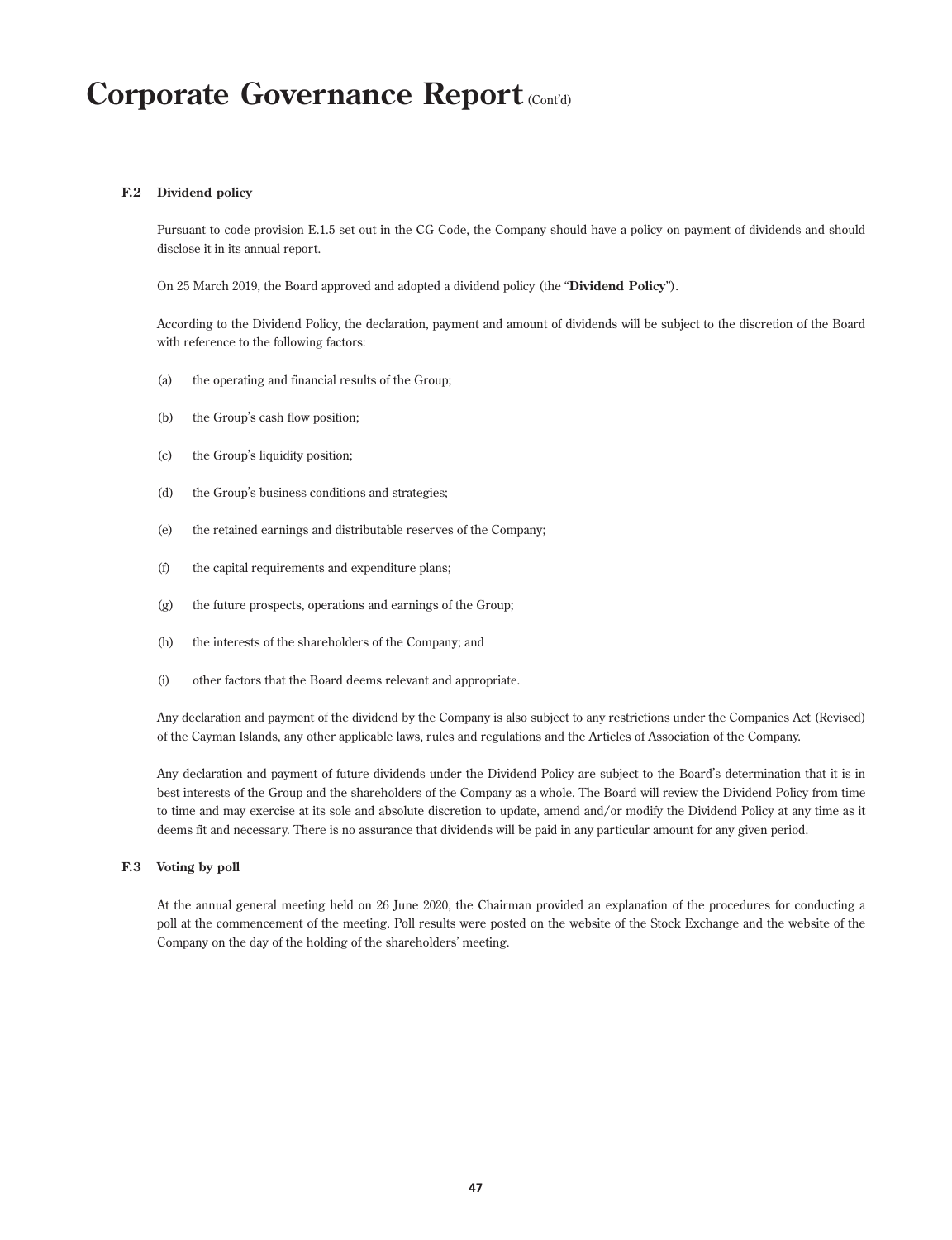### **F.2 Dividend policy**

Pursuant to code provision E.1.5 set out in the CG Code, the Company should have a policy on payment of dividends and should disclose it in its annual report.

On 25 March 2019, the Board approved and adopted a dividend policy (the "**Dividend Policy**").

According to the Dividend Policy, the declaration, payment and amount of dividends will be subject to the discretion of the Board with reference to the following factors:

- (a) the operating and financial results of the Group;
- (b) the Group's cash flow position;
- (c) the Group's liquidity position;
- (d) the Group's business conditions and strategies;
- (e) the retained earnings and distributable reserves of the Company;
- (f) the capital requirements and expenditure plans;
- (g) the future prospects, operations and earnings of the Group;
- (h) the interests of the shareholders of the Company; and
- (i) other factors that the Board deems relevant and appropriate.

Any declaration and payment of the dividend by the Company is also subject to any restrictions under the Companies Act (Revised) of the Cayman Islands, any other applicable laws, rules and regulations and the Articles of Association of the Company.

Any declaration and payment of future dividends under the Dividend Policy are subject to the Board's determination that it is in best interests of the Group and the shareholders of the Company as a whole. The Board will review the Dividend Policy from time to time and may exercise at its sole and absolute discretion to update, amend and/or modify the Dividend Policy at any time as it deems fit and necessary. There is no assurance that dividends will be paid in any particular amount for any given period.

### **F.3 Voting by poll**

At the annual general meeting held on 26 June 2020, the Chairman provided an explanation of the procedures for conducting a poll at the commencement of the meeting. Poll results were posted on the website of the Stock Exchange and the website of the Company on the day of the holding of the shareholders' meeting.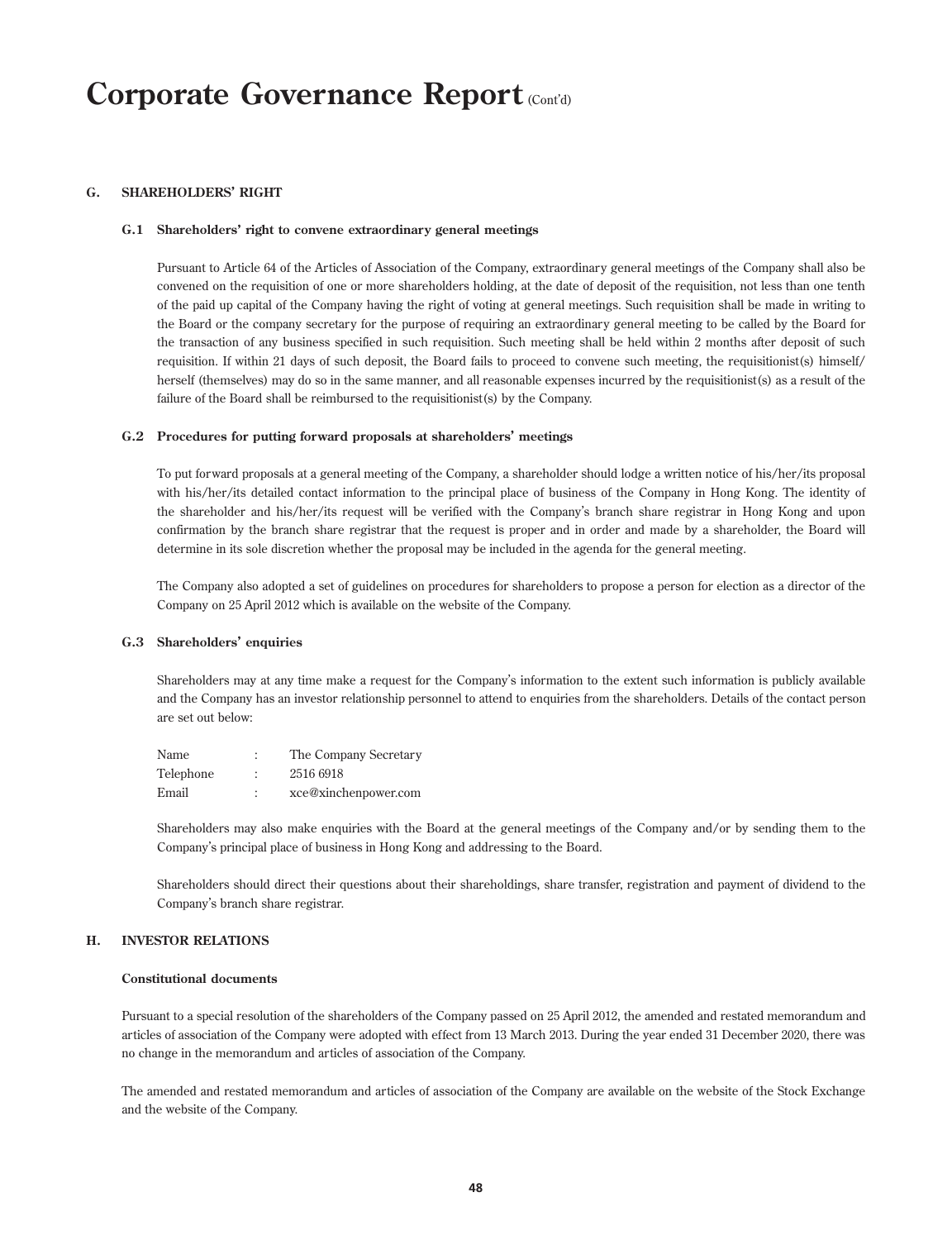### **G. SHAREHOLDERS' RIGHT**

#### **G.1 Shareholders' right to convene extraordinary general meetings**

Pursuant to Article 64 of the Articles of Association of the Company, extraordinary general meetings of the Company shall also be convened on the requisition of one or more shareholders holding, at the date of deposit of the requisition, not less than one tenth of the paid up capital of the Company having the right of voting at general meetings. Such requisition shall be made in writing to the Board or the company secretary for the purpose of requiring an extraordinary general meeting to be called by the Board for the transaction of any business specified in such requisition. Such meeting shall be held within 2 months after deposit of such requisition. If within 21 days of such deposit, the Board fails to proceed to convene such meeting, the requisitionist(s) himself/ herself (themselves) may do so in the same manner, and all reasonable expenses incurred by the requisitionist(s) as a result of the failure of the Board shall be reimbursed to the requisitionist(s) by the Company.

#### **G.2 Procedures for putting forward proposals at shareholders' meetings**

To put forward proposals at a general meeting of the Company, a shareholder should lodge a written notice of his/her/its proposal with his/her/its detailed contact information to the principal place of business of the Company in Hong Kong. The identity of the shareholder and his/her/its request will be verified with the Company's branch share registrar in Hong Kong and upon confirmation by the branch share registrar that the request is proper and in order and made by a shareholder, the Board will determine in its sole discretion whether the proposal may be included in the agenda for the general meeting.

The Company also adopted a set of guidelines on procedures for shareholders to propose a person for election as a director of the Company on 25 April 2012 which is available on the website of the Company.

#### **G.3 Shareholders' enquiries**

Shareholders may at any time make a request for the Company's information to the extent such information is publicly available and the Company has an investor relationship personnel to attend to enquiries from the shareholders. Details of the contact person are set out below:

| Name      | The Company Secretary |
|-----------|-----------------------|
| Telephone | 2516 6918             |
| Email     | xce@xinchenpower.com  |

Shareholders may also make enquiries with the Board at the general meetings of the Company and/or by sending them to the Company's principal place of business in Hong Kong and addressing to the Board.

Shareholders should direct their questions about their shareholdings, share transfer, registration and payment of dividend to the Company's branch share registrar.

### **H. INVESTOR RELATIONS**

### **Constitutional documents**

Pursuant to a special resolution of the shareholders of the Company passed on 25 April 2012, the amended and restated memorandum and articles of association of the Company were adopted with effect from 13 March 2013. During the year ended 31 December 2020, there was no change in the memorandum and articles of association of the Company.

The amended and restated memorandum and articles of association of the Company are available on the website of the Stock Exchange and the website of the Company.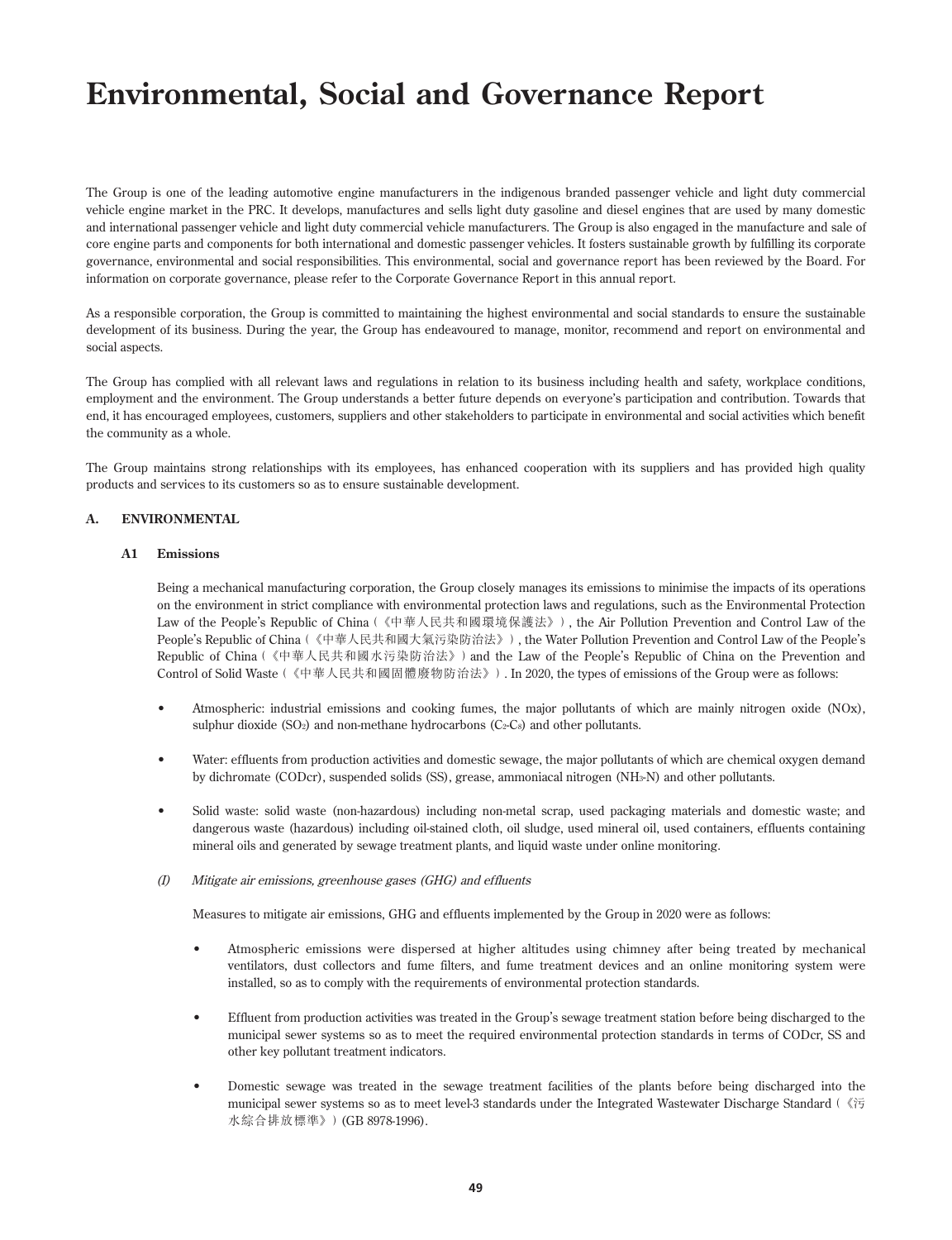The Group is one of the leading automotive engine manufacturers in the indigenous branded passenger vehicle and light duty commercial vehicle engine market in the PRC. It develops, manufactures and sells light duty gasoline and diesel engines that are used by many domestic and international passenger vehicle and light duty commercial vehicle manufacturers. The Group is also engaged in the manufacture and sale of core engine parts and components for both international and domestic passenger vehicles. It fosters sustainable growth by fulfilling its corporate governance, environmental and social responsibilities. This environmental, social and governance report has been reviewed by the Board. For information on corporate governance, please refer to the Corporate Governance Report in this annual report.

As a responsible corporation, the Group is committed to maintaining the highest environmental and social standards to ensure the sustainable development of its business. During the year, the Group has endeavoured to manage, monitor, recommend and report on environmental and social aspects.

The Group has complied with all relevant laws and regulations in relation to its business including health and safety, workplace conditions, employment and the environment. The Group understands a better future depends on everyone's participation and contribution. Towards that end, it has encouraged employees, customers, suppliers and other stakeholders to participate in environmental and social activities which benefit the community as a whole.

The Group maintains strong relationships with its employees, has enhanced cooperation with its suppliers and has provided high quality products and services to its customers so as to ensure sustainable development.

### **A. ENVIRONMENTAL**

### **A1 Emissions**

Being a mechanical manufacturing corporation, the Group closely manages its emissions to minimise the impacts of its operations on the environment in strict compliance with environmental protection laws and regulations, such as the Environmental Protection Law of the People's Republic of China(《中華人民共和國環境保護法》), the Air Pollution Prevention and Control Law of the People's Republic of China(《中華人民共和國大氣污染防治法》), the Water Pollution Prevention and Control Law of the People's Republic of China(《中華人民共和國水污染防治法》)and the Law of the People's Republic of China on the Prevention and Control of Solid Waste(《中華人民共和國固體廢物防治法》). In 2020, the types of emissions of the Group were as follows:

- Atmospheric: industrial emissions and cooking fumes, the major pollutants of which are mainly nitrogen oxide (NOx), sulphur dioxide (SO<sub>2</sub>) and non-methane hydrocarbons (C<sub>2</sub>-C<sub>8</sub>) and other pollutants.
- Water: effluents from production activities and domestic sewage, the major pollutants of which are chemical oxygen demand by dichromate (CODcr), suspended solids (SS), grease, ammoniacal nitrogen (NH3-N) and other pollutants.
- Solid waste: solid waste (non-hazardous) including non-metal scrap, used packaging materials and domestic waste; and dangerous waste (hazardous) including oil-stained cloth, oil sludge, used mineral oil, used containers, effluents containing mineral oils and generated by sewage treatment plants, and liquid waste under online monitoring.
- (I) Mitigate air emissions, greenhouse gases (GHG) and effluents

Measures to mitigate air emissions, GHG and effluents implemented by the Group in 2020 were as follows:

- Atmospheric emissions were dispersed at higher altitudes using chimney after being treated by mechanical ventilators, dust collectors and fume filters, and fume treatment devices and an online monitoring system were installed, so as to comply with the requirements of environmental protection standards.
- Effluent from production activities was treated in the Group's sewage treatment station before being discharged to the municipal sewer systems so as to meet the required environmental protection standards in terms of CODcr, SS and other key pollutant treatment indicators.
- Domestic sewage was treated in the sewage treatment facilities of the plants before being discharged into the municipal sewer systems so as to meet level-3 standards under the Integrated Wastewater Discharge Standard (《污 水綜合排放標準》)(GB 8978-1996).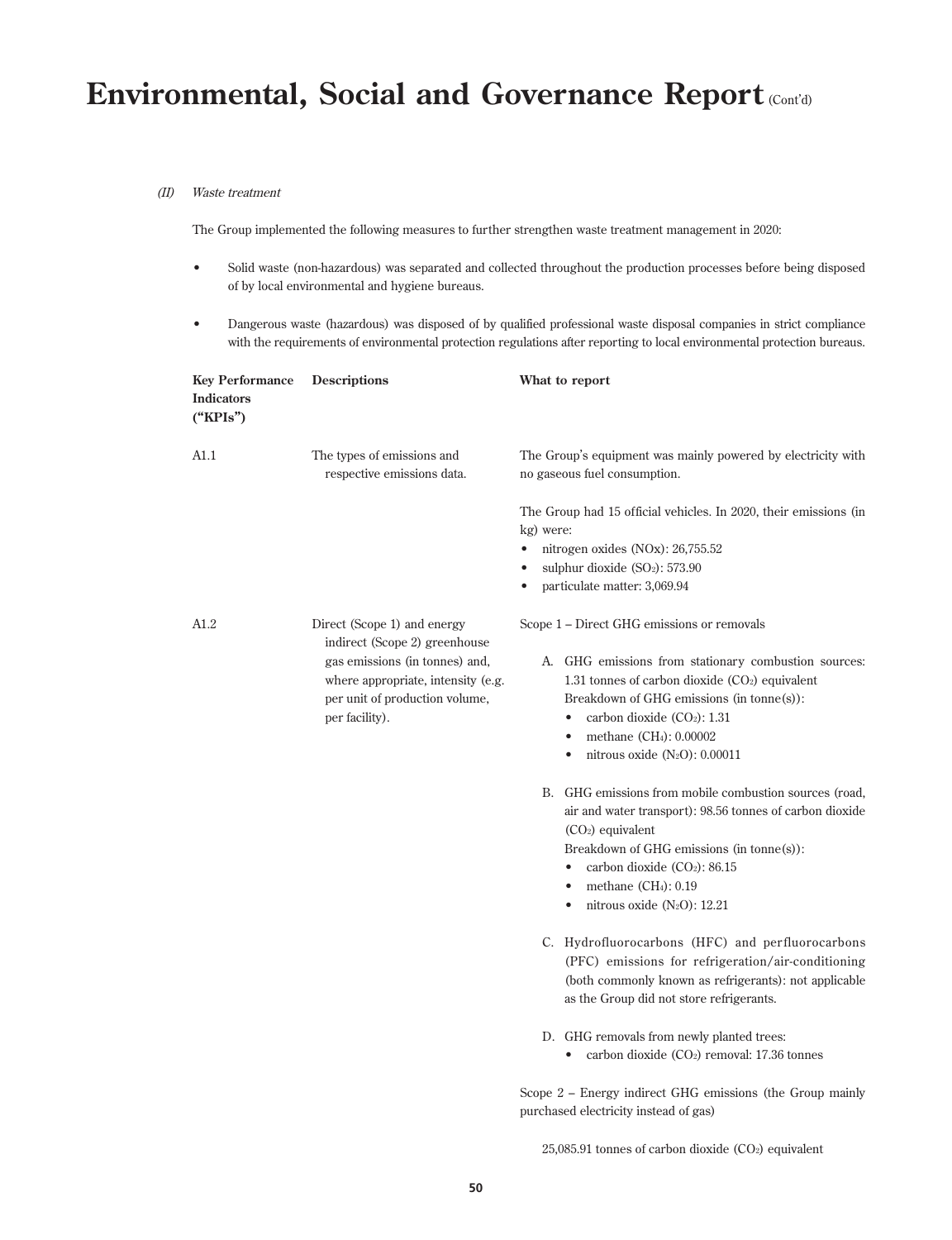### (II) Waste treatment

The Group implemented the following measures to further strengthen waste treatment management in 2020:

- Solid waste (non-hazardous) was separated and collected throughout the production processes before being disposed of by local environmental and hygiene bureaus.
- Dangerous waste (hazardous) was disposed of by qualified professional waste disposal companies in strict compliance with the requirements of environmental protection regulations after reporting to local environmental protection bureaus.

| <b>Key Performance</b><br><b>Indicators</b><br>("KPIs") | <b>Descriptions</b>                                                                                                                                                                      | What to report                                                                                                                                                                                                                                                                                                                    |
|---------------------------------------------------------|------------------------------------------------------------------------------------------------------------------------------------------------------------------------------------------|-----------------------------------------------------------------------------------------------------------------------------------------------------------------------------------------------------------------------------------------------------------------------------------------------------------------------------------|
| A1.1                                                    | The types of emissions and<br>respective emissions data.                                                                                                                                 | The Group's equipment was mainly powered by electricity with<br>no gaseous fuel consumption.                                                                                                                                                                                                                                      |
|                                                         |                                                                                                                                                                                          | The Group had 15 official vehicles. In 2020, their emissions (in<br>kg) were:<br>nitrogen oxides $(NOx)$ : 26,755.52<br>sulphur dioxide $(SO2)$ : 573.90<br>particulate matter: 3,069.94<br>٠                                                                                                                                     |
| A1.2                                                    | Direct (Scope 1) and energy<br>indirect (Scope 2) greenhouse<br>gas emissions (in tonnes) and,<br>where appropriate, intensity (e.g.<br>per unit of production volume,<br>per facility). | Scope 1 – Direct GHG emissions or removals<br>A. GHG emissions from stationary combustion sources:<br>1.31 tonnes of carbon dioxide $(CO2)$ equivalent<br>Breakdown of GHG emissions (in tonne(s)):<br>carbon dioxide $(CO2)$ : 1.31<br>methane (CH <sub>4</sub> ): 0.00002<br>$\bullet$<br>nitrous oxide $(N_2O)$ : 0.00011<br>٠ |
|                                                         |                                                                                                                                                                                          | B. GHG emissions from mobile combustion sources (road,<br>air and water transport): 98.56 tonnes of carbon dioxide<br>$(CO2)$ equivalent<br>Breakdown of GHG emissions (in tonne(s)):<br>carbon dioxide $(CO2)$ : 86.15<br>methane $(CH4)$ : 0.19<br>nitrous oxide $(N_2O)$ : 12.21                                               |
|                                                         |                                                                                                                                                                                          | C. Hydrofluorocarbons (HFC) and perfluorocarbons<br>(PFC) emissions for refrigeration/air-conditioning<br>(both commonly known as refrigerants): not applicable<br>as the Group did not store refrigerants.                                                                                                                       |
|                                                         |                                                                                                                                                                                          | D. GHG removals from newly planted trees:<br>carbon dioxide $(CO2)$ removal: 17.36 tonnes<br>$\bullet$                                                                                                                                                                                                                            |
|                                                         |                                                                                                                                                                                          | Scope 2 – Energy indirect GHG emissions (the Group mainly<br>purchased electricity instead of gas)                                                                                                                                                                                                                                |
|                                                         |                                                                                                                                                                                          | $25,085.91$ tonnes of carbon dioxide (CO <sub>2</sub> ) equivalent                                                                                                                                                                                                                                                                |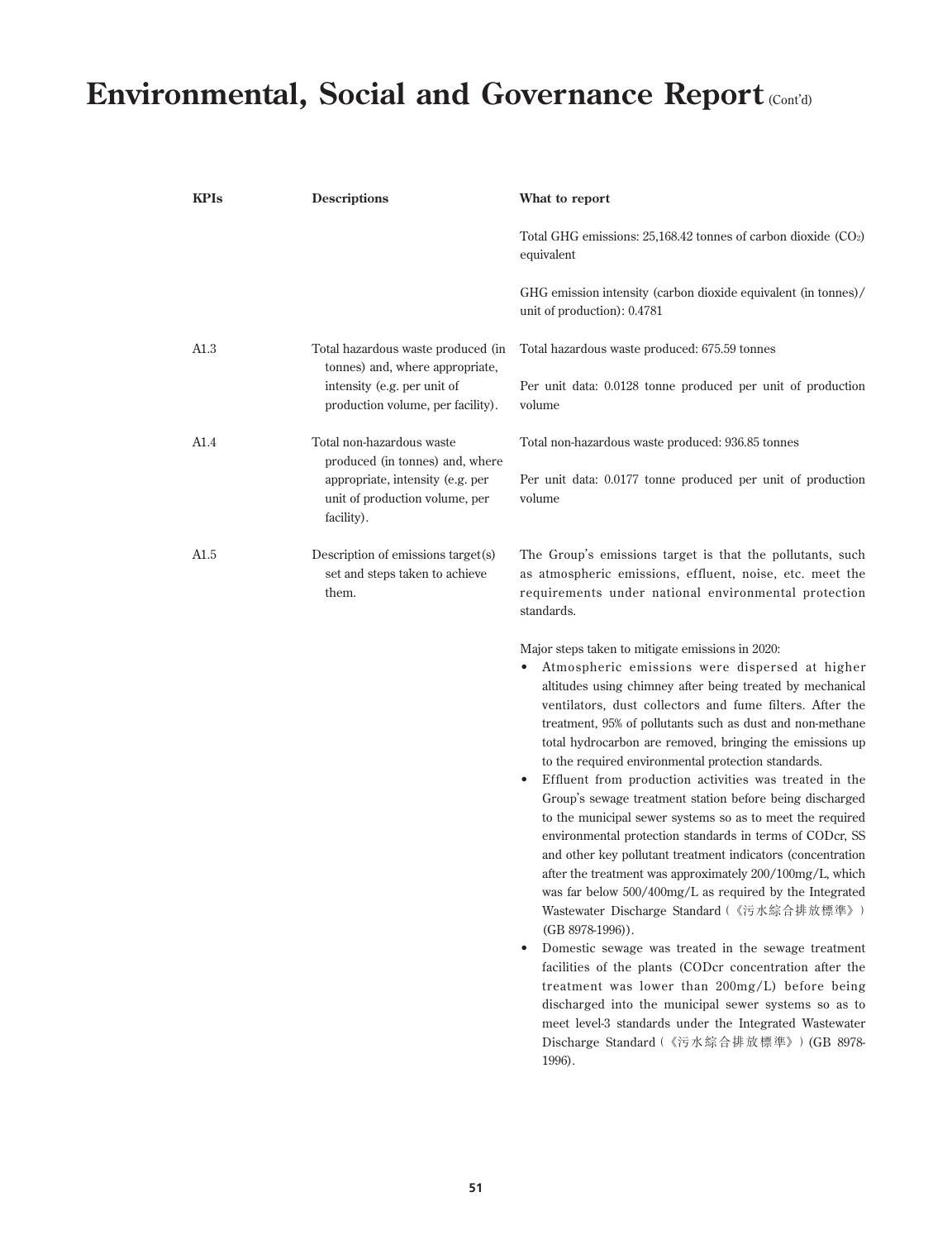| <b>KPIs</b> | <b>Descriptions</b>                                                              | What to report                                                                                                                                                                                                                                                                                                                                                                                                                                                                                                                                                                                                                                                                                                                                                                                                                                                                                                                                                                                                                                                                                                                                                                                                                                                                                   |
|-------------|----------------------------------------------------------------------------------|--------------------------------------------------------------------------------------------------------------------------------------------------------------------------------------------------------------------------------------------------------------------------------------------------------------------------------------------------------------------------------------------------------------------------------------------------------------------------------------------------------------------------------------------------------------------------------------------------------------------------------------------------------------------------------------------------------------------------------------------------------------------------------------------------------------------------------------------------------------------------------------------------------------------------------------------------------------------------------------------------------------------------------------------------------------------------------------------------------------------------------------------------------------------------------------------------------------------------------------------------------------------------------------------------|
|             |                                                                                  | Total GHG emissions: $25,168.42$ tonnes of carbon dioxide $(CO2)$<br>equivalent                                                                                                                                                                                                                                                                                                                                                                                                                                                                                                                                                                                                                                                                                                                                                                                                                                                                                                                                                                                                                                                                                                                                                                                                                  |
|             |                                                                                  | GHG emission intensity (carbon dioxide equivalent (in tonnes)/<br>unit of production): 0.4781                                                                                                                                                                                                                                                                                                                                                                                                                                                                                                                                                                                                                                                                                                                                                                                                                                                                                                                                                                                                                                                                                                                                                                                                    |
| A1.3        | Total hazardous waste produced (in<br>tonnes) and, where appropriate,            | Total hazardous waste produced: 675.59 tonnes                                                                                                                                                                                                                                                                                                                                                                                                                                                                                                                                                                                                                                                                                                                                                                                                                                                                                                                                                                                                                                                                                                                                                                                                                                                    |
|             | intensity (e.g. per unit of<br>production volume, per facility).                 | Per unit data: 0.0128 tonne produced per unit of production<br>volume                                                                                                                                                                                                                                                                                                                                                                                                                                                                                                                                                                                                                                                                                                                                                                                                                                                                                                                                                                                                                                                                                                                                                                                                                            |
| A1.4        | Total non-hazardous waste<br>produced (in tonnes) and, where                     | Total non-hazardous waste produced: 936.85 tonnes                                                                                                                                                                                                                                                                                                                                                                                                                                                                                                                                                                                                                                                                                                                                                                                                                                                                                                                                                                                                                                                                                                                                                                                                                                                |
|             | appropriate, intensity (e.g. per<br>unit of production volume, per<br>facility). | Per unit data: 0.0177 tonne produced per unit of production<br>volume                                                                                                                                                                                                                                                                                                                                                                                                                                                                                                                                                                                                                                                                                                                                                                                                                                                                                                                                                                                                                                                                                                                                                                                                                            |
| A1.5        | Description of emissions target(s)<br>set and steps taken to achieve<br>them.    | The Group's emissions target is that the pollutants, such<br>as atmospheric emissions, effluent, noise, etc. meet the<br>requirements under national environmental protection<br>standards.                                                                                                                                                                                                                                                                                                                                                                                                                                                                                                                                                                                                                                                                                                                                                                                                                                                                                                                                                                                                                                                                                                      |
|             |                                                                                  | Major steps taken to mitigate emissions in 2020:<br>Atmospheric emissions were dispersed at higher<br>٠<br>altitudes using chimney after being treated by mechanical<br>ventilators, dust collectors and fume filters. After the<br>treatment, 95% of pollutants such as dust and non-methane<br>total hydrocarbon are removed, bringing the emissions up<br>to the required environmental protection standards.<br>Effluent from production activities was treated in the<br>$\bullet$<br>Group's sewage treatment station before being discharged<br>to the municipal sewer systems so as to meet the required<br>environmental protection standards in terms of CODcr, SS<br>and other key pollutant treatment indicators (concentration<br>after the treatment was approximately 200/100mg/L, which<br>was far below 500/400mg/L as required by the Integrated<br>Wastewater Discharge Standard (《污水綜合排放標準》)<br>$(GB 8978-1996)$ .<br>Domestic sewage was treated in the sewage treatment<br>$\bullet$<br>facilities of the plants (CODcr concentration after the<br>treatment was lower than 200mg/L) before being<br>discharged into the municipal sewer systems so as to<br>meet level-3 standards under the Integrated Wastewater<br>Discharge Standard (《污水綜合排放標準》) (GB 8978-<br>1996). |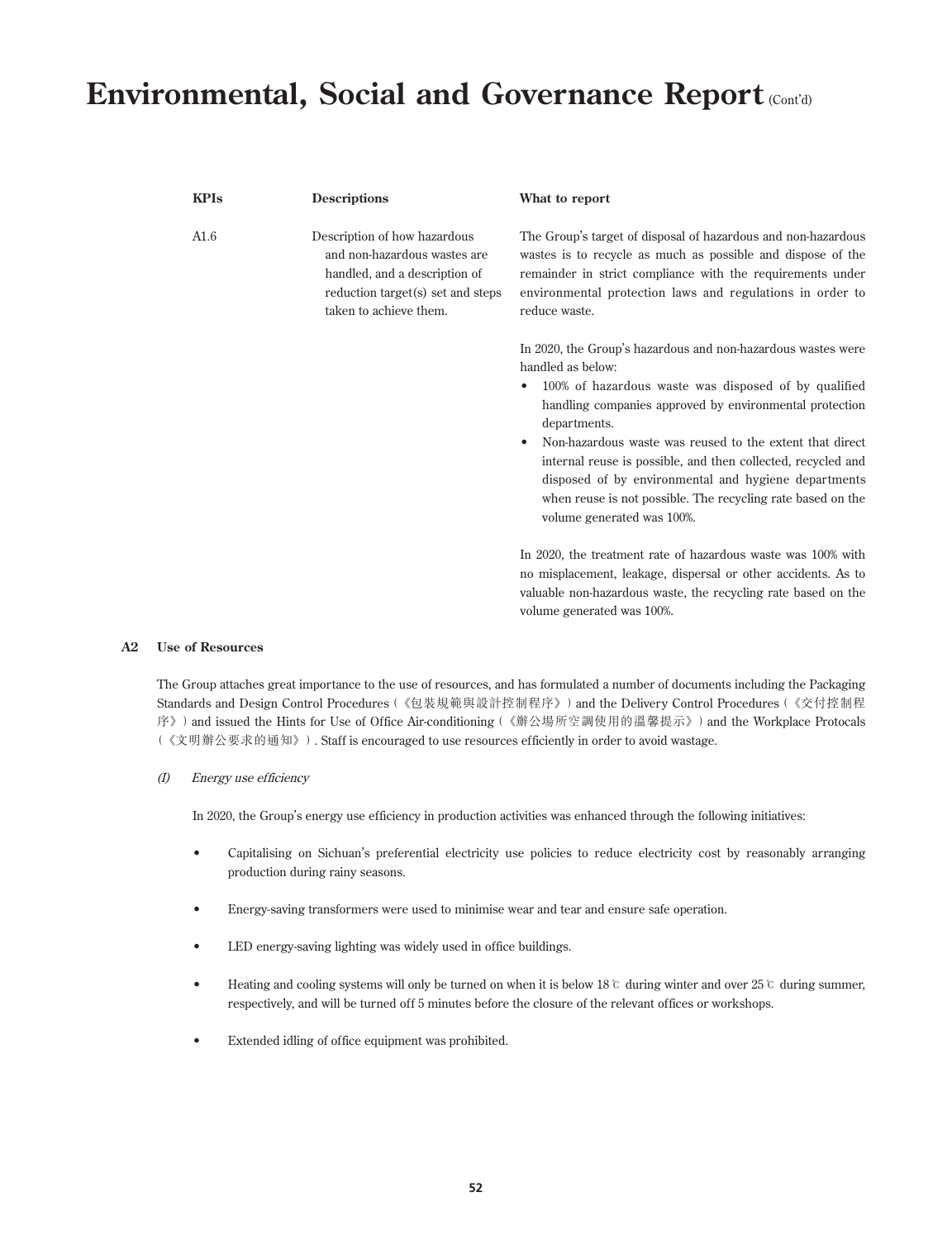| <b>KPIs</b> | <b>Descriptions</b>                                                                                                                                           | What to report                                                                                                                                                                                                                                                                                                                                                                                                                                                                                                     |
|-------------|---------------------------------------------------------------------------------------------------------------------------------------------------------------|--------------------------------------------------------------------------------------------------------------------------------------------------------------------------------------------------------------------------------------------------------------------------------------------------------------------------------------------------------------------------------------------------------------------------------------------------------------------------------------------------------------------|
| A1.6        | Description of how hazardous<br>and non-hazardous wastes are<br>handled, and a description of<br>reduction target (s) set and steps<br>taken to achieve them. | The Group's target of disposal of hazardous and non-hazardous<br>wastes is to recycle as much as possible and dispose of the<br>remainder in strict compliance with the requirements under<br>environmental protection laws and regulations in order to<br>reduce waste.                                                                                                                                                                                                                                           |
|             |                                                                                                                                                               | In 2020, the Group's hazardous and non-hazardous wastes were<br>handled as below:<br>100% of hazardous waste was disposed of by qualified<br>$\bullet$<br>handling companies approved by environmental protection<br>departments.<br>Non-hazardous waste was reused to the extent that direct<br>internal reuse is possible, and then collected, recycled and<br>disposed of by environmental and hygiene departments<br>when reuse is not possible. The recycling rate based on the<br>volume generated was 100%. |
|             |                                                                                                                                                               | In 2020, the treatment rate of hazardous waste was 100% with<br>no misplacement, leakage, dispersal or other accidents. As to<br>valuable non-hazardous waste, the recycling rate based on the                                                                                                                                                                                                                                                                                                                     |

#### **A2 Use of Resources**

The Group attaches great importance to the use of resources, and has formulated a number of documents including the Packaging Standards and Design Control Procedures(《包裝規範與設計控制程序》)and the Delivery Control Procedures(《交付控制程 序》)and issued the Hints for Use of Office Air-conditioning(《辦公場所空調使用的溫馨提示》)and the Workplace Protocals (《文明辦公要求的通知》). Staff is encouraged to use resources efficiently in order to avoid wastage.

volume generated was 100%.

### (I) Energy use efficiency

In 2020, the Group's energy use efficiency in production activities was enhanced through the following initiatives:

- Capitalising on Sichuan's preferential electricity use policies to reduce electricity cost by reasonably arranging production during rainy seasons.
- Energy-saving transformers were used to minimise wear and tear and ensure safe operation.
- LED energy-saving lighting was widely used in office buildings.
- Heating and cooling systems will only be turned on when it is below 18 ℃ during winter and over 25 ℃ during summer, respectively, and will be turned off 5 minutes before the closure of the relevant offices or workshops.
- Extended idling of office equipment was prohibited.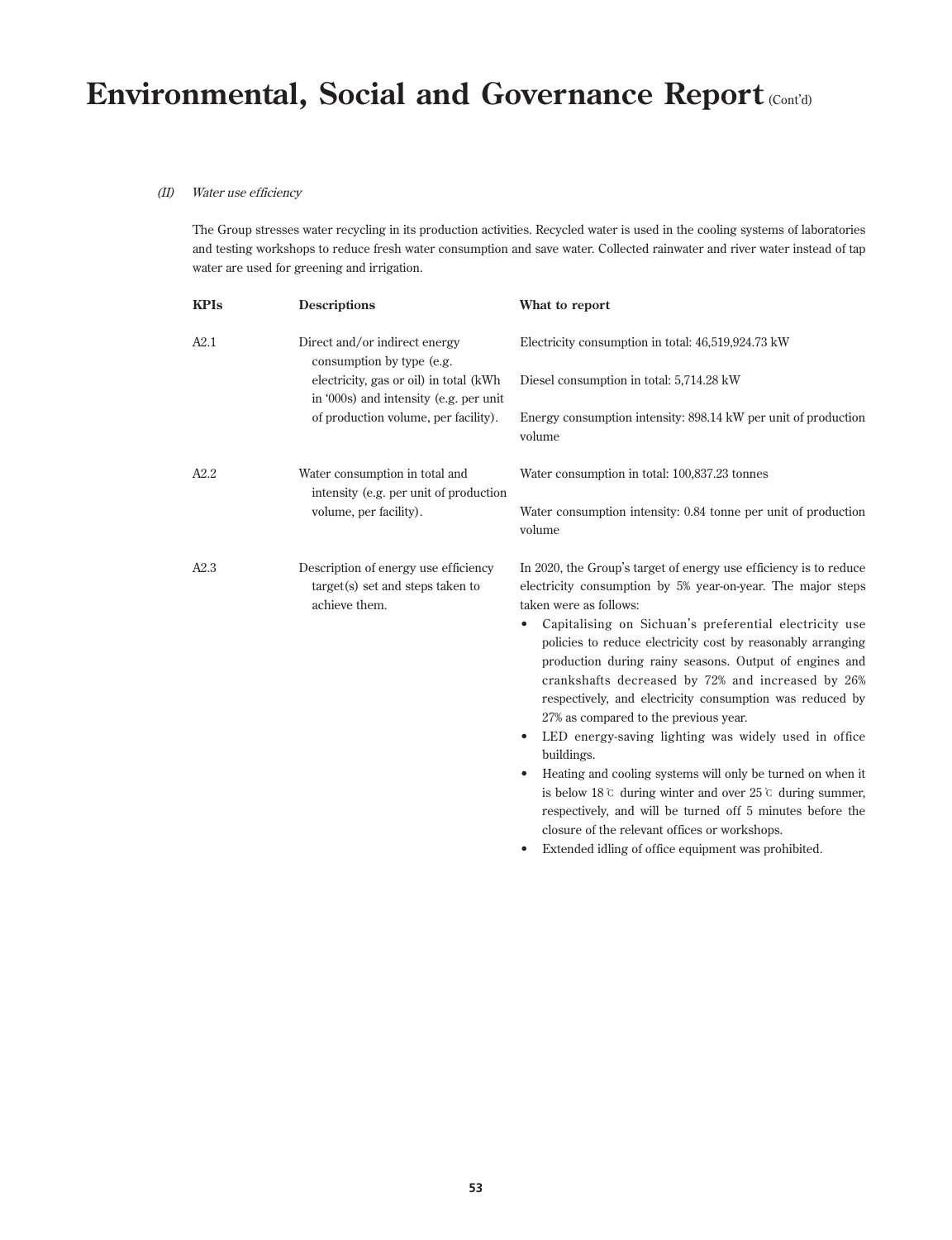# (II) Water use efficiency

The Group stresses water recycling in its production activities. Recycled water is used in the cooling systems of laboratories and testing workshops to reduce fresh water consumption and save water. Collected rainwater and river water instead of tap water are used for greening and irrigation.

| <b>KPIs</b>            | <b>Descriptions</b>                                                                         | What to report                                                                                                                                                                                                                                                                                        |
|------------------------|---------------------------------------------------------------------------------------------|-------------------------------------------------------------------------------------------------------------------------------------------------------------------------------------------------------------------------------------------------------------------------------------------------------|
| A2.1                   | Direct and/or indirect energy<br>consumption by type (e.g.                                  | Electricity consumption in total: 46,519,924.73 kW                                                                                                                                                                                                                                                    |
|                        | electricity, gas or oil) in total (kWh<br>in '000s) and intensity (e.g. per unit            | Diesel consumption in total: 5,714.28 kW                                                                                                                                                                                                                                                              |
|                        | of production volume, per facility).                                                        | Energy consumption intensity: 898.14 kW per unit of production<br>volume                                                                                                                                                                                                                              |
| A2.2                   | Water consumption in total and<br>intensity (e.g. per unit of production                    | Water consumption in total: 100,837.23 tonnes                                                                                                                                                                                                                                                         |
| volume, per facility). | Water consumption intensity: 0.84 tonne per unit of production<br>volume                    |                                                                                                                                                                                                                                                                                                       |
| A2.3                   | Description of energy use efficiency<br>$target(s)$ set and steps taken to<br>achieve them. | In 2020, the Group's target of energy use efficiency is to reduce<br>electricity consumption by 5% year-on-year. The major steps<br>taken were as follows:                                                                                                                                            |
|                        |                                                                                             | Capitalising on Sichuan's preferential electricity use<br>٠<br>policies to reduce electricity cost by reasonably arranging<br>production during rainy seasons. Output of engines and<br>crankshafts decreased by 72% and increased by 26%<br>respectively, and electricity consumption was reduced by |
|                        |                                                                                             | 27% as compared to the previous year.                                                                                                                                                                                                                                                                 |
|                        |                                                                                             | LED energy-saving lighting was widely used in office<br>$\bullet$<br>buildings.                                                                                                                                                                                                                       |
|                        |                                                                                             | Heating and cooling systems will only be turned on when it<br>٠                                                                                                                                                                                                                                       |
|                        |                                                                                             | is below 18 $\degree$ during winter and over 25 $\degree$ during summer,<br>respectively, and will be turned off 5 minutes before the                                                                                                                                                                 |
|                        |                                                                                             | closure of the relevant offices or workshops.                                                                                                                                                                                                                                                         |

• Extended idling of office equipment was prohibited.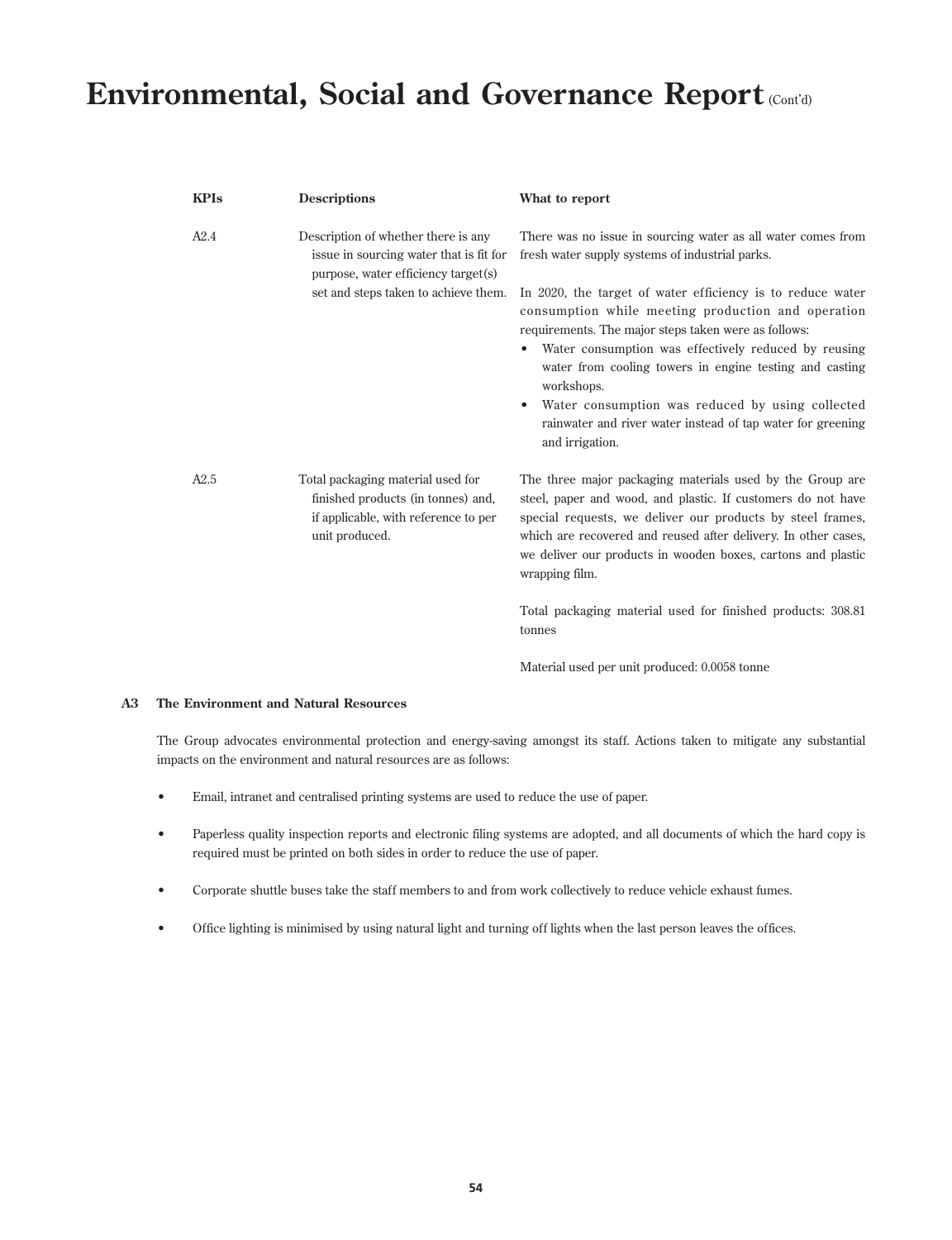| <b>KPIs</b> | <b>Descriptions</b>                                                                                                               | What to report                                                                                                                                                                                                                                                                                                                              |
|-------------|-----------------------------------------------------------------------------------------------------------------------------------|---------------------------------------------------------------------------------------------------------------------------------------------------------------------------------------------------------------------------------------------------------------------------------------------------------------------------------------------|
| A2.4        | Description of whether there is any<br>issue in sourcing water that is fit for<br>purpose, water efficiency target(s)             | There was no issue in sourcing water as all water comes from<br>fresh water supply systems of industrial parks.                                                                                                                                                                                                                             |
|             | set and steps taken to achieve them.                                                                                              | In 2020, the target of water efficiency is to reduce water<br>consumption while meeting production and operation<br>requirements. The major steps taken were as follows:                                                                                                                                                                    |
|             |                                                                                                                                   | Water consumption was effectively reduced by reusing<br>٠<br>water from cooling towers in engine testing and casting<br>workshops.                                                                                                                                                                                                          |
|             |                                                                                                                                   | Water consumption was reduced by using collected<br>٠<br>rainwater and river water instead of tap water for greening<br>and irrigation.                                                                                                                                                                                                     |
| A2.5        | Total packaging material used for<br>finished products (in tonnes) and,<br>if applicable, with reference to per<br>unit produced. | The three major packaging materials used by the Group are<br>steel, paper and wood, and plastic. If customers do not have<br>special requests, we deliver our products by steel frames,<br>which are recovered and reused after delivery. In other cases,<br>we deliver our products in wooden boxes, cartons and plastic<br>wrapping film. |
|             |                                                                                                                                   | Total packaging material used for finished products: 308.81<br>tonnes                                                                                                                                                                                                                                                                       |

Material used per unit produced: 0.0058 tonne

### **A3 The Environment and Natural Resources**

The Group advocates environmental protection and energy-saving amongst its staff. Actions taken to mitigate any substantial impacts on the environment and natural resources are as follows:

- Email, intranet and centralised printing systems are used to reduce the use of paper.
- Paperless quality inspection reports and electronic filing systems are adopted, and all documents of which the hard copy is required must be printed on both sides in order to reduce the use of paper.
- Corporate shuttle buses take the staff members to and from work collectively to reduce vehicle exhaust fumes.
- Office lighting is minimised by using natural light and turning off lights when the last person leaves the offices.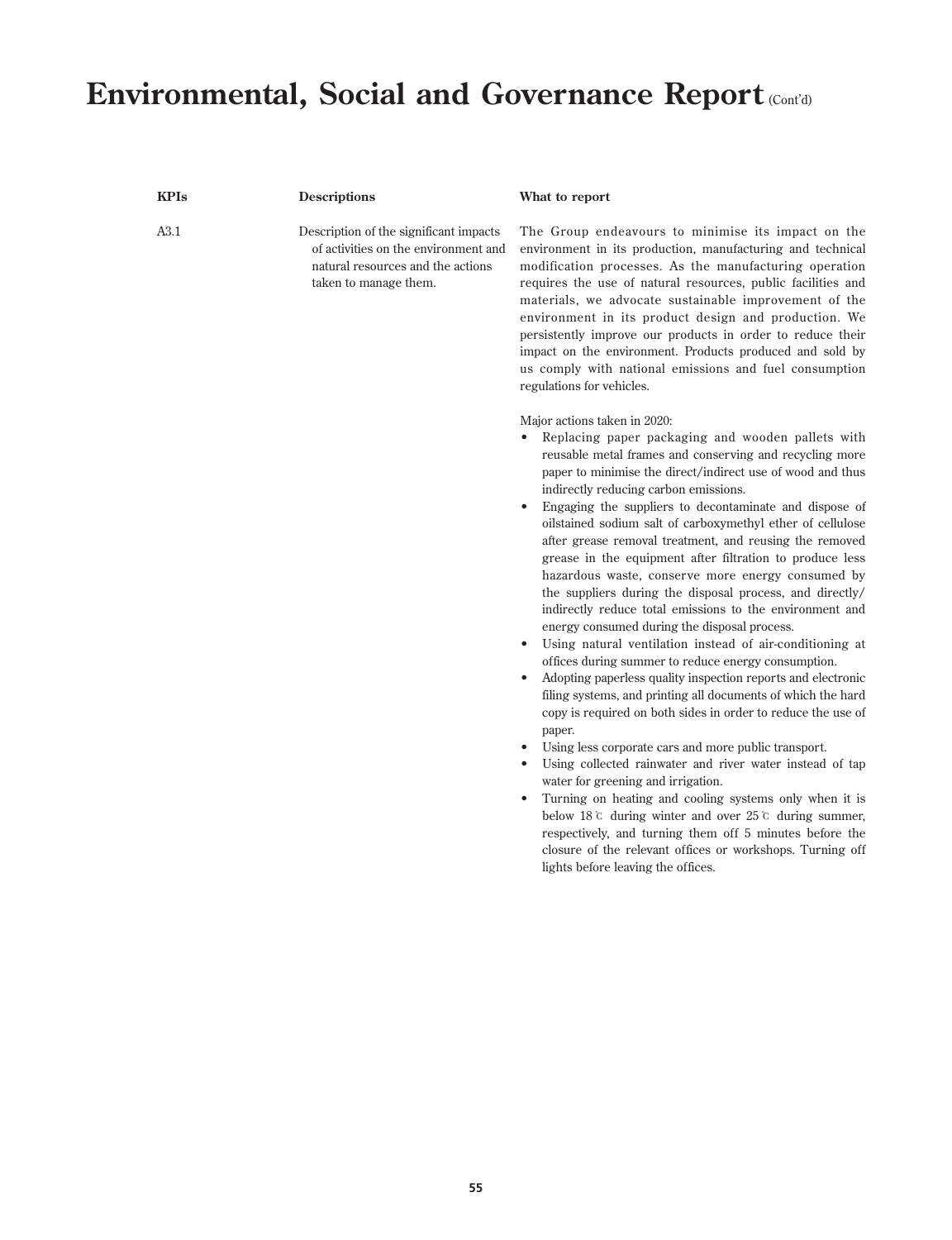| ۰,<br>۰ |
|---------|
|---------|

A3.1 Description of the significant impacts of activities on the environment and natural resources and the actions taken to manage them.

**KPIS What to report** 

The Group endeavours to minimise its impact on the environment in its production, manufacturing and technical modification processes. As the manufacturing operation requires the use of natural resources, public facilities and materials, we advocate sustainable improvement of the environment in its product design and production. We persistently improve our products in order to reduce their impact on the environment. Products produced and sold by us comply with national emissions and fuel consumption regulations for vehicles.

Major actions taken in 2020:

- Replacing paper packaging and wooden pallets with reusable metal frames and conserving and recycling more paper to minimise the direct/indirect use of wood and thus indirectly reducing carbon emissions.
- Engaging the suppliers to decontaminate and dispose of oilstained sodium salt of carboxymethyl ether of cellulose after grease removal treatment, and reusing the removed grease in the equipment after filtration to produce less hazardous waste, conserve more energy consumed by the suppliers during the disposal process, and directly/ indirectly reduce total emissions to the environment and energy consumed during the disposal process.
- Using natural ventilation instead of air-conditioning at offices during summer to reduce energy consumption.
- Adopting paperless quality inspection reports and electronic filing systems, and printing all documents of which the hard copy is required on both sides in order to reduce the use of paper.
- Using less corporate cars and more public transport.
- Using collected rainwater and river water instead of tap water for greening and irrigation.
- Turning on heating and cooling systems only when it is below 18℃ during winter and over 25℃ during summer, respectively, and turning them off 5 minutes before the closure of the relevant offices or workshops. Turning off lights before leaving the offices.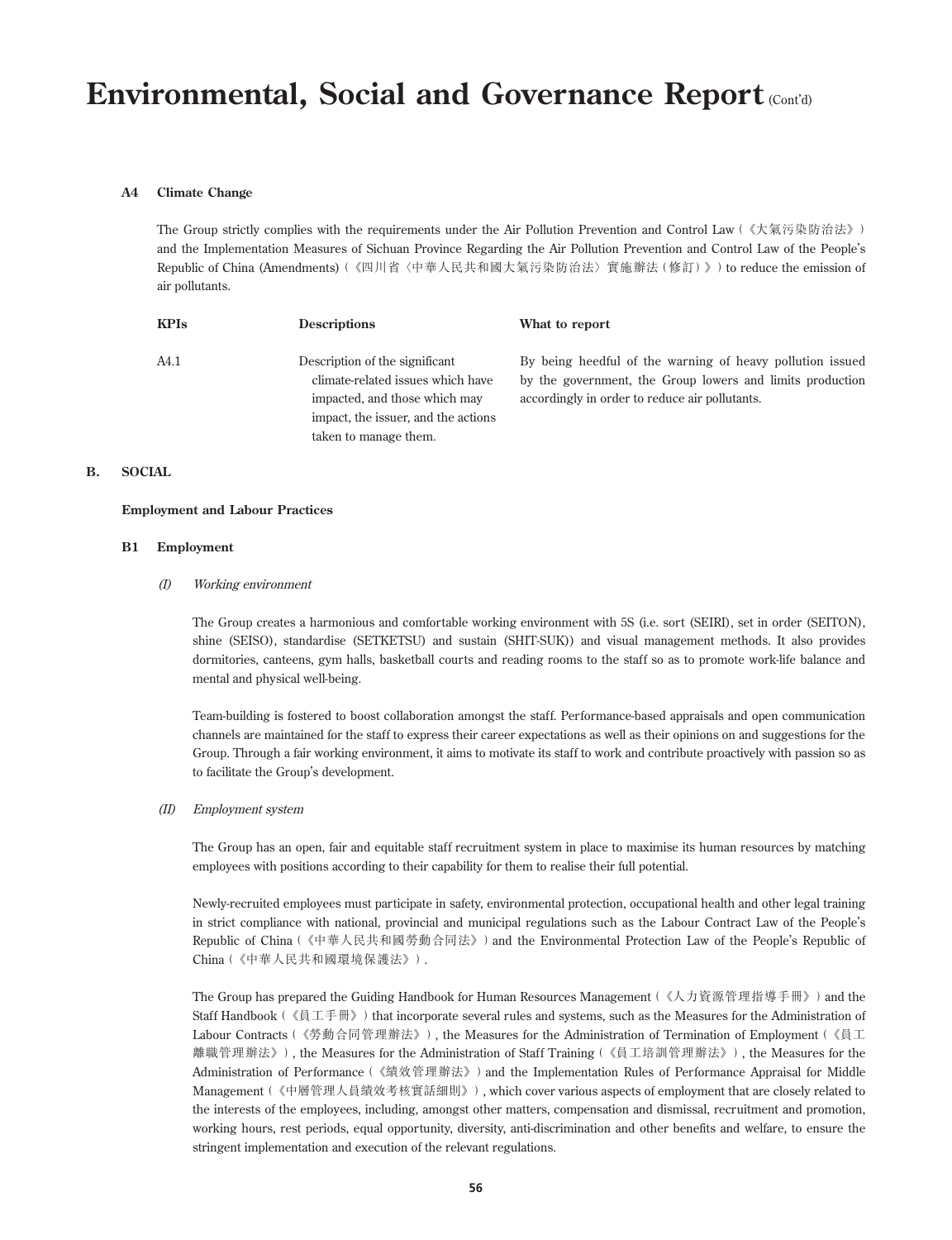### **A4 Climate Change**

The Group strictly complies with the requirements under the Air Pollution Prevention and Control Law(《大氣污染防治法》) and the Implementation Measures of Sichuan Province Regarding the Air Pollution Prevention and Control Law of the People's Republic of China (Amendments)(《四川省〈中華人民共和國大氣污染防治法〉實施辦法(修訂)》) to reduce the emission of air pollutants.

| KPIs | <b>Descriptions</b>                                                                                                                                                  | What to report                                                                                                                                                           |
|------|----------------------------------------------------------------------------------------------------------------------------------------------------------------------|--------------------------------------------------------------------------------------------------------------------------------------------------------------------------|
| A4.1 | Description of the significant<br>climate-related issues which have<br>impacted, and those which may<br>impact, the issuer, and the actions<br>taken to manage them. | By being heedful of the warning of heavy pollution issued<br>by the government, the Group lowers and limits production<br>accordingly in order to reduce air pollutants. |

#### **B. SOCIAL**

#### **Employment and Labour Practices**

### **B1 Employment**

#### (I) Working environment

The Group creates a harmonious and comfortable working environment with 5S (i.e. sort (SEIRI), set in order (SEITON), shine (SEISO), standardise (SETKETSU) and sustain (SHIT-SUK)) and visual management methods. It also provides dormitories, canteens, gym halls, basketball courts and reading rooms to the staff so as to promote work-life balance and mental and physical well-being.

Team-building is fostered to boost collaboration amongst the staff. Performance-based appraisals and open communication channels are maintained for the staff to express their career expectations as well as their opinions on and suggestions for the Group. Through a fair working environment, it aims to motivate its staff to work and contribute proactively with passion so as to facilitate the Group's development.

### (II) Employment system

The Group has an open, fair and equitable staff recruitment system in place to maximise its human resources by matching employees with positions according to their capability for them to realise their full potential.

Newly-recruited employees must participate in safety, environmental protection, occupational health and other legal training in strict compliance with national, provincial and municipal regulations such as the Labour Contract Law of the People's Republic of China(《中華人民共和國勞動合同法》)and the Environmental Protection Law of the People's Republic of China(《中華人民共和國環境保護法》).

The Group has prepared the Guiding Handbook for Human Resources Management (《人力資源管理指導手冊》) and the Staff Handbook (《員工手冊》) that incorporate several rules and systems, such as the Measures for the Administration of Labour Contracts (《勞動合同管理辦法》), the Measures for the Administration of Termination of Employment (《員工 離職管理辦法》), the Measures for the Administration of Staff Training(《員工培訓管理辦法》), the Measures for the Administration of Performance (《績效管理辦法》) and the Implementation Rules of Performance Appraisal for Middle Management(《中層管理人員績效考核實話細則》), which cover various aspects of employment that are closely related to the interests of the employees, including, amongst other matters, compensation and dismissal, recruitment and promotion, working hours, rest periods, equal opportunity, diversity, anti-discrimination and other benefits and welfare, to ensure the stringent implementation and execution of the relevant regulations.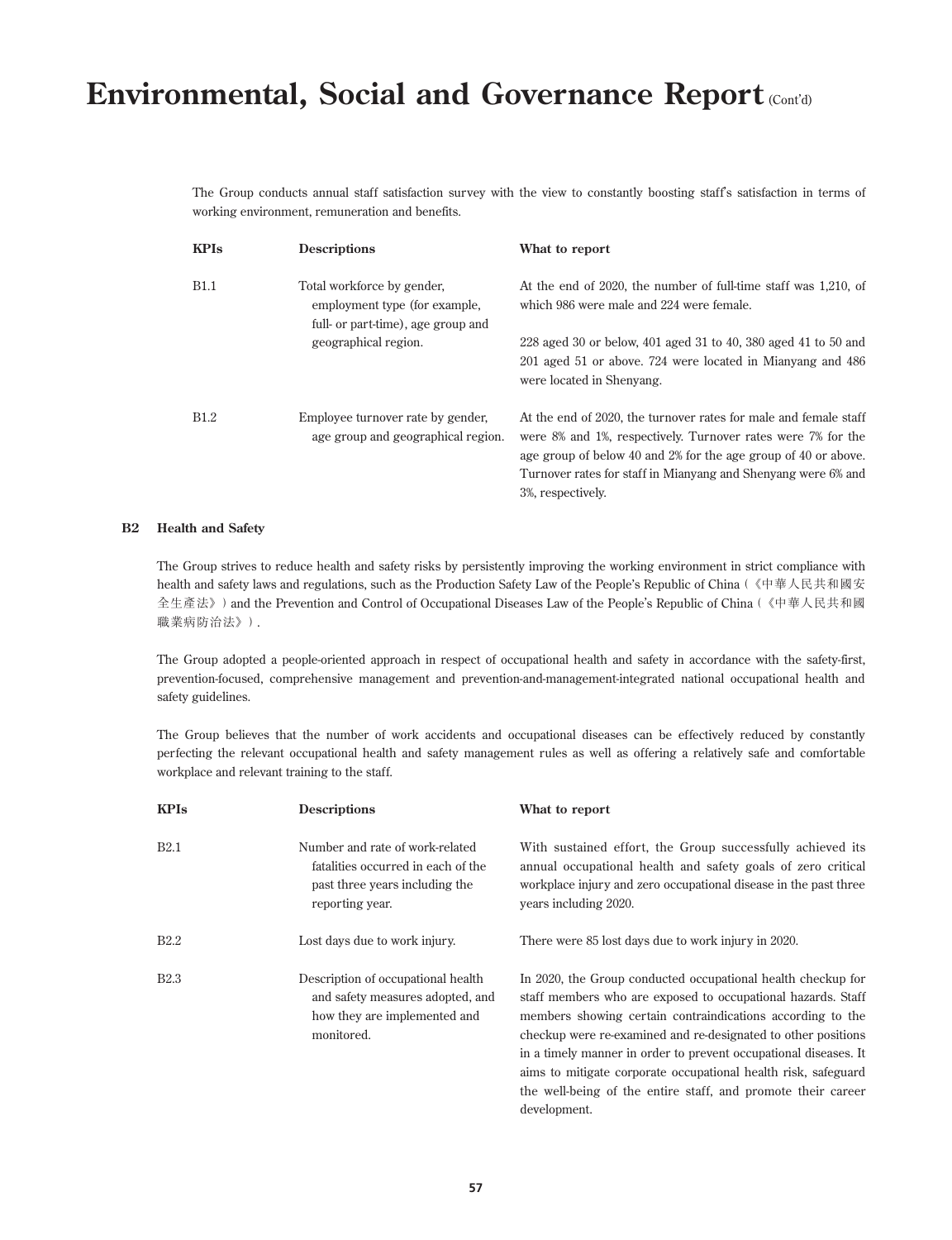The Group conducts annual staff satisfaction survey with the view to constantly boosting staff's satisfaction in terms of working environment, remuneration and benefits.

| <b>KPIs</b> | <b>Descriptions</b>                                                                               | What to report                                                                                                                                                                                                                                                                           |
|-------------|---------------------------------------------------------------------------------------------------|------------------------------------------------------------------------------------------------------------------------------------------------------------------------------------------------------------------------------------------------------------------------------------------|
| <b>B1.1</b> | Total workforce by gender,<br>employment type (for example,<br>full- or part-time), age group and | At the end of 2020, the number of full-time staff was 1,210, of<br>which 986 were male and 224 were female.                                                                                                                                                                              |
|             | geographical region.                                                                              | 228 aged 30 or below, 401 aged 31 to 40, 380 aged 41 to 50 and<br>201 aged 51 or above. 724 were located in Mianyang and 486<br>were located in Shenyang.                                                                                                                                |
| <b>B1.2</b> | Employee turnover rate by gender,<br>age group and geographical region.                           | At the end of 2020, the turnover rates for male and female staff<br>were 8% and 1%, respectively. Turnover rates were 7% for the<br>age group of below 40 and 2% for the age group of 40 or above.<br>Turnover rates for staff in Mianyang and Shenyang were 6% and<br>3%, respectively. |

### **B2 Health and Safety**

The Group strives to reduce health and safety risks by persistently improving the working environment in strict compliance with health and safety laws and regulations, such as the Production Safety Law of the People's Republic of China (《中華人民共和國安 全生產法》)and the Prevention and Control of Occupational Diseases Law of the People's Republic of China(《中華人民共和國 職業病防治法》).

The Group adopted a people-oriented approach in respect of occupational health and safety in accordance with the safety-first, prevention-focused, comprehensive management and prevention-and-management-integrated national occupational health and safety guidelines.

The Group believes that the number of work accidents and occupational diseases can be effectively reduced by constantly perfecting the relevant occupational health and safety management rules as well as offering a relatively safe and comfortable workplace and relevant training to the staff.

| <b>KPIs</b> | <b>Descriptions</b>                                                                                                        | What to report                                                                                                                                                                                                                                                                                                                                                                                                                                                                    |
|-------------|----------------------------------------------------------------------------------------------------------------------------|-----------------------------------------------------------------------------------------------------------------------------------------------------------------------------------------------------------------------------------------------------------------------------------------------------------------------------------------------------------------------------------------------------------------------------------------------------------------------------------|
| <b>B2.1</b> | Number and rate of work-related<br>fatalities occurred in each of the<br>past three years including the<br>reporting year. | With sustained effort, the Group successfully achieved its<br>annual occupational health and safety goals of zero critical<br>workplace injury and zero occupational disease in the past three<br>years including 2020.                                                                                                                                                                                                                                                           |
| <b>B2.2</b> | Lost days due to work injury.                                                                                              | There were 85 lost days due to work injury in 2020.                                                                                                                                                                                                                                                                                                                                                                                                                               |
| <b>B2.3</b> | Description of occupational health<br>and safety measures adopted, and<br>how they are implemented and<br>monitored.       | In 2020, the Group conducted occupational health checkup for<br>staff members who are exposed to occupational hazards. Staff<br>members showing certain contraindications according to the<br>checkup were re-examined and re-designated to other positions<br>in a timely manner in order to prevent occupational diseases. It<br>aims to mitigate corporate occupational health risk, safeguard<br>the well-being of the entire staff, and promote their career<br>development. |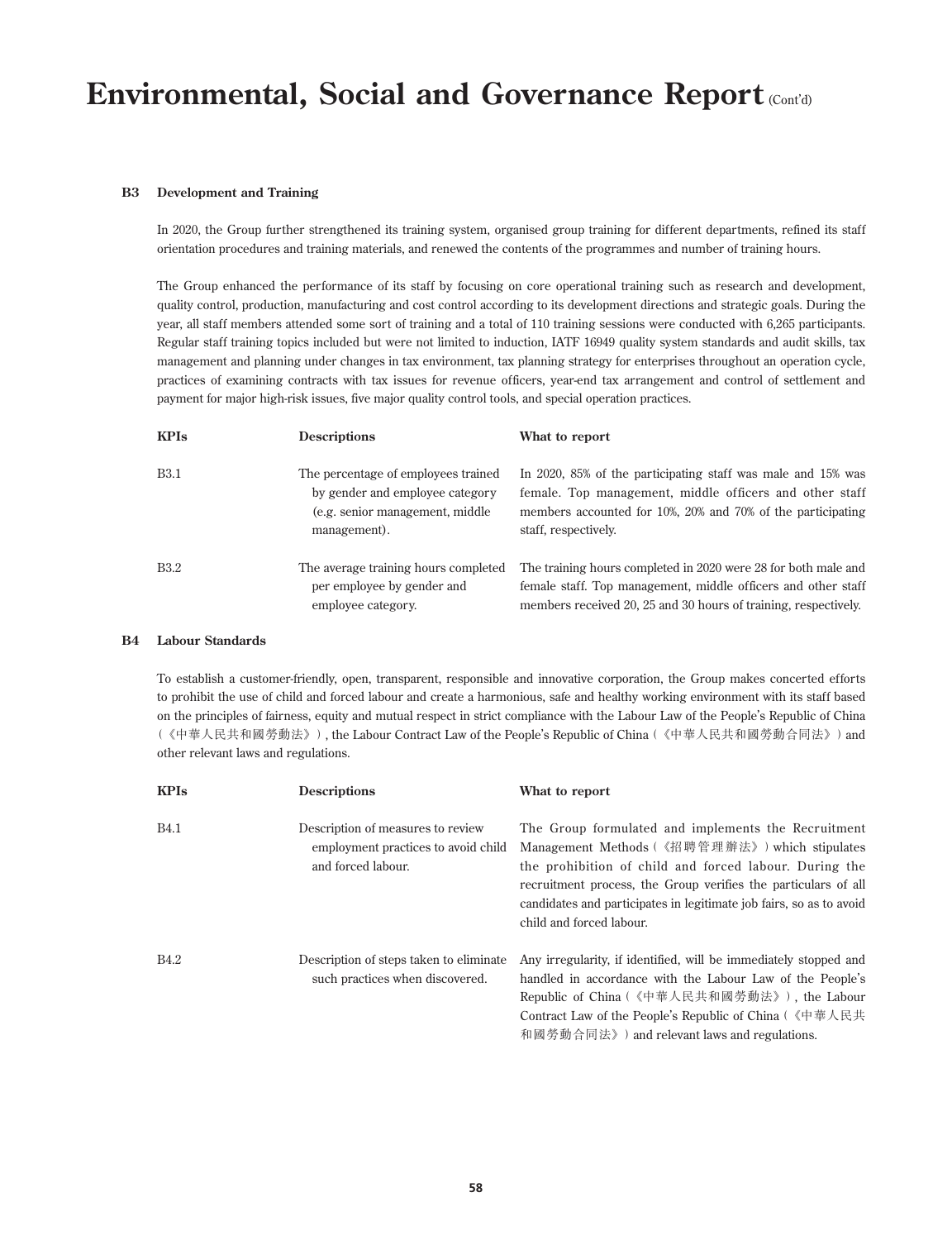### **B3 Development and Training**

In 2020, the Group further strengthened its training system, organised group training for different departments, refined its staff orientation procedures and training materials, and renewed the contents of the programmes and number of training hours.

The Group enhanced the performance of its staff by focusing on core operational training such as research and development, quality control, production, manufacturing and cost control according to its development directions and strategic goals. During the year, all staff members attended some sort of training and a total of 110 training sessions were conducted with 6,265 participants. Regular staff training topics included but were not limited to induction, IATF 16949 quality system standards and audit skills, tax management and planning under changes in tax environment, tax planning strategy for enterprises throughout an operation cycle, practices of examining contracts with tax issues for revenue officers, year-end tax arrangement and control of settlement and payment for major high-risk issues, five major quality control tools, and special operation practices.

| <b>KPIs</b>  | <b>Descriptions</b>                                                                                                        | What to report                                                                                                                                                                                                 |
|--------------|----------------------------------------------------------------------------------------------------------------------------|----------------------------------------------------------------------------------------------------------------------------------------------------------------------------------------------------------------|
| <b>B</b> 3.1 | The percentage of employees trained<br>by gender and employee category<br>(e.g. senior management, middle)<br>management). | In 2020, 85% of the participating staff was male and 15% was<br>female. Top management, middle officers and other staff<br>members accounted for 10%, 20% and 70% of the participating<br>staff, respectively. |
| <b>B</b> 3.2 | The average training hours completed<br>per employee by gender and<br>employee category.                                   | The training hours completed in 2020 were 28 for both male and<br>female staff. Top management, middle officers and other staff<br>members received 20, 25 and 30 hours of training, respectively.             |

### **B4 Labour Standards**

To establish a customer-friendly, open, transparent, responsible and innovative corporation, the Group makes concerted efforts to prohibit the use of child and forced labour and create a harmonious, safe and healthy working environment with its staff based on the principles of fairness, equity and mutual respect in strict compliance with the Labour Law of the People's Republic of China (《中華人民共和國勞動法》), the Labour Contract Law of the People's Republic of China(《中華人民共和國勞動合同法》)and other relevant laws and regulations.

| <b>KPIs</b> | <b>Descriptions</b>                                                                            | What to report                                                                                                                                                                                                                                                                                                                       |  |
|-------------|------------------------------------------------------------------------------------------------|--------------------------------------------------------------------------------------------------------------------------------------------------------------------------------------------------------------------------------------------------------------------------------------------------------------------------------------|--|
| <b>B4.1</b> | Description of measures to review<br>employment practices to avoid child<br>and forced labour. | The Group formulated and implements the Recruitment<br>Management Methods (《招聘管理辦法》) which stipulates<br>the prohibition of child and forced labour. During the<br>recruitment process, the Group verifies the particulars of all<br>candidates and participates in legitimate job fairs, so as to avoid<br>child and forced labour. |  |
| <b>B4.2</b> | Description of steps taken to eliminate<br>such practices when discovered.                     | Any irregularity, if identified, will be immediately stopped and<br>handled in accordance with the Labour Law of the People's<br>Republic of China (《中華人民共和國勞動法》), the Labour<br>Contract Law of the People's Republic of China (《中華人民共<br>和國勞動合同法》) and relevant laws and regulations.                                              |  |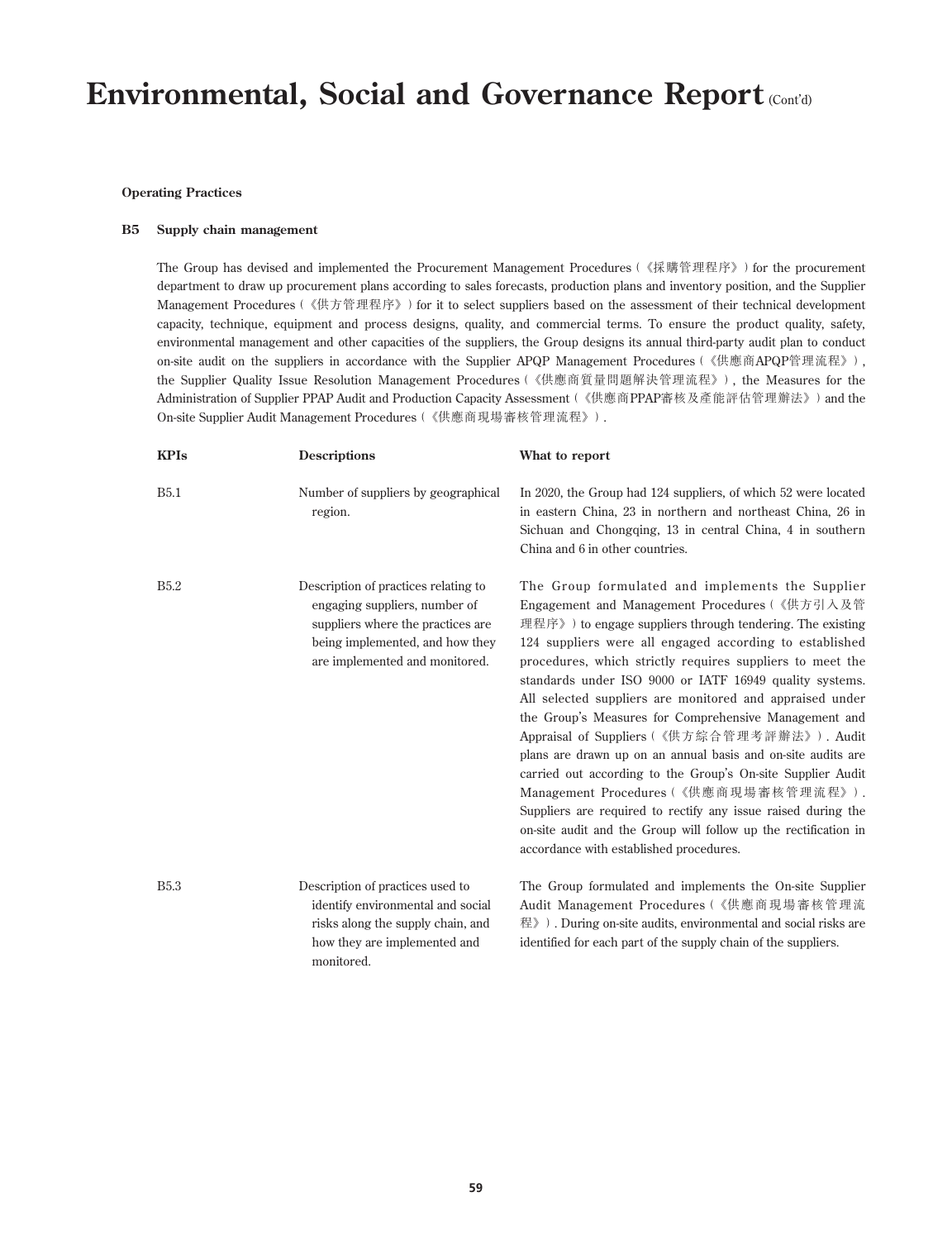### **Operating Practices**

#### **B5 Supply chain management**

The Group has devised and implemented the Procurement Management Procedures (《採購管理程序》) for the procurement department to draw up procurement plans according to sales forecasts, production plans and inventory position, and the Supplier Management Procedures (《供方管理程序》) for it to select suppliers based on the assessment of their technical development capacity, technique, equipment and process designs, quality, and commercial terms. To ensure the product quality, safety, environmental management and other capacities of the suppliers, the Group designs its annual third-party audit plan to conduct on-site audit on the suppliers in accordance with the Supplier APQP Management Procedures(《供應商APQP管理流程》), the Supplier Quality Issue Resolution Management Procedures(《供應商質量問題解決管理流程》), the Measures for the Administration of Supplier PPAP Audit and Production Capacity Assessment(《供應商PPAP審核及產能評估管理辦法》)and the On-site Supplier Audit Management Procedures(《供應商現場審核管理流程》).

| <b>KPIs</b> | <b>Descriptions</b>                                                                                                                                                              | What to report                                                                                                                                                                                                                                                                                                                                                                                                                                                                                                                                                                                                                                                                                                                                                                                                                                                                 |
|-------------|----------------------------------------------------------------------------------------------------------------------------------------------------------------------------------|--------------------------------------------------------------------------------------------------------------------------------------------------------------------------------------------------------------------------------------------------------------------------------------------------------------------------------------------------------------------------------------------------------------------------------------------------------------------------------------------------------------------------------------------------------------------------------------------------------------------------------------------------------------------------------------------------------------------------------------------------------------------------------------------------------------------------------------------------------------------------------|
| <b>B5.1</b> | Number of suppliers by geographical<br>region.                                                                                                                                   | In 2020, the Group had 124 suppliers, of which 52 were located<br>in eastern China, 23 in northern and northeast China, 26 in<br>Sichuan and Chongqing, 13 in central China, 4 in southern<br>China and 6 in other countries.                                                                                                                                                                                                                                                                                                                                                                                                                                                                                                                                                                                                                                                  |
| <b>B5.2</b> | Description of practices relating to<br>engaging suppliers, number of<br>suppliers where the practices are.<br>being implemented, and how they<br>are implemented and monitored. | The Group formulated and implements the Supplier<br>Engagement and Management Procedures (《供方引入及管<br>理程序》) to engage suppliers through tendering. The existing<br>124 suppliers were all engaged according to established<br>procedures, which strictly requires suppliers to meet the<br>standards under ISO 9000 or IATF 16949 quality systems.<br>All selected suppliers are monitored and appraised under<br>the Group's Measures for Comprehensive Management and<br>Appraisal of Suppliers (《供方綜合管理考評辦法》). Audit<br>plans are drawn up on an annual basis and on-site audits are<br>carried out according to the Group's On-site Supplier Audit<br>Management Procedures (《供應商現場審核管理流程》).<br>Suppliers are required to rectify any issue raised during the<br>on-site audit and the Group will follow up the rectification in<br>accordance with established procedures. |
| <b>B5.3</b> | Description of practices used to<br>identify environmental and social<br>risks along the supply chain, and<br>how they are implemented and<br>monitored.                         | The Group formulated and implements the On-site Supplier<br>Audit Management Procedures (《供應商現場審核管理流<br>程》). During on-site audits, environmental and social risks are<br>identified for each part of the supply chain of the suppliers.                                                                                                                                                                                                                                                                                                                                                                                                                                                                                                                                                                                                                                       |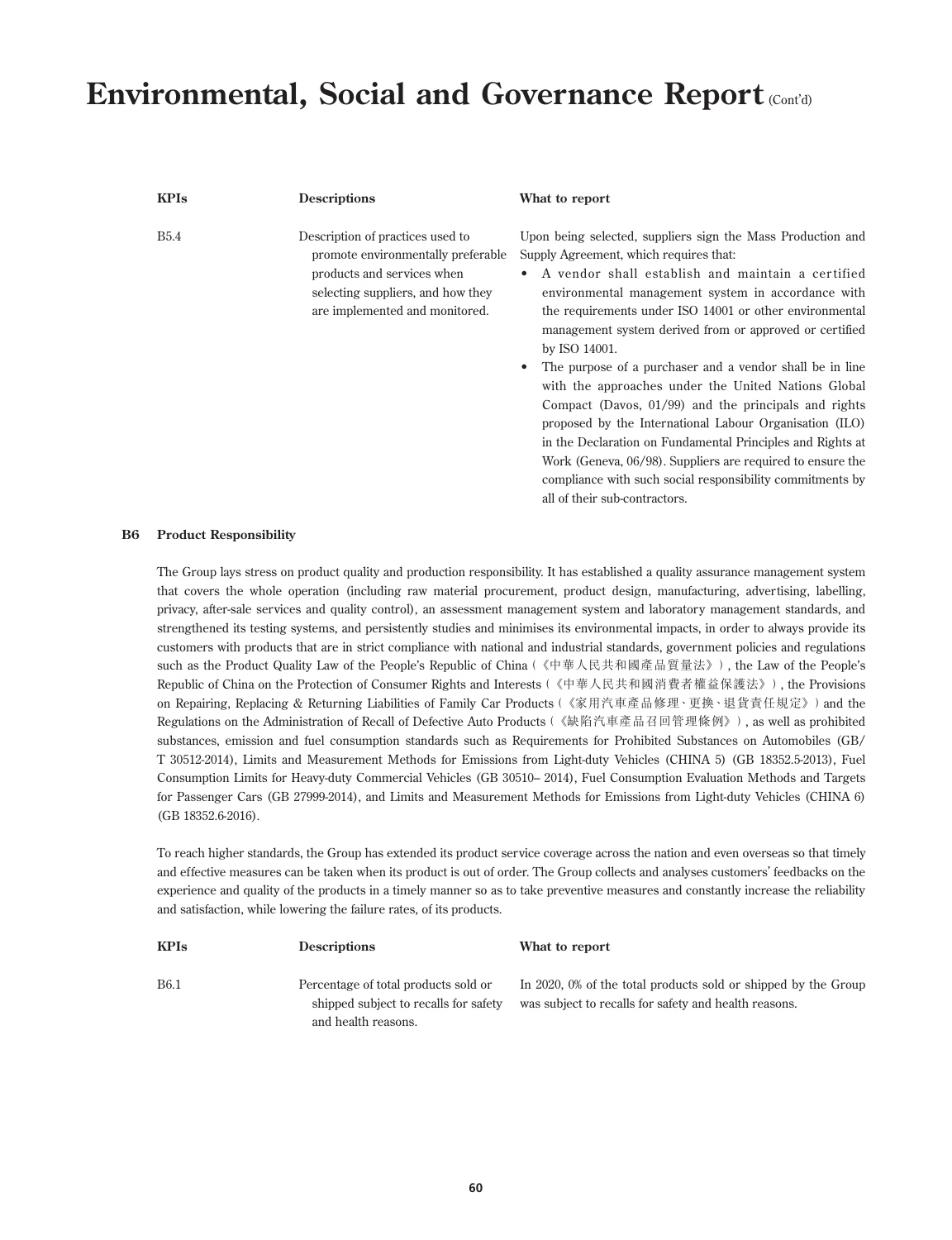| <b>KPIs</b> | <b>Descriptions</b>                                                                                                                                                         | What to report                                                                                                                                                                                                                                                                                                                                                                                                                                                                                                                                                                                                                                                                                                                                                                                                                               |
|-------------|-----------------------------------------------------------------------------------------------------------------------------------------------------------------------------|----------------------------------------------------------------------------------------------------------------------------------------------------------------------------------------------------------------------------------------------------------------------------------------------------------------------------------------------------------------------------------------------------------------------------------------------------------------------------------------------------------------------------------------------------------------------------------------------------------------------------------------------------------------------------------------------------------------------------------------------------------------------------------------------------------------------------------------------|
| <b>B5.4</b> | Description of practices used to<br>promote environmentally preferable<br>products and services when<br>selecting suppliers, and how they<br>are implemented and monitored. | Upon being selected, suppliers sign the Mass Production and<br>Supply Agreement, which requires that:<br>A vendor shall establish and maintain a certified<br>٠<br>environmental management system in accordance with<br>the requirements under ISO 14001 or other environmental<br>management system derived from or approved or certified<br>by ISO 14001.<br>The purpose of a purchaser and a vendor shall be in line<br>$\bullet$<br>with the approaches under the United Nations Global<br>Compact (Davos, $01/99$ ) and the principals and rights<br>proposed by the International Labour Organisation (ILO)<br>in the Declaration on Fundamental Principles and Rights at<br>Work (Geneva, 06/98). Suppliers are required to ensure the<br>compliance with such social responsibility commitments by<br>all of their sub-contractors. |

### **B6 Product Responsibility**

The Group lays stress on product quality and production responsibility. It has established a quality assurance management system that covers the whole operation (including raw material procurement, product design, manufacturing, advertising, labelling, privacy, after-sale services and quality control), an assessment management system and laboratory management standards, and strengthened its testing systems, and persistently studies and minimises its environmental impacts, in order to always provide its customers with products that are in strict compliance with national and industrial standards, government policies and regulations such as the Product Quality Law of the People's Republic of China(《中華人民共和國產品質量法》), the Law of the People's Republic of China on the Protection of Consumer Rights and Interests(《中華人民共和國消費者權益保護法》), the Provisions on Repairing, Replacing & Returning Liabilities of Family Car Products(《家用汽車產品修理、更換、退貨責任規定》)and the Regulations on the Administration of Recall of Defective Auto Products(《缺陷汽車產品召回管理條例》), as well as prohibited substances, emission and fuel consumption standards such as Requirements for Prohibited Substances on Automobiles (GB/ T 30512-2014), Limits and Measurement Methods for Emissions from Light-duty Vehicles (CHINA 5) (GB 18352.5-2013), Fuel Consumption Limits for Heavy-duty Commercial Vehicles (GB 30510– 2014), Fuel Consumption Evaluation Methods and Targets for Passenger Cars (GB 27999-2014), and Limits and Measurement Methods for Emissions from Light-duty Vehicles (CHINA 6) (GB 18352.6-2016).

To reach higher standards, the Group has extended its product service coverage across the nation and even overseas so that timely and effective measures can be taken when its product is out of order. The Group collects and analyses customers' feedbacks on the experience and quality of the products in a timely manner so as to take preventive measures and constantly increase the reliability and satisfaction, while lowering the failure rates, of its products.

| <b>KPIs</b> | <b>Descriptions</b>                                                                                  | What to report                                                                                                          |
|-------------|------------------------------------------------------------------------------------------------------|-------------------------------------------------------------------------------------------------------------------------|
| <b>B6.1</b> | Percentage of total products sold or<br>shipped subject to recalls for safety<br>and health reasons. | In 2020, 0% of the total products sold or shipped by the Group<br>was subject to recalls for safety and health reasons. |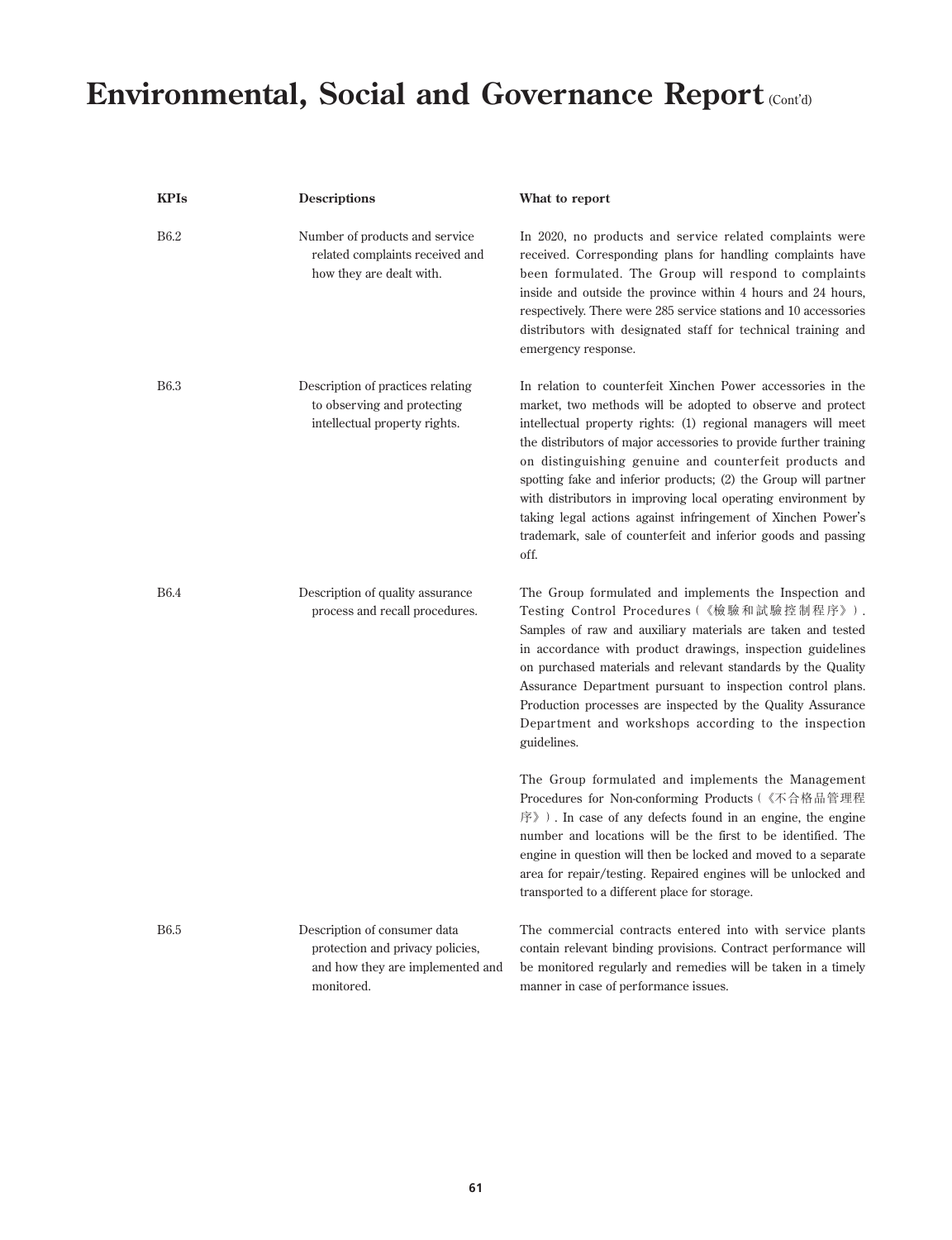| <b>KPIs</b><br><b>Descriptions</b><br>What to report |             |                                                                                                                    |                                                                                                                                                                                                                                                                                                                                                                                                                                                                                                                                                                                                        |
|------------------------------------------------------|-------------|--------------------------------------------------------------------------------------------------------------------|--------------------------------------------------------------------------------------------------------------------------------------------------------------------------------------------------------------------------------------------------------------------------------------------------------------------------------------------------------------------------------------------------------------------------------------------------------------------------------------------------------------------------------------------------------------------------------------------------------|
|                                                      | <b>B6.2</b> | Number of products and service<br>related complaints received and<br>how they are dealt with.                      | In 2020, no products and service related complaints were<br>received. Corresponding plans for handling complaints have<br>been formulated. The Group will respond to complaints<br>inside and outside the province within 4 hours and 24 hours,<br>respectively. There were 285 service stations and 10 accessories<br>distributors with designated staff for technical training and<br>emergency response.                                                                                                                                                                                            |
|                                                      | <b>B6.3</b> | Description of practices relating<br>to observing and protecting<br>intellectual property rights.                  | In relation to counterfeit Xinchen Power accessories in the<br>market, two methods will be adopted to observe and protect<br>intellectual property rights: (1) regional managers will meet<br>the distributors of major accessories to provide further training<br>on distinguishing genuine and counterfeit products and<br>spotting fake and inferior products; (2) the Group will partner<br>with distributors in improving local operating environment by<br>taking legal actions against infringement of Xinchen Power's<br>trademark, sale of counterfeit and inferior goods and passing<br>off. |
|                                                      | <b>B6.4</b> | Description of quality assurance<br>process and recall procedures.                                                 | The Group formulated and implements the Inspection and<br>Testing Control Procedures(《檢驗和試驗控制程序》).<br>Samples of raw and auxiliary materials are taken and tested<br>in accordance with product drawings, inspection guidelines<br>on purchased materials and relevant standards by the Quality<br>Assurance Department pursuant to inspection control plans.<br>Production processes are inspected by the Quality Assurance<br>Department and workshops according to the inspection<br>guidelines.                                                                                                    |
|                                                      |             |                                                                                                                    | The Group formulated and implements the Management<br>Procedures for Non-conforming Products (《不合格品管理程<br>$\bar{F}$ ). In case of any defects found in an engine, the engine<br>number and locations will be the first to be identified. The<br>engine in question will then be locked and moved to a separate<br>area for repair/testing. Repaired engines will be unlocked and<br>transported to a different place for storage.                                                                                                                                                                      |
|                                                      | <b>B6.5</b> | Description of consumer data<br>protection and privacy policies,<br>and how they are implemented and<br>monitored. | The commercial contracts entered into with service plants<br>contain relevant binding provisions. Contract performance will<br>be monitored regularly and remedies will be taken in a timely<br>manner in case of performance issues.                                                                                                                                                                                                                                                                                                                                                                  |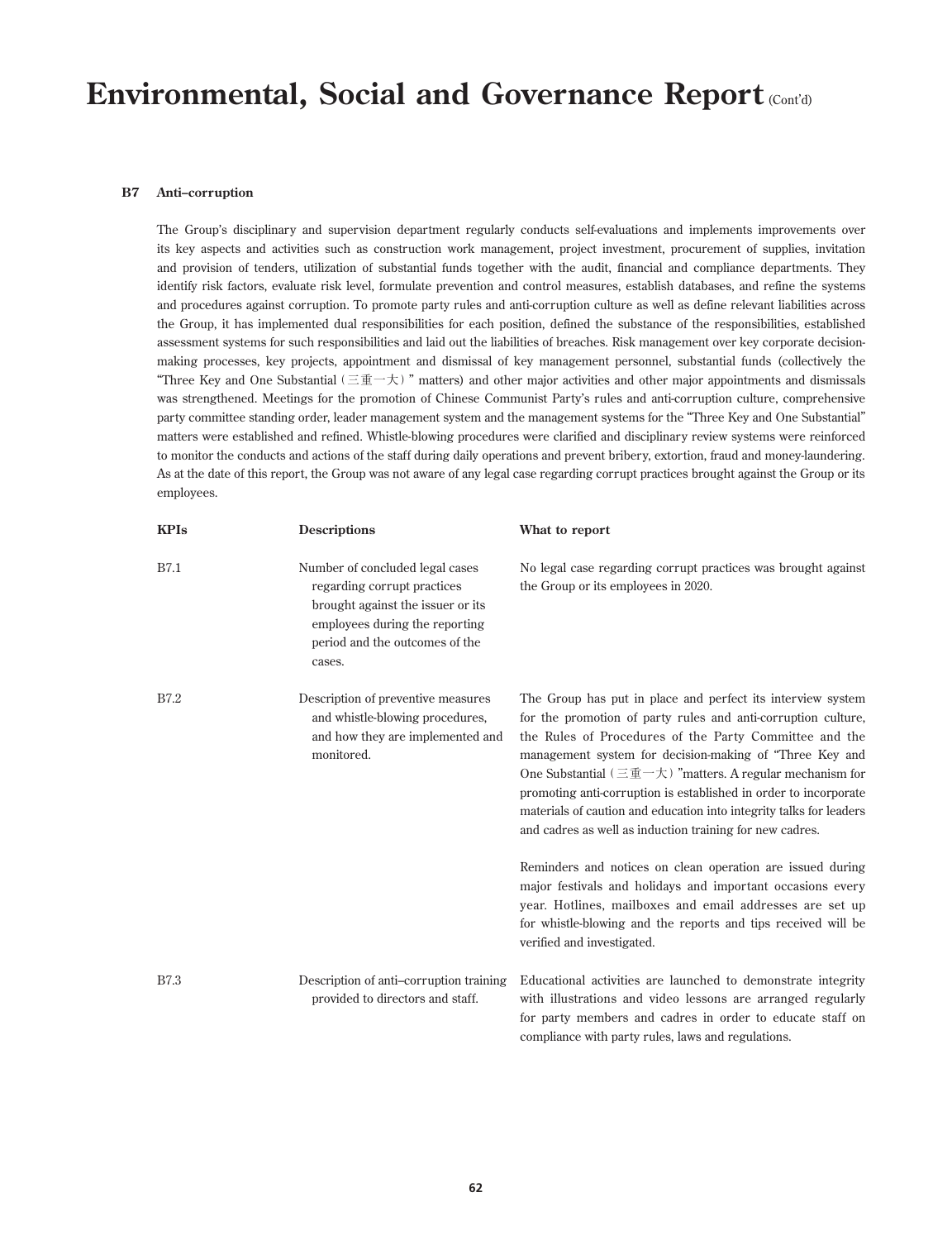#### **B7 Anti–corruption**

The Group's disciplinary and supervision department regularly conducts self-evaluations and implements improvements over its key aspects and activities such as construction work management, project investment, procurement of supplies, invitation and provision of tenders, utilization of substantial funds together with the audit, financial and compliance departments. They identify risk factors, evaluate risk level, formulate prevention and control measures, establish databases, and refine the systems and procedures against corruption. To promote party rules and anti-corruption culture as well as define relevant liabilities across the Group, it has implemented dual responsibilities for each position, defined the substance of the responsibilities, established assessment systems for such responsibilities and laid out the liabilities of breaches. Risk management over key corporate decisionmaking processes, key projects, appointment and dismissal of key management personnel, substantial funds (collectively the "Three Key and One Substantial (三重一大)" matters) and other major activities and other major appointments and dismissals was strengthened. Meetings for the promotion of Chinese Communist Party's rules and anti-corruption culture, comprehensive party committee standing order, leader management system and the management systems for the "Three Key and One Substantial" matters were established and refined. Whistle-blowing procedures were clarified and disciplinary review systems were reinforced to monitor the conducts and actions of the staff during daily operations and prevent bribery, extortion, fraud and money-laundering. As at the date of this report, the Group was not aware of any legal case regarding corrupt practices brought against the Group or its employees.

| <b>KPIs</b>  | <b>Descriptions</b>                                                                                                                                                               | What to report                                                                                                                                                                                                                                                                                                                                                                                                                                                                                                                      |
|--------------|-----------------------------------------------------------------------------------------------------------------------------------------------------------------------------------|-------------------------------------------------------------------------------------------------------------------------------------------------------------------------------------------------------------------------------------------------------------------------------------------------------------------------------------------------------------------------------------------------------------------------------------------------------------------------------------------------------------------------------------|
| <b>B</b> 7.1 | Number of concluded legal cases<br>regarding corrupt practices<br>brought against the issuer or its<br>employees during the reporting<br>period and the outcomes of the<br>cases. | No legal case regarding corrupt practices was brought against<br>the Group or its employees in 2020.                                                                                                                                                                                                                                                                                                                                                                                                                                |
| B7.2         | Description of preventive measures<br>and whistle-blowing procedures,<br>and how they are implemented and<br>monitored.                                                           | The Group has put in place and perfect its interview system<br>for the promotion of party rules and anti-corruption culture,<br>the Rules of Procedures of the Party Committee and the<br>management system for decision-making of "Three Key and<br>One Substantial ( $\equiv \pm -\pm$ ) "matters. A regular mechanism for<br>promoting anti-corruption is established in order to incorporate<br>materials of caution and education into integrity talks for leaders<br>and cadres as well as induction training for new cadres. |
|              |                                                                                                                                                                                   | Reminders and notices on clean operation are issued during<br>major festivals and holidays and important occasions every<br>year. Hotlines, mailboxes and email addresses are set up<br>for whistle-blowing and the reports and tips received will be<br>verified and investigated.                                                                                                                                                                                                                                                 |
| <b>B</b> 7.3 | Description of anti-corruption training<br>provided to directors and staff.                                                                                                       | Educational activities are launched to demonstrate integrity<br>with illustrations and video lessons are arranged regularly<br>for party members and cadres in order to educate staff on<br>compliance with party rules, laws and regulations.                                                                                                                                                                                                                                                                                      |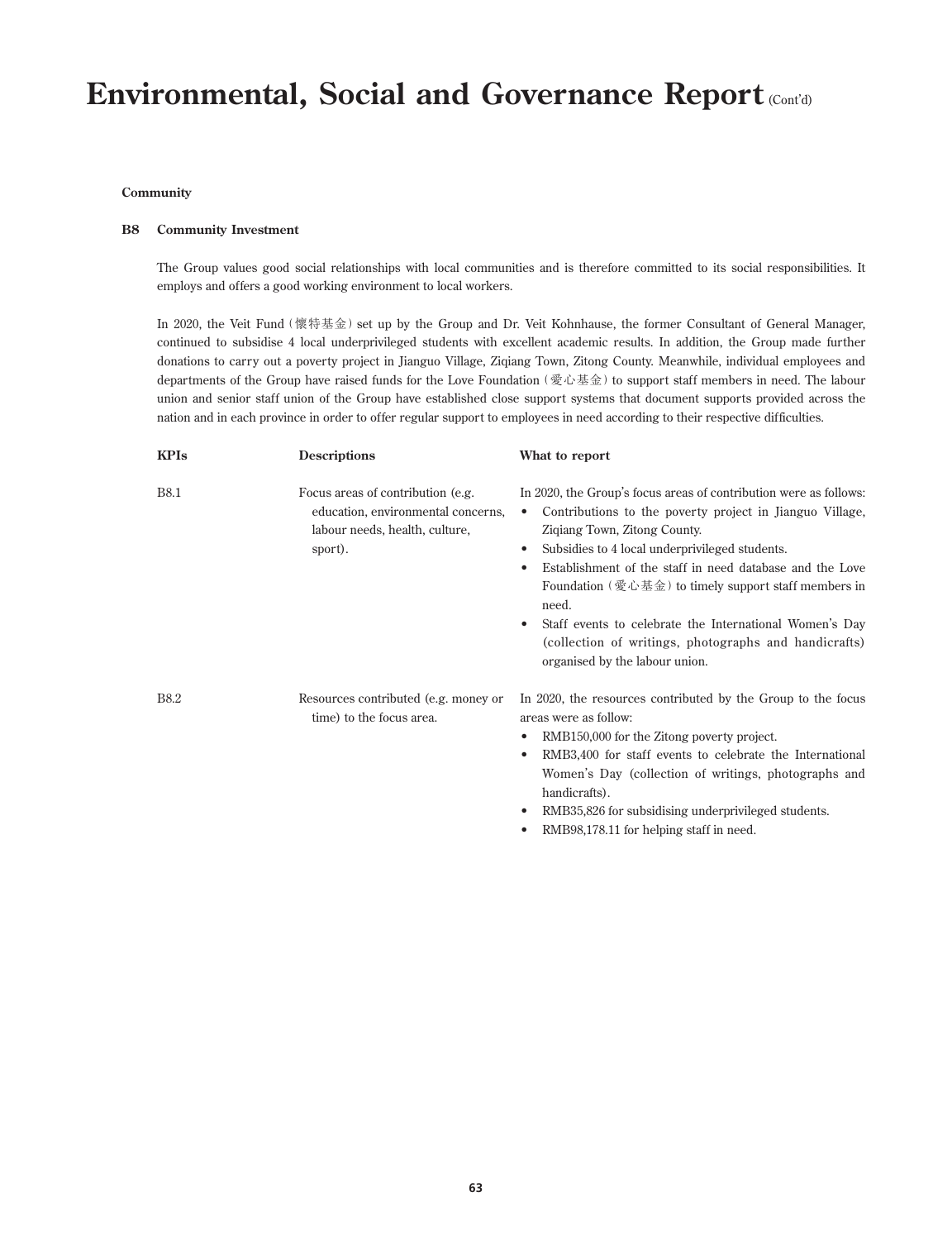#### **Community**

### **B8 Community Investment**

The Group values good social relationships with local communities and is therefore committed to its social responsibilities. It employs and offers a good working environment to local workers.

In 2020, the Veit Fund (懷特基金) set up by the Group and Dr. Veit Kohnhause, the former Consultant of General Manager, continued to subsidise 4 local underprivileged students with excellent academic results. In addition, the Group made further donations to carry out a poverty project in Jianguo Village, Ziqiang Town, Zitong County. Meanwhile, individual employees and departments of the Group have raised funds for the Love Foundation (愛心基金) to support staff members in need. The labour union and senior staff union of the Group have established close support systems that document supports provided across the nation and in each province in order to offer regular support to employees in need according to their respective difficulties.

| <b>KPIs</b>  | <b>Descriptions</b>                                                                                                  | What to report                                                                                                                                                                                                                                                                                                                                                                                                                                                                                                         |
|--------------|----------------------------------------------------------------------------------------------------------------------|------------------------------------------------------------------------------------------------------------------------------------------------------------------------------------------------------------------------------------------------------------------------------------------------------------------------------------------------------------------------------------------------------------------------------------------------------------------------------------------------------------------------|
| <b>B</b> 8.1 | Focus areas of contribution (e.g.<br>education, environmental concerns,<br>labour needs, health, culture,<br>sport). | In 2020, the Group's focus areas of contribution were as follows:<br>Contributions to the poverty project in Jianguo Village,<br>٠<br>Ziqiang Town, Zitong County.<br>Subsidies to 4 local underprivileged students.<br>٠<br>Establishment of the staff in need database and the Love<br>٠<br>Foundation (愛心基金) to timely support staff members in<br>need.<br>Staff events to celebrate the International Women's Day<br>٠<br>(collection of writings, photographs and handicrafts)<br>organised by the labour union. |
| <b>B8.2</b>  | Resources contributed (e.g. money or<br>time) to the focus area.                                                     | In 2020, the resources contributed by the Group to the focus<br>areas were as follow:<br>RMB150,000 for the Zitong poverty project.<br>$\bullet$<br>RMB3,400 for staff events to celebrate the International<br>$\bullet$<br>Women's Day (collection of writings, photographs and<br>handicrafts).<br>RMB35,826 for subsidising underprivileged students.<br>٠                                                                                                                                                         |

• RMB98,178.11 for helping staff in need.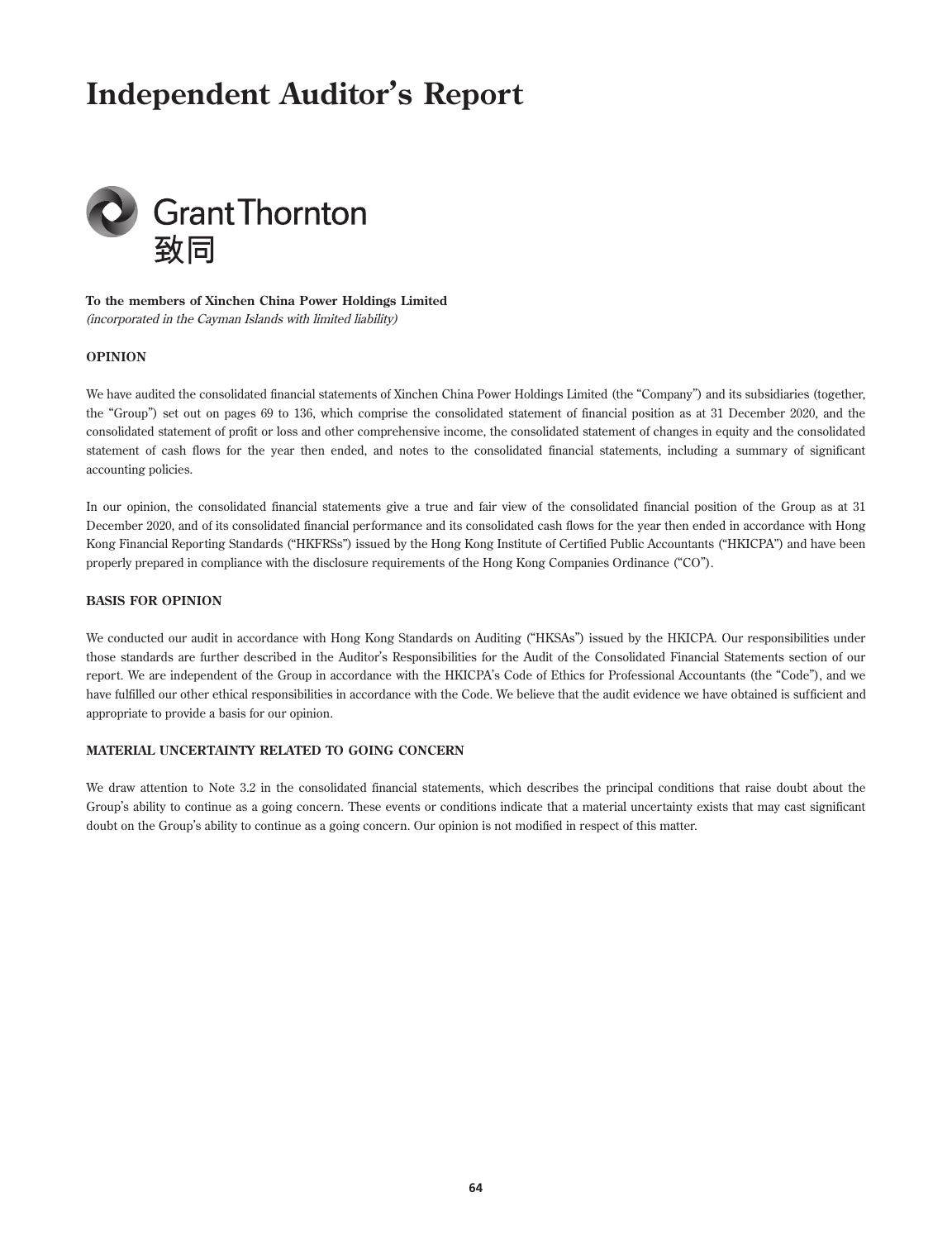# **Independent Auditor's Report**



**To the members of Xinchen China Power Holdings Limited** (incorporated in the Cayman Islands with limited liability)

### **OPINION**

We have audited the consolidated financial statements of Xinchen China Power Holdings Limited (the "Company") and its subsidiaries (together, the "Group") set out on pages 69 to 136, which comprise the consolidated statement of financial position as at 31 December 2020, and the consolidated statement of profit or loss and other comprehensive income, the consolidated statement of changes in equity and the consolidated statement of cash flows for the year then ended, and notes to the consolidated financial statements, including a summary of significant accounting policies.

In our opinion, the consolidated financial statements give a true and fair view of the consolidated financial position of the Group as at 31 December 2020, and of its consolidated financial performance and its consolidated cash flows for the year then ended in accordance with Hong Kong Financial Reporting Standards ("HKFRSs") issued by the Hong Kong Institute of Certified Public Accountants ("HKICPA") and have been properly prepared in compliance with the disclosure requirements of the Hong Kong Companies Ordinance ("CO").

### **BASIS FOR OPINION**

We conducted our audit in accordance with Hong Kong Standards on Auditing ("HKSAs") issued by the HKICPA. Our responsibilities under those standards are further described in the Auditor's Responsibilities for the Audit of the Consolidated Financial Statements section of our report. We are independent of the Group in accordance with the HKICPA's Code of Ethics for Professional Accountants (the "Code"), and we have fulfilled our other ethical responsibilities in accordance with the Code. We believe that the audit evidence we have obtained is sufficient and appropriate to provide a basis for our opinion.

### **MATERIAL UNCERTAINTY RELATED TO GOING CONCERN**

We draw attention to Note 3.2 in the consolidated financial statements, which describes the principal conditions that raise doubt about the Group's ability to continue as a going concern. These events or conditions indicate that a material uncertainty exists that may cast significant doubt on the Group's ability to continue as a going concern. Our opinion is not modified in respect of this matter.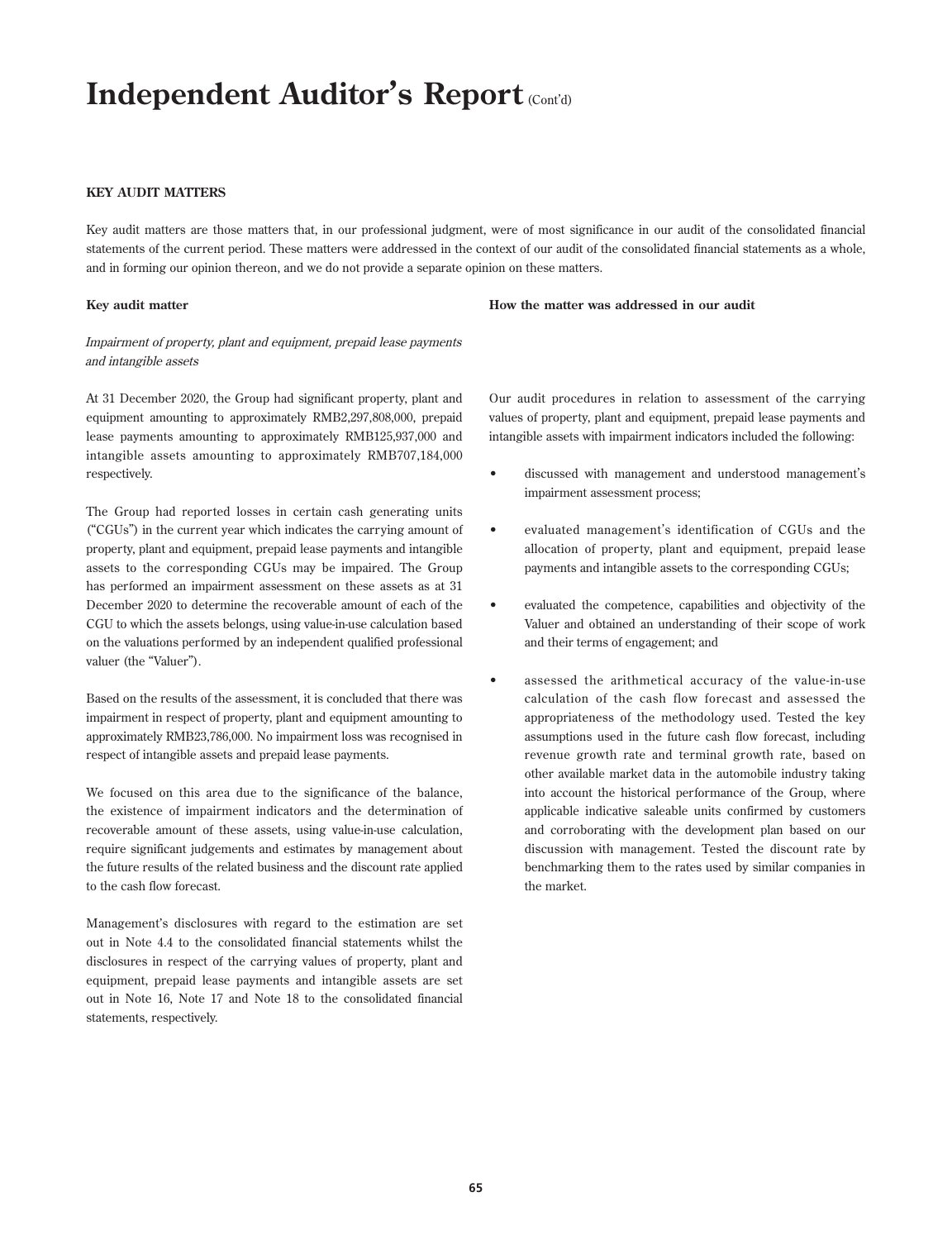### **KEY AUDIT MATTERS**

Key audit matters are those matters that, in our professional judgment, were of most significance in our audit of the consolidated financial statements of the current period. These matters were addressed in the context of our audit of the consolidated financial statements as a whole, and in forming our opinion thereon, and we do not provide a separate opinion on these matters.

### **Key audit matter How the matter was addressed in our audit**

Impairment of property, plant and equipment, prepaid lease payments and intangible assets

At 31 December 2020, the Group had significant property, plant and equipment amounting to approximately RMB2,297,808,000, prepaid lease payments amounting to approximately RMB125,937,000 and intangible assets amounting to approximately RMB707,184,000 respectively.

The Group had reported losses in certain cash generating units ("CGUs") in the current year which indicates the carrying amount of property, plant and equipment, prepaid lease payments and intangible assets to the corresponding CGUs may be impaired. The Group has performed an impairment assessment on these assets as at 31 December 2020 to determine the recoverable amount of each of the CGU to which the assets belongs, using value-in-use calculation based on the valuations performed by an independent qualified professional valuer (the "Valuer").

Based on the results of the assessment, it is concluded that there was impairment in respect of property, plant and equipment amounting to approximately RMB23,786,000. No impairment loss was recognised in respect of intangible assets and prepaid lease payments.

We focused on this area due to the significance of the balance, the existence of impairment indicators and the determination of recoverable amount of these assets, using value-in-use calculation, require significant judgements and estimates by management about the future results of the related business and the discount rate applied to the cash flow forecast.

Management's disclosures with regard to the estimation are set out in Note 4.4 to the consolidated financial statements whilst the disclosures in respect of the carrying values of property, plant and equipment, prepaid lease payments and intangible assets are set out in Note 16, Note 17 and Note 18 to the consolidated financial statements, respectively.

Our audit procedures in relation to assessment of the carrying values of property, plant and equipment, prepaid lease payments and intangible assets with impairment indicators included the following:

- discussed with management and understood management's impairment assessment process;
- evaluated management's identification of CGUs and the allocation of property, plant and equipment, prepaid lease payments and intangible assets to the corresponding CGUs;
- evaluated the competence, capabilities and objectivity of the Valuer and obtained an understanding of their scope of work and their terms of engagement; and
- assessed the arithmetical accuracy of the value-in-use calculation of the cash flow forecast and assessed the appropriateness of the methodology used. Tested the key assumptions used in the future cash flow forecast, including revenue growth rate and terminal growth rate, based on other available market data in the automobile industry taking into account the historical performance of the Group, where applicable indicative saleable units confirmed by customers and corroborating with the development plan based on our discussion with management. Tested the discount rate by benchmarking them to the rates used by similar companies in the market.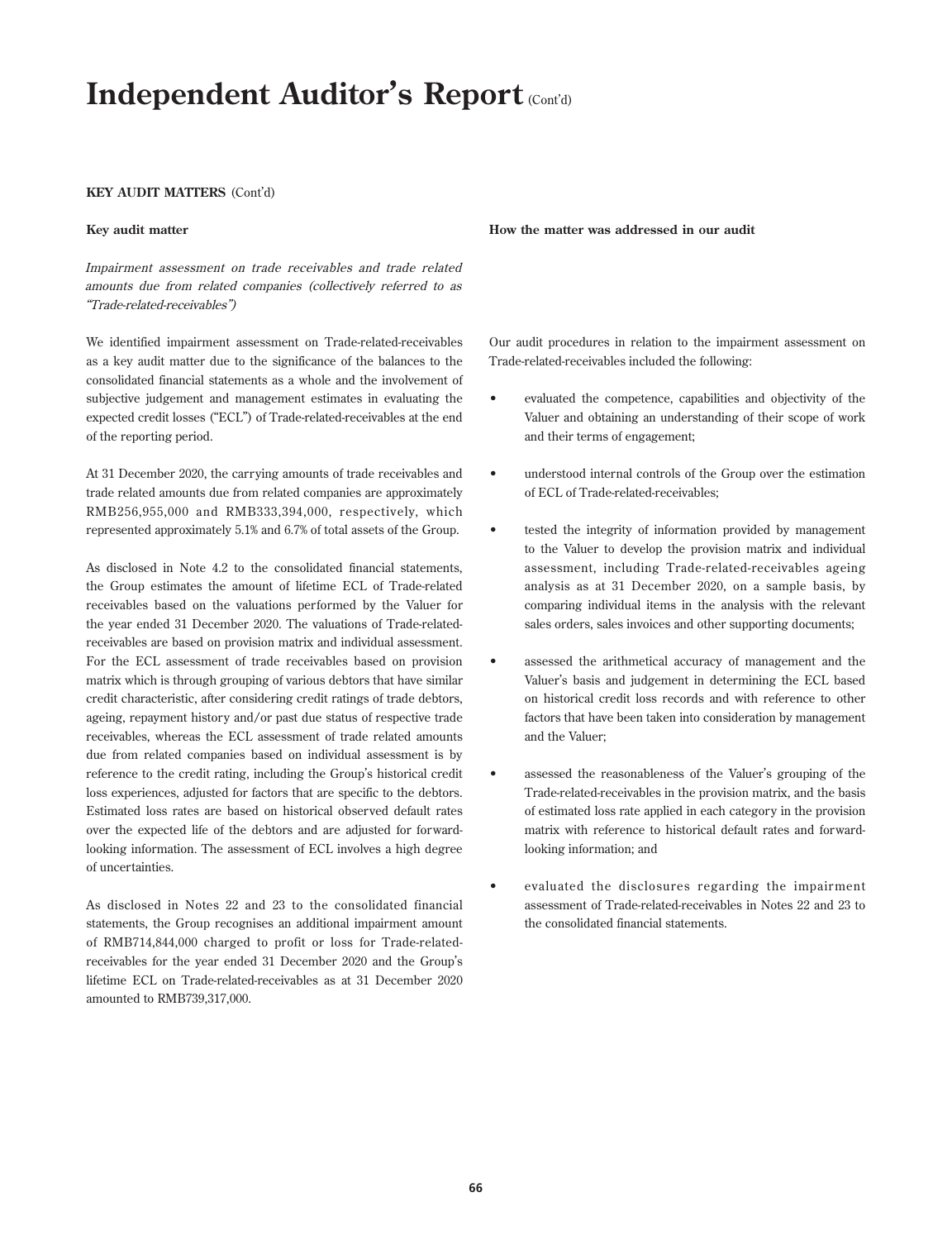### **KEY AUDIT MATTERS** (Cont'd)

Impairment assessment on trade receivables and trade related amounts due from related companies (collectively referred to as "Trade-related-receivables")

We identified impairment assessment on Trade-related-receivables as a key audit matter due to the significance of the balances to the consolidated financial statements as a whole and the involvement of subjective judgement and management estimates in evaluating the expected credit losses ("ECL") of Trade-related-receivables at the end of the reporting period.

At 31 December 2020, the carrying amounts of trade receivables and trade related amounts due from related companies are approximately RMB256,955,000 and RMB333,394,000, respectively, which represented approximately 5.1% and 6.7% of total assets of the Group.

As disclosed in Note 4.2 to the consolidated financial statements, the Group estimates the amount of lifetime ECL of Trade-related receivables based on the valuations performed by the Valuer for the year ended 31 December 2020. The valuations of Trade-relatedreceivables are based on provision matrix and individual assessment. For the ECL assessment of trade receivables based on provision matrix which is through grouping of various debtors that have similar credit characteristic, after considering credit ratings of trade debtors, ageing, repayment history and/or past due status of respective trade receivables, whereas the ECL assessment of trade related amounts due from related companies based on individual assessment is by reference to the credit rating, including the Group's historical credit loss experiences, adjusted for factors that are specific to the debtors. Estimated loss rates are based on historical observed default rates over the expected life of the debtors and are adjusted for forwardlooking information. The assessment of ECL involves a high degree of uncertainties.

As disclosed in Notes 22 and 23 to the consolidated financial statements, the Group recognises an additional impairment amount of RMB714,844,000 charged to profit or loss for Trade-relatedreceivables for the year ended 31 December 2020 and the Group's lifetime ECL on Trade-related-receivables as at 31 December 2020 amounted to RMB739,317,000.

**Key audit matter How the matter was addressed in our audit**

Our audit procedures in relation to the impairment assessment on Trade-related-receivables included the following:

- evaluated the competence, capabilities and objectivity of the Valuer and obtaining an understanding of their scope of work and their terms of engagement;
- understood internal controls of the Group over the estimation of ECL of Trade-related-receivables;
- tested the integrity of information provided by management to the Valuer to develop the provision matrix and individual assessment, including Trade-related-receivables ageing analysis as at 31 December 2020, on a sample basis, by comparing individual items in the analysis with the relevant sales orders, sales invoices and other supporting documents;
- assessed the arithmetical accuracy of management and the Valuer's basis and judgement in determining the ECL based on historical credit loss records and with reference to other factors that have been taken into consideration by management and the Valuer;
- assessed the reasonableness of the Valuer's grouping of the Trade-related-receivables in the provision matrix, and the basis of estimated loss rate applied in each category in the provision matrix with reference to historical default rates and forwardlooking information; and
- evaluated the disclosures regarding the impairment assessment of Trade-related-receivables in Notes 22 and 23 to the consolidated financial statements.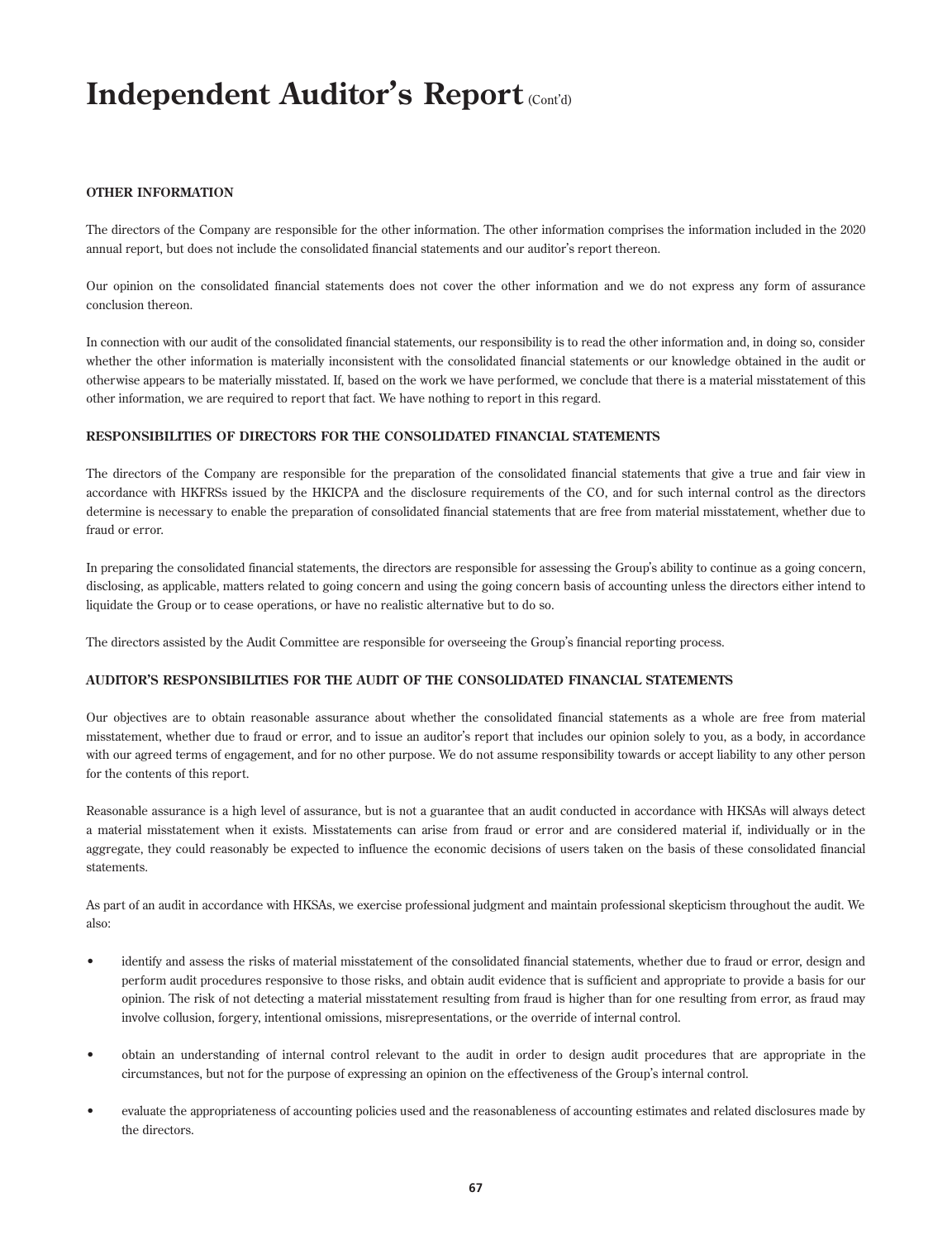# **OTHER INFORMATION**

The directors of the Company are responsible for the other information. The other information comprises the information included in the 2020 annual report, but does not include the consolidated financial statements and our auditor's report thereon.

Our opinion on the consolidated financial statements does not cover the other information and we do not express any form of assurance conclusion thereon.

In connection with our audit of the consolidated financial statements, our responsibility is to read the other information and, in doing so, consider whether the other information is materially inconsistent with the consolidated financial statements or our knowledge obtained in the audit or otherwise appears to be materially misstated. If, based on the work we have performed, we conclude that there is a material misstatement of this other information, we are required to report that fact. We have nothing to report in this regard.

### **RESPONSIBILITIES OF DIRECTORS FOR THE CONSOLIDATED FINANCIAL STATEMENTS**

The directors of the Company are responsible for the preparation of the consolidated financial statements that give a true and fair view in accordance with HKFRSs issued by the HKICPA and the disclosure requirements of the CO, and for such internal control as the directors determine is necessary to enable the preparation of consolidated financial statements that are free from material misstatement, whether due to fraud or error.

In preparing the consolidated financial statements, the directors are responsible for assessing the Group's ability to continue as a going concern, disclosing, as applicable, matters related to going concern and using the going concern basis of accounting unless the directors either intend to liquidate the Group or to cease operations, or have no realistic alternative but to do so.

The directors assisted by the Audit Committee are responsible for overseeing the Group's financial reporting process.

### **AUDITOR'S RESPONSIBILITIES FOR THE AUDIT OF THE CONSOLIDATED FINANCIAL STATEMENTS**

Our objectives are to obtain reasonable assurance about whether the consolidated financial statements as a whole are free from material misstatement, whether due to fraud or error, and to issue an auditor's report that includes our opinion solely to you, as a body, in accordance with our agreed terms of engagement, and for no other purpose. We do not assume responsibility towards or accept liability to any other person for the contents of this report.

Reasonable assurance is a high level of assurance, but is not a guarantee that an audit conducted in accordance with HKSAs will always detect a material misstatement when it exists. Misstatements can arise from fraud or error and are considered material if, individually or in the aggregate, they could reasonably be expected to influence the economic decisions of users taken on the basis of these consolidated financial statements.

As part of an audit in accordance with HKSAs, we exercise professional judgment and maintain professional skepticism throughout the audit. We also:

- identify and assess the risks of material misstatement of the consolidated financial statements, whether due to fraud or error, design and perform audit procedures responsive to those risks, and obtain audit evidence that is sufficient and appropriate to provide a basis for our opinion. The risk of not detecting a material misstatement resulting from fraud is higher than for one resulting from error, as fraud may involve collusion, forgery, intentional omissions, misrepresentations, or the override of internal control.
- obtain an understanding of internal control relevant to the audit in order to design audit procedures that are appropriate in the circumstances, but not for the purpose of expressing an opinion on the effectiveness of the Group's internal control.
- evaluate the appropriateness of accounting policies used and the reasonableness of accounting estimates and related disclosures made by the directors.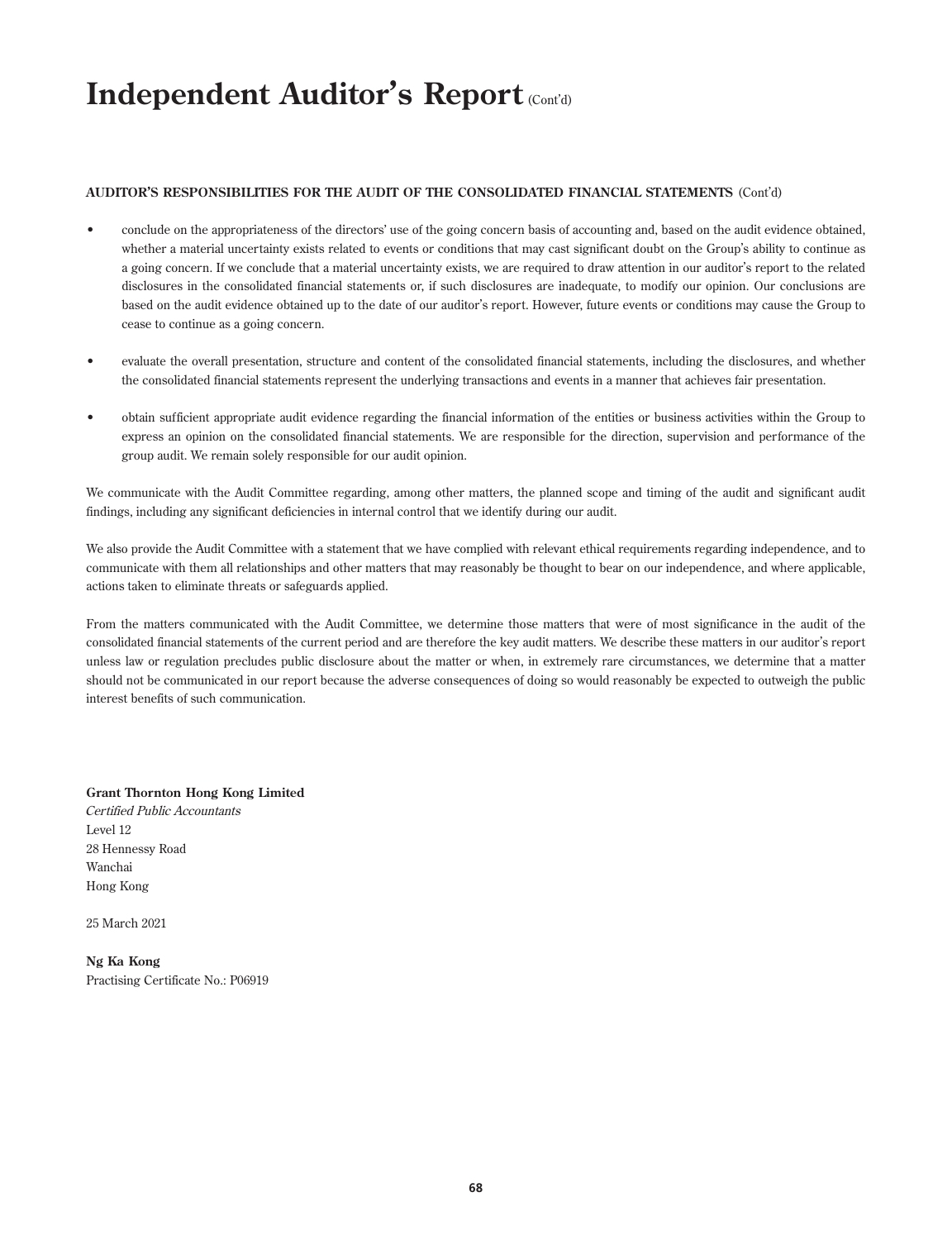# **AUDITOR'S RESPONSIBILITIES FOR THE AUDIT OF THE CONSOLIDATED FINANCIAL STATEMENTS** (Cont'd)

- conclude on the appropriateness of the directors' use of the going concern basis of accounting and, based on the audit evidence obtained, whether a material uncertainty exists related to events or conditions that may cast significant doubt on the Group's ability to continue as a going concern. If we conclude that a material uncertainty exists, we are required to draw attention in our auditor's report to the related disclosures in the consolidated financial statements or, if such disclosures are inadequate, to modify our opinion. Our conclusions are based on the audit evidence obtained up to the date of our auditor's report. However, future events or conditions may cause the Group to cease to continue as a going concern.
- evaluate the overall presentation, structure and content of the consolidated financial statements, including the disclosures, and whether the consolidated financial statements represent the underlying transactions and events in a manner that achieves fair presentation.
- obtain sufficient appropriate audit evidence regarding the financial information of the entities or business activities within the Group to express an opinion on the consolidated financial statements. We are responsible for the direction, supervision and performance of the group audit. We remain solely responsible for our audit opinion.

We communicate with the Audit Committee regarding, among other matters, the planned scope and timing of the audit and significant audit findings, including any significant deficiencies in internal control that we identify during our audit.

We also provide the Audit Committee with a statement that we have complied with relevant ethical requirements regarding independence, and to communicate with them all relationships and other matters that may reasonably be thought to bear on our independence, and where applicable, actions taken to eliminate threats or safeguards applied.

From the matters communicated with the Audit Committee, we determine those matters that were of most significance in the audit of the consolidated financial statements of the current period and are therefore the key audit matters. We describe these matters in our auditor's report unless law or regulation precludes public disclosure about the matter or when, in extremely rare circumstances, we determine that a matter should not be communicated in our report because the adverse consequences of doing so would reasonably be expected to outweigh the public interest benefits of such communication.

**Grant Thornton Hong Kong Limited** Certified Public Accountants Level 12 28 Hennessy Road

Wanchai Hong Kong

25 March 2021

**Ng Ka Kong** Practising Certificate No.: P06919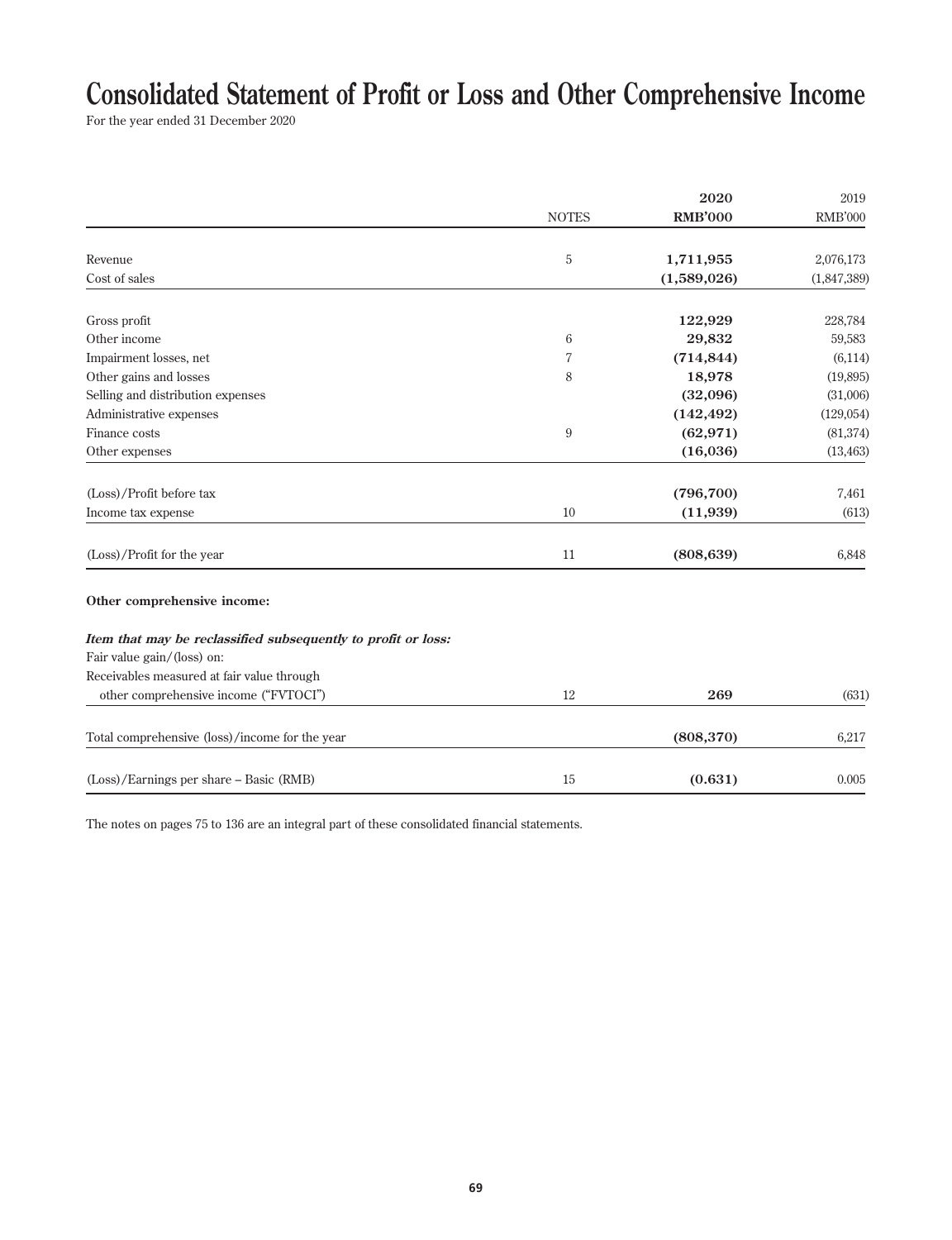# **Consolidated Statement of Profit or Loss and Other Comprehensive Income**

For the year ended 31 December 2020

|                                                               |              | 2020           | 2019           |
|---------------------------------------------------------------|--------------|----------------|----------------|
|                                                               | <b>NOTES</b> | <b>RMB'000</b> | <b>RMB'000</b> |
|                                                               |              |                |                |
| Revenue                                                       | 5            | 1,711,955      | 2,076,173      |
| Cost of sales                                                 |              | (1,589,026)    | (1,847,389)    |
| Gross profit                                                  |              | 122,929        | 228,784        |
| Other income                                                  | 6            | 29,832         | 59,583         |
| Impairment losses, net                                        | 7            | (714, 844)     | (6, 114)       |
| Other gains and losses                                        | 8            | 18,978         | (19,895)       |
| Selling and distribution expenses                             |              | (32,096)       | (31,006)       |
| Administrative expenses                                       |              | (142, 492)     | (129, 054)     |
| Finance costs                                                 | 9            | (62, 971)      | (81, 374)      |
| Other expenses                                                |              | (16,036)       | (13, 463)      |
| (Loss)/Profit before tax                                      |              | (796, 700)     | 7,461          |
| Income tax expense                                            | 10           | (11, 939)      | (613)          |
| (Loss)/Profit for the year                                    | 11           | (808, 639)     | 6,848          |
| Other comprehensive income:                                   |              |                |                |
| Item that may be reclassified subsequently to profit or loss: |              |                |                |
| Fair value gain/(loss) on:                                    |              |                |                |
| Receivables measured at fair value through                    |              |                |                |
| other comprehensive income ("FVTOCI")                         | 12           | 269            | (631)          |
| Total comprehensive (loss)/income for the year                |              | (808, 370)     | 6,217          |
| (Loss)/Earnings per share - Basic (RMB)                       | 15           | (0.631)        | 0.005          |

The notes on pages 75 to 136 are an integral part of these consolidated financial statements.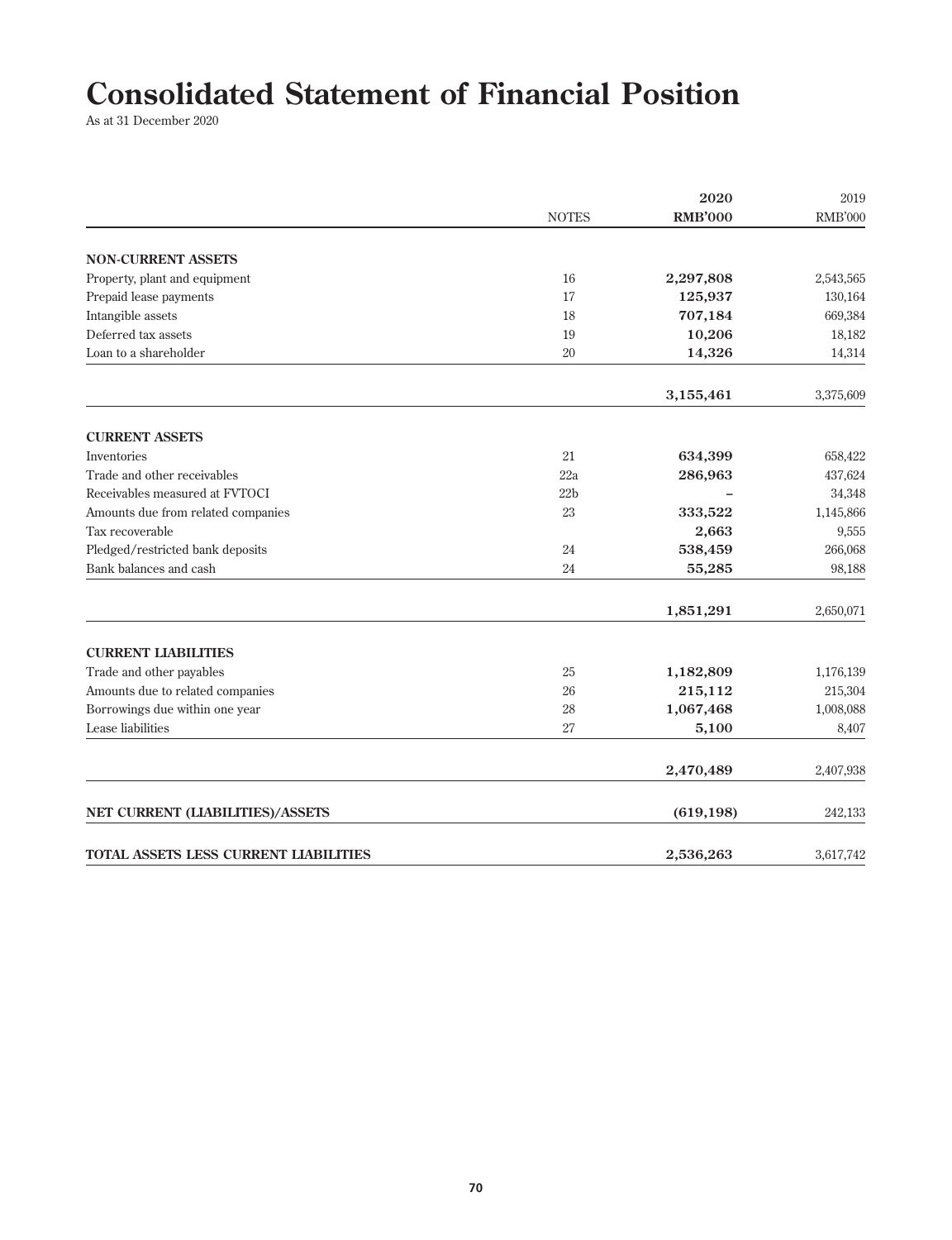# **Consolidated Statement of Financial Position**

As at 31 December 2020

|                                                         |                 | 2020                 | 2019           |
|---------------------------------------------------------|-----------------|----------------------|----------------|
|                                                         | <b>NOTES</b>    | <b>RMB'000</b>       | <b>RMB'000</b> |
| <b>NON-CURRENT ASSETS</b>                               |                 |                      |                |
|                                                         | 16              |                      | 2,543,565      |
| Property, plant and equipment<br>Prepaid lease payments | 17              | 2,297,808<br>125,937 | 130,164        |
| Intangible assets                                       | 18              | 707,184              | 669,384        |
| Deferred tax assets                                     | 19              | 10,206               | 18,182         |
| Loan to a shareholder                                   | 20              | 14,326               | 14,314         |
|                                                         |                 |                      |                |
|                                                         |                 | 3,155,461            | 3,375,609      |
| <b>CURRENT ASSETS</b>                                   |                 |                      |                |
| Inventories                                             | 21              | 634,399              | 658,422        |
| Trade and other receivables                             | 22a             | 286,963              | 437,624        |
| Receivables measured at FVTOCI                          | 22 <sub>b</sub> |                      | 34,348         |
| Amounts due from related companies                      | 23              | 333,522              | 1,145,866      |
| Tax recoverable                                         |                 | 2,663                | 9,555          |
| Pledged/restricted bank deposits                        | 24              | 538,459              | 266,068        |
| Bank balances and cash                                  | 24              | 55,285               | 98,188         |
|                                                         |                 | 1,851,291            | 2,650,071      |
| <b>CURRENT LIABILITIES</b>                              |                 |                      |                |
| Trade and other payables                                | 25              | 1,182,809            | 1,176,139      |
| Amounts due to related companies                        | 26              | 215,112              | 215,304        |
| Borrowings due within one year                          | 28              | 1,067,468            | 1,008,088      |
| Lease liabilities                                       | 27              | 5,100                | 8,407          |
|                                                         |                 | 2,470,489            | 2,407,938      |
| NET CURRENT (LIABILITIES)/ASSETS                        |                 | (619, 198)           | 242,133        |
| TOTAL ASSETS LESS CURRENT LIABILITIES                   |                 | 2,536,263            | 3,617,742      |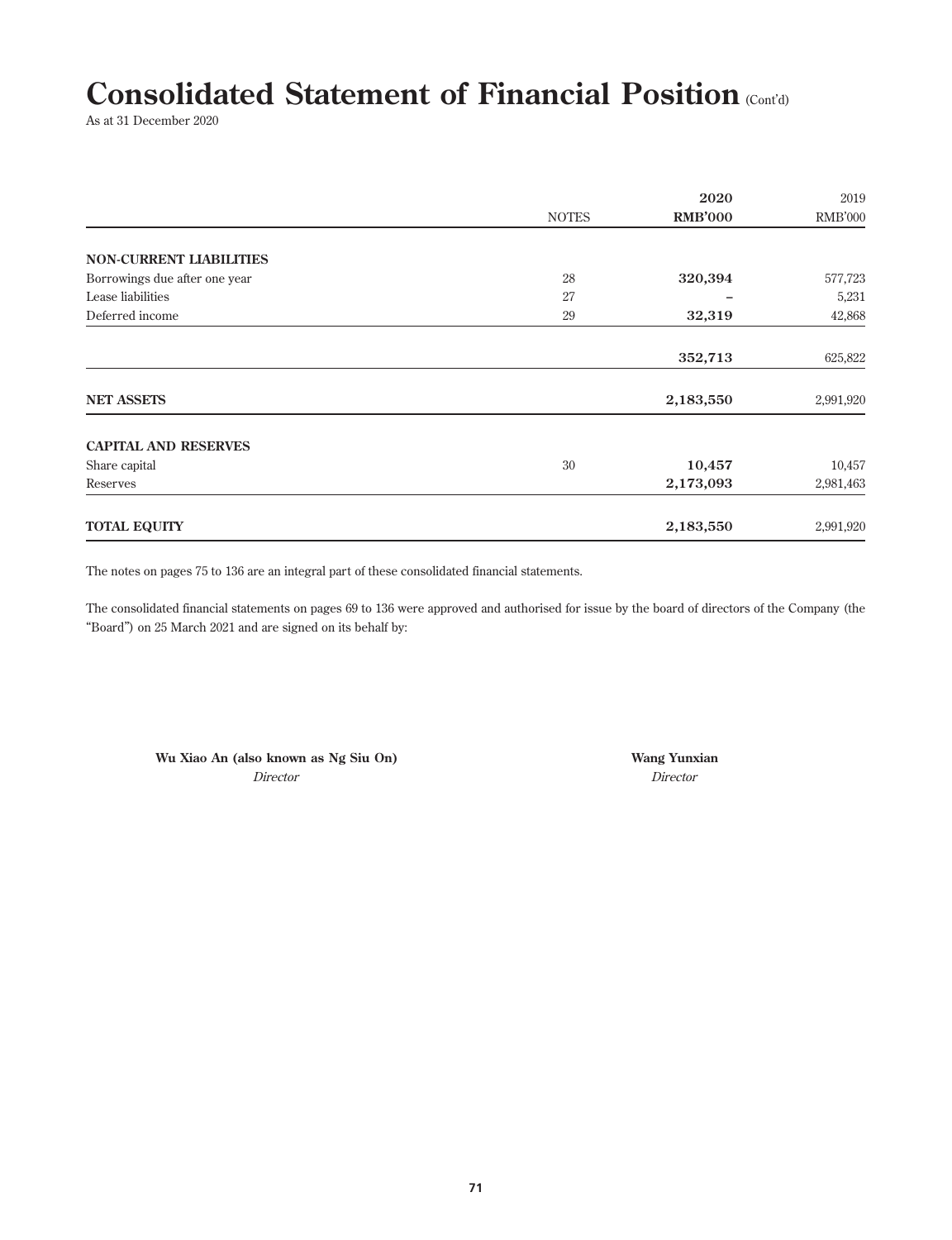# **Consolidated Statement of Financial Position (Cont'd)**

As at 31 December 2020

|                                |              | 2020           | 2019           |
|--------------------------------|--------------|----------------|----------------|
|                                | <b>NOTES</b> | <b>RMB'000</b> | <b>RMB'000</b> |
| <b>NON-CURRENT LIABILITIES</b> |              |                |                |
| Borrowings due after one year  | 28           | 320,394        | 577,723        |
| Lease liabilities              | 27           |                | 5,231          |
| Deferred income                | 29           | 32,319         | 42,868         |
|                                |              | 352,713        | 625,822        |
| <b>NET ASSETS</b>              |              | 2,183,550      | 2,991,920      |
| <b>CAPITAL AND RESERVES</b>    |              |                |                |
| Share capital                  | 30           | 10,457         | 10,457         |
| Reserves                       |              | 2,173,093      | 2,981,463      |
| <b>TOTAL EQUITY</b>            |              | 2,183,550      | 2,991,920      |

The notes on pages 75 to 136 are an integral part of these consolidated financial statements.

The consolidated financial statements on pages 69 to 136 were approved and authorised for issue by the board of directors of the Company (the "Board") on 25 March 2021 and are signed on its behalf by:

**Wu Xiao An (also known as Ng Siu On) Wang Yunxian** Director Director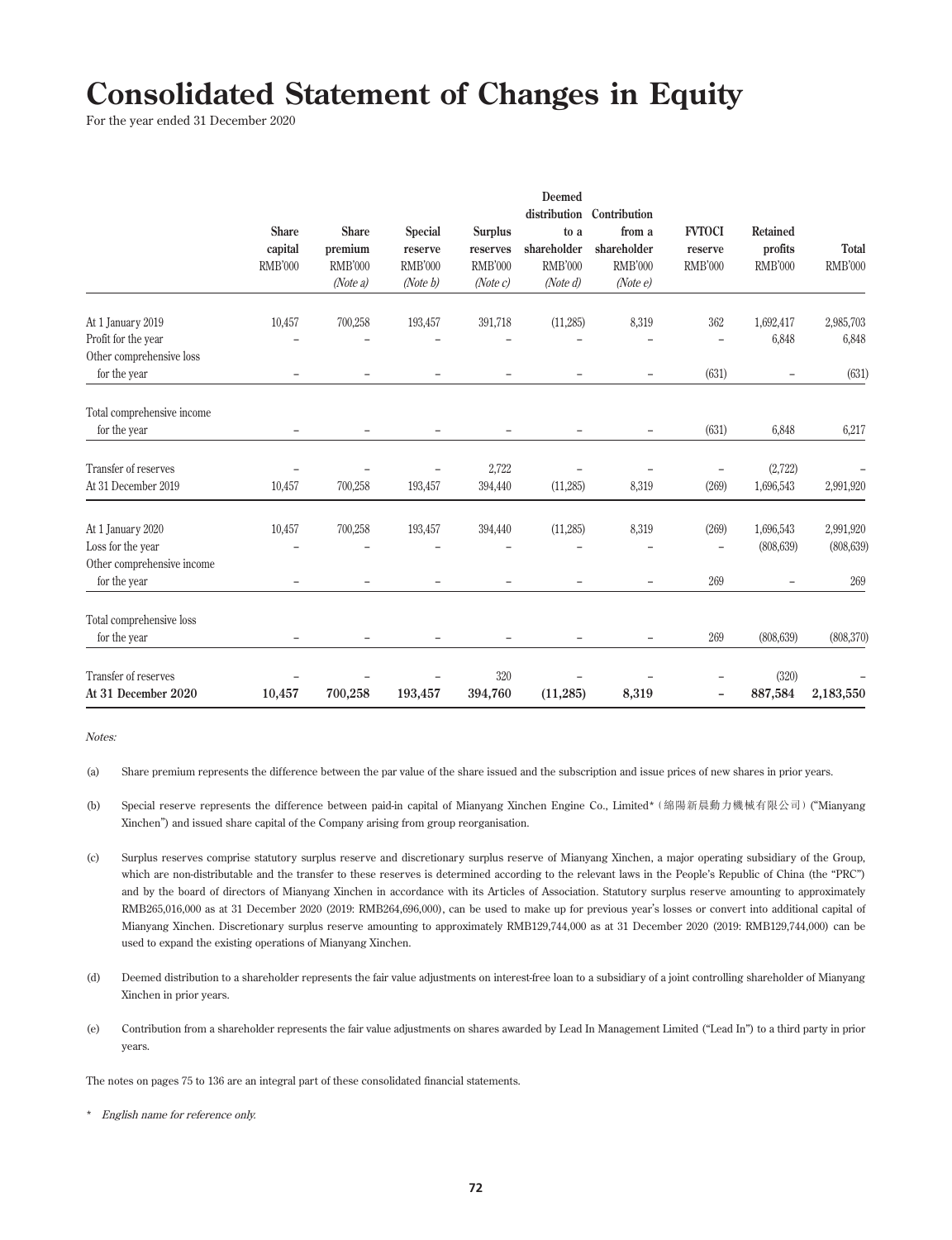# **Consolidated Statement of Changes in Equity**

For the year ended 31 December 2020

|                            |                |                |                |                | Deemed         |                   |                          |                          |                |
|----------------------------|----------------|----------------|----------------|----------------|----------------|-------------------|--------------------------|--------------------------|----------------|
|                            |                |                |                |                | distribution   | Contribution      |                          |                          |                |
|                            | <b>Share</b>   | <b>Share</b>   | <b>Special</b> | <b>Surplus</b> | to a           | from a            | <b>FVTOCI</b>            | <b>Retained</b>          |                |
|                            | capital        | premium        | reserve        | reserves       | shareholder    | shareholder       | reserve                  | profits                  | <b>Total</b>   |
|                            | <b>RMB'000</b> | <b>RMB'000</b> | <b>RMB'000</b> | <b>RMB'000</b> | <b>RMB'000</b> | <b>RMB'000</b>    | <b>RMB'000</b>           | <b>RMB'000</b>           | <b>RMB'000</b> |
|                            |                | (Note a)       | (Note b)       | (Note c)       | (Note d)       | (Notee)           |                          |                          |                |
| At 1 January 2019          | 10,457         | 700,258        | 193,457        | 391,718        | (11,285)       | 8,319             | 362                      | 1,692,417                | 2,985,703      |
| Profit for the year        |                |                |                |                |                |                   |                          | 6,848                    | 6,848          |
| Other comprehensive loss   |                |                |                |                |                |                   |                          |                          |                |
| for the year               |                |                |                |                |                | $\qquad \qquad -$ | (631)                    | $\overline{\phantom{0}}$ | (631)          |
| Total comprehensive income |                |                |                |                |                |                   |                          |                          |                |
| for the year               |                |                |                |                |                |                   | (631)                    | 6,848                    | 6,217          |
| Transfer of reserves       |                |                |                | 2,722          |                |                   | $\overline{\phantom{0}}$ | (2,722)                  |                |
| At 31 December 2019        | 10,457         | 700,258        | 193,457        | 394,440        | (11,285)       | 8,319             | (269)                    | 1,696,543                | 2,991,920      |
| At 1 January 2020          | 10,457         | 700,258        | 193,457        | 394,440        | (11,285)       | 8,319             | (269)                    | 1,696,543                | 2,991,920      |
| Loss for the year          |                |                |                |                |                |                   |                          | (808, 639)               | (808, 639)     |
| Other comprehensive income |                |                |                |                |                |                   |                          |                          |                |
| for the year               |                |                |                |                |                |                   | 269                      |                          | 269            |
| Total comprehensive loss   |                |                |                |                |                |                   |                          |                          |                |
| for the year               |                |                |                |                |                |                   | 269                      | (808, 639)               | (808, 370)     |
| Transfer of reserves       |                |                |                | 320            |                |                   |                          | (320)                    |                |
| At 31 December 2020        | 10,457         | 700,258        | 193,457        | 394,760        | (11, 285)      | 8,319             | ۰                        | 887,584                  | 2,183,550      |

Notes:

(a) Share premium represents the difference between the par value of the share issued and the subscription and issue prices of new shares in prior years.

(b) Special reserve represents the difference between paid-in capital of Mianyang Xinchen Engine Co., Limited\*(綿陽新晨動力機械有限公司)("Mianyang Xinchen") and issued share capital of the Company arising from group reorganisation.

(c) Surplus reserves comprise statutory surplus reserve and discretionary surplus reserve of Mianyang Xinchen, a major operating subsidiary of the Group, which are non-distributable and the transfer to these reserves is determined according to the relevant laws in the People's Republic of China (the "PRC") and by the board of directors of Mianyang Xinchen in accordance with its Articles of Association. Statutory surplus reserve amounting to approximately RMB265,016,000 as at 31 December 2020 (2019: RMB264,696,000), can be used to make up for previous year's losses or convert into additional capital of Mianyang Xinchen. Discretionary surplus reserve amounting to approximately RMB129,744,000 as at 31 December 2020 (2019: RMB129,744,000) can be used to expand the existing operations of Mianyang Xinchen.

(d) Deemed distribution to a shareholder represents the fair value adjustments on interest-free loan to a subsidiary of a joint controlling shareholder of Mianyang Xinchen in prior years.

(e) Contribution from a shareholder represents the fair value adjustments on shares awarded by Lead In Management Limited ("Lead In") to a third party in prior years.

The notes on pages 75 to 136 are an integral part of these consolidated financial statements.

\* English name for reference only.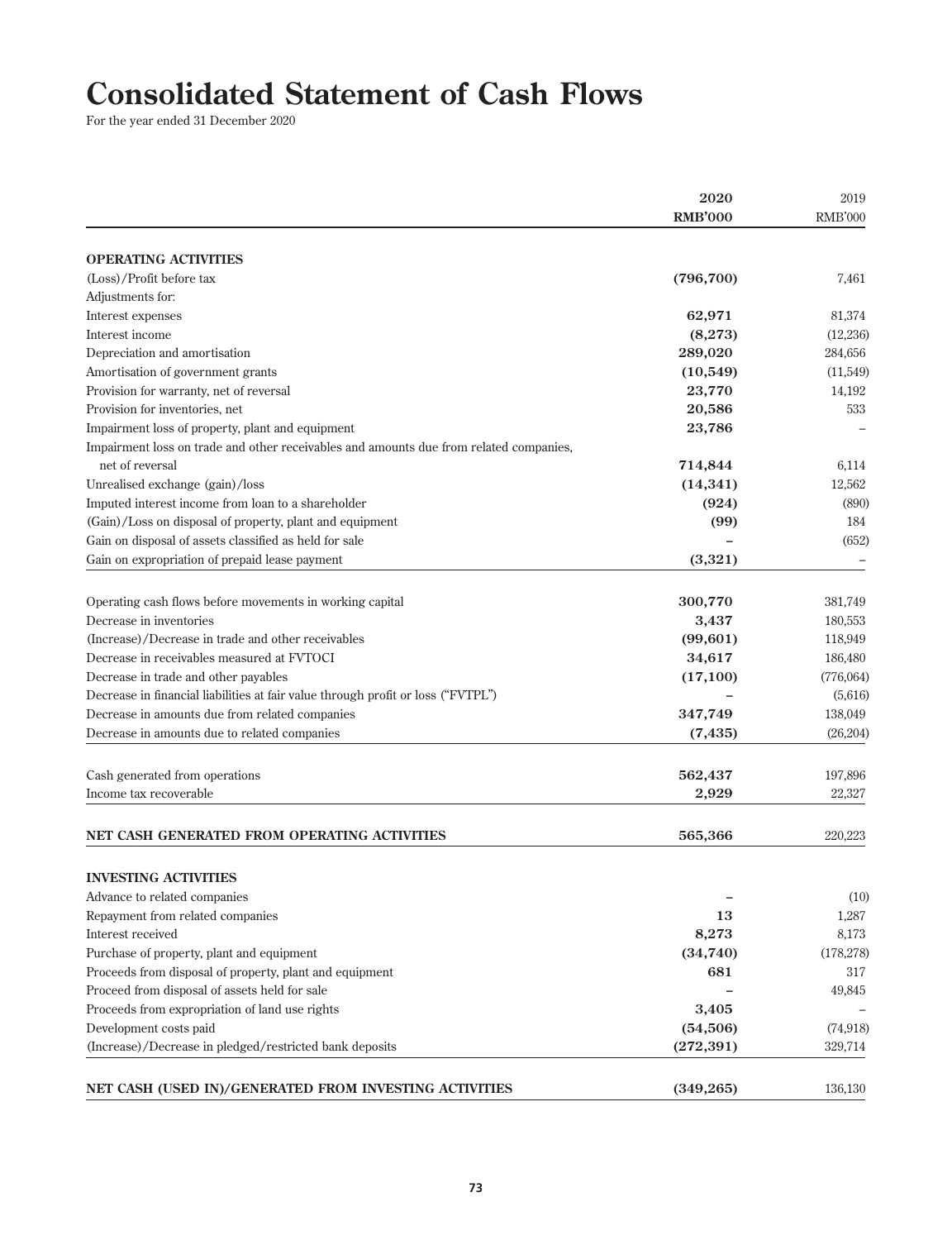# **Consolidated Statement of Cash Flows**

For the year ended 31 December 2020

|                                                                                        | 2020            | 2019           |
|----------------------------------------------------------------------------------------|-----------------|----------------|
|                                                                                        | <b>RMB'000</b>  | <b>RMB'000</b> |
| <b>OPERATING ACTIVITIES</b>                                                            |                 |                |
| (Loss)/Profit before tax                                                               | (796, 700)      | 7,461          |
| Adjustments for:                                                                       |                 |                |
| Interest expenses                                                                      | 62,971          | 81,374         |
| Interest income                                                                        | (8,273)         | (12,236)       |
| Depreciation and amortisation                                                          | 289,020         | 284,656        |
| Amortisation of government grants                                                      | (10,549)        | (11,549)       |
| Provision for warranty, net of reversal                                                | 23,770          | 14,192         |
| Provision for inventories, net                                                         | 20,586          | 533            |
| Impairment loss of property, plant and equipment                                       | 23,786          |                |
| Impairment loss on trade and other receivables and amounts due from related companies, |                 |                |
| net of reversal                                                                        | 714,844         | 6,114          |
| Unrealised exchange (gain)/loss                                                        | (14, 341)       | 12,562         |
| Imputed interest income from loan to a shareholder                                     | (924)           | (890)          |
| (Gain)/Loss on disposal of property, plant and equipment                               | (99)            | 184            |
| Gain on disposal of assets classified as held for sale                                 |                 | (652)          |
| Gain on expropriation of prepaid lease payment                                         | (3,321)         |                |
|                                                                                        |                 |                |
| Operating cash flows before movements in working capital                               | 300,770         | 381,749        |
| Decrease in inventories                                                                | 3,437           | 180,553        |
| (Increase)/Decrease in trade and other receivables                                     | (99, 601)       | 118,949        |
| Decrease in receivables measured at FVTOCI                                             | 34,617          | 186,480        |
| Decrease in trade and other payables                                                   | (17,100)        | (776,064)      |
| Decrease in financial liabilities at fair value through profit or loss ("FVTPL")       |                 | (5,616)        |
| Decrease in amounts due from related companies                                         | 347,749         | 138,049        |
| Decrease in amounts due to related companies                                           | (7, 435)        | (26, 204)      |
|                                                                                        |                 |                |
| Cash generated from operations                                                         | 562,437         | 197,896        |
| Income tax recoverable                                                                 | 2,929           | 22,327         |
|                                                                                        |                 |                |
| NET CASH GENERATED FROM OPERATING ACTIVITIES                                           | 565,366         | 220,223        |
| <b>INVESTING ACTIVITIES</b>                                                            |                 |                |
| Advance to related companies                                                           | $\qquad \qquad$ | (10)           |
| Repayment from related companies                                                       | 13              | 1,287          |
| Interest received                                                                      | 8,273           | 8,173          |
| Purchase of property, plant and equipment                                              | (34, 740)       | (178, 278)     |
| Proceeds from disposal of property, plant and equipment                                | 681             | 317            |
| Proceed from disposal of assets held for sale                                          |                 | 49,845         |
| Proceeds from expropriation of land use rights                                         | 3,405           |                |
| Development costs paid                                                                 | (54, 506)       | (74, 918)      |
| (Increase)/Decrease in pledged/restricted bank deposits                                | (272, 391)      | 329,714        |
|                                                                                        |                 |                |
| NET CASH (USED IN)/GENERATED FROM INVESTING ACTIVITIES                                 | (349, 265)      | 136,130        |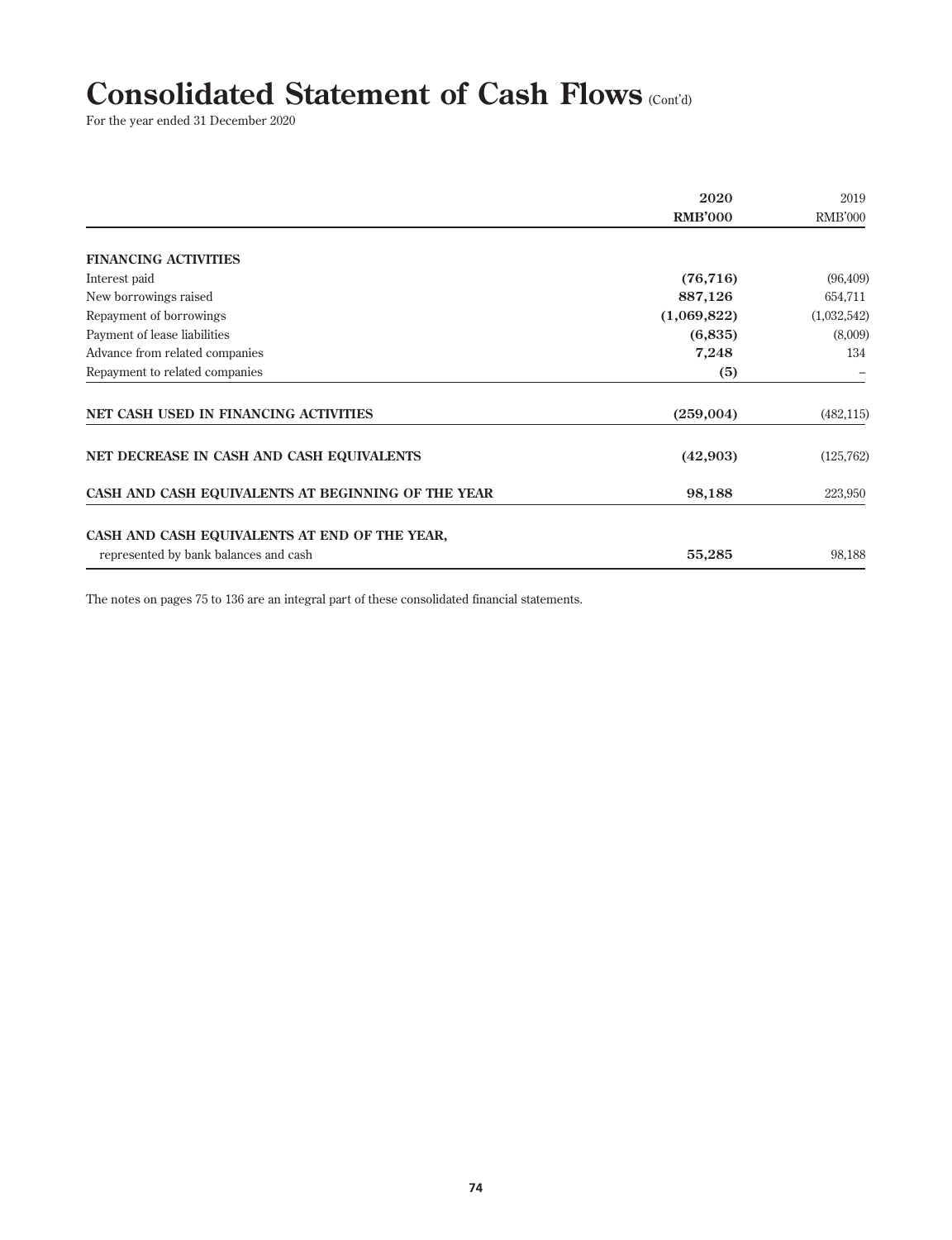# **Consolidated Statement of Cash Flows** (Cont'd)

For the year ended 31 December 2020

|                                                    | 2020           | 2019           |
|----------------------------------------------------|----------------|----------------|
|                                                    | <b>RMB'000</b> | <b>RMB'000</b> |
| <b>FINANCING ACTIVITIES</b>                        |                |                |
| Interest paid                                      | (76, 716)      | (96, 409)      |
| New borrowings raised                              | 887,126        | 654,711        |
| Repayment of borrowings                            | (1,069,822)    | (1,032,542)    |
| Payment of lease liabilities                       | (6,835)        | (8,009)        |
| Advance from related companies                     | 7,248          | 134            |
| Repayment to related companies                     | (5)            |                |
| NET CASH USED IN FINANCING ACTIVITIES              | (259,004)      | (482, 115)     |
| NET DECREASE IN CASH AND CASH EQUIVALENTS          | (42,903)       | (125,762)      |
| CASH AND CASH EQUIVALENTS AT BEGINNING OF THE YEAR | 98,188         | 223,950        |
| CASH AND CASH EQUIVALENTS AT END OF THE YEAR,      |                |                |
| represented by bank balances and cash              | 55,285         | 98,188         |

The notes on pages 75 to 136 are an integral part of these consolidated financial statements.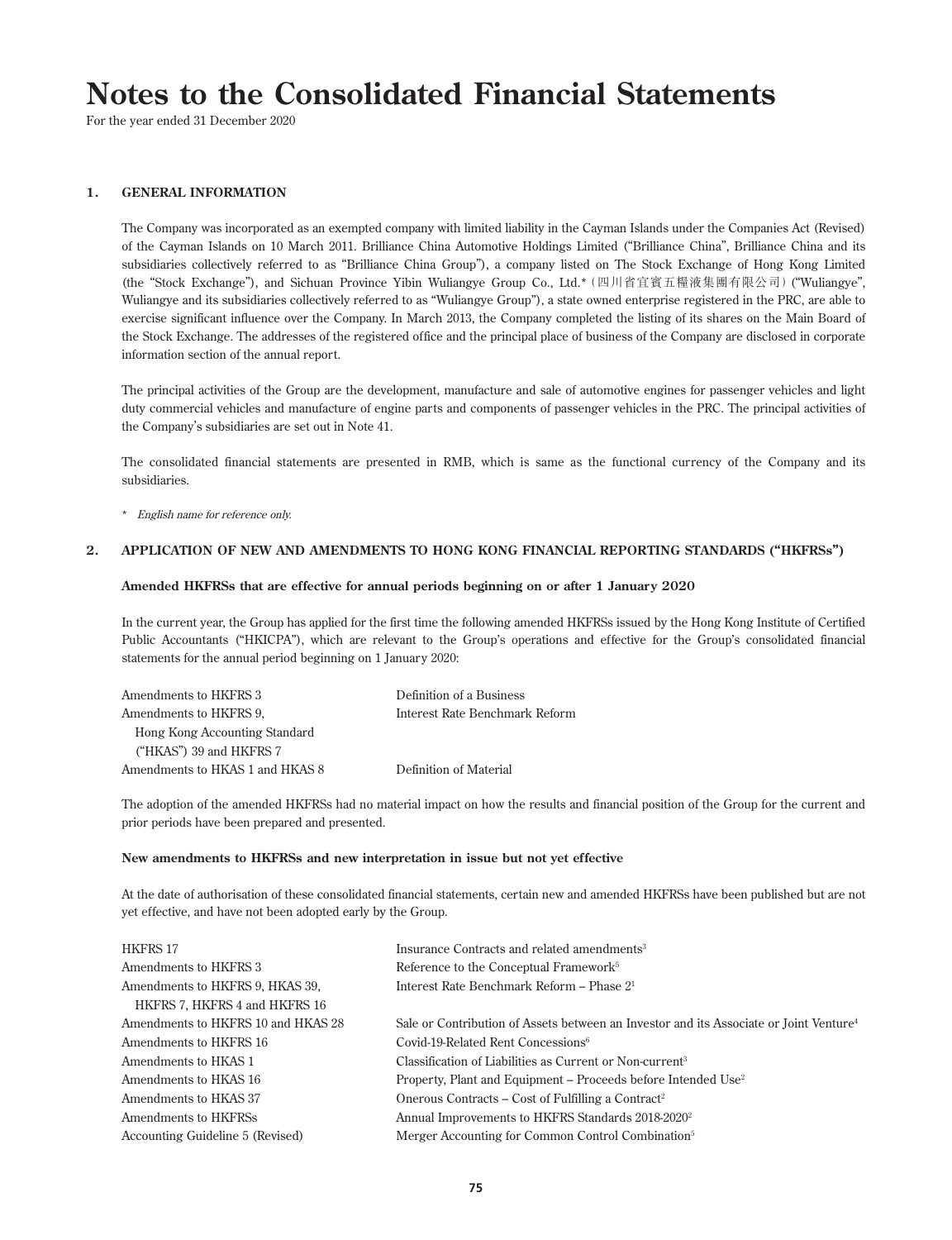For the year ended 31 December 2020

### **1. GENERAL INFORMATION**

The Company was incorporated as an exempted company with limited liability in the Cayman Islands under the Companies Act (Revised) of the Cayman Islands on 10 March 2011. Brilliance China Automotive Holdings Limited ("Brilliance China", Brilliance China and its subsidiaries collectively referred to as "Brilliance China Group"), a company listed on The Stock Exchange of Hong Kong Limited (the "Stock Exchange"), and Sichuan Province Yibin Wuliangye Group Co., Ltd.\*(四川省宜賓五糧液集團有限公司)("Wuliangye", Wuliangye and its subsidiaries collectively referred to as "Wuliangye Group"), a state owned enterprise registered in the PRC, are able to exercise significant influence over the Company. In March 2013, the Company completed the listing of its shares on the Main Board of the Stock Exchange. The addresses of the registered office and the principal place of business of the Company are disclosed in corporate information section of the annual report.

The principal activities of the Group are the development, manufacture and sale of automotive engines for passenger vehicles and light duty commercial vehicles and manufacture of engine parts and components of passenger vehicles in the PRC. The principal activities of the Company's subsidiaries are set out in Note 41.

The consolidated financial statements are presented in RMB, which is same as the functional currency of the Company and its subsidiaries.

\* English name for reference only.

### **2. APPLICATION OF NEW AND AMENDMENTS TO HONG KONG FINANCIAL REPORTING STANDARDS ("HKFRSs")**

### **Amended HKFRSs that are effective for annual periods beginning on or after 1 January 2020**

In the current year, the Group has applied for the first time the following amended HKFRSs issued by the Hong Kong Institute of Certified Public Accountants ("HKICPA"), which are relevant to the Group's operations and effective for the Group's consolidated financial statements for the annual period beginning on 1 January 2020:

| Amendments to HKFRS 3           | Definition of a Business       |
|---------------------------------|--------------------------------|
| Amendments to HKFRS 9.          | Interest Rate Benchmark Reform |
| Hong Kong Accounting Standard   |                                |
| ("HKAS") 39 and HKFRS 7         |                                |
| Amendments to HKAS 1 and HKAS 8 | Definition of Material         |

The adoption of the amended HKFRSs had no material impact on how the results and financial position of the Group for the current and prior periods have been prepared and presented.

#### **New amendments to HKFRSs and new interpretation in issue but not yet effective**

At the date of authorisation of these consolidated financial statements, certain new and amended HKFRSs have been published but are not yet effective, and have not been adopted early by the Group.

| Insurance Contracts and related amendments <sup>3</sup>                                            |
|----------------------------------------------------------------------------------------------------|
| Reference to the Conceptual Framework <sup>5</sup>                                                 |
| Interest Rate Benchmark Reform – Phase 2 <sup>1</sup>                                              |
|                                                                                                    |
| Sale or Contribution of Assets between an Investor and its Associate or Joint Venture <sup>4</sup> |
| Covid-19-Related Rent Concessions <sup>6</sup>                                                     |
| Classification of Liabilities as Current or Non-current <sup>3</sup>                               |
| Property, Plant and Equipment – Proceeds before Intended Use <sup>2</sup>                          |
| Onerous Contracts – Cost of Fulfilling a Contract <sup>2</sup>                                     |
| Annual Improvements to HKFRS Standards 2018-2020 <sup>2</sup>                                      |
| Merger Accounting for Common Control Combination <sup>5</sup>                                      |
|                                                                                                    |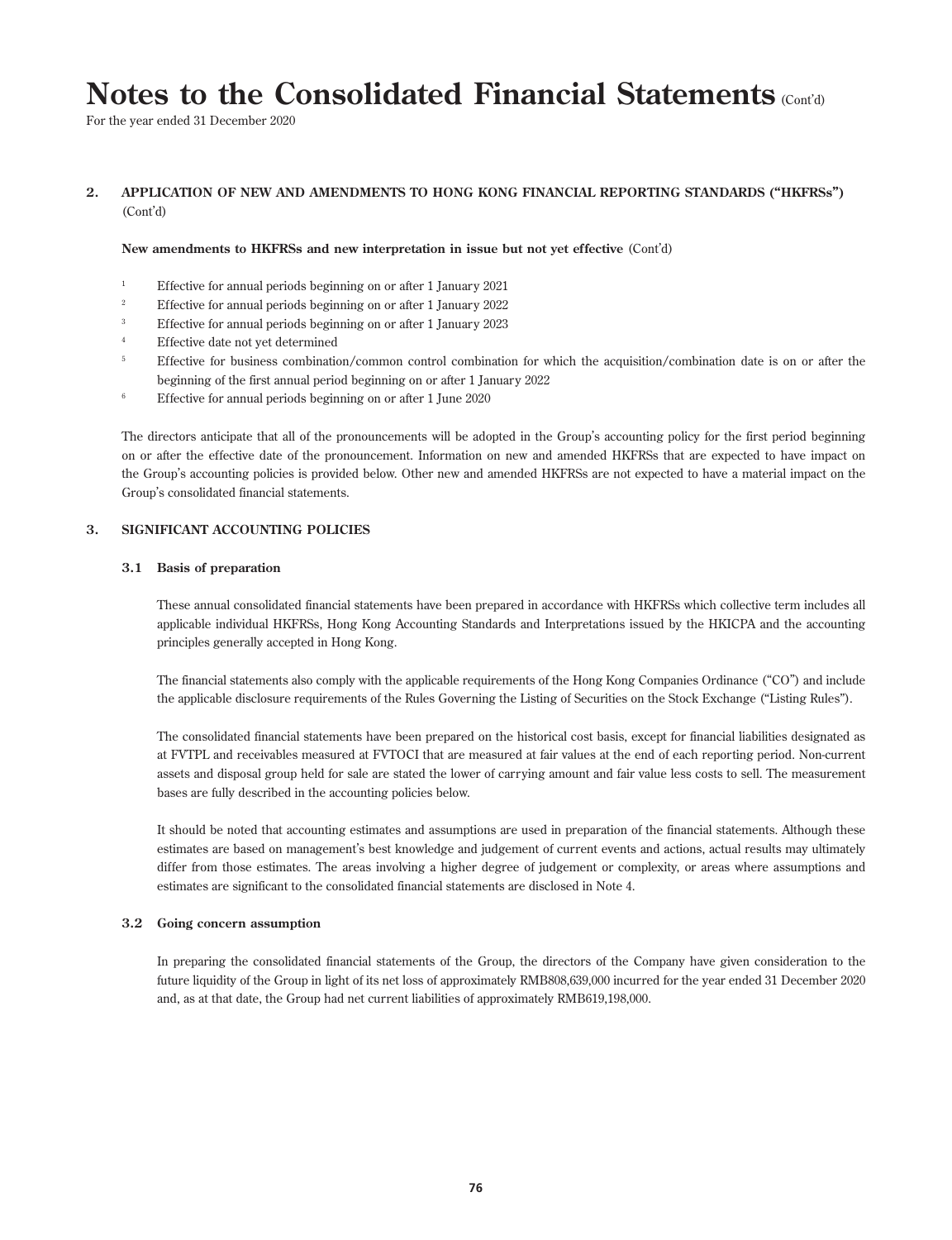For the year ended 31 December 2020

## **2. APPLICATION OF NEW AND AMENDMENTS TO HONG KONG FINANCIAL REPORTING STANDARDS ("HKFRSs")**  (Cont'd)

### **New amendments to HKFRSs and new interpretation in issue but not yet effective** (Cont'd)

- <sup>1</sup> Effective for annual periods beginning on or after 1 January 2021
- <sup>2</sup> Effective for annual periods beginning on or after 1 January 2022
- <sup>3</sup> Effective for annual periods beginning on or after 1 January 2023
- 4 Effective date not yet determined
- <sup>5</sup> Effective for business combination/common control combination for which the acquisition/combination date is on or after the beginning of the first annual period beginning on or after 1 January 2022
- 6 Effective for annual periods beginning on or after 1 June 2020

The directors anticipate that all of the pronouncements will be adopted in the Group's accounting policy for the first period beginning on or after the effective date of the pronouncement. Information on new and amended HKFRSs that are expected to have impact on the Group's accounting policies is provided below. Other new and amended HKFRSs are not expected to have a material impact on the Group's consolidated financial statements.

### **3. SIGNIFICANT ACCOUNTING POLICIES**

### **3.1 Basis of preparation**

These annual consolidated financial statements have been prepared in accordance with HKFRSs which collective term includes all applicable individual HKFRSs, Hong Kong Accounting Standards and Interpretations issued by the HKICPA and the accounting principles generally accepted in Hong Kong.

The financial statements also comply with the applicable requirements of the Hong Kong Companies Ordinance ("CO") and include the applicable disclosure requirements of the Rules Governing the Listing of Securities on the Stock Exchange ("Listing Rules").

The consolidated financial statements have been prepared on the historical cost basis, except for financial liabilities designated as at FVTPL and receivables measured at FVTOCI that are measured at fair values at the end of each reporting period. Non-current assets and disposal group held for sale are stated the lower of carrying amount and fair value less costs to sell. The measurement bases are fully described in the accounting policies below.

It should be noted that accounting estimates and assumptions are used in preparation of the financial statements. Although these estimates are based on management's best knowledge and judgement of current events and actions, actual results may ultimately differ from those estimates. The areas involving a higher degree of judgement or complexity, or areas where assumptions and estimates are significant to the consolidated financial statements are disclosed in Note 4.

#### **3.2 Going concern assumption**

In preparing the consolidated financial statements of the Group, the directors of the Company have given consideration to the future liquidity of the Group in light of its net loss of approximately RMB808,639,000 incurred for the year ended 31 December 2020 and, as at that date, the Group had net current liabilities of approximately RMB619,198,000.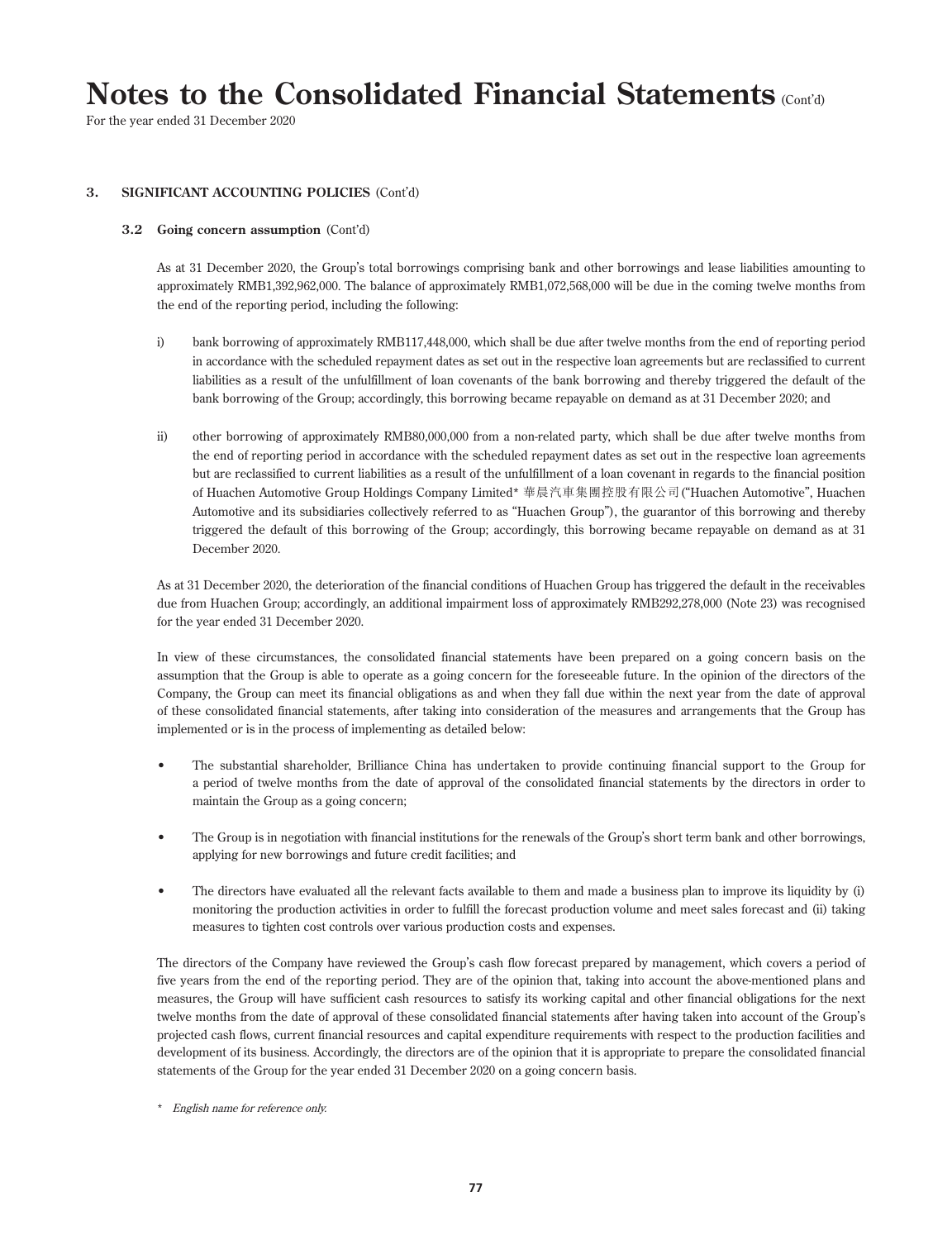For the year ended 31 December 2020

## **3. SIGNIFICANT ACCOUNTING POLICIES** (Cont'd)

### **3.2 Going concern assumption** (Cont'd)

As at 31 December 2020, the Group's total borrowings comprising bank and other borrowings and lease liabilities amounting to approximately RMB1,392,962,000. The balance of approximately RMB1,072,568,000 will be due in the coming twelve months from the end of the reporting period, including the following:

- i) bank borrowing of approximately RMB117,448,000, which shall be due after twelve months from the end of reporting period in accordance with the scheduled repayment dates as set out in the respective loan agreements but are reclassified to current liabilities as a result of the unfulfillment of loan covenants of the bank borrowing and thereby triggered the default of the bank borrowing of the Group; accordingly, this borrowing became repayable on demand as at 31 December 2020; and
- ii) other borrowing of approximately RMB80,000,000 from a non-related party, which shall be due after twelve months from the end of reporting period in accordance with the scheduled repayment dates as set out in the respective loan agreements but are reclassified to current liabilities as a result of the unfulfillment of a loan covenant in regards to the financial position of Huachen Automotive Group Holdings Company Limited\* 華晨汽車集團控股有限公司("Huachen Automotive", Huachen Automotive and its subsidiaries collectively referred to as "Huachen Group"), the guarantor of this borrowing and thereby triggered the default of this borrowing of the Group; accordingly, this borrowing became repayable on demand as at 31 December 2020.

As at 31 December 2020, the deterioration of the financial conditions of Huachen Group has triggered the default in the receivables due from Huachen Group; accordingly, an additional impairment loss of approximately RMB292,278,000 (Note 23) was recognised for the year ended 31 December 2020.

In view of these circumstances, the consolidated financial statements have been prepared on a going concern basis on the assumption that the Group is able to operate as a going concern for the foreseeable future. In the opinion of the directors of the Company, the Group can meet its financial obligations as and when they fall due within the next year from the date of approval of these consolidated financial statements, after taking into consideration of the measures and arrangements that the Group has implemented or is in the process of implementing as detailed below:

- The substantial shareholder, Brilliance China has undertaken to provide continuing financial support to the Group for a period of twelve months from the date of approval of the consolidated financial statements by the directors in order to maintain the Group as a going concern;
- The Group is in negotiation with financial institutions for the renewals of the Group's short term bank and other borrowings, applying for new borrowings and future credit facilities; and
- The directors have evaluated all the relevant facts available to them and made a business plan to improve its liquidity by (i) monitoring the production activities in order to fulfill the forecast production volume and meet sales forecast and (ii) taking measures to tighten cost controls over various production costs and expenses.

The directors of the Company have reviewed the Group's cash flow forecast prepared by management, which covers a period of five years from the end of the reporting period. They are of the opinion that, taking into account the above-mentioned plans and measures, the Group will have sufficient cash resources to satisfy its working capital and other financial obligations for the next twelve months from the date of approval of these consolidated financial statements after having taken into account of the Group's projected cash flows, current financial resources and capital expenditure requirements with respect to the production facilities and development of its business. Accordingly, the directors are of the opinion that it is appropriate to prepare the consolidated financial statements of the Group for the year ended 31 December 2020 on a going concern basis.

<sup>\*</sup> English name for reference only.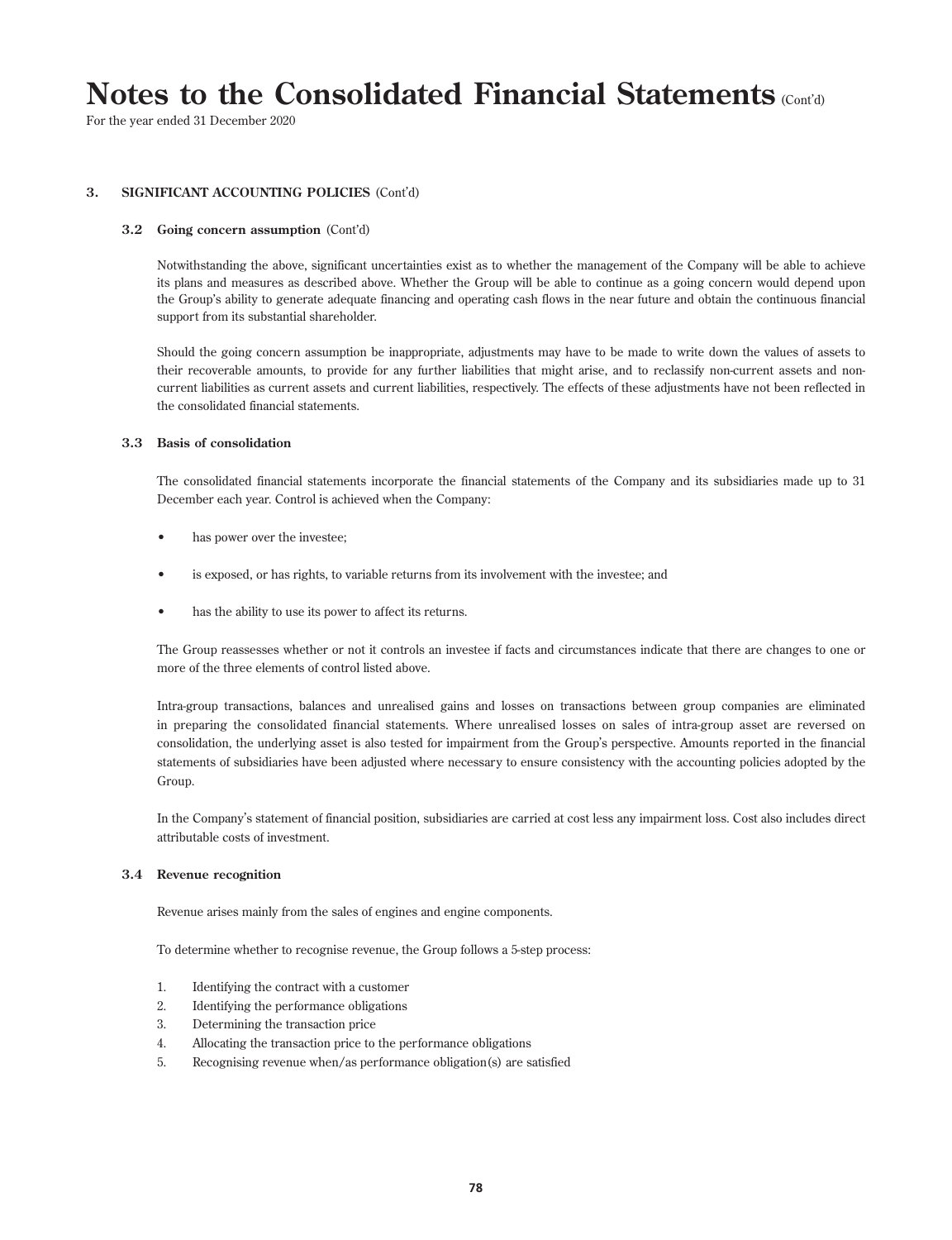For the year ended 31 December 2020

### **3. SIGNIFICANT ACCOUNTING POLICIES** (Cont'd)

### **3.2 Going concern assumption** (Cont'd)

Notwithstanding the above, significant uncertainties exist as to whether the management of the Company will be able to achieve its plans and measures as described above. Whether the Group will be able to continue as a going concern would depend upon the Group's ability to generate adequate financing and operating cash flows in the near future and obtain the continuous financial support from its substantial shareholder.

Should the going concern assumption be inappropriate, adjustments may have to be made to write down the values of assets to their recoverable amounts, to provide for any further liabilities that might arise, and to reclassify non-current assets and noncurrent liabilities as current assets and current liabilities, respectively. The effects of these adjustments have not been reflected in the consolidated financial statements.

### **3.3 Basis of consolidation**

The consolidated financial statements incorporate the financial statements of the Company and its subsidiaries made up to 31 December each year. Control is achieved when the Company:

- has power over the investee;
- is exposed, or has rights, to variable returns from its involvement with the investee; and
- has the ability to use its power to affect its returns.

The Group reassesses whether or not it controls an investee if facts and circumstances indicate that there are changes to one or more of the three elements of control listed above.

Intra-group transactions, balances and unrealised gains and losses on transactions between group companies are eliminated in preparing the consolidated financial statements. Where unrealised losses on sales of intra-group asset are reversed on consolidation, the underlying asset is also tested for impairment from the Group's perspective. Amounts reported in the financial statements of subsidiaries have been adjusted where necessary to ensure consistency with the accounting policies adopted by the Group.

In the Company's statement of financial position, subsidiaries are carried at cost less any impairment loss. Cost also includes direct attributable costs of investment.

#### **3.4 Revenue recognition**

Revenue arises mainly from the sales of engines and engine components.

To determine whether to recognise revenue, the Group follows a 5-step process:

- 1. Identifying the contract with a customer
- 2. Identifying the performance obligations
- 3. Determining the transaction price
- 4. Allocating the transaction price to the performance obligations
- 5. Recognising revenue when/as performance obligation(s) are satisfied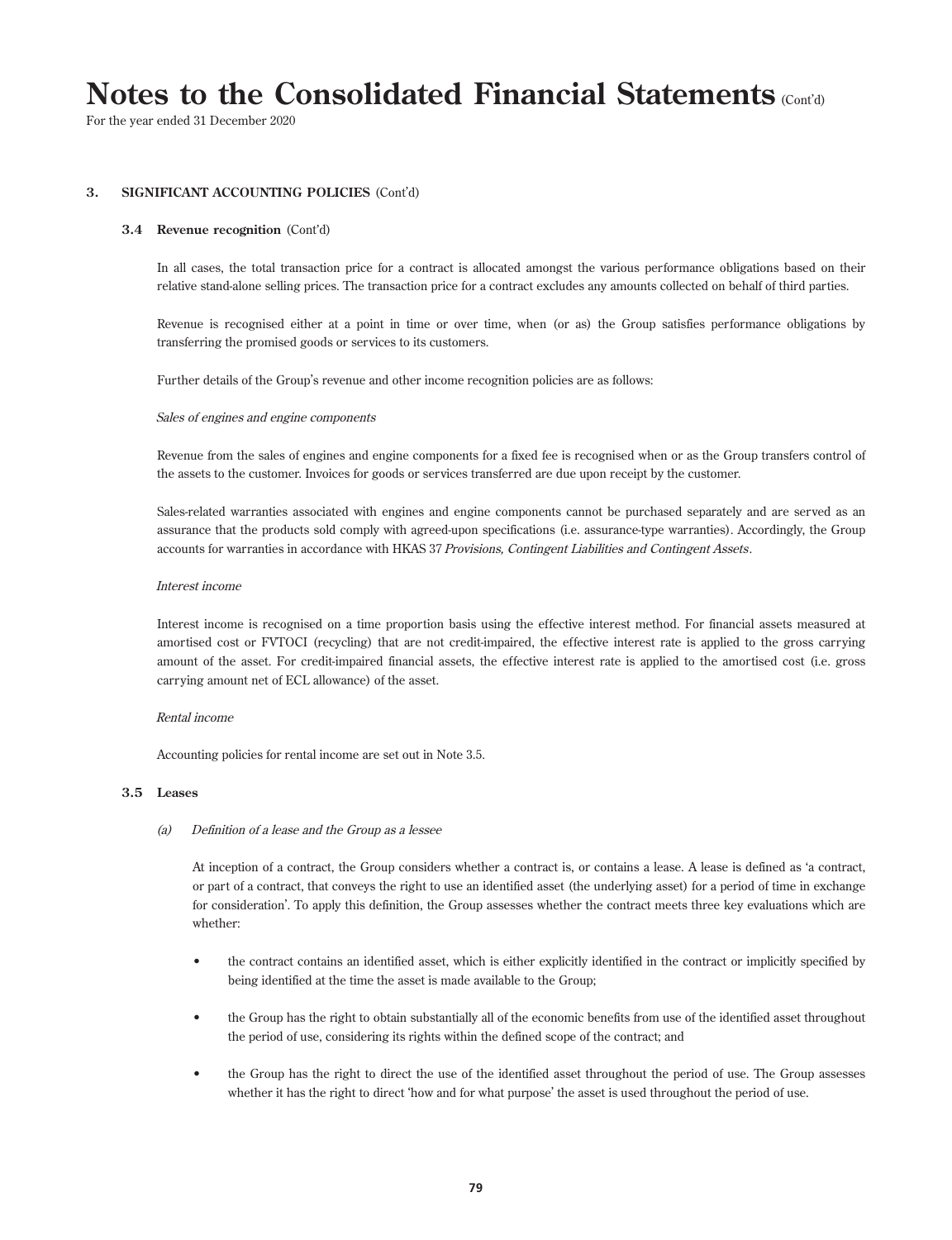For the year ended 31 December 2020

## **3. SIGNIFICANT ACCOUNTING POLICIES** (Cont'd)

### **3.4 Revenue recognition** (Cont'd)

In all cases, the total transaction price for a contract is allocated amongst the various performance obligations based on their relative stand-alone selling prices. The transaction price for a contract excludes any amounts collected on behalf of third parties.

Revenue is recognised either at a point in time or over time, when (or as) the Group satisfies performance obligations by transferring the promised goods or services to its customers.

Further details of the Group's revenue and other income recognition policies are as follows:

#### Sales of engines and engine components

Revenue from the sales of engines and engine components for a fixed fee is recognised when or as the Group transfers control of the assets to the customer. Invoices for goods or services transferred are due upon receipt by the customer.

Sales-related warranties associated with engines and engine components cannot be purchased separately and are served as an assurance that the products sold comply with agreed-upon specifications (i.e. assurance-type warranties). Accordingly, the Group accounts for warranties in accordance with HKAS 37 Provisions, Contingent Liabilities and Contingent Assets.

### Interest income

Interest income is recognised on a time proportion basis using the effective interest method. For financial assets measured at amortised cost or FVTOCI (recycling) that are not credit-impaired, the effective interest rate is applied to the gross carrying amount of the asset. For credit-impaired financial assets, the effective interest rate is applied to the amortised cost (i.e. gross carrying amount net of ECL allowance) of the asset.

#### Rental income

Accounting policies for rental income are set out in Note 3.5.

#### **3.5 Leases**

#### (a) Definition of a lease and the Group as a lessee

At inception of a contract, the Group considers whether a contract is, or contains a lease. A lease is defined as 'a contract, or part of a contract, that conveys the right to use an identified asset (the underlying asset) for a period of time in exchange for consideration'. To apply this definition, the Group assesses whether the contract meets three key evaluations which are whether:

- the contract contains an identified asset, which is either explicitly identified in the contract or implicitly specified by being identified at the time the asset is made available to the Group;
- the Group has the right to obtain substantially all of the economic benefits from use of the identified asset throughout the period of use, considering its rights within the defined scope of the contract; and
- the Group has the right to direct the use of the identified asset throughout the period of use. The Group assesses whether it has the right to direct 'how and for what purpose' the asset is used throughout the period of use.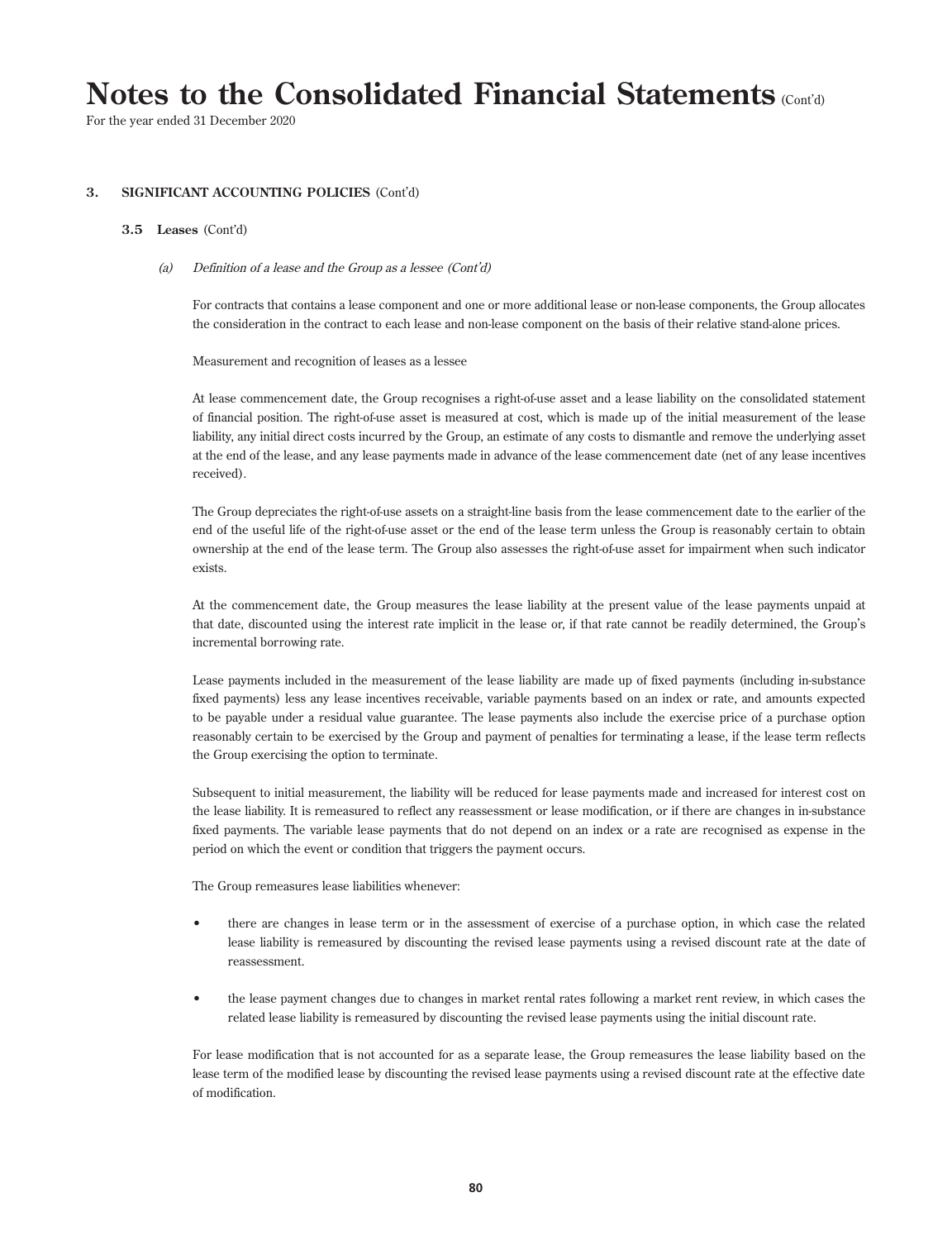For the year ended 31 December 2020

### **3. SIGNIFICANT ACCOUNTING POLICIES** (Cont'd)

#### **3.5 Leases** (Cont'd)

### (a) Definition of a lease and the Group as a lessee (Cont'd)

For contracts that contains a lease component and one or more additional lease or non-lease components, the Group allocates the consideration in the contract to each lease and non-lease component on the basis of their relative stand-alone prices.

Measurement and recognition of leases as a lessee

At lease commencement date, the Group recognises a right-of-use asset and a lease liability on the consolidated statement of financial position. The right-of-use asset is measured at cost, which is made up of the initial measurement of the lease liability, any initial direct costs incurred by the Group, an estimate of any costs to dismantle and remove the underlying asset at the end of the lease, and any lease payments made in advance of the lease commencement date (net of any lease incentives received).

The Group depreciates the right-of-use assets on a straight-line basis from the lease commencement date to the earlier of the end of the useful life of the right-of-use asset or the end of the lease term unless the Group is reasonably certain to obtain ownership at the end of the lease term. The Group also assesses the right-of-use asset for impairment when such indicator exists.

At the commencement date, the Group measures the lease liability at the present value of the lease payments unpaid at that date, discounted using the interest rate implicit in the lease or, if that rate cannot be readily determined, the Group's incremental borrowing rate.

Lease payments included in the measurement of the lease liability are made up of fixed payments (including in-substance fixed payments) less any lease incentives receivable, variable payments based on an index or rate, and amounts expected to be payable under a residual value guarantee. The lease payments also include the exercise price of a purchase option reasonably certain to be exercised by the Group and payment of penalties for terminating a lease, if the lease term reflects the Group exercising the option to terminate.

Subsequent to initial measurement, the liability will be reduced for lease payments made and increased for interest cost on the lease liability. It is remeasured to reflect any reassessment or lease modification, or if there are changes in in-substance fixed payments. The variable lease payments that do not depend on an index or a rate are recognised as expense in the period on which the event or condition that triggers the payment occurs.

The Group remeasures lease liabilities whenever:

- there are changes in lease term or in the assessment of exercise of a purchase option, in which case the related lease liability is remeasured by discounting the revised lease payments using a revised discount rate at the date of reassessment.
- the lease payment changes due to changes in market rental rates following a market rent review, in which cases the related lease liability is remeasured by discounting the revised lease payments using the initial discount rate.

For lease modification that is not accounted for as a separate lease, the Group remeasures the lease liability based on the lease term of the modified lease by discounting the revised lease payments using a revised discount rate at the effective date of modification.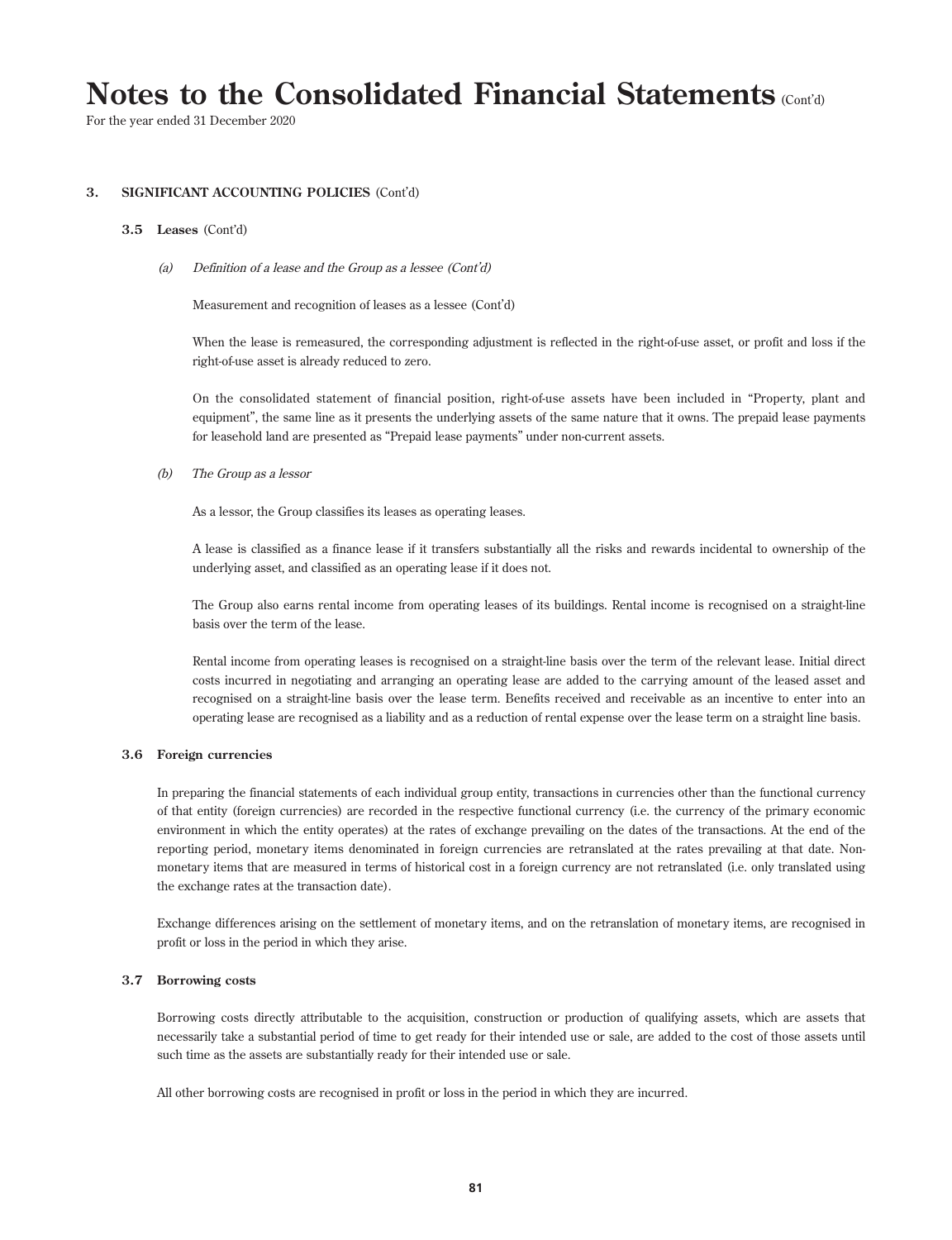For the year ended 31 December 2020

## **3. SIGNIFICANT ACCOUNTING POLICIES** (Cont'd)

### **3.5 Leases** (Cont'd)

(a) Definition of a lease and the Group as a lessee (Cont'd)

Measurement and recognition of leases as a lessee (Cont'd)

When the lease is remeasured, the corresponding adjustment is reflected in the right-of-use asset, or profit and loss if the right-of-use asset is already reduced to zero.

On the consolidated statement of financial position, right-of-use assets have been included in "Property, plant and equipment", the same line as it presents the underlying assets of the same nature that it owns. The prepaid lease payments for leasehold land are presented as "Prepaid lease payments" under non-current assets.

### (b) The Group as a lessor

As a lessor, the Group classifies its leases as operating leases.

A lease is classified as a finance lease if it transfers substantially all the risks and rewards incidental to ownership of the underlying asset, and classified as an operating lease if it does not.

The Group also earns rental income from operating leases of its buildings. Rental income is recognised on a straight-line basis over the term of the lease.

Rental income from operating leases is recognised on a straight-line basis over the term of the relevant lease. Initial direct costs incurred in negotiating and arranging an operating lease are added to the carrying amount of the leased asset and recognised on a straight-line basis over the lease term. Benefits received and receivable as an incentive to enter into an operating lease are recognised as a liability and as a reduction of rental expense over the lease term on a straight line basis.

### **3.6 Foreign currencies**

In preparing the financial statements of each individual group entity, transactions in currencies other than the functional currency of that entity (foreign currencies) are recorded in the respective functional currency (i.e. the currency of the primary economic environment in which the entity operates) at the rates of exchange prevailing on the dates of the transactions. At the end of the reporting period, monetary items denominated in foreign currencies are retranslated at the rates prevailing at that date. Nonmonetary items that are measured in terms of historical cost in a foreign currency are not retranslated (i.e. only translated using the exchange rates at the transaction date).

Exchange differences arising on the settlement of monetary items, and on the retranslation of monetary items, are recognised in profit or loss in the period in which they arise.

### **3.7 Borrowing costs**

Borrowing costs directly attributable to the acquisition, construction or production of qualifying assets, which are assets that necessarily take a substantial period of time to get ready for their intended use or sale, are added to the cost of those assets until such time as the assets are substantially ready for their intended use or sale.

All other borrowing costs are recognised in profit or loss in the period in which they are incurred.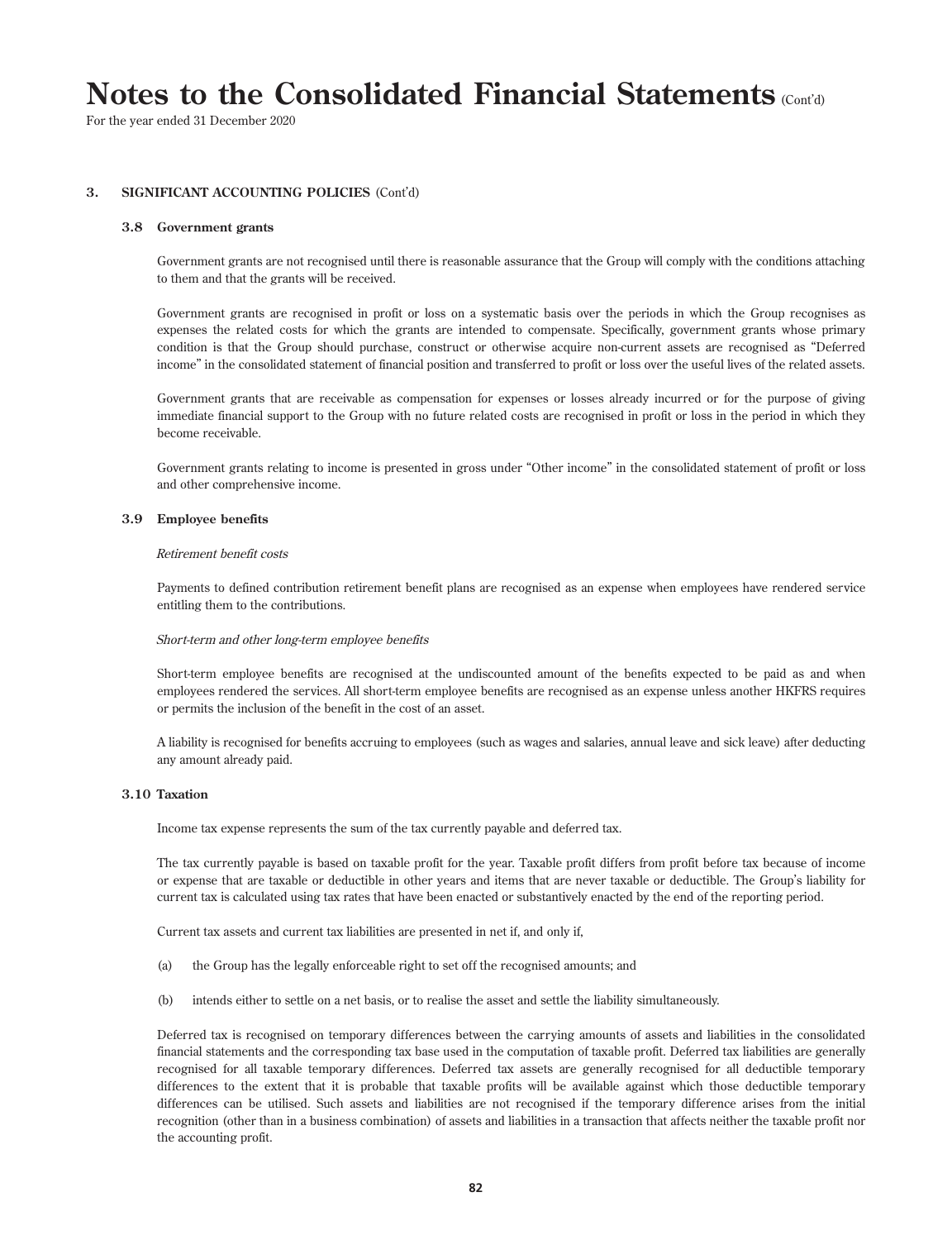For the year ended 31 December 2020

### **3. SIGNIFICANT ACCOUNTING POLICIES** (Cont'd)

### **3.8 Government grants**

Government grants are not recognised until there is reasonable assurance that the Group will comply with the conditions attaching to them and that the grants will be received.

Government grants are recognised in profit or loss on a systematic basis over the periods in which the Group recognises as expenses the related costs for which the grants are intended to compensate. Specifically, government grants whose primary condition is that the Group should purchase, construct or otherwise acquire non-current assets are recognised as "Deferred income" in the consolidated statement of financial position and transferred to profit or loss over the useful lives of the related assets.

Government grants that are receivable as compensation for expenses or losses already incurred or for the purpose of giving immediate financial support to the Group with no future related costs are recognised in profit or loss in the period in which they become receivable.

Government grants relating to income is presented in gross under "Other income" in the consolidated statement of profit or loss and other comprehensive income.

### **3.9 Employee benefits**

#### Retirement benefit costs

Payments to defined contribution retirement benefit plans are recognised as an expense when employees have rendered service entitling them to the contributions.

### Short-term and other long-term employee benefits

Short-term employee benefits are recognised at the undiscounted amount of the benefits expected to be paid as and when employees rendered the services. All short-term employee benefits are recognised as an expense unless another HKFRS requires or permits the inclusion of the benefit in the cost of an asset.

A liability is recognised for benefits accruing to employees (such as wages and salaries, annual leave and sick leave) after deducting any amount already paid.

#### **3.10 Taxation**

Income tax expense represents the sum of the tax currently payable and deferred tax.

The tax currently payable is based on taxable profit for the year. Taxable profit differs from profit before tax because of income or expense that are taxable or deductible in other years and items that are never taxable or deductible. The Group's liability for current tax is calculated using tax rates that have been enacted or substantively enacted by the end of the reporting period.

Current tax assets and current tax liabilities are presented in net if, and only if,

- (a) the Group has the legally enforceable right to set off the recognised amounts; and
- (b) intends either to settle on a net basis, or to realise the asset and settle the liability simultaneously.

Deferred tax is recognised on temporary differences between the carrying amounts of assets and liabilities in the consolidated financial statements and the corresponding tax base used in the computation of taxable profit. Deferred tax liabilities are generally recognised for all taxable temporary differences. Deferred tax assets are generally recognised for all deductible temporary differences to the extent that it is probable that taxable profits will be available against which those deductible temporary differences can be utilised. Such assets and liabilities are not recognised if the temporary difference arises from the initial recognition (other than in a business combination) of assets and liabilities in a transaction that affects neither the taxable profit nor the accounting profit.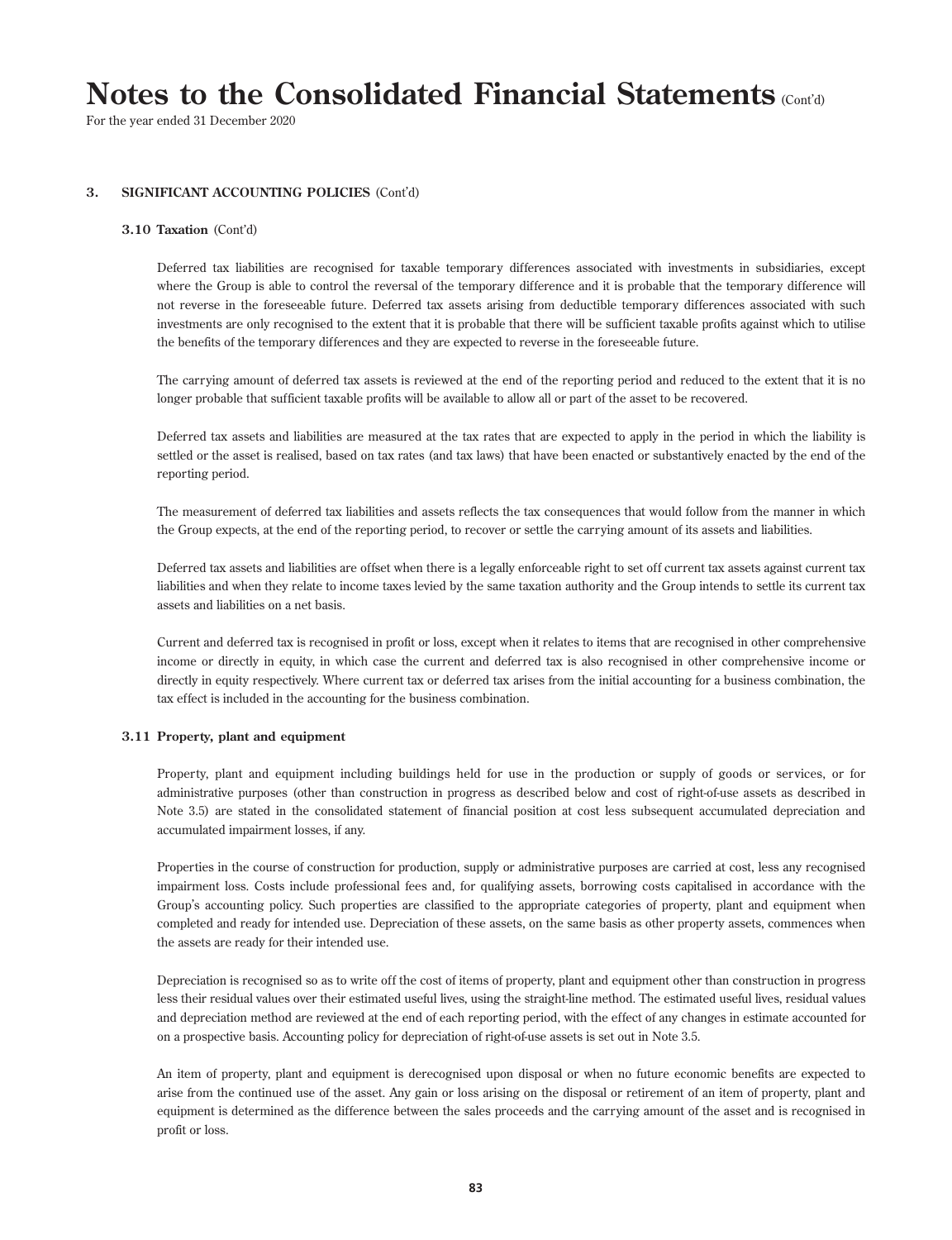For the year ended 31 December 2020

### **3. SIGNIFICANT ACCOUNTING POLICIES** (Cont'd)

### **3.10 Taxation** (Cont'd)

Deferred tax liabilities are recognised for taxable temporary differences associated with investments in subsidiaries, except where the Group is able to control the reversal of the temporary difference and it is probable that the temporary difference will not reverse in the foreseeable future. Deferred tax assets arising from deductible temporary differences associated with such investments are only recognised to the extent that it is probable that there will be sufficient taxable profits against which to utilise the benefits of the temporary differences and they are expected to reverse in the foreseeable future.

The carrying amount of deferred tax assets is reviewed at the end of the reporting period and reduced to the extent that it is no longer probable that sufficient taxable profits will be available to allow all or part of the asset to be recovered.

Deferred tax assets and liabilities are measured at the tax rates that are expected to apply in the period in which the liability is settled or the asset is realised, based on tax rates (and tax laws) that have been enacted or substantively enacted by the end of the reporting period.

The measurement of deferred tax liabilities and assets reflects the tax consequences that would follow from the manner in which the Group expects, at the end of the reporting period, to recover or settle the carrying amount of its assets and liabilities.

Deferred tax assets and liabilities are offset when there is a legally enforceable right to set off current tax assets against current tax liabilities and when they relate to income taxes levied by the same taxation authority and the Group intends to settle its current tax assets and liabilities on a net basis.

Current and deferred tax is recognised in profit or loss, except when it relates to items that are recognised in other comprehensive income or directly in equity, in which case the current and deferred tax is also recognised in other comprehensive income or directly in equity respectively. Where current tax or deferred tax arises from the initial accounting for a business combination, the tax effect is included in the accounting for the business combination.

### **3.11 Property, plant and equipment**

Property, plant and equipment including buildings held for use in the production or supply of goods or services, or for administrative purposes (other than construction in progress as described below and cost of right-of-use assets as described in Note 3.5) are stated in the consolidated statement of financial position at cost less subsequent accumulated depreciation and accumulated impairment losses, if any.

Properties in the course of construction for production, supply or administrative purposes are carried at cost, less any recognised impairment loss. Costs include professional fees and, for qualifying assets, borrowing costs capitalised in accordance with the Group's accounting policy. Such properties are classified to the appropriate categories of property, plant and equipment when completed and ready for intended use. Depreciation of these assets, on the same basis as other property assets, commences when the assets are ready for their intended use.

Depreciation is recognised so as to write off the cost of items of property, plant and equipment other than construction in progress less their residual values over their estimated useful lives, using the straight-line method. The estimated useful lives, residual values and depreciation method are reviewed at the end of each reporting period, with the effect of any changes in estimate accounted for on a prospective basis. Accounting policy for depreciation of right-of-use assets is set out in Note 3.5.

An item of property, plant and equipment is derecognised upon disposal or when no future economic benefits are expected to arise from the continued use of the asset. Any gain or loss arising on the disposal or retirement of an item of property, plant and equipment is determined as the difference between the sales proceeds and the carrying amount of the asset and is recognised in profit or loss.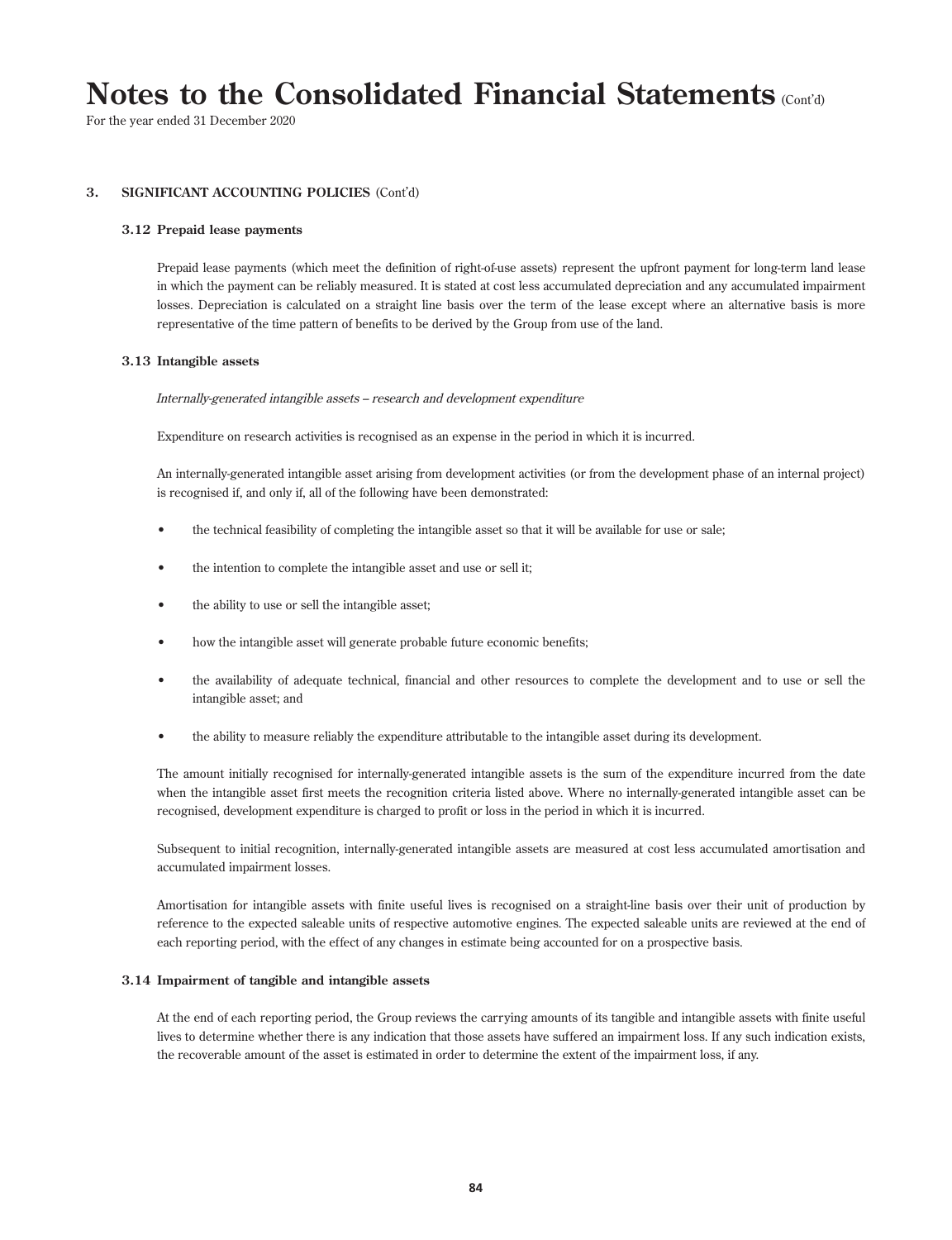For the year ended 31 December 2020

### **3. SIGNIFICANT ACCOUNTING POLICIES** (Cont'd)

### **3.12 Prepaid lease payments**

Prepaid lease payments (which meet the definition of right-of-use assets) represent the upfront payment for long-term land lease in which the payment can be reliably measured. It is stated at cost less accumulated depreciation and any accumulated impairment losses. Depreciation is calculated on a straight line basis over the term of the lease except where an alternative basis is more representative of the time pattern of benefits to be derived by the Group from use of the land.

### **3.13 Intangible assets**

Internally-generated intangible assets – research and development expenditure

Expenditure on research activities is recognised as an expense in the period in which it is incurred.

An internally-generated intangible asset arising from development activities (or from the development phase of an internal project) is recognised if, and only if, all of the following have been demonstrated:

- the technical feasibility of completing the intangible asset so that it will be available for use or sale;
- the intention to complete the intangible asset and use or sell it;
- the ability to use or sell the intangible asset;
- how the intangible asset will generate probable future economic benefits;
- the availability of adequate technical, financial and other resources to complete the development and to use or sell the intangible asset; and
- the ability to measure reliably the expenditure attributable to the intangible asset during its development.

The amount initially recognised for internally-generated intangible assets is the sum of the expenditure incurred from the date when the intangible asset first meets the recognition criteria listed above. Where no internally-generated intangible asset can be recognised, development expenditure is charged to profit or loss in the period in which it is incurred.

Subsequent to initial recognition, internally-generated intangible assets are measured at cost less accumulated amortisation and accumulated impairment losses.

Amortisation for intangible assets with finite useful lives is recognised on a straight-line basis over their unit of production by reference to the expected saleable units of respective automotive engines. The expected saleable units are reviewed at the end of each reporting period, with the effect of any changes in estimate being accounted for on a prospective basis.

### **3.14 Impairment of tangible and intangible assets**

At the end of each reporting period, the Group reviews the carrying amounts of its tangible and intangible assets with finite useful lives to determine whether there is any indication that those assets have suffered an impairment loss. If any such indication exists, the recoverable amount of the asset is estimated in order to determine the extent of the impairment loss, if any.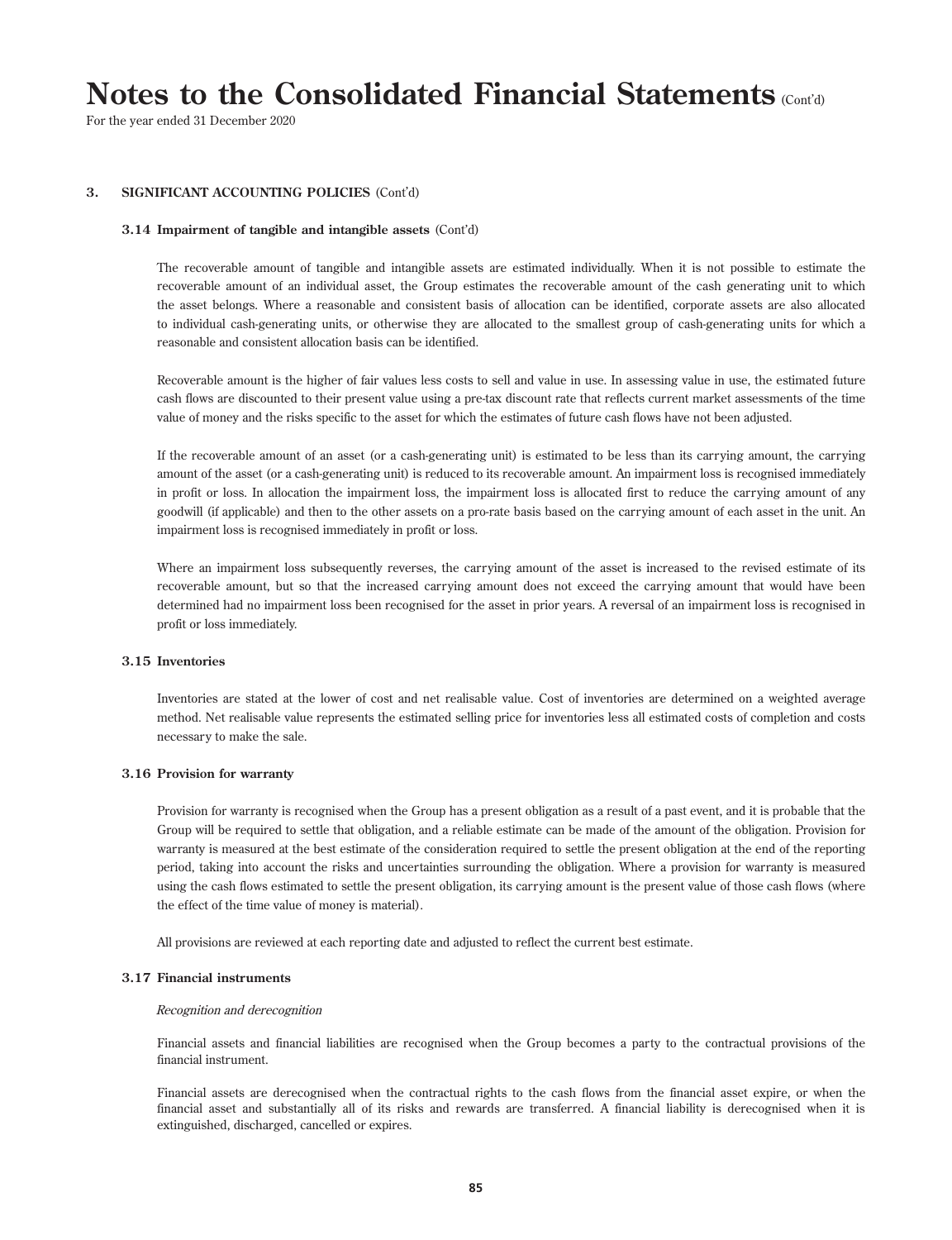For the year ended 31 December 2020

### **3. SIGNIFICANT ACCOUNTING POLICIES** (Cont'd)

### **3.14 Impairment of tangible and intangible assets** (Cont'd)

The recoverable amount of tangible and intangible assets are estimated individually. When it is not possible to estimate the recoverable amount of an individual asset, the Group estimates the recoverable amount of the cash generating unit to which the asset belongs. Where a reasonable and consistent basis of allocation can be identified, corporate assets are also allocated to individual cash-generating units, or otherwise they are allocated to the smallest group of cash-generating units for which a reasonable and consistent allocation basis can be identified.

Recoverable amount is the higher of fair values less costs to sell and value in use. In assessing value in use, the estimated future cash flows are discounted to their present value using a pre-tax discount rate that reflects current market assessments of the time value of money and the risks specific to the asset for which the estimates of future cash flows have not been adjusted.

If the recoverable amount of an asset (or a cash-generating unit) is estimated to be less than its carrying amount, the carrying amount of the asset (or a cash-generating unit) is reduced to its recoverable amount. An impairment loss is recognised immediately in profit or loss. In allocation the impairment loss, the impairment loss is allocated first to reduce the carrying amount of any goodwill (if applicable) and then to the other assets on a pro-rate basis based on the carrying amount of each asset in the unit. An impairment loss is recognised immediately in profit or loss.

Where an impairment loss subsequently reverses, the carrying amount of the asset is increased to the revised estimate of its recoverable amount, but so that the increased carrying amount does not exceed the carrying amount that would have been determined had no impairment loss been recognised for the asset in prior years. A reversal of an impairment loss is recognised in profit or loss immediately.

#### **3.15 Inventories**

Inventories are stated at the lower of cost and net realisable value. Cost of inventories are determined on a weighted average method. Net realisable value represents the estimated selling price for inventories less all estimated costs of completion and costs necessary to make the sale.

#### **3.16 Provision for warranty**

Provision for warranty is recognised when the Group has a present obligation as a result of a past event, and it is probable that the Group will be required to settle that obligation, and a reliable estimate can be made of the amount of the obligation. Provision for warranty is measured at the best estimate of the consideration required to settle the present obligation at the end of the reporting period, taking into account the risks and uncertainties surrounding the obligation. Where a provision for warranty is measured using the cash flows estimated to settle the present obligation, its carrying amount is the present value of those cash flows (where the effect of the time value of money is material).

All provisions are reviewed at each reporting date and adjusted to reflect the current best estimate.

#### **3.17 Financial instruments**

#### Recognition and derecognition

Financial assets and financial liabilities are recognised when the Group becomes a party to the contractual provisions of the financial instrument.

Financial assets are derecognised when the contractual rights to the cash flows from the financial asset expire, or when the financial asset and substantially all of its risks and rewards are transferred. A financial liability is derecognised when it is extinguished, discharged, cancelled or expires.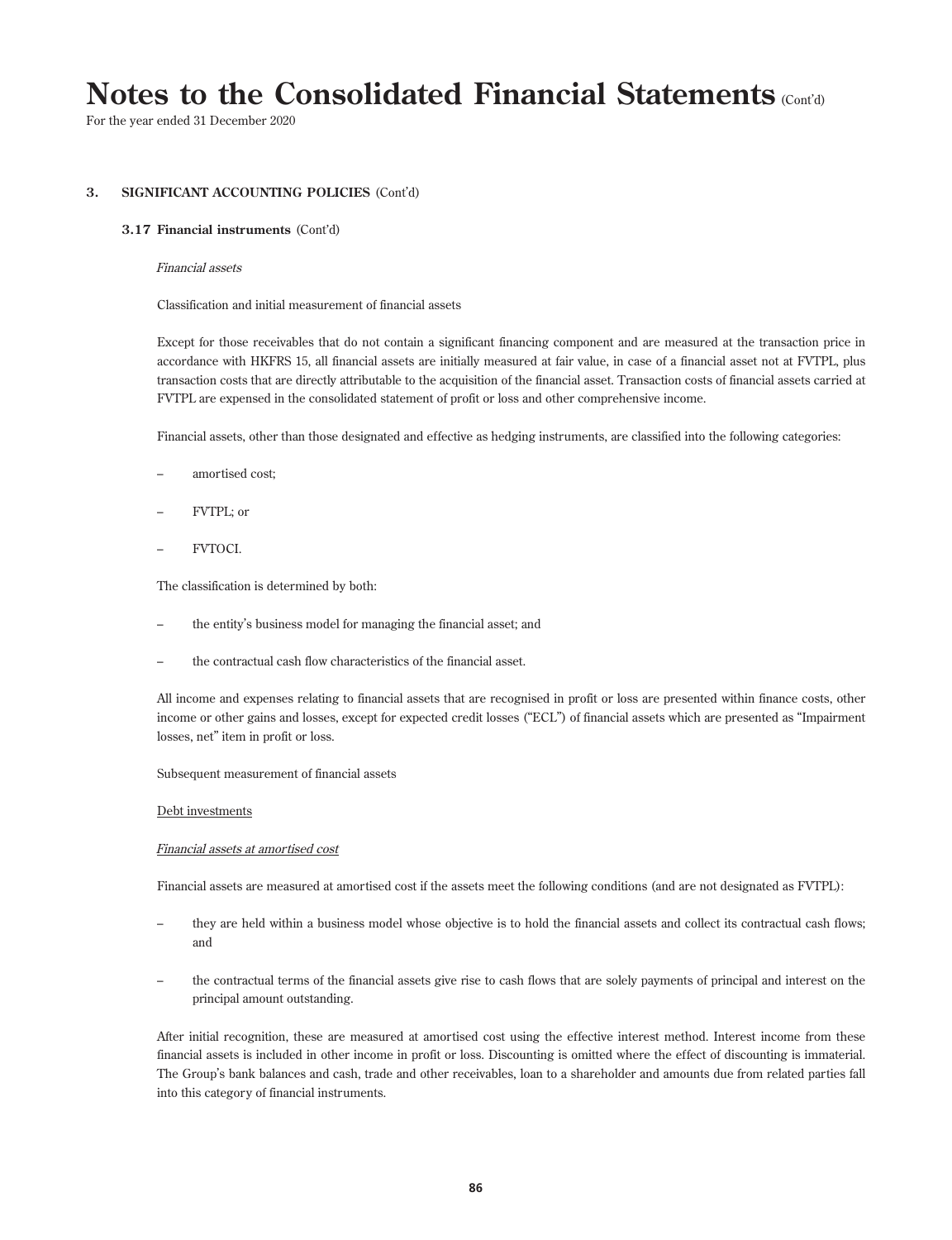For the year ended 31 December 2020

## **3. SIGNIFICANT ACCOUNTING POLICIES** (Cont'd)

### **3.17 Financial instruments** (Cont'd)

#### Financial assets

Classification and initial measurement of financial assets

Except for those receivables that do not contain a significant financing component and are measured at the transaction price in accordance with HKFRS 15, all financial assets are initially measured at fair value, in case of a financial asset not at FVTPL, plus transaction costs that are directly attributable to the acquisition of the financial asset. Transaction costs of financial assets carried at FVTPL are expensed in the consolidated statement of profit or loss and other comprehensive income.

Financial assets, other than those designated and effective as hedging instruments, are classified into the following categories:

- amortised cost;
- FVTPL; or
- FVTOCI.

The classification is determined by both:

- the entity's business model for managing the financial asset; and
- the contractual cash flow characteristics of the financial asset.

All income and expenses relating to financial assets that are recognised in profit or loss are presented within finance costs, other income or other gains and losses, except for expected credit losses ("ECL") of financial assets which are presented as "Impairment losses, net" item in profit or loss.

Subsequent measurement of financial assets

#### Debt investments

### Financial assets at amortised cost

Financial assets are measured at amortised cost if the assets meet the following conditions (and are not designated as FVTPL):

- they are held within a business model whose objective is to hold the financial assets and collect its contractual cash flows; and
- the contractual terms of the financial assets give rise to cash flows that are solely payments of principal and interest on the principal amount outstanding.

After initial recognition, these are measured at amortised cost using the effective interest method. Interest income from these financial assets is included in other income in profit or loss. Discounting is omitted where the effect of discounting is immaterial. The Group's bank balances and cash, trade and other receivables, loan to a shareholder and amounts due from related parties fall into this category of financial instruments.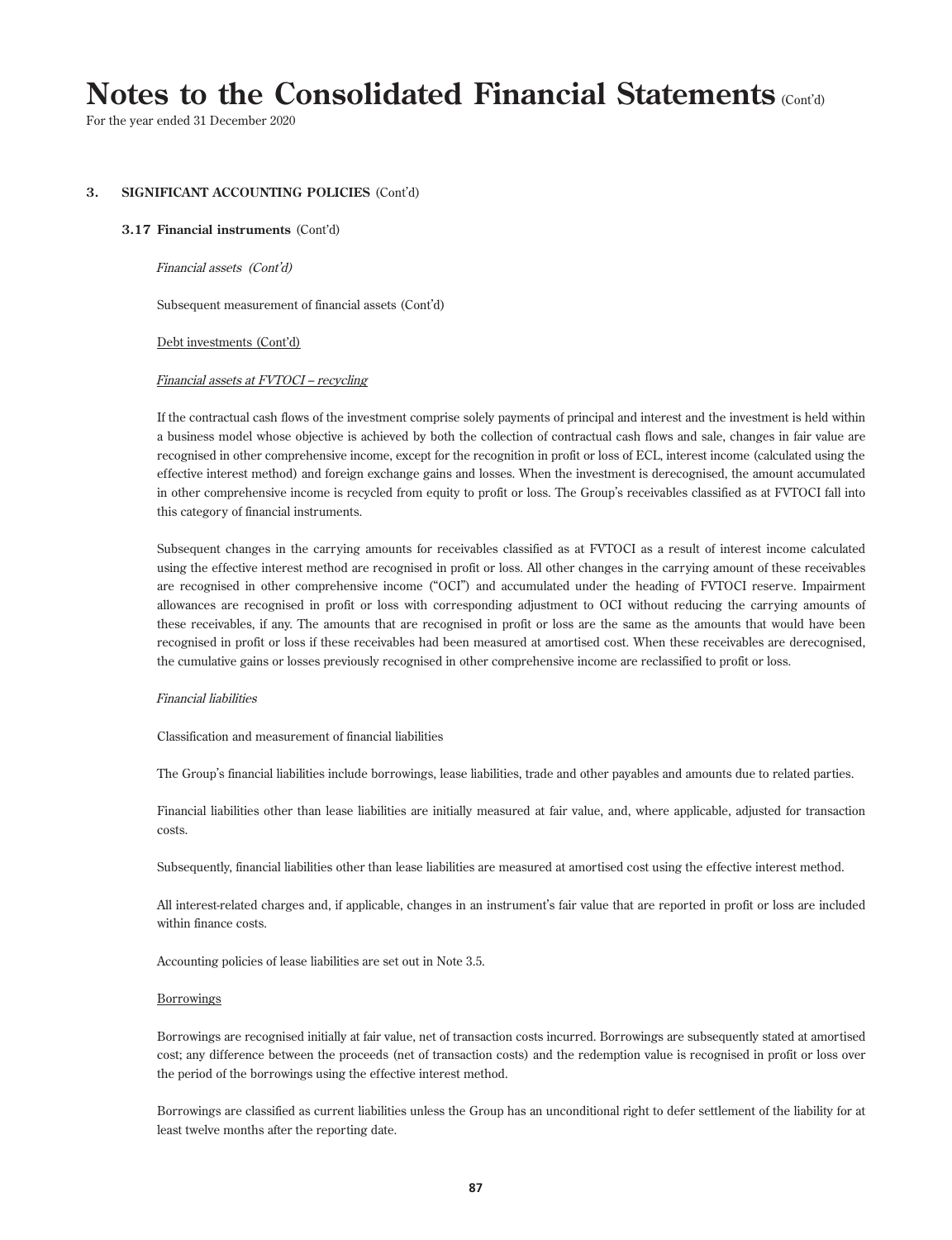For the year ended 31 December 2020

## **3. SIGNIFICANT ACCOUNTING POLICIES** (Cont'd)

### **3.17 Financial instruments** (Cont'd)

### Financial assets (Cont'd)

Subsequent measurement of financial assets (Cont'd)

### Debt investments (Cont'd)

### Financial assets at FVTOCI – recycling

If the contractual cash flows of the investment comprise solely payments of principal and interest and the investment is held within a business model whose objective is achieved by both the collection of contractual cash flows and sale, changes in fair value are recognised in other comprehensive income, except for the recognition in profit or loss of ECL, interest income (calculated using the effective interest method) and foreign exchange gains and losses. When the investment is derecognised, the amount accumulated in other comprehensive income is recycled from equity to profit or loss. The Group's receivables classified as at FVTOCI fall into this category of financial instruments.

Subsequent changes in the carrying amounts for receivables classified as at FVTOCI as a result of interest income calculated using the effective interest method are recognised in profit or loss. All other changes in the carrying amount of these receivables are recognised in other comprehensive income ("OCI") and accumulated under the heading of FVTOCI reserve. Impairment allowances are recognised in profit or loss with corresponding adjustment to OCI without reducing the carrying amounts of these receivables, if any. The amounts that are recognised in profit or loss are the same as the amounts that would have been recognised in profit or loss if these receivables had been measured at amortised cost. When these receivables are derecognised, the cumulative gains or losses previously recognised in other comprehensive income are reclassified to profit or loss.

#### Financial liabilities

### Classification and measurement of financial liabilities

The Group's financial liabilities include borrowings, lease liabilities, trade and other payables and amounts due to related parties.

Financial liabilities other than lease liabilities are initially measured at fair value, and, where applicable, adjusted for transaction costs.

Subsequently, financial liabilities other than lease liabilities are measured at amortised cost using the effective interest method.

All interest-related charges and, if applicable, changes in an instrument's fair value that are reported in profit or loss are included within finance costs.

Accounting policies of lease liabilities are set out in Note 3.5.

### Borrowings

Borrowings are recognised initially at fair value, net of transaction costs incurred. Borrowings are subsequently stated at amortised cost; any difference between the proceeds (net of transaction costs) and the redemption value is recognised in profit or loss over the period of the borrowings using the effective interest method.

Borrowings are classified as current liabilities unless the Group has an unconditional right to defer settlement of the liability for at least twelve months after the reporting date.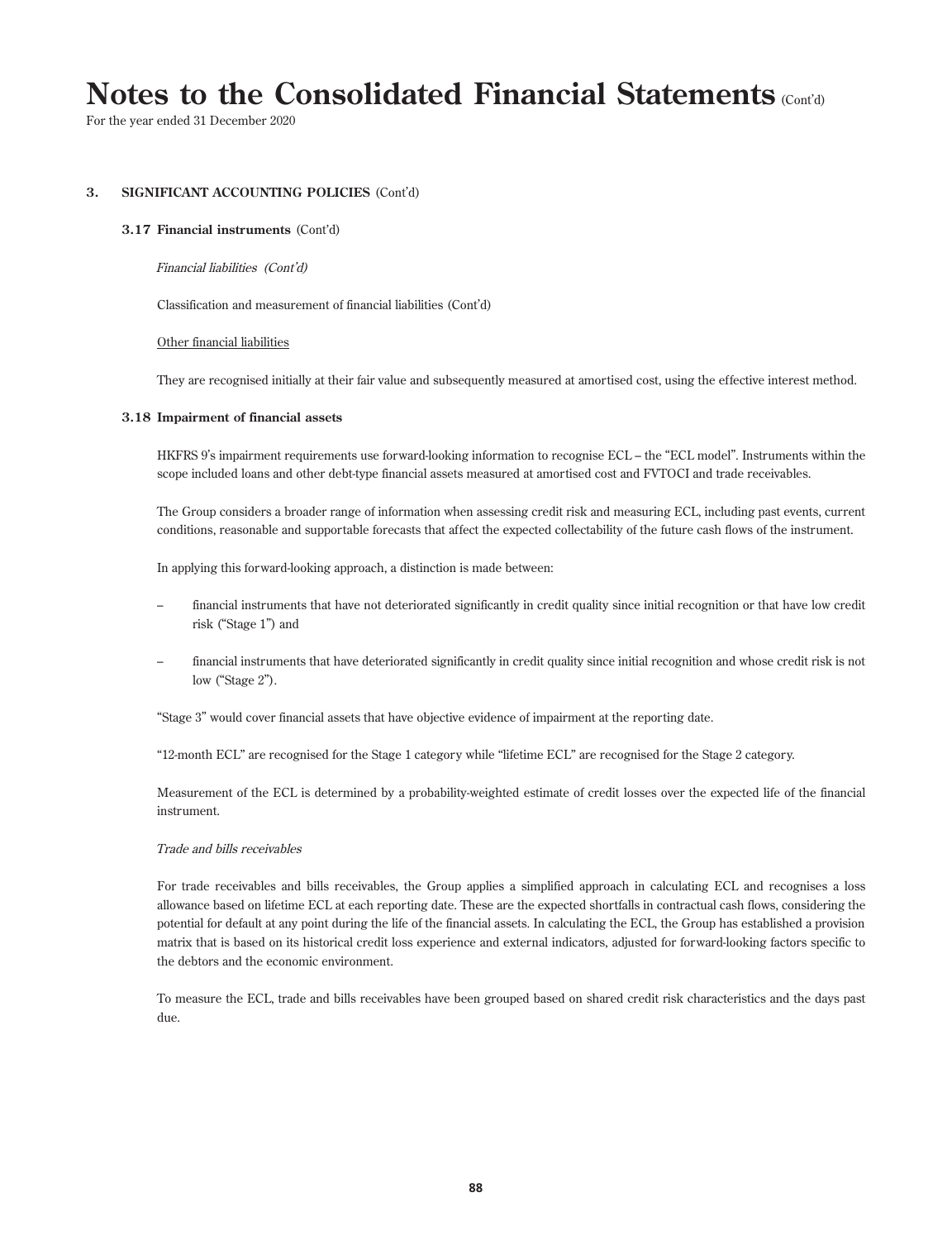For the year ended 31 December 2020

## **3. SIGNIFICANT ACCOUNTING POLICIES** (Cont'd)

### **3.17 Financial instruments** (Cont'd)

### Financial liabilities (Cont'd)

Classification and measurement of financial liabilities (Cont'd)

### Other financial liabilities

They are recognised initially at their fair value and subsequently measured at amortised cost, using the effective interest method.

### **3.18 Impairment of financial assets**

HKFRS 9's impairment requirements use forward-looking information to recognise ECL – the "ECL model". Instruments within the scope included loans and other debt-type financial assets measured at amortised cost and FVTOCI and trade receivables.

The Group considers a broader range of information when assessing credit risk and measuring ECL, including past events, current conditions, reasonable and supportable forecasts that affect the expected collectability of the future cash flows of the instrument.

In applying this forward-looking approach, a distinction is made between:

- financial instruments that have not deteriorated significantly in credit quality since initial recognition or that have low credit risk ("Stage 1") and
- financial instruments that have deteriorated significantly in credit quality since initial recognition and whose credit risk is not low ("Stage 2").

"Stage 3" would cover financial assets that have objective evidence of impairment at the reporting date.

"12-month ECL" are recognised for the Stage 1 category while "lifetime ECL" are recognised for the Stage 2 category.

Measurement of the ECL is determined by a probability-weighted estimate of credit losses over the expected life of the financial instrument.

### Trade and bills receivables

For trade receivables and bills receivables, the Group applies a simplified approach in calculating ECL and recognises a loss allowance based on lifetime ECL at each reporting date. These are the expected shortfalls in contractual cash flows, considering the potential for default at any point during the life of the financial assets. In calculating the ECL, the Group has established a provision matrix that is based on its historical credit loss experience and external indicators, adjusted for forward-looking factors specific to the debtors and the economic environment.

To measure the ECL, trade and bills receivables have been grouped based on shared credit risk characteristics and the days past due.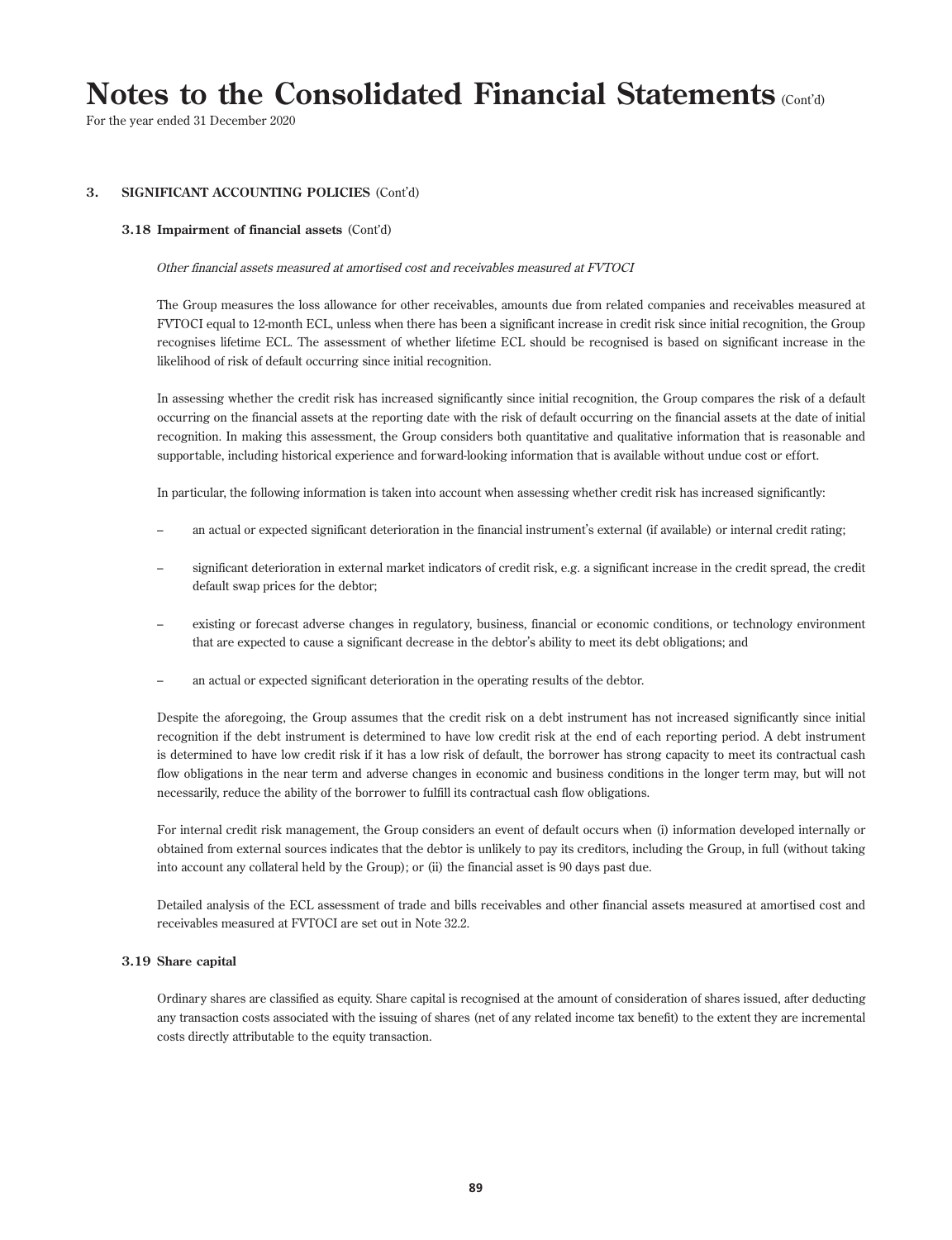For the year ended 31 December 2020

## **3. SIGNIFICANT ACCOUNTING POLICIES** (Cont'd)

### **3.18 Impairment of financial assets** (Cont'd)

#### Other financial assets measured at amortised cost and receivables measured at FVTOCI

The Group measures the loss allowance for other receivables, amounts due from related companies and receivables measured at FVTOCI equal to 12-month ECL, unless when there has been a significant increase in credit risk since initial recognition, the Group recognises lifetime ECL. The assessment of whether lifetime ECL should be recognised is based on significant increase in the likelihood of risk of default occurring since initial recognition.

In assessing whether the credit risk has increased significantly since initial recognition, the Group compares the risk of a default occurring on the financial assets at the reporting date with the risk of default occurring on the financial assets at the date of initial recognition. In making this assessment, the Group considers both quantitative and qualitative information that is reasonable and supportable, including historical experience and forward-looking information that is available without undue cost or effort.

In particular, the following information is taken into account when assessing whether credit risk has increased significantly:

- an actual or expected significant deterioration in the financial instrument's external (if available) or internal credit rating;
- significant deterioration in external market indicators of credit risk, e.g. a significant increase in the credit spread, the credit default swap prices for the debtor;
- existing or forecast adverse changes in regulatory, business, financial or economic conditions, or technology environment that are expected to cause a significant decrease in the debtor's ability to meet its debt obligations; and
- an actual or expected significant deterioration in the operating results of the debtor.

Despite the aforegoing, the Group assumes that the credit risk on a debt instrument has not increased significantly since initial recognition if the debt instrument is determined to have low credit risk at the end of each reporting period. A debt instrument is determined to have low credit risk if it has a low risk of default, the borrower has strong capacity to meet its contractual cash flow obligations in the near term and adverse changes in economic and business conditions in the longer term may, but will not necessarily, reduce the ability of the borrower to fulfill its contractual cash flow obligations.

For internal credit risk management, the Group considers an event of default occurs when (i) information developed internally or obtained from external sources indicates that the debtor is unlikely to pay its creditors, including the Group, in full (without taking into account any collateral held by the Group); or (ii) the financial asset is 90 days past due.

Detailed analysis of the ECL assessment of trade and bills receivables and other financial assets measured at amortised cost and receivables measured at FVTOCI are set out in Note 32.2.

#### **3.19 Share capital**

Ordinary shares are classified as equity. Share capital is recognised at the amount of consideration of shares issued, after deducting any transaction costs associated with the issuing of shares (net of any related income tax benefit) to the extent they are incremental costs directly attributable to the equity transaction.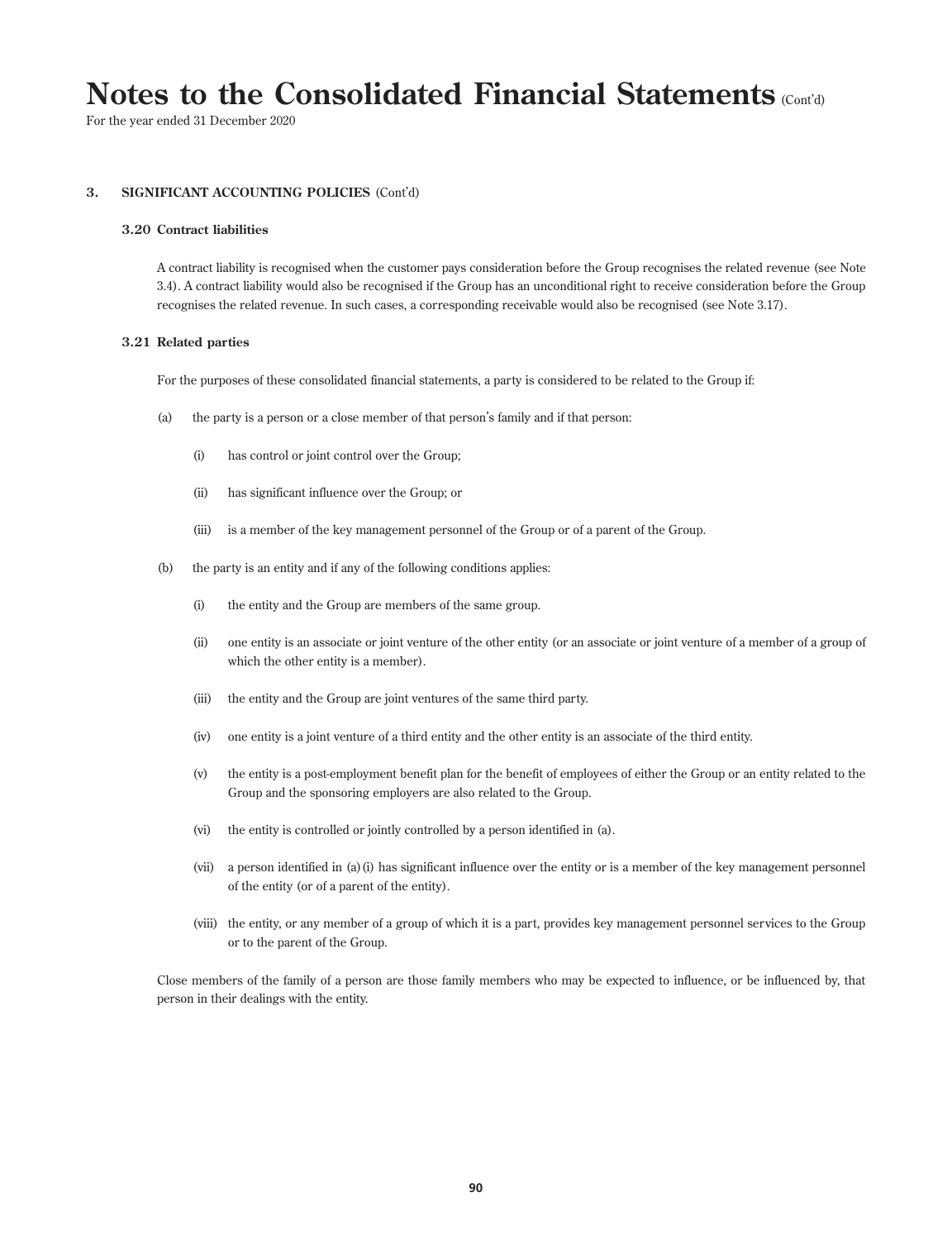For the year ended 31 December 2020

### **3. SIGNIFICANT ACCOUNTING POLICIES** (Cont'd)

### **3.20 Contract liabilities**

A contract liability is recognised when the customer pays consideration before the Group recognises the related revenue (see Note 3.4). A contract liability would also be recognised if the Group has an unconditional right to receive consideration before the Group recognises the related revenue. In such cases, a corresponding receivable would also be recognised (see Note 3.17).

### **3.21 Related parties**

For the purposes of these consolidated financial statements, a party is considered to be related to the Group if:

- (a) the party is a person or a close member of that person's family and if that person:
	- (i) has control or joint control over the Group;
	- (ii) has significant influence over the Group; or
	- (iii) is a member of the key management personnel of the Group or of a parent of the Group.
- (b) the party is an entity and if any of the following conditions applies:
	- (i) the entity and the Group are members of the same group.
	- (ii) one entity is an associate or joint venture of the other entity (or an associate or joint venture of a member of a group of which the other entity is a member).
	- (iii) the entity and the Group are joint ventures of the same third party.
	- (iv) one entity is a joint venture of a third entity and the other entity is an associate of the third entity.
	- (v) the entity is a post-employment benefit plan for the benefit of employees of either the Group or an entity related to the Group and the sponsoring employers are also related to the Group.
	- (vi) the entity is controlled or jointly controlled by a person identified in (a).
	- (vii) a person identified in (a)(i) has significant influence over the entity or is a member of the key management personnel of the entity (or of a parent of the entity).
	- (viii) the entity, or any member of a group of which it is a part, provides key management personnel services to the Group or to the parent of the Group.

Close members of the family of a person are those family members who may be expected to influence, or be influenced by, that person in their dealings with the entity.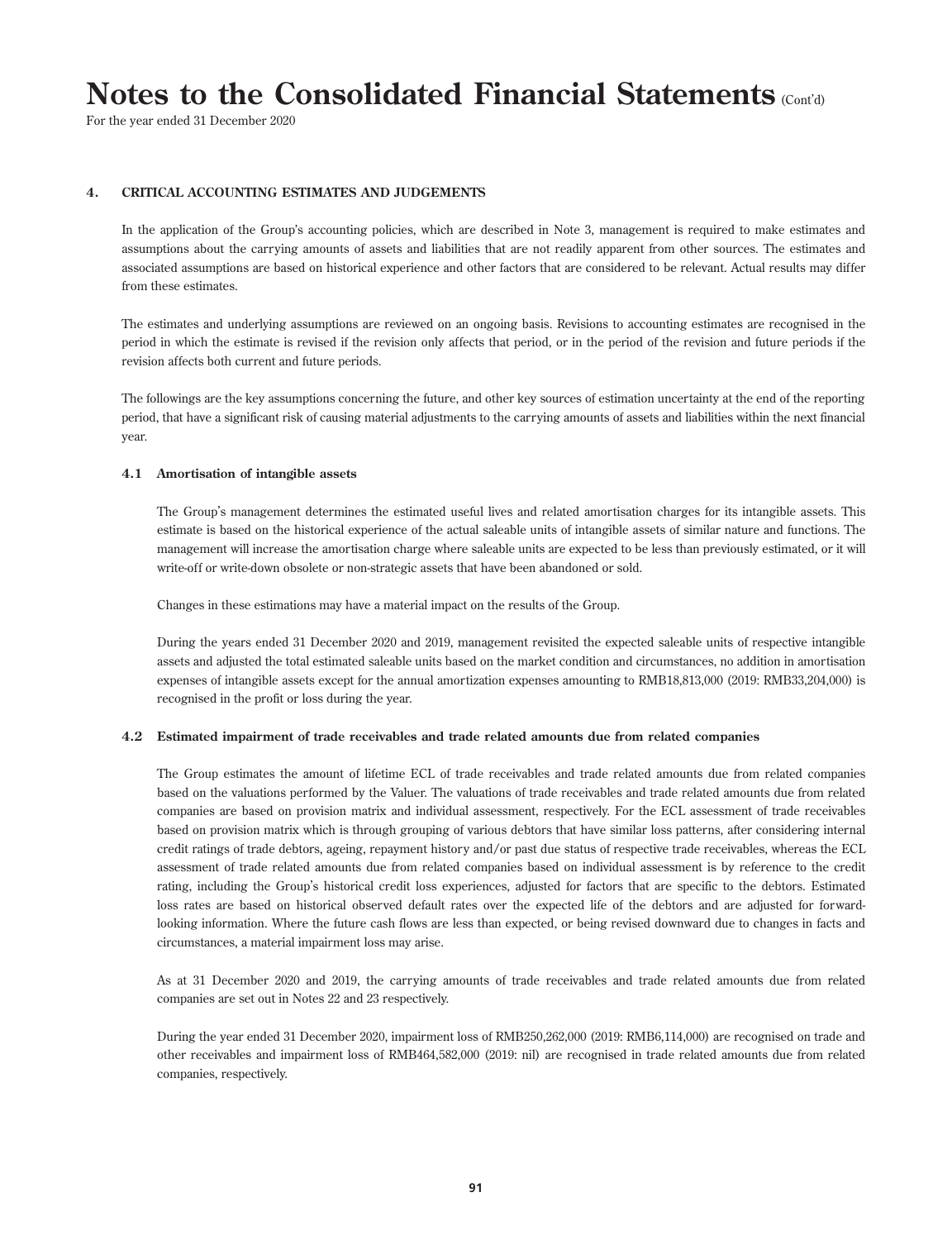For the year ended 31 December 2020

## **4. CRITICAL ACCOUNTING ESTIMATES AND JUDGEMENTS**

In the application of the Group's accounting policies, which are described in Note 3, management is required to make estimates and assumptions about the carrying amounts of assets and liabilities that are not readily apparent from other sources. The estimates and associated assumptions are based on historical experience and other factors that are considered to be relevant. Actual results may differ from these estimates.

The estimates and underlying assumptions are reviewed on an ongoing basis. Revisions to accounting estimates are recognised in the period in which the estimate is revised if the revision only affects that period, or in the period of the revision and future periods if the revision affects both current and future periods.

The followings are the key assumptions concerning the future, and other key sources of estimation uncertainty at the end of the reporting period, that have a significant risk of causing material adjustments to the carrying amounts of assets and liabilities within the next financial year.

### **4.1 Amortisation of intangible assets**

The Group's management determines the estimated useful lives and related amortisation charges for its intangible assets. This estimate is based on the historical experience of the actual saleable units of intangible assets of similar nature and functions. The management will increase the amortisation charge where saleable units are expected to be less than previously estimated, or it will write-off or write-down obsolete or non-strategic assets that have been abandoned or sold.

Changes in these estimations may have a material impact on the results of the Group.

During the years ended 31 December 2020 and 2019, management revisited the expected saleable units of respective intangible assets and adjusted the total estimated saleable units based on the market condition and circumstances, no addition in amortisation expenses of intangible assets except for the annual amortization expenses amounting to RMB18,813,000 (2019: RMB33,204,000) is recognised in the profit or loss during the year.

### **4.2 Estimated impairment of trade receivables and trade related amounts due from related companies**

The Group estimates the amount of lifetime ECL of trade receivables and trade related amounts due from related companies based on the valuations performed by the Valuer. The valuations of trade receivables and trade related amounts due from related companies are based on provision matrix and individual assessment, respectively. For the ECL assessment of trade receivables based on provision matrix which is through grouping of various debtors that have similar loss patterns, after considering internal credit ratings of trade debtors, ageing, repayment history and/or past due status of respective trade receivables, whereas the ECL assessment of trade related amounts due from related companies based on individual assessment is by reference to the credit rating, including the Group's historical credit loss experiences, adjusted for factors that are specific to the debtors. Estimated loss rates are based on historical observed default rates over the expected life of the debtors and are adjusted for forwardlooking information. Where the future cash flows are less than expected, or being revised downward due to changes in facts and circumstances, a material impairment loss may arise.

As at 31 December 2020 and 2019, the carrying amounts of trade receivables and trade related amounts due from related companies are set out in Notes 22 and 23 respectively.

During the year ended 31 December 2020, impairment loss of RMB250,262,000 (2019: RMB6,114,000) are recognised on trade and other receivables and impairment loss of RMB464,582,000 (2019: nil) are recognised in trade related amounts due from related companies, respectively.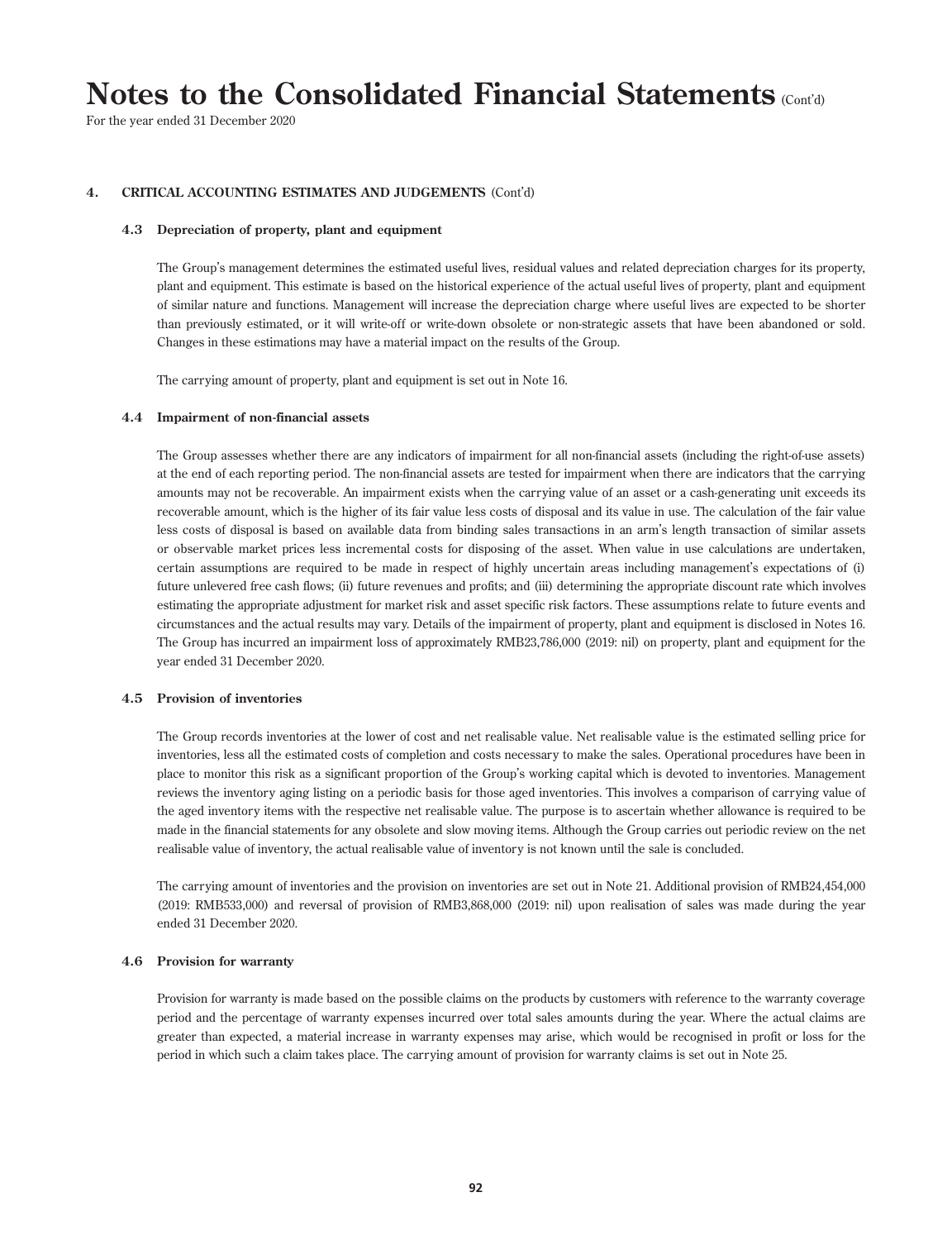For the year ended 31 December 2020

### **4. CRITICAL ACCOUNTING ESTIMATES AND JUDGEMENTS** (Cont'd)

### **4.3 Depreciation of property, plant and equipment**

The Group's management determines the estimated useful lives, residual values and related depreciation charges for its property, plant and equipment. This estimate is based on the historical experience of the actual useful lives of property, plant and equipment of similar nature and functions. Management will increase the depreciation charge where useful lives are expected to be shorter than previously estimated, or it will write-off or write-down obsolete or non-strategic assets that have been abandoned or sold. Changes in these estimations may have a material impact on the results of the Group.

The carrying amount of property, plant and equipment is set out in Note 16.

### **4.4 Impairment of non-financial assets**

The Group assesses whether there are any indicators of impairment for all non-financial assets (including the right-of-use assets) at the end of each reporting period. The non-financial assets are tested for impairment when there are indicators that the carrying amounts may not be recoverable. An impairment exists when the carrying value of an asset or a cash-generating unit exceeds its recoverable amount, which is the higher of its fair value less costs of disposal and its value in use. The calculation of the fair value less costs of disposal is based on available data from binding sales transactions in an arm's length transaction of similar assets or observable market prices less incremental costs for disposing of the asset. When value in use calculations are undertaken, certain assumptions are required to be made in respect of highly uncertain areas including management's expectations of (i) future unlevered free cash flows; (ii) future revenues and profits; and (iii) determining the appropriate discount rate which involves estimating the appropriate adjustment for market risk and asset specific risk factors. These assumptions relate to future events and circumstances and the actual results may vary. Details of the impairment of property, plant and equipment is disclosed in Notes 16. The Group has incurred an impairment loss of approximately RMB23,786,000 (2019: nil) on property, plant and equipment for the year ended 31 December 2020.

### **4.5 Provision of inventories**

The Group records inventories at the lower of cost and net realisable value. Net realisable value is the estimated selling price for inventories, less all the estimated costs of completion and costs necessary to make the sales. Operational procedures have been in place to monitor this risk as a significant proportion of the Group's working capital which is devoted to inventories. Management reviews the inventory aging listing on a periodic basis for those aged inventories. This involves a comparison of carrying value of the aged inventory items with the respective net realisable value. The purpose is to ascertain whether allowance is required to be made in the financial statements for any obsolete and slow moving items. Although the Group carries out periodic review on the net realisable value of inventory, the actual realisable value of inventory is not known until the sale is concluded.

The carrying amount of inventories and the provision on inventories are set out in Note 21. Additional provision of RMB24,454,000 (2019: RMB533,000) and reversal of provision of RMB3,868,000 (2019: nil) upon realisation of sales was made during the year ended 31 December 2020.

### **4.6 Provision for warranty**

Provision for warranty is made based on the possible claims on the products by customers with reference to the warranty coverage period and the percentage of warranty expenses incurred over total sales amounts during the year. Where the actual claims are greater than expected, a material increase in warranty expenses may arise, which would be recognised in profit or loss for the period in which such a claim takes place. The carrying amount of provision for warranty claims is set out in Note 25.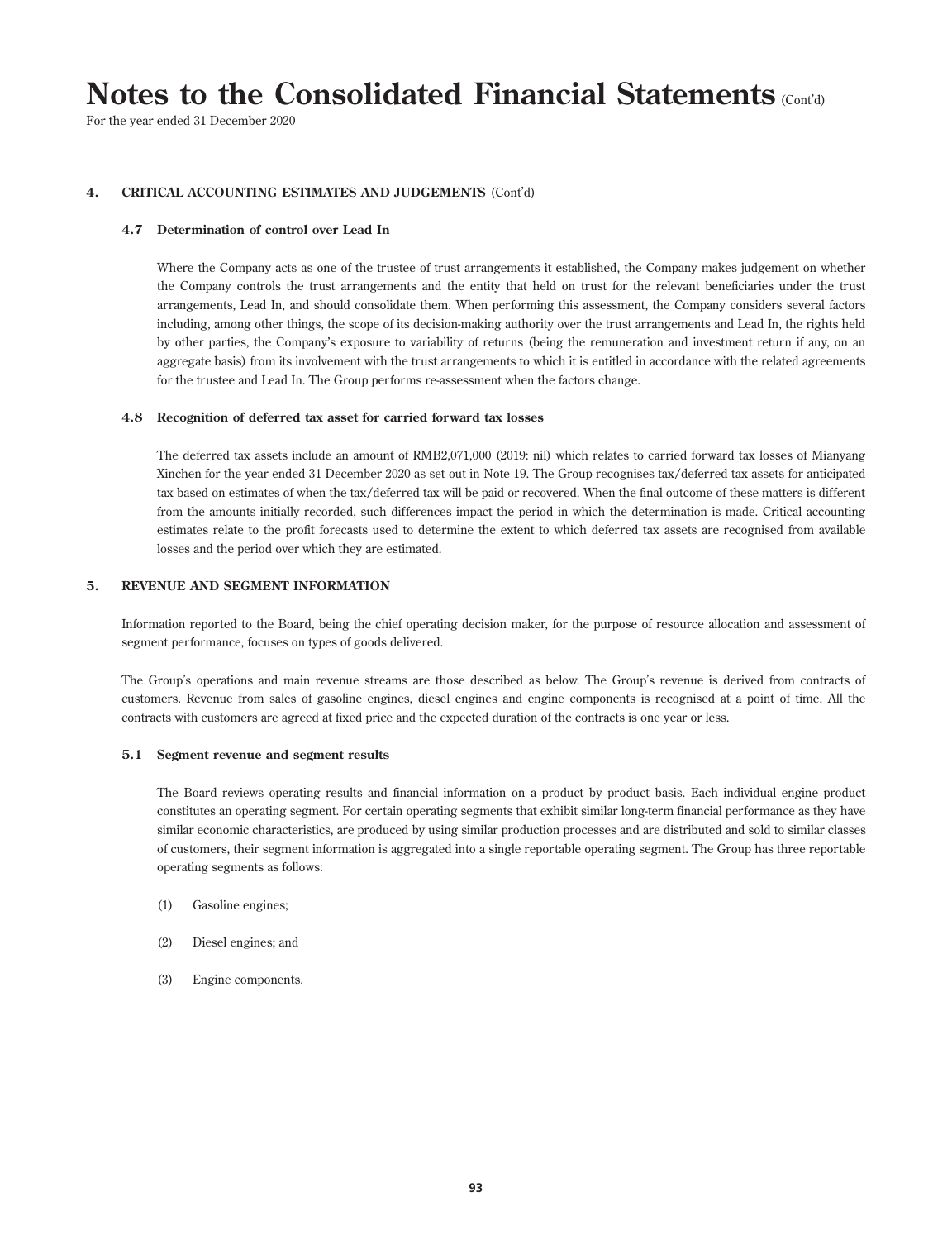For the year ended 31 December 2020

## **4. CRITICAL ACCOUNTING ESTIMATES AND JUDGEMENTS** (Cont'd)

### **4.7 Determination of control over Lead In**

Where the Company acts as one of the trustee of trust arrangements it established, the Company makes judgement on whether the Company controls the trust arrangements and the entity that held on trust for the relevant beneficiaries under the trust arrangements, Lead In, and should consolidate them. When performing this assessment, the Company considers several factors including, among other things, the scope of its decision-making authority over the trust arrangements and Lead In, the rights held by other parties, the Company's exposure to variability of returns (being the remuneration and investment return if any, on an aggregate basis) from its involvement with the trust arrangements to which it is entitled in accordance with the related agreements for the trustee and Lead In. The Group performs re-assessment when the factors change.

### **4.8 Recognition of deferred tax asset for carried forward tax losses**

The deferred tax assets include an amount of RMB2,071,000 (2019: nil) which relates to carried forward tax losses of Mianyang Xinchen for the year ended 31 December 2020 as set out in Note 19. The Group recognises tax/deferred tax assets for anticipated tax based on estimates of when the tax/deferred tax will be paid or recovered. When the final outcome of these matters is different from the amounts initially recorded, such differences impact the period in which the determination is made. Critical accounting estimates relate to the profit forecasts used to determine the extent to which deferred tax assets are recognised from available losses and the period over which they are estimated.

### **5. REVENUE AND SEGMENT INFORMATION**

Information reported to the Board, being the chief operating decision maker, for the purpose of resource allocation and assessment of segment performance, focuses on types of goods delivered.

The Group's operations and main revenue streams are those described as below. The Group's revenue is derived from contracts of customers. Revenue from sales of gasoline engines, diesel engines and engine components is recognised at a point of time. All the contracts with customers are agreed at fixed price and the expected duration of the contracts is one year or less.

#### **5.1 Segment revenue and segment results**

The Board reviews operating results and financial information on a product by product basis. Each individual engine product constitutes an operating segment. For certain operating segments that exhibit similar long-term financial performance as they have similar economic characteristics, are produced by using similar production processes and are distributed and sold to similar classes of customers, their segment information is aggregated into a single reportable operating segment. The Group has three reportable operating segments as follows:

- (1) Gasoline engines;
- (2) Diesel engines; and
- (3) Engine components.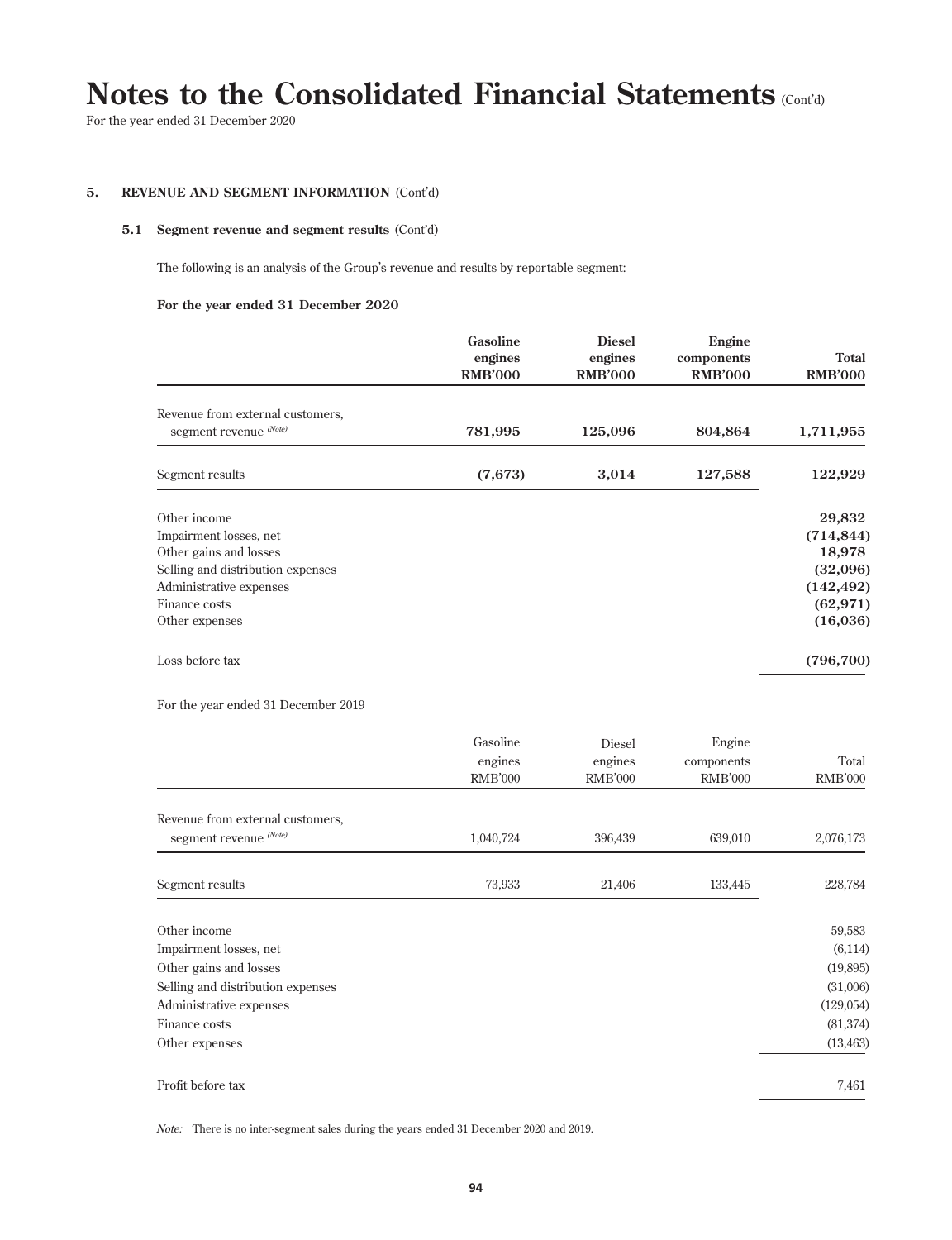For the year ended 31 December 2020

## **5. REVENUE AND SEGMENT INFORMATION** (Cont'd)

## **5.1 Segment revenue and segment results** (Cont'd)

The following is an analysis of the Group's revenue and results by reportable segment:

### **For the year ended 31 December 2020**

|                                   | Gasoline<br>engines | <b>Diesel</b><br>engines | Engine<br>components | <b>Total</b>   |
|-----------------------------------|---------------------|--------------------------|----------------------|----------------|
|                                   | <b>RMB'000</b>      | <b>RMB'000</b>           | <b>RMB'000</b>       | <b>RMB'000</b> |
| Revenue from external customers,  |                     |                          |                      |                |
| segment revenue (Note)            | 781,995             | 125,096                  | 804,864              | 1,711,955      |
| Segment results                   | (7,673)             | 3,014                    | 127,588              | 122,929        |
| Other income                      |                     |                          |                      | 29,832         |
| Impairment losses, net            |                     |                          |                      | (714, 844)     |
| Other gains and losses            |                     |                          |                      | 18,978         |
| Selling and distribution expenses |                     |                          |                      | (32,096)       |
| Administrative expenses           |                     |                          |                      | (142, 492)     |
| Finance costs                     |                     |                          |                      | (62, 971)      |
| Other expenses                    |                     |                          |                      | (16,036)       |
| Loss before tax                   |                     |                          |                      | (796, 700)     |

For the year ended 31 December 2019

|                                   | Gasoline       | Diesel         | Engine         |                |
|-----------------------------------|----------------|----------------|----------------|----------------|
|                                   | engines        | engines        | components     | Total          |
|                                   | <b>RMB'000</b> | <b>RMB'000</b> | <b>RMB'000</b> | <b>RMB'000</b> |
| Revenue from external customers,  |                |                |                |                |
| segment revenue (Note)            | 1,040,724      | 396,439        | 639,010        | 2,076,173      |
|                                   |                |                |                |                |
| Segment results                   | 73,933         | 21,406         | 133,445        | 228,784        |
| Other income                      |                |                |                | 59,583         |
| Impairment losses, net            |                |                |                | (6,114)        |
| Other gains and losses            |                |                |                | (19,895)       |
| Selling and distribution expenses |                |                |                | (31,006)       |
| Administrative expenses           |                |                |                | (129,054)      |
| Finance costs                     |                |                |                | (81, 374)      |
| Other expenses                    |                |                |                | (13, 463)      |
| Profit before tax                 |                |                |                | 7,461          |

Note: There is no inter-segment sales during the years ended 31 December 2020 and 2019.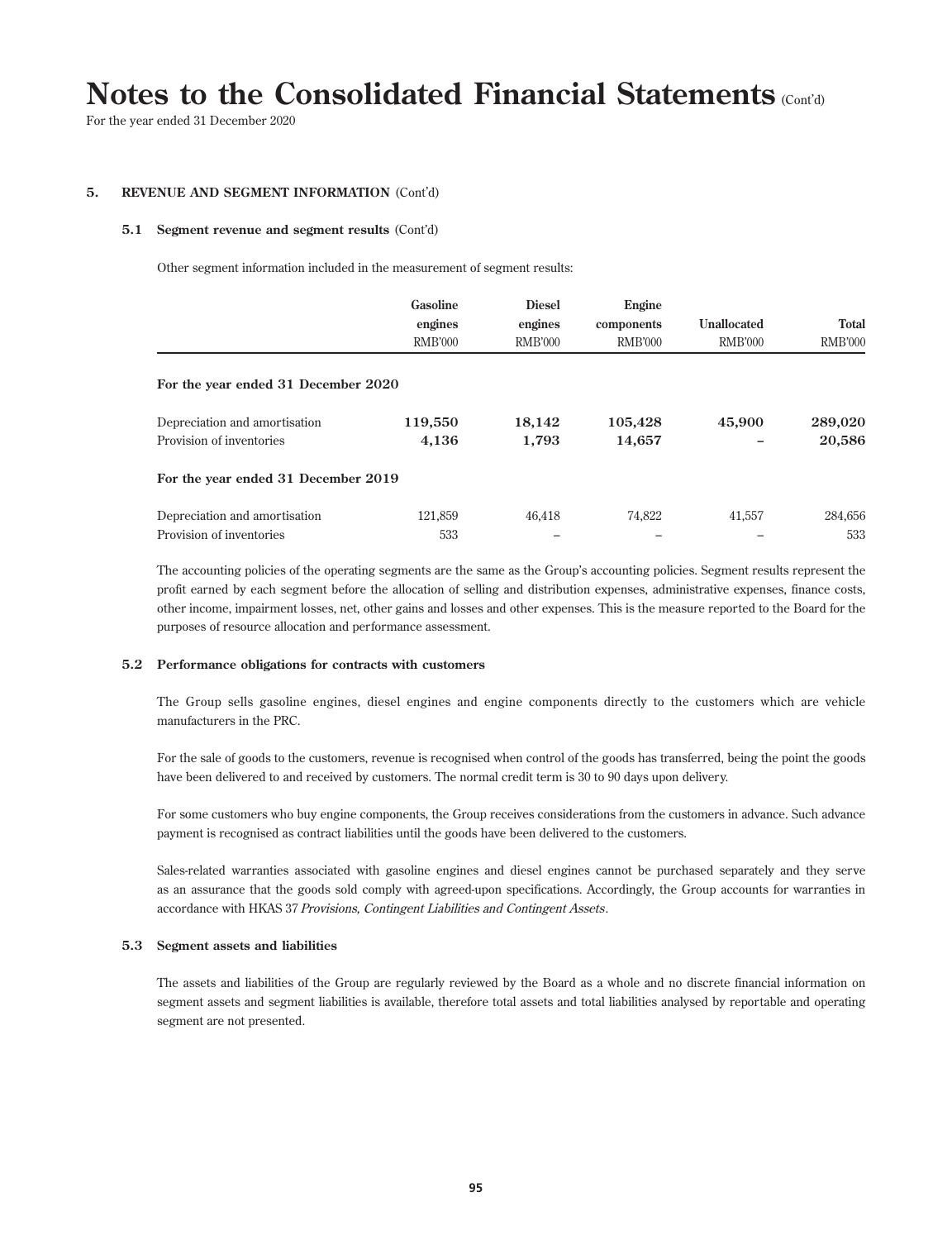For the year ended 31 December 2020

## **5. REVENUE AND SEGMENT INFORMATION** (Cont'd)

### **5.1 Segment revenue and segment results** (Cont'd)

Other segment information included in the measurement of segment results:

|                                                           | Gasoline<br>engines<br>RMB'000 | <b>Diesel</b><br>engines<br>RMB'000 | Engine<br>components<br><b>RMB'000</b> | Unallocated<br><b>RMB'000</b>      | <b>Total</b><br><b>RMB'000</b> |
|-----------------------------------------------------------|--------------------------------|-------------------------------------|----------------------------------------|------------------------------------|--------------------------------|
| For the year ended 31 December 2020                       |                                |                                     |                                        |                                    |                                |
| Depreciation and amortisation<br>Provision of inventories | 119,550<br>4,136               | 18,142<br>1,793                     | 105,428<br>14,657                      | 45,900<br>$\overline{\phantom{0}}$ | 289,020<br>20,586              |
| For the year ended 31 December 2019                       |                                |                                     |                                        |                                    |                                |
| Depreciation and amortisation                             | 121,859                        | 46,418                              | 74,822                                 | 41,557                             | 284,656                        |
| Provision of inventories                                  | 533                            |                                     |                                        |                                    | 533                            |

The accounting policies of the operating segments are the same as the Group's accounting policies. Segment results represent the profit earned by each segment before the allocation of selling and distribution expenses, administrative expenses, finance costs, other income, impairment losses, net, other gains and losses and other expenses. This is the measure reported to the Board for the purposes of resource allocation and performance assessment.

### **5.2 Performance obligations for contracts with customers**

The Group sells gasoline engines, diesel engines and engine components directly to the customers which are vehicle manufacturers in the PRC.

For the sale of goods to the customers, revenue is recognised when control of the goods has transferred, being the point the goods have been delivered to and received by customers. The normal credit term is 30 to 90 days upon delivery.

For some customers who buy engine components, the Group receives considerations from the customers in advance. Such advance payment is recognised as contract liabilities until the goods have been delivered to the customers.

Sales-related warranties associated with gasoline engines and diesel engines cannot be purchased separately and they serve as an assurance that the goods sold comply with agreed-upon specifications. Accordingly, the Group accounts for warranties in accordance with HKAS 37 Provisions, Contingent Liabilities and Contingent Assets.

### **5.3 Segment assets and liabilities**

The assets and liabilities of the Group are regularly reviewed by the Board as a whole and no discrete financial information on segment assets and segment liabilities is available, therefore total assets and total liabilities analysed by reportable and operating segment are not presented.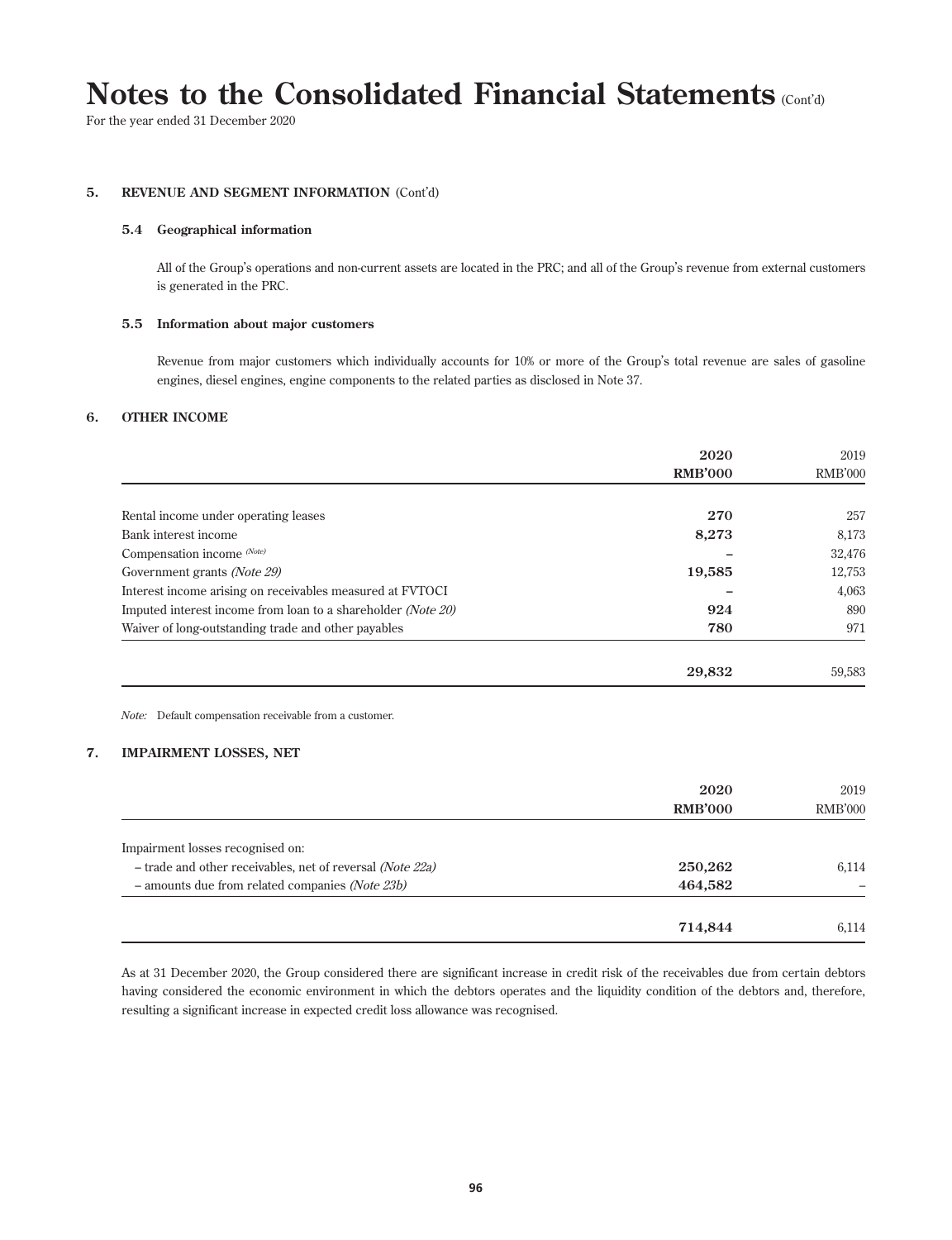For the year ended 31 December 2020

## **5. REVENUE AND SEGMENT INFORMATION** (Cont'd)

### **5.4 Geographical information**

All of the Group's operations and non-current assets are located in the PRC; and all of the Group's revenue from external customers is generated in the PRC.

### **5.5 Information about major customers**

Revenue from major customers which individually accounts for 10% or more of the Group's total revenue are sales of gasoline engines, diesel engines, engine components to the related parties as disclosed in Note 37.

### **6. OTHER INCOME**

|                                                              | 2020           | 2019<br><b>RMB'000</b> |
|--------------------------------------------------------------|----------------|------------------------|
|                                                              | <b>RMB'000</b> |                        |
|                                                              |                |                        |
| Rental income under operating leases                         | 270            | 257                    |
| Bank interest income                                         | 8,273          | 8,173                  |
| Compensation income (Note)                                   |                | 32,476                 |
| Government grants (Note 29)                                  | 19,585         | 12,753                 |
| Interest income arising on receivables measured at FVTOCI    |                | 4,063                  |
| Imputed interest income from loan to a shareholder (Note 20) | 924            | 890                    |
| Waiver of long-outstanding trade and other payables          | 780            | 971                    |
|                                                              | 29,832         | 59,583                 |

Note: Default compensation receivable from a customer.

### **7. IMPAIRMENT LOSSES, NET**

|                                                             | 2020<br><b>RMB'000</b> | 2019<br><b>RMB'000</b> |
|-------------------------------------------------------------|------------------------|------------------------|
|                                                             |                        |                        |
| Impairment losses recognised on:                            |                        |                        |
| $-$ trade and other receivables, net of reversal (Note 22a) | 250,262                | 6,114                  |
| - amounts due from related companies (Note 23b)             | 464,582                |                        |
|                                                             | 714,844                | 6,114                  |

As at 31 December 2020, the Group considered there are significant increase in credit risk of the receivables due from certain debtors having considered the economic environment in which the debtors operates and the liquidity condition of the debtors and, therefore, resulting a significant increase in expected credit loss allowance was recognised.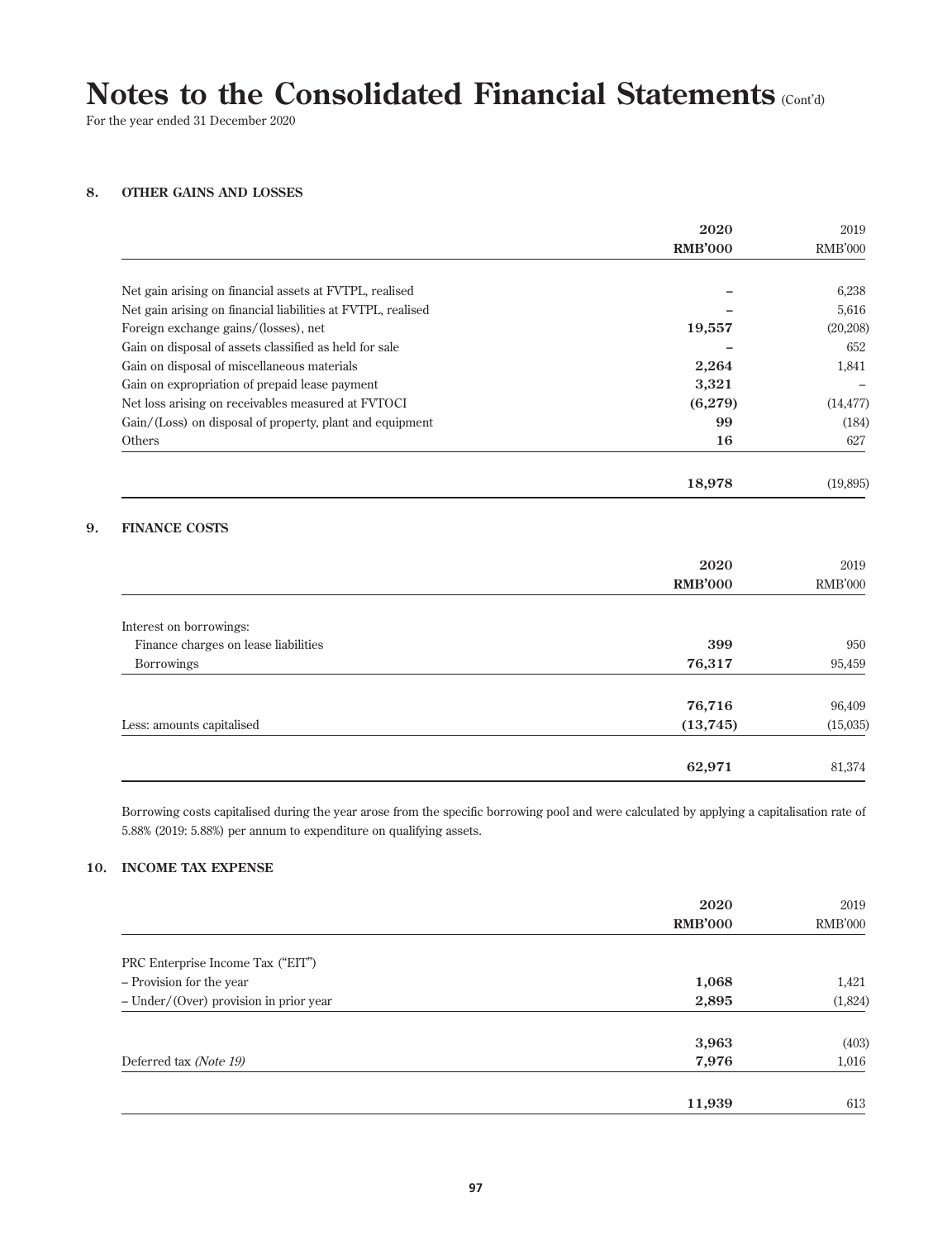For the year ended 31 December 2020

## **8. OTHER GAINS AND LOSSES**

|                                                              | 2020           | 2019           |
|--------------------------------------------------------------|----------------|----------------|
|                                                              | <b>RMB'000</b> | <b>RMB'000</b> |
|                                                              |                |                |
| Net gain arising on financial assets at FVTPL, realised      |                | 6,238          |
| Net gain arising on financial liabilities at FVTPL, realised |                | 5,616          |
| Foreign exchange gains/(losses), net                         | 19,557         | (20, 208)      |
| Gain on disposal of assets classified as held for sale       |                | 652            |
| Gain on disposal of miscellaneous materials                  | 2,264          | 1,841          |
| Gain on expropriation of prepaid lease payment               | 3,321          |                |
| Net loss arising on receivables measured at FVTOCI           | (6,279)        | (14, 477)      |
| Gain/(Loss) on disposal of property, plant and equipment     | 99             | (184)          |
| Others                                                       | 16             | 627            |
|                                                              | 18,978         | (19,895)       |

## **9. FINANCE COSTS**

|                                      | 2020           | 2019           |
|--------------------------------------|----------------|----------------|
|                                      | <b>RMB'000</b> | <b>RMB'000</b> |
|                                      |                |                |
| Interest on borrowings:              |                |                |
| Finance charges on lease liabilities | 399            | 950            |
| <b>Borrowings</b>                    | 76,317         | 95,459         |
|                                      | 76,716         | 96,409         |
| Less: amounts capitalised            | (13, 745)      | (15,035)       |
|                                      | 62,971         | 81,374         |

Borrowing costs capitalised during the year arose from the specific borrowing pool and were calculated by applying a capitalisation rate of 5.88% (2019: 5.88%) per annum to expenditure on qualifying assets.

## **10. INCOME TAX EXPENSE**

|                                        | 2020           | 2019           |
|----------------------------------------|----------------|----------------|
|                                        | <b>RMB'000</b> | <b>RMB'000</b> |
| PRC Enterprise Income Tax ("EIT")      |                |                |
| - Provision for the year               | 1,068          | 1,421          |
| - Under/(Over) provision in prior year | 2,895          | (1,824)        |
|                                        | 3,963          | (403)          |
| Deferred tax (Note 19)                 | 7,976          | 1,016          |
|                                        | 11,939         | 613            |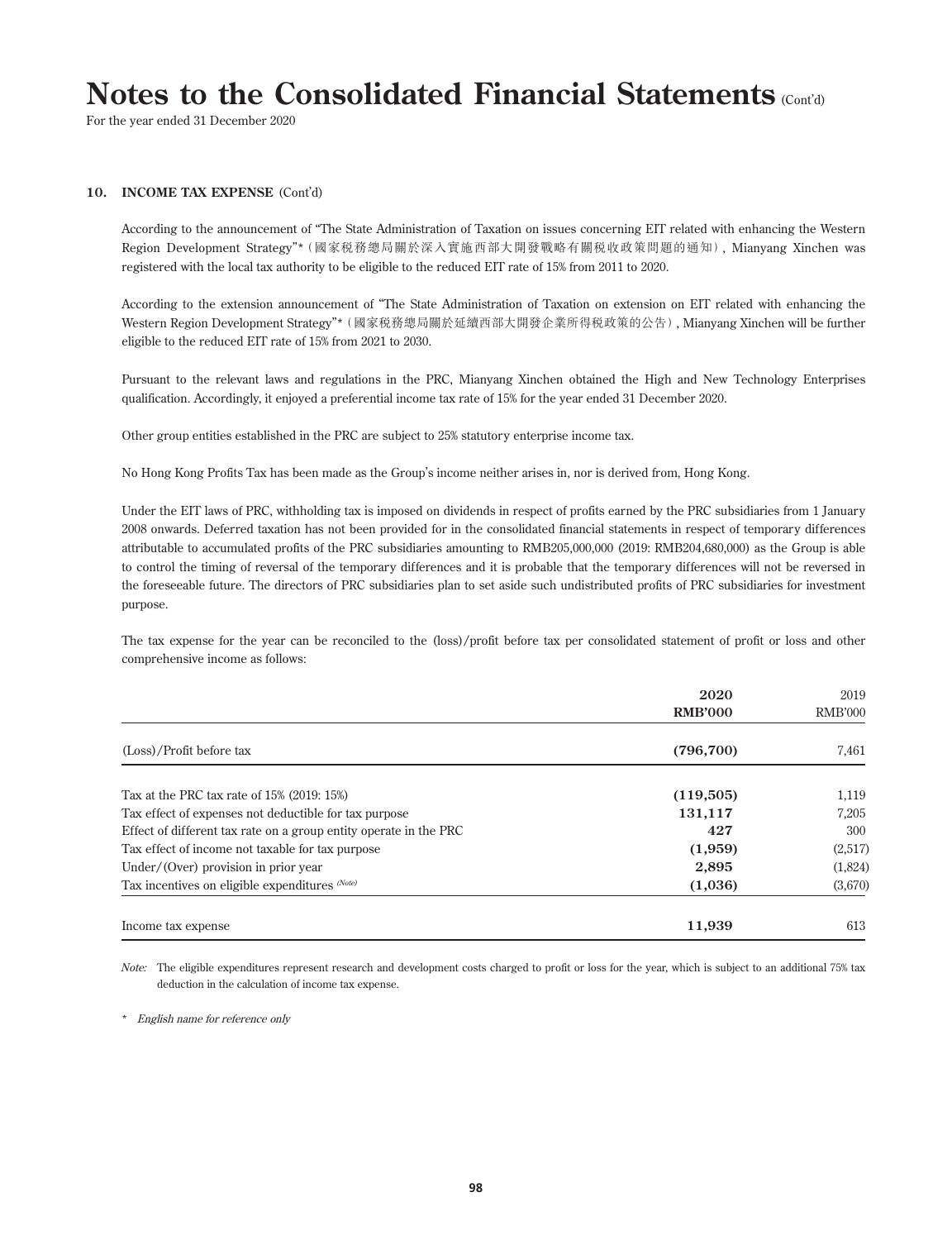For the year ended 31 December 2020

### **10. INCOME TAX EXPENSE** (Cont'd)

According to the announcement of "The State Administration of Taxation on issues concerning EIT related with enhancing the Western Region Development Strategy"\*(國家稅務總局關於深入實施西部大開發戰略有關稅收政策問題的通知), Mianyang Xinchen was registered with the local tax authority to be eligible to the reduced EIT rate of 15% from 2011 to 2020.

According to the extension announcement of "The State Administration of Taxation on extension on EIT related with enhancing the Western Region Development Strategy"\*(國家稅務總局關於延續西部大開發企業所得稅政策的公告), Mianyang Xinchen will be further eligible to the reduced EIT rate of 15% from 2021 to 2030.

Pursuant to the relevant laws and regulations in the PRC, Mianyang Xinchen obtained the High and New Technology Enterprises qualification. Accordingly, it enjoyed a preferential income tax rate of 15% for the year ended 31 December 2020.

Other group entities established in the PRC are subject to 25% statutory enterprise income tax.

No Hong Kong Profits Tax has been made as the Group's income neither arises in, nor is derived from, Hong Kong.

Under the EIT laws of PRC, withholding tax is imposed on dividends in respect of profits earned by the PRC subsidiaries from 1 January 2008 onwards. Deferred taxation has not been provided for in the consolidated financial statements in respect of temporary differences attributable to accumulated profits of the PRC subsidiaries amounting to RMB205,000,000 (2019: RMB204,680,000) as the Group is able to control the timing of reversal of the temporary differences and it is probable that the temporary differences will not be reversed in the foreseeable future. The directors of PRC subsidiaries plan to set aside such undistributed profits of PRC subsidiaries for investment purpose.

The tax expense for the year can be reconciled to the (loss)/profit before tax per consolidated statement of profit or loss and other comprehensive income as follows:

|                                                                   | 2020           | 2019           |
|-------------------------------------------------------------------|----------------|----------------|
|                                                                   | <b>RMB'000</b> | <b>RMB'000</b> |
| (Loss)/Profit before tax                                          | (796, 700)     | 7,461          |
| Tax at the PRC tax rate of 15% (2019: 15%)                        | (119,505)      | 1,119          |
| Tax effect of expenses not deductible for tax purpose             | 131,117        | 7,205          |
| Effect of different tax rate on a group entity operate in the PRC | 427            | 300            |
| Tax effect of income not taxable for tax purpose                  | (1,959)        | (2,517)        |
| Under/(Over) provision in prior year                              | 2,895          | (1,824)        |
| Tax incentives on eligible expenditures (Note)                    | (1,036)        | (3,670)        |
| Income tax expense                                                | 11,939         | 613            |

Note: The eligible expenditures represent research and development costs charged to profit or loss for the year, which is subject to an additional 75% tax deduction in the calculation of income tax expense.

\* English name for reference only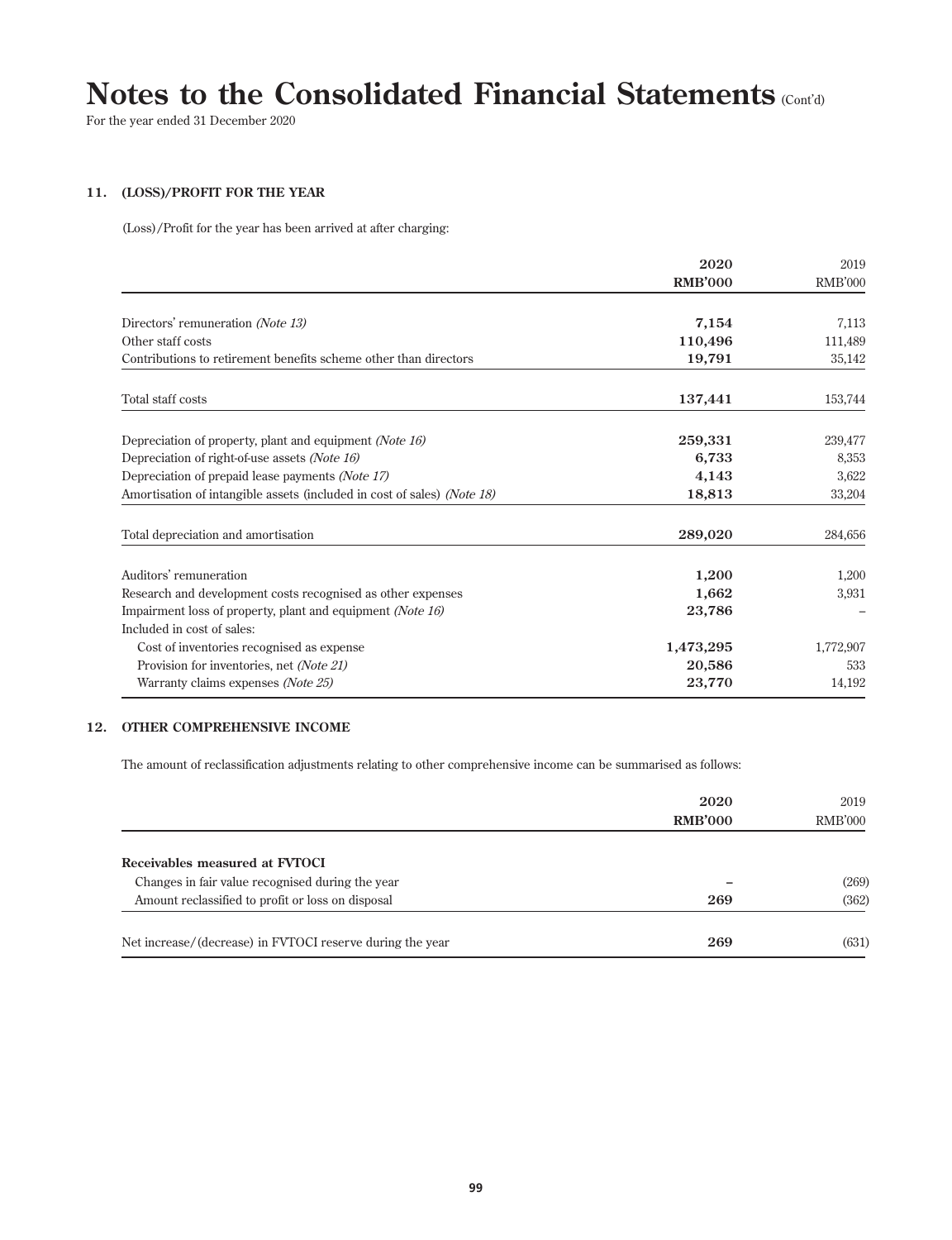For the year ended 31 December 2020

## **11. (LOSS)/PROFIT FOR THE YEAR**

(Loss)/Profit for the year has been arrived at after charging:

|                                                                         | 2020           | 2019           |
|-------------------------------------------------------------------------|----------------|----------------|
|                                                                         | <b>RMB'000</b> | <b>RMB'000</b> |
|                                                                         |                |                |
| Directors' remuneration (Note 13)                                       | 7,154          | 7,113          |
| Other staff costs                                                       | 110,496        | 111,489        |
| Contributions to retirement benefits scheme other than directors        | 19,791         | 35,142         |
| Total staff costs                                                       | 137,441        | 153,744        |
| Depreciation of property, plant and equipment (Note 16)                 | 259,331        | 239,477        |
| Depreciation of right-of-use assets (Note 16)                           | 6,733          | 8,353          |
| Depreciation of prepaid lease payments (Note 17)                        | 4,143          | 3,622          |
| Amortisation of intangible assets (included in cost of sales) (Note 18) | 18,813         | 33,204         |
| Total depreciation and amortisation                                     | 289,020        | 284,656        |
| Auditors' remuneration                                                  | 1,200          | 1,200          |
| Research and development costs recognised as other expenses             | 1,662          | 3,931          |
| Impairment loss of property, plant and equipment (Note 16)              | 23,786         |                |
| Included in cost of sales:                                              |                |                |
| Cost of inventories recognised as expense                               | 1,473,295      | 1,772,907      |
| Provision for inventories, net (Note 21)                                | 20,586         | 533            |
| Warranty claims expenses (Note 25)                                      | 23,770         | 14,192         |

### **12. OTHER COMPREHENSIVE INCOME**

The amount of reclassification adjustments relating to other comprehensive income can be summarised as follows:

|                                                           | 2020<br><b>RMB'000</b> | 2019<br><b>RMB'000</b> |
|-----------------------------------------------------------|------------------------|------------------------|
| Receivables measured at FVTOCI                            |                        |                        |
| Changes in fair value recognised during the year          |                        | (269)                  |
| Amount reclassified to profit or loss on disposal         | 269                    | (362)                  |
| Net increase/(decrease) in FVTOCI reserve during the year | 269                    | (631)                  |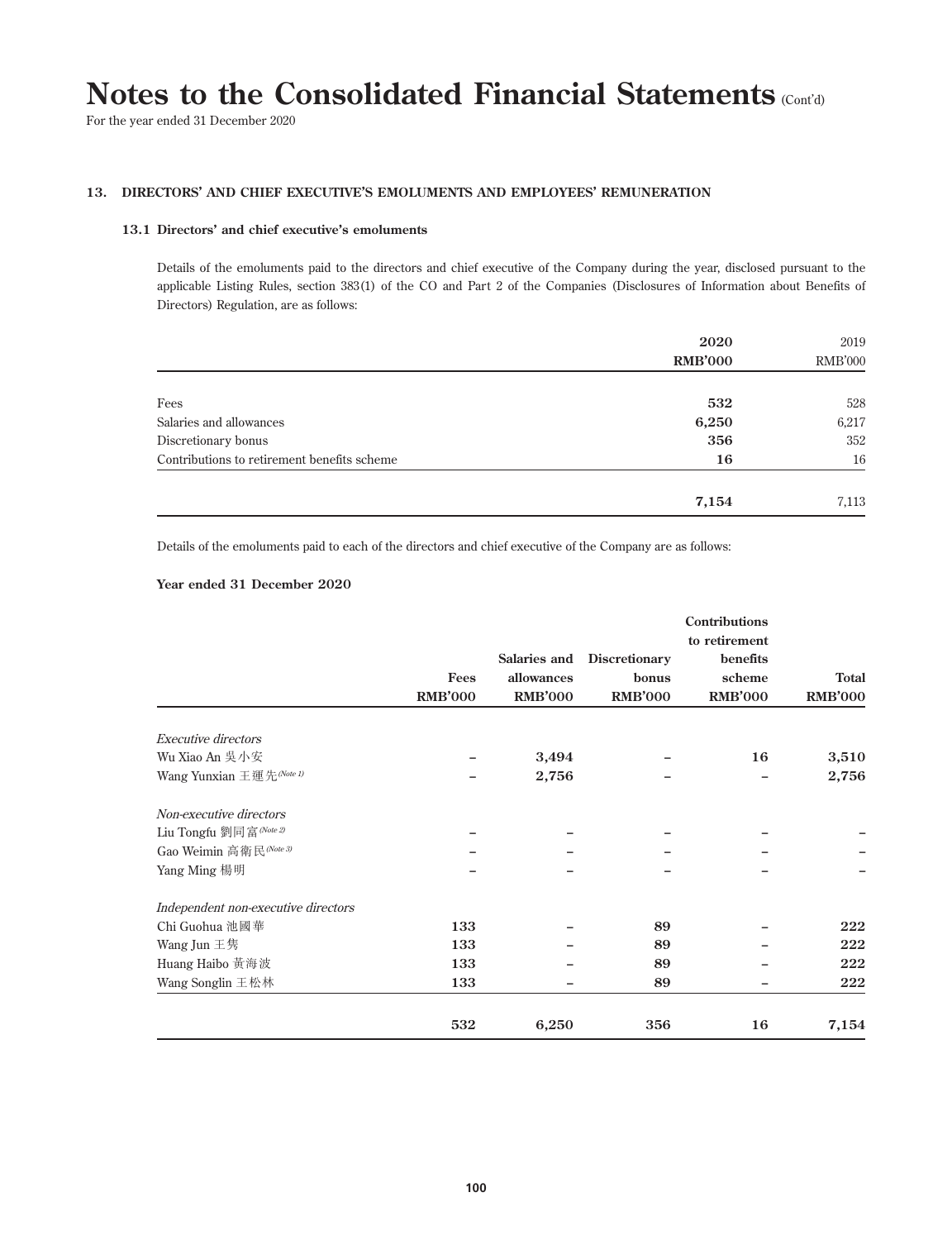For the year ended 31 December 2020

## **13. DIRECTORS' AND CHIEF EXECUTIVE'S EMOLUMENTS AND EMPLOYEES' REMUNERATION**

## **13.1 Directors' and chief executive's emoluments**

Details of the emoluments paid to the directors and chief executive of the Company during the year, disclosed pursuant to the applicable Listing Rules, section 383(1) of the CO and Part 2 of the Companies (Disclosures of Information about Benefits of Directors) Regulation, are as follows:

|                                             | 2020<br><b>RMB'000</b> | 2019<br><b>RMB'000</b> |
|---------------------------------------------|------------------------|------------------------|
|                                             |                        |                        |
| Fees                                        | 532                    | 528                    |
| Salaries and allowances                     | 6,250                  | 6,217                  |
| Discretionary bonus                         | 356                    | 352                    |
| Contributions to retirement benefits scheme | 16                     | 16                     |
|                                             | 7,154                  | 7,113                  |

Details of the emoluments paid to each of the directors and chief executive of the Company are as follows:

## **Year ended 31 December 2020**

|                                     | Fees<br><b>RMB'000</b> | Salaries and<br>allowances<br><b>RMB'000</b> | <b>Discretionary</b><br>bonus<br><b>RMB'000</b> | Contributions<br>to retirement<br>benefits<br>scheme<br><b>RMB'000</b> | <b>Total</b><br><b>RMB'000</b> |
|-------------------------------------|------------------------|----------------------------------------------|-------------------------------------------------|------------------------------------------------------------------------|--------------------------------|
| <b>Executive directors</b>          |                        |                                              |                                                 |                                                                        |                                |
| Wu Xiao An 吳小安                      |                        | 3,494                                        |                                                 | 16                                                                     | 3,510                          |
| Wang Yunxian 王運先(Note 1)            |                        | 2,756                                        |                                                 |                                                                        | 2,756                          |
| Non-executive directors             |                        |                                              |                                                 |                                                                        |                                |
| Liu Tongfu 劉同富(Note 2)              |                        |                                              |                                                 |                                                                        |                                |
| Gao Weimin 高衛民(Note 3)              |                        |                                              |                                                 |                                                                        |                                |
| Yang Ming 楊明                        |                        |                                              |                                                 |                                                                        |                                |
| Independent non-executive directors |                        |                                              |                                                 |                                                                        |                                |
| Chi Guohua 池國華                      | 133                    |                                              | 89                                              |                                                                        | 222                            |
| Wang Jun 王隽                         | 133                    |                                              | 89                                              |                                                                        | 222                            |
| Huang Haibo 黃海波                     | 133                    |                                              | 89                                              |                                                                        | 222                            |
| Wang Songlin 王松林                    | 133                    |                                              | 89                                              |                                                                        | 222                            |
|                                     | 532                    | 6,250                                        | 356                                             | 16                                                                     | 7,154                          |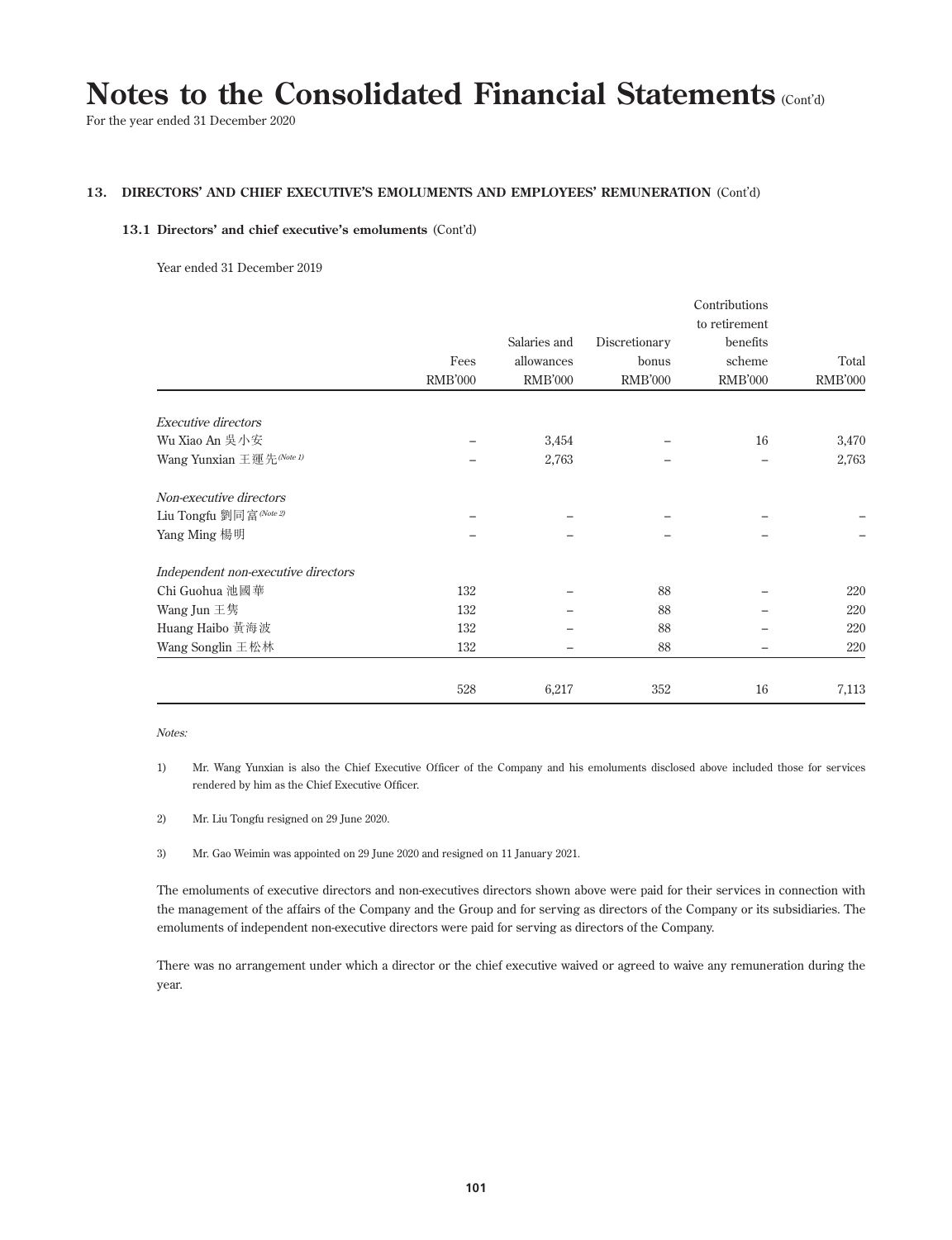For the year ended 31 December 2020

## **13. DIRECTORS' AND CHIEF EXECUTIVE'S EMOLUMENTS AND EMPLOYEES' REMUNERATION** (Cont'd)

### **13.1 Directors' and chief executive's emoluments** (Cont'd)

Year ended 31 December 2019

|                                     |                |                |                | Contributions  |                |
|-------------------------------------|----------------|----------------|----------------|----------------|----------------|
|                                     |                |                |                | to retirement  |                |
|                                     |                | Salaries and   | Discretionary  | benefits       |                |
|                                     | Fees           | allowances     | bonus          | scheme         | Total          |
|                                     | <b>RMB'000</b> | <b>RMB'000</b> | <b>RMB'000</b> | <b>RMB'000</b> | <b>RMB'000</b> |
| <b>Executive directors</b>          |                |                |                |                |                |
| Wu Xiao An 吳小安                      |                | 3,454          |                | 16             | 3,470          |
| Wang Yunxian 王運先(Note 1)            |                | 2,763          |                |                | 2,763          |
| Non-executive directors             |                |                |                |                |                |
| Liu Tongfu 劉同富(Note 2)              |                |                |                |                |                |
| Yang Ming 楊明                        |                |                |                |                |                |
| Independent non-executive directors |                |                |                |                |                |
| Chi Guohua 池國華                      | 132            |                | 88             |                | 220            |
| Wang Jun 王隽                         | 132            |                | 88             |                | 220            |
| Huang Haibo 黃海波                     | 132            |                | 88             |                | 220            |
| Wang Songlin 王松林                    | 132            |                | 88             |                | 220            |
|                                     | 528            | 6,217          | 352            | 16             | 7,113          |

Notes:

- 1) Mr. Wang Yunxian is also the Chief Executive Officer of the Company and his emoluments disclosed above included those for services rendered by him as the Chief Executive Officer.
- 2) Mr. Liu Tongfu resigned on 29 June 2020.
- 3) Mr. Gao Weimin was appointed on 29 June 2020 and resigned on 11 January 2021.

The emoluments of executive directors and non-executives directors shown above were paid for their services in connection with the management of the affairs of the Company and the Group and for serving as directors of the Company or its subsidiaries. The emoluments of independent non-executive directors were paid for serving as directors of the Company.

There was no arrangement under which a director or the chief executive waived or agreed to waive any remuneration during the year.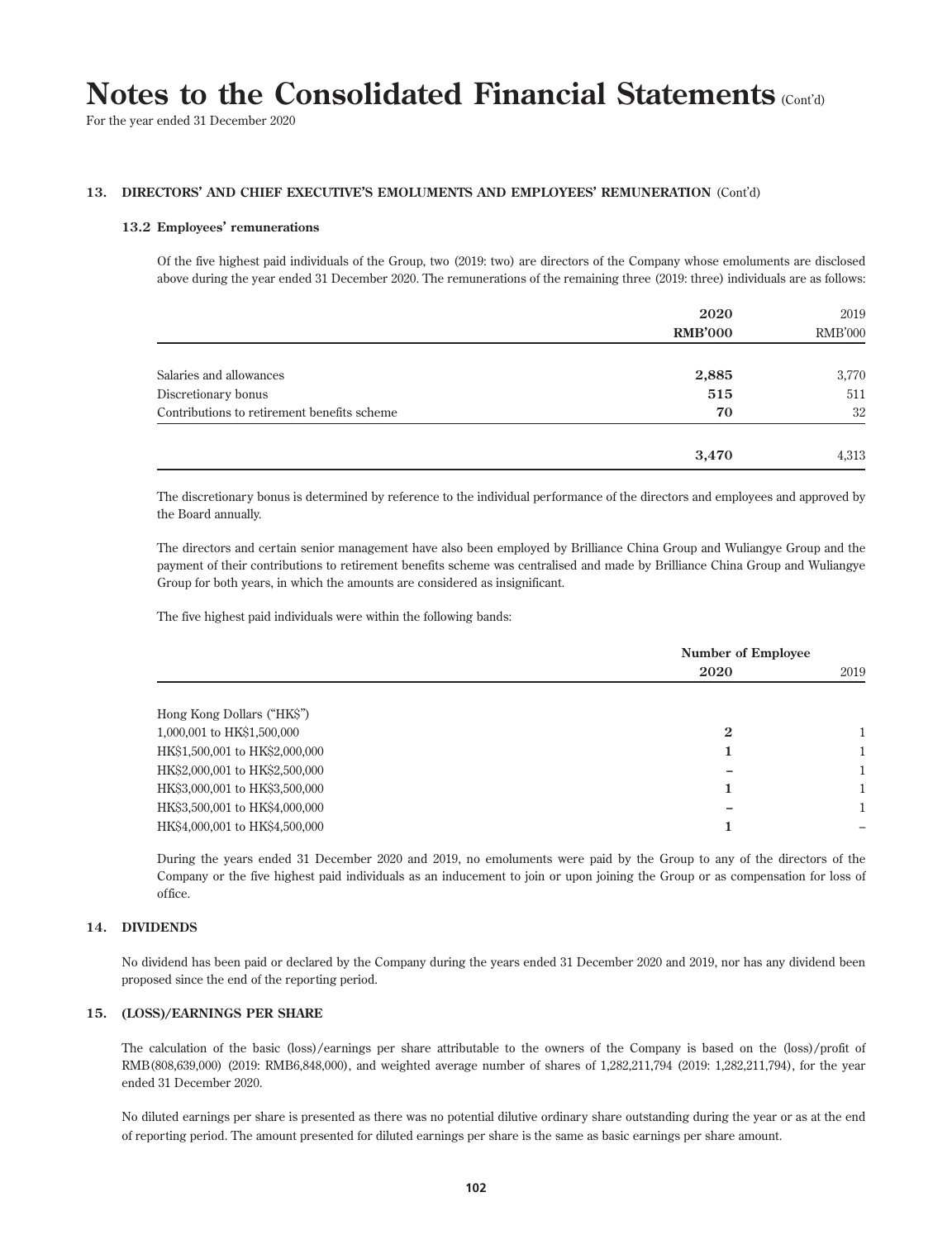For the year ended 31 December 2020

### **13. DIRECTORS' AND CHIEF EXECUTIVE'S EMOLUMENTS AND EMPLOYEES' REMUNERATION** (Cont'd)

### **13.2 Employees' remunerations**

Of the five highest paid individuals of the Group, two (2019: two) are directors of the Company whose emoluments are disclosed above during the year ended 31 December 2020. The remunerations of the remaining three (2019: three) individuals are as follows:

|                                             | 2020           | 2019           |  |
|---------------------------------------------|----------------|----------------|--|
|                                             | <b>RMB'000</b> | <b>RMB'000</b> |  |
|                                             |                |                |  |
| Salaries and allowances                     | 2,885          | 3,770          |  |
| Discretionary bonus                         | 515            | 511            |  |
| Contributions to retirement benefits scheme | 70             | 32             |  |
|                                             | 3,470          | 4,313          |  |

The discretionary bonus is determined by reference to the individual performance of the directors and employees and approved by the Board annually.

The directors and certain senior management have also been employed by Brilliance China Group and Wuliangye Group and the payment of their contributions to retirement benefits scheme was centralised and made by Brilliance China Group and Wuliangye Group for both years, in which the amounts are considered as insignificant.

The five highest paid individuals were within the following bands:

|                                | <b>Number of Employee</b> |      |
|--------------------------------|---------------------------|------|
|                                | 2020                      | 2019 |
|                                |                           |      |
| Hong Kong Dollars ("HKS")      |                           |      |
| 1,000,001 to HK\$1,500,000     | 2                         |      |
| HK\$1,500,001 to HK\$2,000,000 | 1                         |      |
| HK\$2,000,001 to HK\$2,500,000 |                           | 1    |
| HK\$3,000,001 to HK\$3,500,000 |                           |      |
| HK\$3,500,001 to HK\$4,000,000 |                           |      |
| HK\$4,000,001 to HK\$4,500,000 |                           |      |

During the years ended 31 December 2020 and 2019, no emoluments were paid by the Group to any of the directors of the Company or the five highest paid individuals as an inducement to join or upon joining the Group or as compensation for loss of office.

### **14. DIVIDENDS**

No dividend has been paid or declared by the Company during the years ended 31 December 2020 and 2019, nor has any dividend been proposed since the end of the reporting period.

### **15. (LOSS)/EARNINGS PER SHARE**

The calculation of the basic (loss)/earnings per share attributable to the owners of the Company is based on the (loss)/profit of RMB(808,639,000) (2019: RMB6,848,000), and weighted average number of shares of 1,282,211,794 (2019: 1,282,211,794), for the year ended 31 December 2020.

No diluted earnings per share is presented as there was no potential dilutive ordinary share outstanding during the year or as at the end of reporting period. The amount presented for diluted earnings per share is the same as basic earnings per share amount.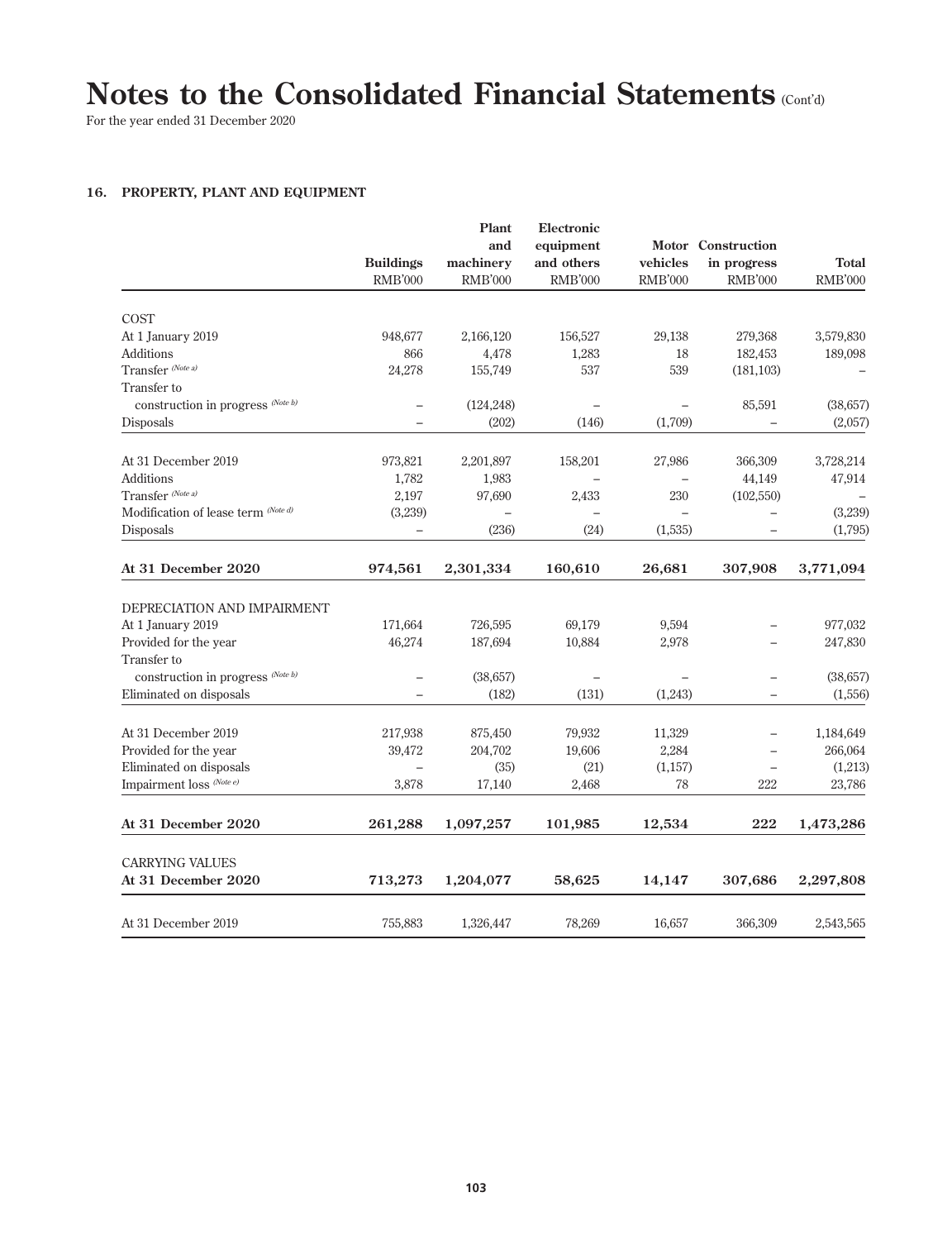For the year ended 31 December 2020

## **16. PROPERTY, PLANT AND EQUIPMENT**

|                                            | <b>Buildings</b><br><b>RMB'000</b> | Plant<br>and<br>machinery<br><b>RMB'000</b> | Electronic<br>equipment<br>and others<br><b>RMB'000</b> | vehicles<br><b>RMB'000</b> | Motor Construction<br>in progress<br><b>RMB'000</b> | <b>Total</b><br><b>RMB'000</b> |
|--------------------------------------------|------------------------------------|---------------------------------------------|---------------------------------------------------------|----------------------------|-----------------------------------------------------|--------------------------------|
|                                            |                                    |                                             |                                                         |                            |                                                     |                                |
| COST                                       |                                    |                                             |                                                         |                            |                                                     |                                |
| At 1 January 2019                          | 948,677                            | 2,166,120                                   | 156,527                                                 | 29,138                     | 279,368                                             | 3,579,830                      |
| Additions                                  | 866                                | 4,478                                       | 1,283                                                   | 18                         | 182,453                                             | 189,098                        |
| Transfer (Note a)                          | 24,278                             | 155,749                                     | 537                                                     | 539                        | (181, 103)                                          |                                |
| Transfer to                                |                                    |                                             |                                                         |                            |                                                     |                                |
| construction in progress (Note b)          | $\overline{\phantom{0}}$           | (124, 248)                                  |                                                         |                            | 85,591                                              | (38, 657)                      |
| Disposals                                  |                                    | (202)                                       | (146)                                                   | (1,709)                    |                                                     | (2,057)                        |
| At 31 December 2019                        | 973,821                            | 2,201,897                                   | 158,201                                                 | 27,986                     | 366,309                                             | 3,728,214                      |
| <b>Additions</b>                           | 1,782                              | 1,983                                       |                                                         |                            | 44,149                                              | 47,914                         |
| Transfer (Note a)                          | 2,197                              | 97,690                                      | 2,433                                                   | 230                        | (102, 550)                                          |                                |
| Modification of lease term (Note d)        | (3,239)                            | $\overline{\phantom{0}}$                    | $\overline{\phantom{0}}$                                | $\overline{\phantom{0}}$   | $\overline{\phantom{0}}$                            | (3,239)                        |
| <b>Disposals</b>                           | $\overline{\phantom{0}}$           | (236)                                       | (24)                                                    | (1,535)                    | $\overline{\phantom{0}}$                            | (1,795)                        |
| At 31 December 2020                        | 974,561                            | 2,301,334                                   | 160,610                                                 | 26,681                     | 307,908                                             | 3,771,094                      |
|                                            |                                    |                                             |                                                         |                            |                                                     |                                |
| DEPRECIATION AND IMPAIRMENT                | 171,664                            |                                             | 69,179                                                  |                            |                                                     | 977,032                        |
| At 1 January 2019<br>Provided for the year | 46,274                             | 726,595                                     |                                                         | 9,594<br>2,978             | $\overline{\phantom{0}}$                            |                                |
| Transfer to                                |                                    | 187,694                                     | 10,884                                                  |                            |                                                     | 247,830                        |
| construction in progress (Note b)          | $\overline{\phantom{0}}$           | (38,657)                                    |                                                         |                            | $\overline{\phantom{0}}$                            | (38,657)                       |
| Eliminated on disposals                    | $\overline{\phantom{0}}$           | (182)                                       | (131)                                                   | (1,243)                    | $\overline{a}$                                      | (1,556)                        |
|                                            |                                    |                                             |                                                         |                            |                                                     |                                |
| At 31 December 2019                        | 217,938                            | 875,450                                     | 79,932                                                  | 11,329                     |                                                     | 1,184,649                      |
| Provided for the year                      | 39,472                             | 204,702                                     | 19,606                                                  | 2,284                      | $\overline{\phantom{0}}$                            | 266,064                        |
| Eliminated on disposals                    |                                    | (35)                                        | (21)                                                    | (1, 157)                   | $\overline{\phantom{0}}$                            | (1,213)                        |
| Impairment loss (Note e)                   | 3,878                              | 17,140                                      | 2,468                                                   | 78                         | 222                                                 | 23,786                         |
| At 31 December 2020                        | 261,288                            | 1,097,257                                   | 101,985                                                 | 12,534                     | 222                                                 | 1,473,286                      |
| <b>CARRYING VALUES</b>                     |                                    |                                             |                                                         |                            |                                                     |                                |
| At 31 December 2020                        | 713,273                            | 1,204,077                                   | 58,625                                                  | 14,147                     | 307,686                                             | 2,297,808                      |
| At 31 December 2019                        | 755,883                            | 1,326,447                                   | 78,269                                                  | 16,657                     | 366,309                                             | 2,543,565                      |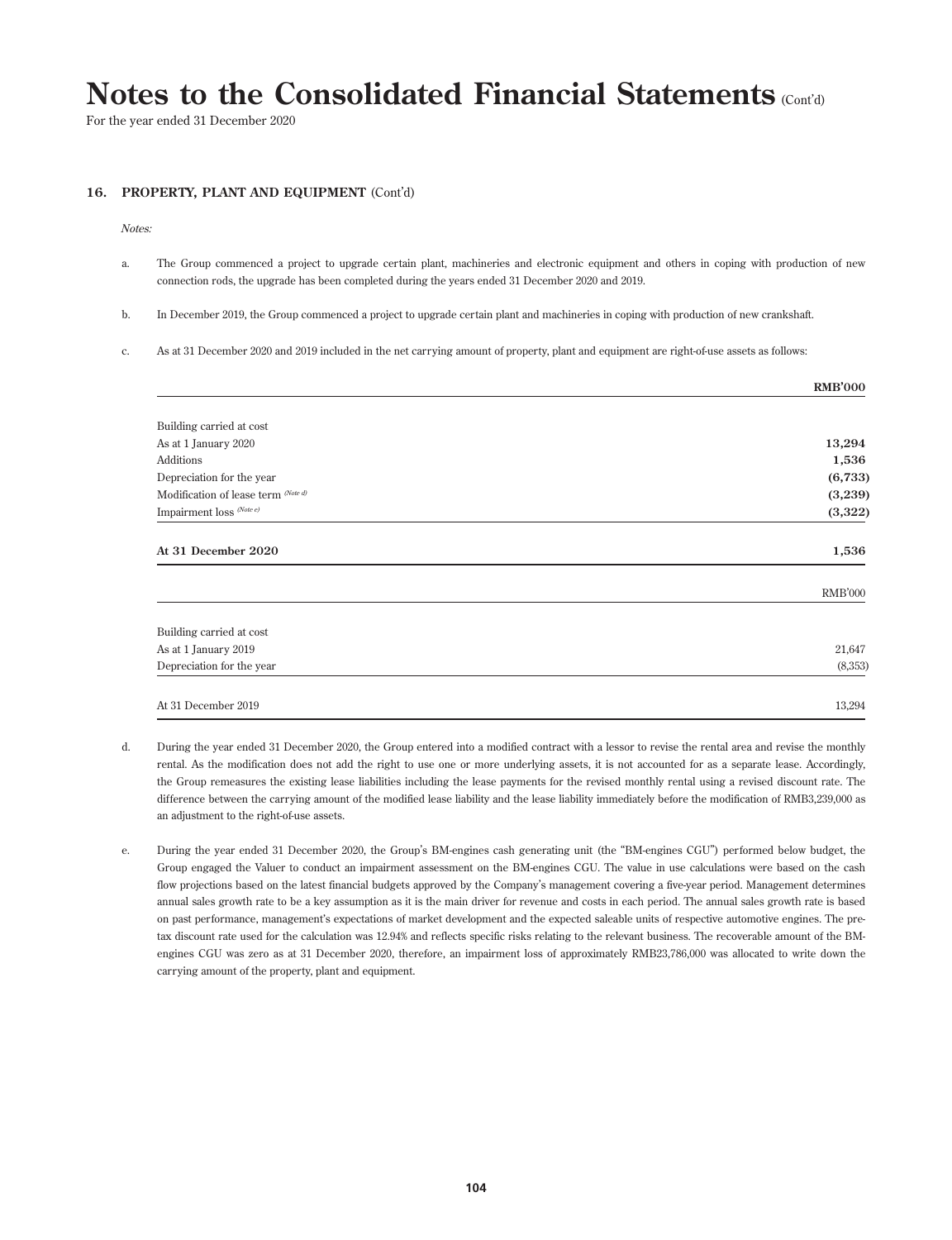For the year ended 31 December 2020

### 16. PROPERTY, PLANT AND EQUIPMENT (Cont'd)

#### Notes:

- a. The Group commenced a project to upgrade certain plant, machineries and electronic equipment and others in coping with production of new connection rods, the upgrade has been completed during the years ended 31 December 2020 and 2019.
- b. In December 2019, the Group commenced a project to upgrade certain plant and machineries in coping with production of new crankshaft.
- c. As at 31 December 2020 and 2019 included in the net carrying amount of property, plant and equipment are right-of-use assets as follows:

|                                     | <b>RMB'000</b> |
|-------------------------------------|----------------|
|                                     |                |
| Building carried at cost            |                |
| As at 1 January 2020                | 13,294         |
| <b>Additions</b>                    | 1,536          |
| Depreciation for the year           | (6, 733)       |
| Modification of lease term (Note d) | (3,239)        |
| Impairment loss $^{(Note\ e)}$      | (3, 322)       |
| At 31 December 2020                 | 1,536          |
|                                     | <b>RMB'000</b> |
| Building carried at cost            |                |
| As at 1 January 2019                | 21,647         |
| Depreciation for the year           | (8,353)        |
| At 31 December 2019                 | 13,294         |

- d. During the year ended 31 December 2020, the Group entered into a modified contract with a lessor to revise the rental area and revise the monthly rental. As the modification does not add the right to use one or more underlying assets, it is not accounted for as a separate lease. Accordingly, the Group remeasures the existing lease liabilities including the lease payments for the revised monthly rental using a revised discount rate. The difference between the carrying amount of the modified lease liability and the lease liability immediately before the modification of RMB3,239,000 as an adjustment to the right-of-use assets.
- e. During the year ended 31 December 2020, the Group's BM-engines cash generating unit (the "BM-engines CGU") performed below budget, the Group engaged the Valuer to conduct an impairment assessment on the BM-engines CGU. The value in use calculations were based on the cash flow projections based on the latest financial budgets approved by the Company's management covering a five-year period. Management determines annual sales growth rate to be a key assumption as it is the main driver for revenue and costs in each period. The annual sales growth rate is based on past performance, management's expectations of market development and the expected saleable units of respective automotive engines. The pretax discount rate used for the calculation was 12.94% and reflects specific risks relating to the relevant business. The recoverable amount of the BMengines CGU was zero as at 31 December 2020, therefore, an impairment loss of approximately RMB23,786,000 was allocated to write down the carrying amount of the property, plant and equipment.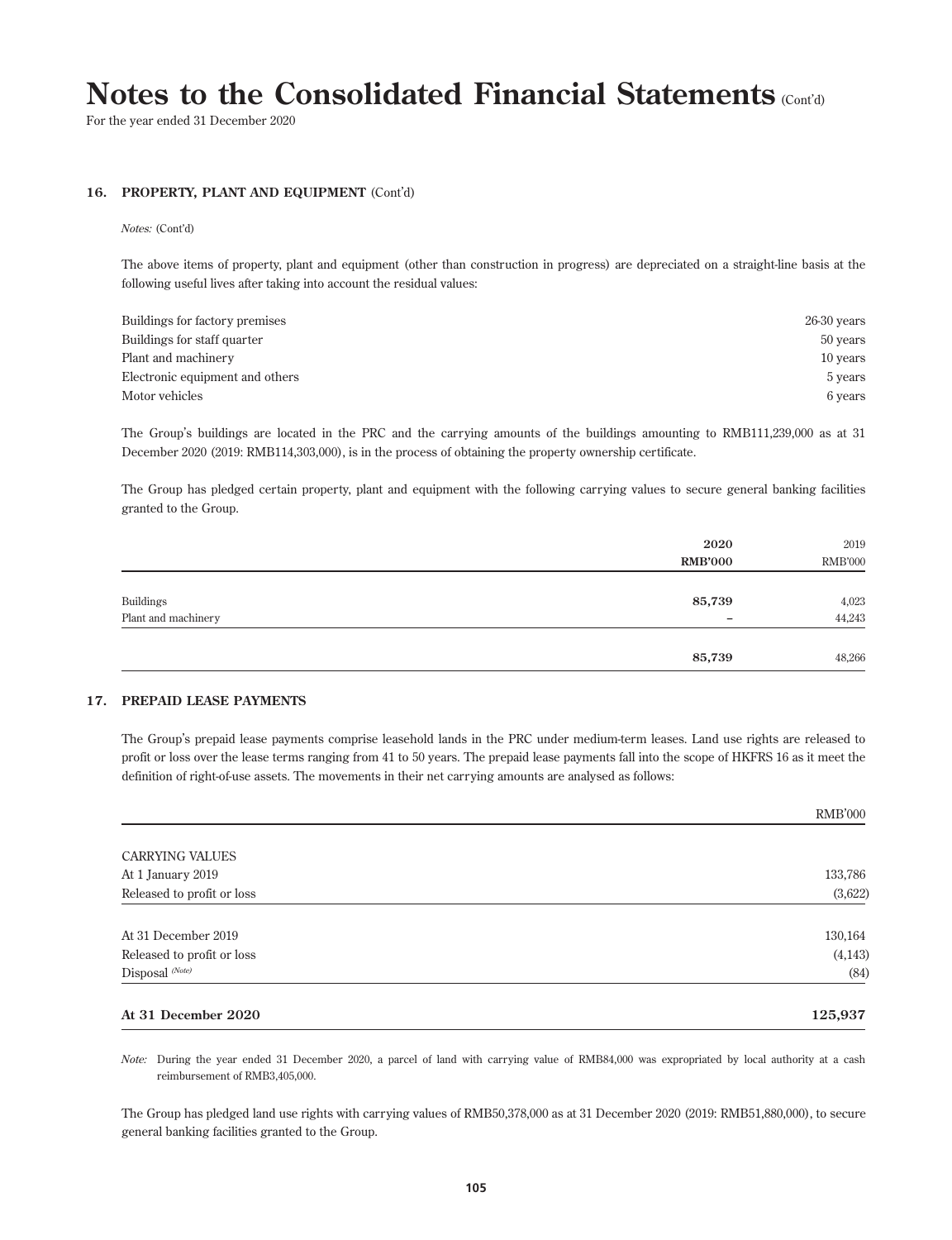For the year ended 31 December 2020

### 16. PROPERTY, PLANT AND EQUIPMENT (Cont'd)

#### Notes: (Cont'd)

The above items of property, plant and equipment (other than construction in progress) are depreciated on a straight-line basis at the following useful lives after taking into account the residual values:

| $26-30$ years |
|---------------|
| 50 years      |
| 10 years      |
| 5 years       |
| 6 years       |
|               |

The Group's buildings are located in the PRC and the carrying amounts of the buildings amounting to RMB111,239,000 as at 31 December 2020 (2019: RMB114,303,000), is in the process of obtaining the property ownership certificate.

The Group has pledged certain property, plant and equipment with the following carrying values to secure general banking facilities granted to the Group.

|                                  | 2020                     | 2019           |
|----------------------------------|--------------------------|----------------|
|                                  | <b>RMB'000</b>           | <b>RMB'000</b> |
|                                  |                          |                |
|                                  | 85,739                   | 4,023          |
| Buildings<br>Plant and machinery | $\overline{\phantom{0}}$ | 44,243         |
|                                  |                          |                |
|                                  | 85,739                   | 48,266         |

### **17. PREPAID LEASE PAYMENTS**

The Group's prepaid lease payments comprise leasehold lands in the PRC under medium-term leases. Land use rights are released to profit or loss over the lease terms ranging from 41 to 50 years. The prepaid lease payments fall into the scope of HKFRS 16 as it meet the definition of right-of-use assets. The movements in their net carrying amounts are analysed as follows:

|                            | <b>RMB'000</b> |
|----------------------------|----------------|
|                            |                |
| <b>CARRYING VALUES</b>     |                |
| At 1 January 2019          | 133,786        |
| Released to profit or loss | (3,622)        |
|                            |                |
| At 31 December 2019        | 130,164        |
| Released to profit or loss | (4, 143)       |
| Disposal (Note)            | (84)           |
|                            |                |
| At 31 December 2020        | 125,937        |

Note: During the year ended 31 December 2020, a parcel of land with carrying value of RMB84,000 was expropriated by local authority at a cash reimbursement of RMB3,405,000.

The Group has pledged land use rights with carrying values of RMB50,378,000 as at 31 December 2020 (2019: RMB51,880,000), to secure general banking facilities granted to the Group.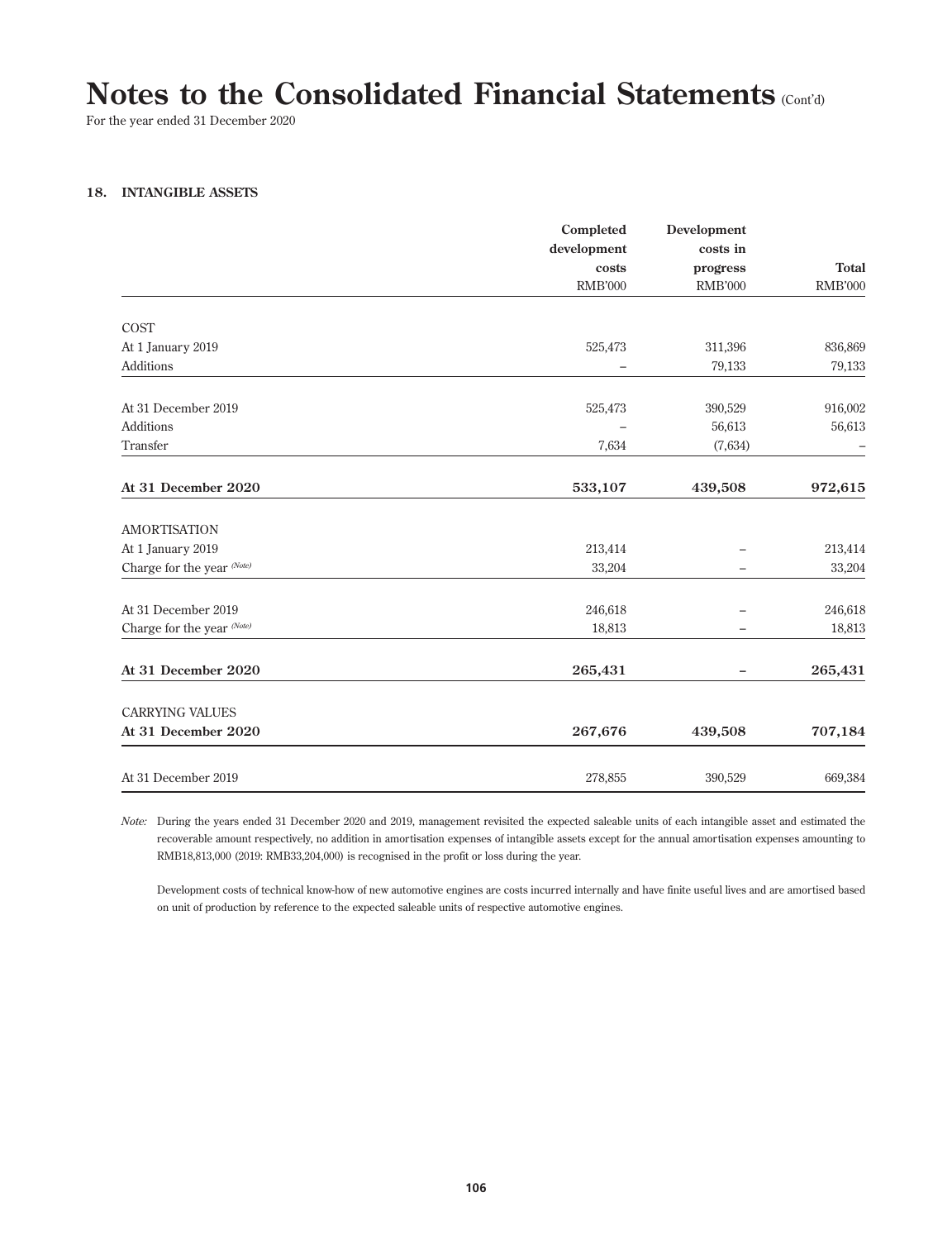For the year ended 31 December 2020

## **18. INTANGIBLE ASSETS**

|                            | Completed<br>development<br>costs | Development    |                |
|----------------------------|-----------------------------------|----------------|----------------|
|                            |                                   | costs in       |                |
|                            |                                   | progress       | <b>Total</b>   |
|                            | <b>RMB'000</b>                    | <b>RMB'000</b> | <b>RMB'000</b> |
| COST                       |                                   |                |                |
| At 1 January 2019          | 525,473                           | 311,396        | 836,869        |
| <b>Additions</b>           |                                   | 79,133         | 79,133         |
| At 31 December 2019        | 525,473                           | 390,529        | 916,002        |
| Additions                  |                                   | 56,613         | 56,613         |
| Transfer                   | 7,634                             | (7,634)        |                |
| At 31 December 2020        | 533,107                           | 439,508        | 972,615        |
| <b>AMORTISATION</b>        |                                   |                |                |
| At 1 January 2019          | 213,414                           |                | 213,414        |
| Charge for the year (Note) | 33,204                            |                | 33,204         |
| At 31 December 2019        | 246,618                           |                | 246,618        |
| Charge for the year (Note) | 18,813                            |                | 18,813         |
| At 31 December 2020        | 265,431                           |                | 265,431        |
| <b>CARRYING VALUES</b>     |                                   |                |                |
| At 31 December 2020        | 267,676                           | 439,508        | 707,184        |
| At 31 December 2019        | 278,855                           | 390,529        | 669,384        |

Note: During the years ended 31 December 2020 and 2019, management revisited the expected saleable units of each intangible asset and estimated the recoverable amount respectively, no addition in amortisation expenses of intangible assets except for the annual amortisation expenses amounting to RMB18,813,000 (2019: RMB33,204,000) is recognised in the profit or loss during the year.

Development costs of technical know-how of new automotive engines are costs incurred internally and have finite useful lives and are amortised based on unit of production by reference to the expected saleable units of respective automotive engines.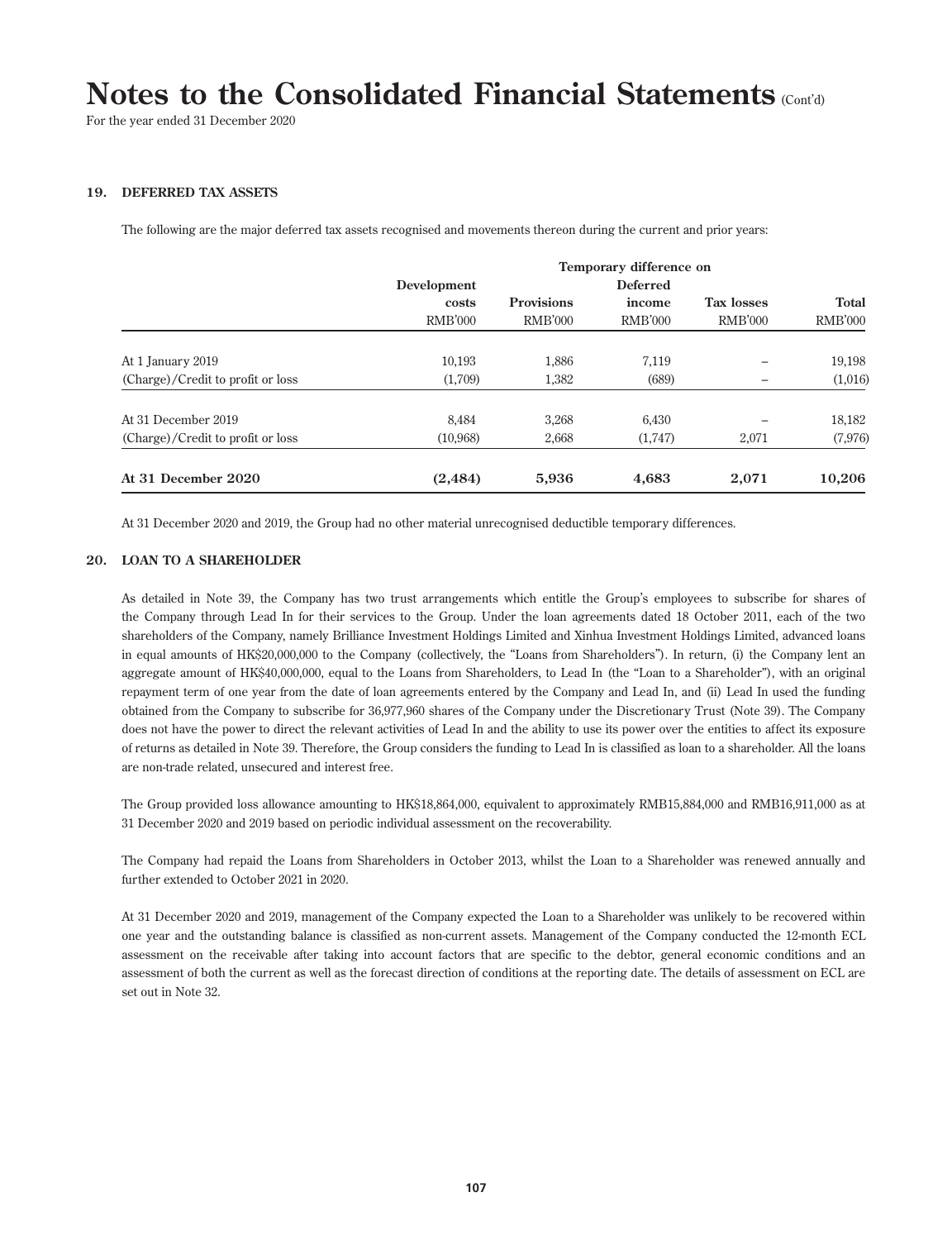For the year ended 31 December 2020

## **19. DEFERRED TAX ASSETS**

The following are the major deferred tax assets recognised and movements thereon during the current and prior years:

|                                   | Temporary difference on |                                     |                          |                                     |                                |
|-----------------------------------|-------------------------|-------------------------------------|--------------------------|-------------------------------------|--------------------------------|
|                                   | Development             |                                     | <b>Deferred</b>          |                                     |                                |
|                                   | costs<br><b>RMB'000</b> | <b>Provisions</b><br><b>RMB'000</b> | income<br><b>RMB'000</b> | <b>Tax losses</b><br><b>RMB'000</b> | <b>Total</b><br><b>RMB'000</b> |
| At 1 January 2019                 | 10,193                  | 1,886                               | 7,119                    |                                     | 19,198                         |
| (Charge)/Credit to profit or loss | (1,709)                 | 1,382                               | (689)                    |                                     | (1,016)                        |
| At 31 December 2019               | 8,484                   | 3,268                               | 6,430                    |                                     | 18,182                         |
| (Charge)/Credit to profit or loss | (10,968)                | 2.668                               | (1,747)                  | 2,071                               | (7,976)                        |
| At 31 December 2020               | (2, 484)                | 5,936                               | 4,683                    | 2.071                               | 10,206                         |

At 31 December 2020 and 2019, the Group had no other material unrecognised deductible temporary differences.

#### **20. LOAN TO A SHAREHOLDER**

As detailed in Note 39, the Company has two trust arrangements which entitle the Group's employees to subscribe for shares of the Company through Lead In for their services to the Group. Under the loan agreements dated 18 October 2011, each of the two shareholders of the Company, namely Brilliance Investment Holdings Limited and Xinhua Investment Holdings Limited, advanced loans in equal amounts of HK\$20,000,000 to the Company (collectively, the "Loans from Shareholders"). In return, (i) the Company lent an aggregate amount of HK\$40,000,000, equal to the Loans from Shareholders, to Lead In (the "Loan to a Shareholder"), with an original repayment term of one year from the date of loan agreements entered by the Company and Lead In, and (ii) Lead In used the funding obtained from the Company to subscribe for 36,977,960 shares of the Company under the Discretionary Trust (Note 39). The Company does not have the power to direct the relevant activities of Lead In and the ability to use its power over the entities to affect its exposure of returns as detailed in Note 39. Therefore, the Group considers the funding to Lead In is classified as loan to a shareholder. All the loans are non-trade related, unsecured and interest free.

The Group provided loss allowance amounting to HK\$18,864,000, equivalent to approximately RMB15,884,000 and RMB16,911,000 as at 31 December 2020 and 2019 based on periodic individual assessment on the recoverability.

The Company had repaid the Loans from Shareholders in October 2013, whilst the Loan to a Shareholder was renewed annually and further extended to October 2021 in 2020.

At 31 December 2020 and 2019, management of the Company expected the Loan to a Shareholder was unlikely to be recovered within one year and the outstanding balance is classified as non-current assets. Management of the Company conducted the 12-month ECL assessment on the receivable after taking into account factors that are specific to the debtor, general economic conditions and an assessment of both the current as well as the forecast direction of conditions at the reporting date. The details of assessment on ECL are set out in Note 32.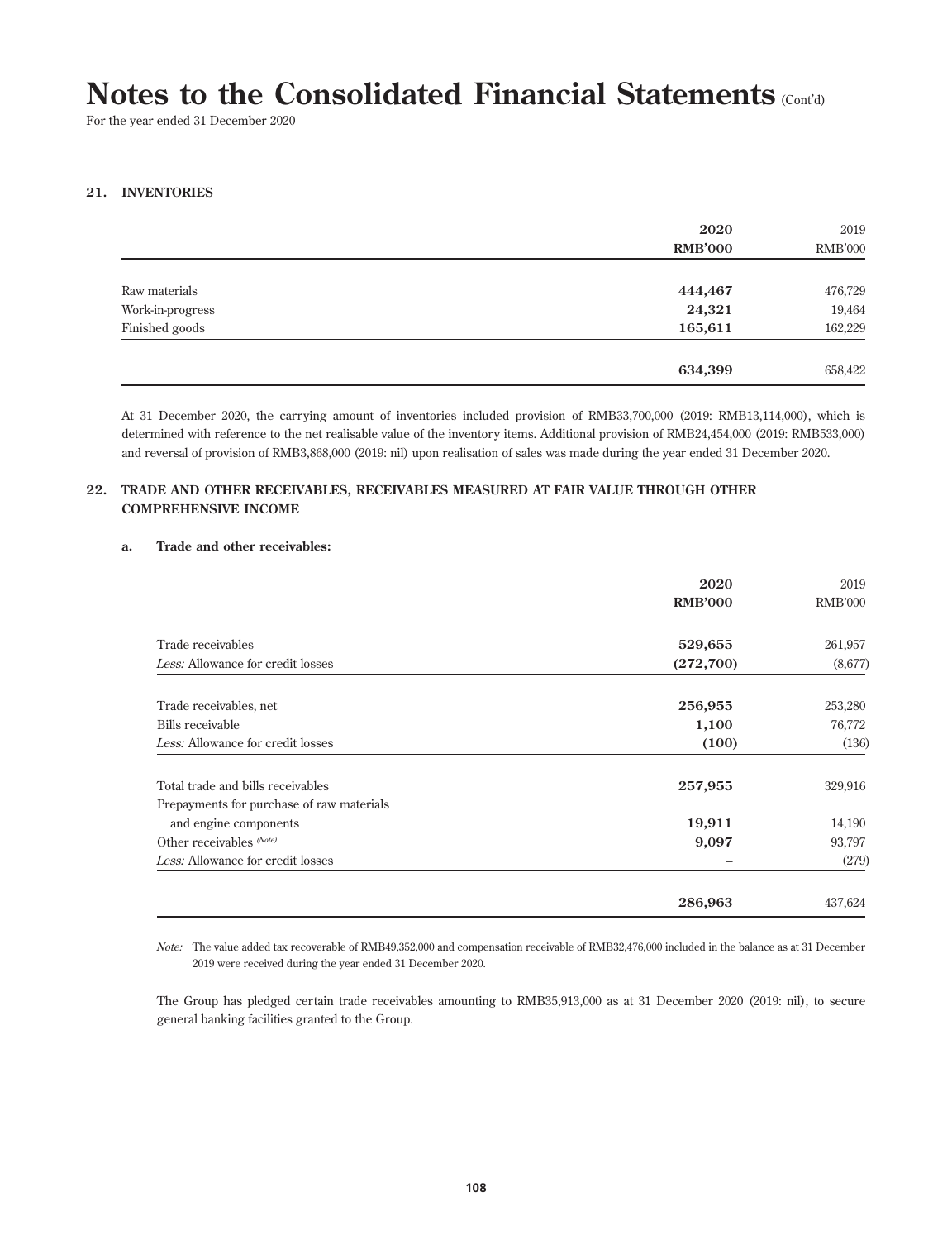For the year ended 31 December 2020

## **21. INVENTORIES**

|                  | 2020<br><b>RMB'000</b> | 2019<br><b>RMB'000</b> |
|------------------|------------------------|------------------------|
|                  |                        |                        |
| Raw materials    | 444,467                | 476,729                |
| Work-in-progress | 24,321                 | 19,464                 |
| Finished goods   | 165,611                | 162,229                |
|                  | 634,399                | 658,422                |

At 31 December 2020, the carrying amount of inventories included provision of RMB33,700,000 (2019: RMB13,114,000), which is determined with reference to the net realisable value of the inventory items. Additional provision of RMB24,454,000 (2019: RMB533,000) and reversal of provision of RMB3,868,000 (2019: nil) upon realisation of sales was made during the year ended 31 December 2020.

### **22. TRADE AND OTHER RECEIVABLES, RECEIVABLES MEASURED AT FAIR VALUE THROUGH OTHER COMPREHENSIVE INCOME**

### **a. Trade and other receivables:**

|                                           | 2020           | 2019           |
|-------------------------------------------|----------------|----------------|
|                                           | <b>RMB'000</b> | <b>RMB'000</b> |
| Trade receivables                         | 529,655        | 261,957        |
| Less: Allowance for credit losses         | (272,700)      | (8,677)        |
| Trade receivables, net                    | 256,955        | 253,280        |
| Bills receivable                          | 1,100          | 76,772         |
| Less: Allowance for credit losses         | (100)          | (136)          |
| Total trade and bills receivables         | 257,955        | 329,916        |
| Prepayments for purchase of raw materials |                |                |
| and engine components                     | 19,911         | 14,190         |
| Other receivables (Note)                  | 9,097          | 93,797         |
| Less: Allowance for credit losses         |                | (279)          |
|                                           | 286,963        | 437,624        |

Note: The value added tax recoverable of RMB49,352,000 and compensation receivable of RMB32,476,000 included in the balance as at 31 December 2019 were received during the year ended 31 December 2020.

The Group has pledged certain trade receivables amounting to RMB35,913,000 as at 31 December 2020 (2019: nil), to secure general banking facilities granted to the Group.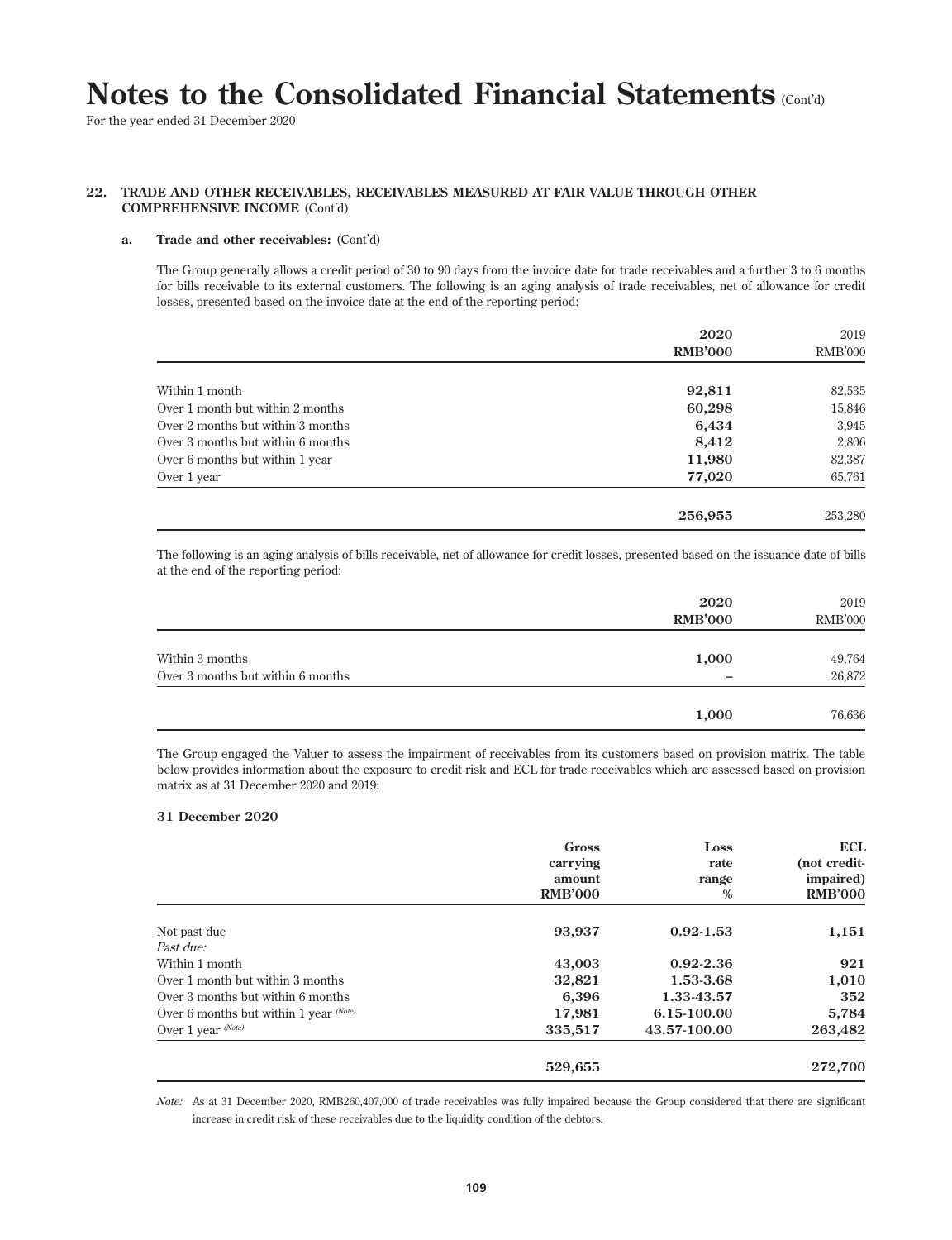For the year ended 31 December 2020

### **22. TRADE AND OTHER RECEIVABLES, RECEIVABLES MEASURED AT FAIR VALUE THROUGH OTHER COMPREHENSIVE INCOME** (Cont'd)

#### **a. Trade and other receivables:** (Cont'd)

The Group generally allows a credit period of 30 to 90 days from the invoice date for trade receivables and a further 3 to 6 months for bills receivable to its external customers. The following is an aging analysis of trade receivables, net of allowance for credit losses, presented based on the invoice date at the end of the reporting period:

|                                   | 2020<br><b>RMB'000</b> | 2019           |
|-----------------------------------|------------------------|----------------|
|                                   |                        | <b>RMB'000</b> |
|                                   |                        |                |
| Within 1 month                    | 92,811                 | 82,535         |
| Over 1 month but within 2 months  | 60,298                 | 15,846         |
| Over 2 months but within 3 months | 6,434                  | 3,945          |
| Over 3 months but within 6 months | 8,412                  | 2,806          |
| Over 6 months but within 1 year   | 11,980                 | 82,387         |
| Over 1 year                       | 77,020                 | 65,761         |
|                                   | 256,955                | 253,280        |

The following is an aging analysis of bills receivable, net of allowance for credit losses, presented based on the issuance date of bills at the end of the reporting period:

|                                   | 2020<br><b>RMB'000</b>   | 2019<br><b>RMB'000</b> |
|-----------------------------------|--------------------------|------------------------|
| Within 3 months                   | 1,000                    | 49,764                 |
| Over 3 months but within 6 months | $\overline{\phantom{0}}$ | 26,872                 |
|                                   | 1,000                    | 76,636                 |

The Group engaged the Valuer to assess the impairment of receivables from its customers based on provision matrix. The table below provides information about the exposure to credit risk and ECL for trade receivables which are assessed based on provision matrix as at 31 December 2020 and 2019:

#### **31 December 2020**

|                                          | Gross<br>carrying<br>amount<br><b>RMB'000</b> | Loss<br>rate<br>range<br>% | <b>ECL</b><br>(not credit-<br>impaired)<br><b>RMB'000</b> |
|------------------------------------------|-----------------------------------------------|----------------------------|-----------------------------------------------------------|
| Not past due                             | 93,937                                        | $0.92 - 1.53$              | 1,151                                                     |
| Past due:                                |                                               |                            |                                                           |
| Within 1 month                           | 43,003                                        | 0.92-2.36                  | 921                                                       |
| Over 1 month but within 3 months         | 32,821                                        | 1.53-3.68                  | 1,010                                                     |
| Over 3 months but within 6 months        | 6,396                                         | 1.33-43.57                 | 352                                                       |
| Over 6 months but within 1 year $(Note)$ | 17,981                                        | 6.15-100.00                | 5,784                                                     |
| Over 1 year (Note)                       | 335,517                                       | 43.57-100.00               | 263,482                                                   |
|                                          | 529,655                                       |                            | 272,700                                                   |

Note: As at 31 December 2020, RMB260,407,000 of trade receivables was fully impaired because the Group considered that there are significant increase in credit risk of these receivables due to the liquidity condition of the debtors.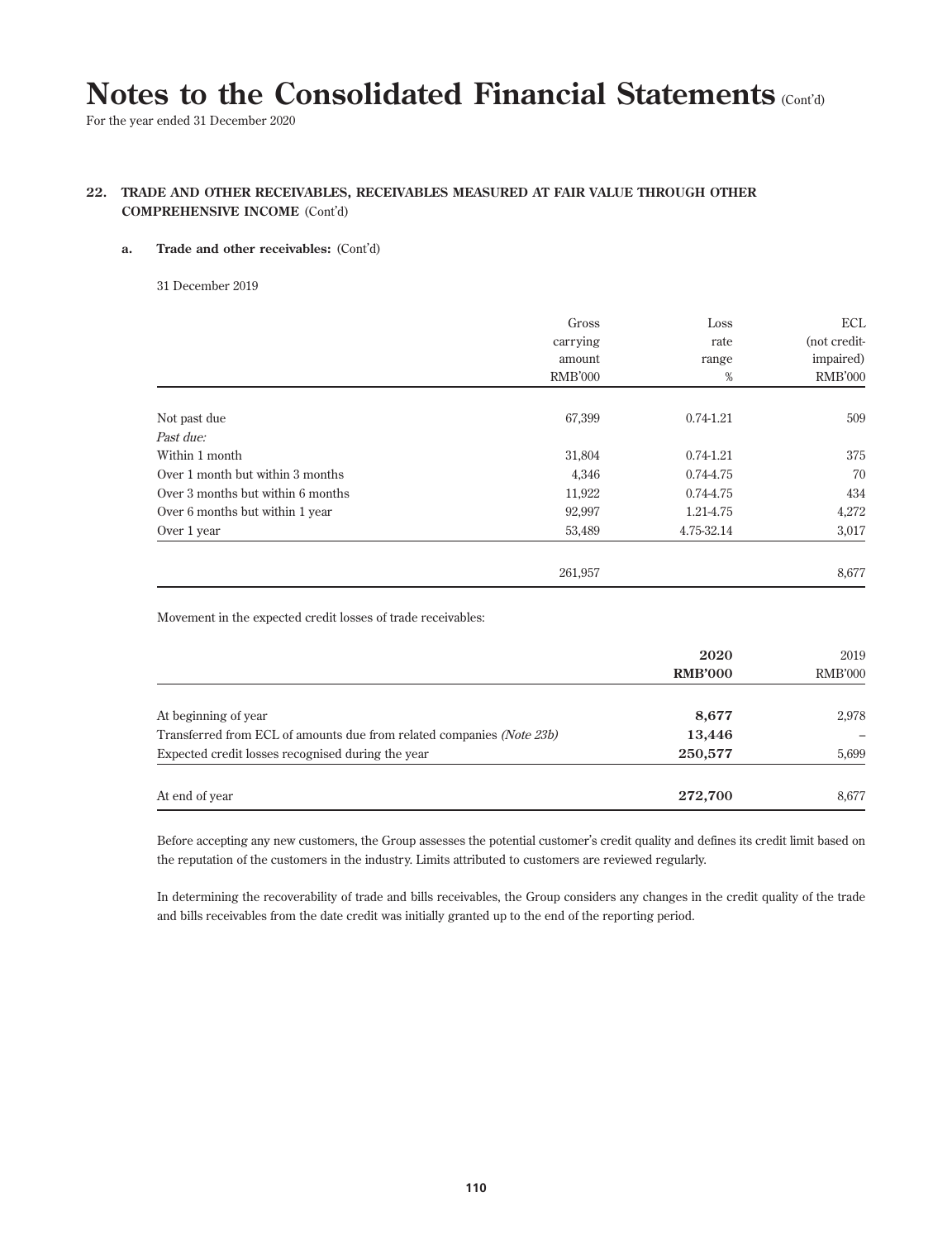For the year ended 31 December 2020

## **22. TRADE AND OTHER RECEIVABLES, RECEIVABLES MEASURED AT FAIR VALUE THROUGH OTHER COMPREHENSIVE INCOME** (Cont'd)

## **a. Trade and other receivables:** (Cont'd)

31 December 2019

|                                   | Gross          | Loss          | ECL            |
|-----------------------------------|----------------|---------------|----------------|
|                                   | carrying       | rate          | (not credit-   |
|                                   | amount         | range         | impaired)      |
|                                   | <b>RMB'000</b> | %             | <b>RMB'000</b> |
| Not past due                      | 67,399         | $0.74 - 1.21$ | 509            |
| Past due:                         |                |               |                |
| Within 1 month                    | 31,804         | $0.74 - 1.21$ | 375            |
| Over 1 month but within 3 months  | 4,346          | 0.74-4.75     | 70             |
| Over 3 months but within 6 months | 11,922         | 0.74-4.75     | 434            |
| Over 6 months but within 1 year   | 92,997         | 1.21-4.75     | 4,272          |
| Over 1 year                       | 53,489         | 4.75-32.14    | 3,017          |
|                                   | 261,957        |               | 8,677          |

Movement in the expected credit losses of trade receivables:

|                                                                       | 2020           | 2019           |
|-----------------------------------------------------------------------|----------------|----------------|
|                                                                       | <b>RMB'000</b> | <b>RMB'000</b> |
| At beginning of year                                                  | 8,677          | 2,978          |
| Transferred from ECL of amounts due from related companies (Note 23b) | 13,446         |                |
| Expected credit losses recognised during the year                     | 250,577        | 5,699          |
| At end of year                                                        | 272,700        | 8,677          |

Before accepting any new customers, the Group assesses the potential customer's credit quality and defines its credit limit based on the reputation of the customers in the industry. Limits attributed to customers are reviewed regularly.

In determining the recoverability of trade and bills receivables, the Group considers any changes in the credit quality of the trade and bills receivables from the date credit was initially granted up to the end of the reporting period.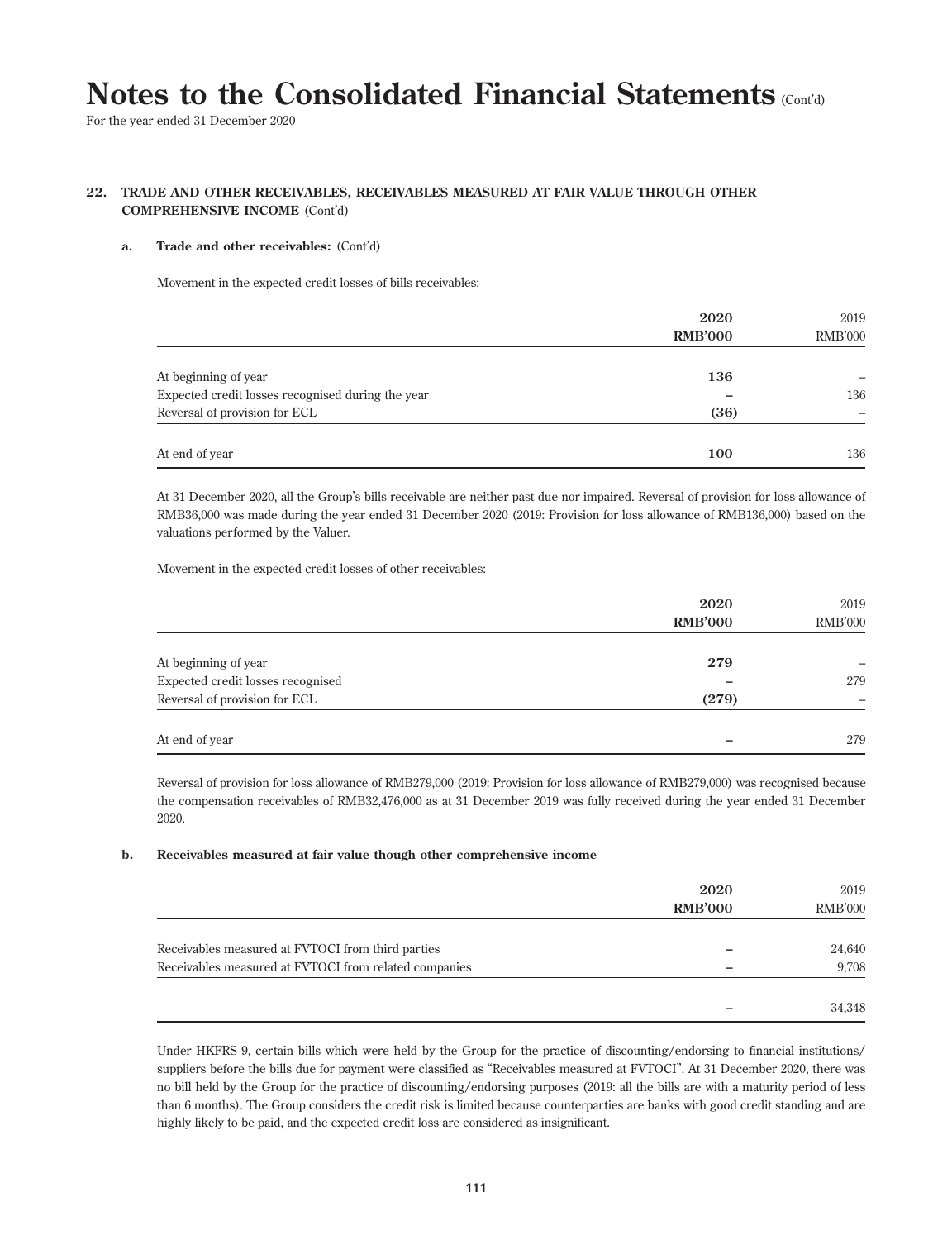For the year ended 31 December 2020

## **22. TRADE AND OTHER RECEIVABLES, RECEIVABLES MEASURED AT FAIR VALUE THROUGH OTHER COMPREHENSIVE INCOME** (Cont'd)

### **a. Trade and other receivables:** (Cont'd)

Movement in the expected credit losses of bills receivables:

|                                                   | 2020<br><b>RMB'000</b> | 2019<br><b>RMB'000</b> |
|---------------------------------------------------|------------------------|------------------------|
| At beginning of year                              | 136                    |                        |
| Expected credit losses recognised during the year |                        | 136                    |
| Reversal of provision for ECL                     | (36)                   |                        |
| At end of year                                    | 100                    | 136                    |

At 31 December 2020, all the Group's bills receivable are neither past due nor impaired. Reversal of provision for loss allowance of RMB36,000 was made during the year ended 31 December 2020 (2019: Provision for loss allowance of RMB136,000) based on the valuations performed by the Valuer.

Movement in the expected credit losses of other receivables:

|                                   | 2020           | 2019           |
|-----------------------------------|----------------|----------------|
|                                   | <b>RMB'000</b> | <b>RMB'000</b> |
| At beginning of year              | 279            |                |
| Expected credit losses recognised |                | 279            |
| Reversal of provision for ECL     | (279)          |                |
| At end of year                    |                | 279            |

Reversal of provision for loss allowance of RMB279,000 (2019: Provision for loss allowance of RMB279,000) was recognised because the compensation receivables of RMB32,476,000 as at 31 December 2019 was fully received during the year ended 31 December 2020.

#### **b. Receivables measured at fair value though other comprehensive income**

|                                                       | 2020<br><b>RMB'000</b> | 2019<br><b>RMB'000</b> |
|-------------------------------------------------------|------------------------|------------------------|
|                                                       |                        |                        |
| Receivables measured at FVTOCI from third parties     |                        | 24,640                 |
| Receivables measured at FVTOCI from related companies | -                      | 9,708                  |
|                                                       |                        | 34,348                 |

Under HKFRS 9, certain bills which were held by the Group for the practice of discounting/endorsing to financial institutions/ suppliers before the bills due for payment were classified as "Receivables measured at FVTOCI". At 31 December 2020, there was no bill held by the Group for the practice of discounting/endorsing purposes (2019: all the bills are with a maturity period of less than 6 months). The Group considers the credit risk is limited because counterparties are banks with good credit standing and are highly likely to be paid, and the expected credit loss are considered as insignificant.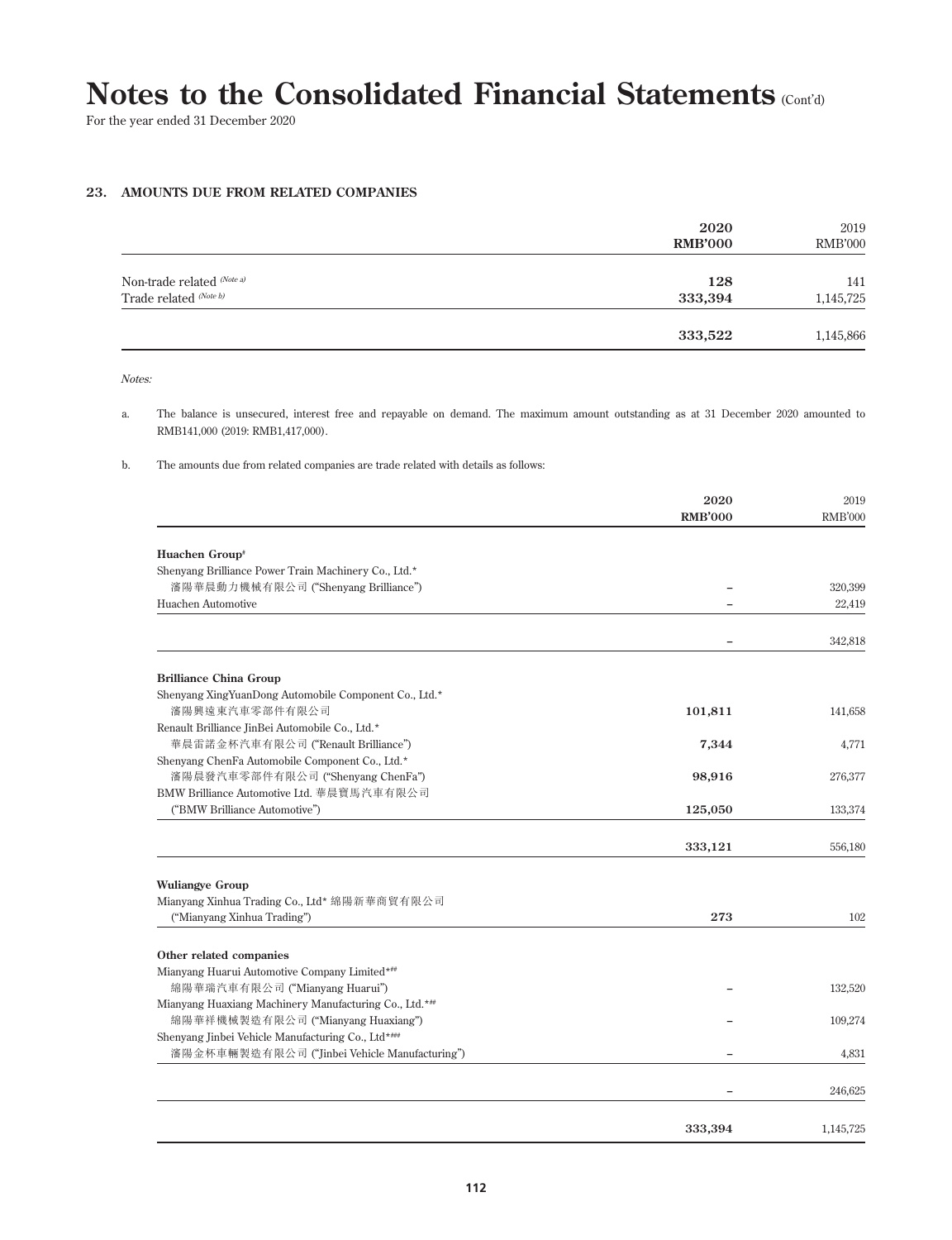For the year ended 31 December 2020

## **23. AMOUNTS DUE FROM RELATED COMPANIES**

|                            | 2020<br><b>RMB'000</b> | 2019<br><b>RMB'000</b> |
|----------------------------|------------------------|------------------------|
| Non-trade related (Note a) | 128                    | 141                    |
| Trade related (Note b)     | 333,394                | 1,145,725              |
|                            | 333,522                | 1,145,866              |

Notes:

a. The balance is unsecured, interest free and repayable on demand. The maximum amount outstanding as at 31 December 2020 amounted to RMB141,000 (2019: RMB1,417,000).

### b. The amounts due from related companies are trade related with details as follows:

|                                                        | 2020           | 2019           |
|--------------------------------------------------------|----------------|----------------|
|                                                        | <b>RMB'000</b> | <b>RMB'000</b> |
| Huachen Group <sup>#</sup>                             |                |                |
| Shenyang Brilliance Power Train Machinery Co., Ltd.*   |                |                |
| 瀋陽華晨動力機械有限公司 ("Shenyang Brilliance")                   |                | 320,399        |
| <b>Huachen Automotive</b>                              |                | 22,419         |
|                                                        |                |                |
|                                                        |                | 342,818        |
| <b>Brilliance China Group</b>                          |                |                |
| Shenyang XingYuanDong Automobile Component Co., Ltd.*  |                |                |
| 瀋陽興遠東汽車零部件有限公司                                         | 101,811        | 141,658        |
| Renault Brilliance JinBei Automobile Co., Ltd.*        |                |                |
| 華晨雷諾金杯汽車有限公司 ("Renault Brilliance")                    | 7,344          | 4,771          |
| Shenyang ChenFa Automobile Component Co., Ltd.*        |                |                |
| 瀋陽晨發汽車零部件有限公司 ("Shenyang ChenFa")                      | 98,916         | 276,377        |
| BMW Brilliance Automotive Ltd. 華晨寶馬汽車有限公司              |                |                |
| ("BMW Brilliance Automotive")                          | 125,050        | 133,374        |
|                                                        | 333,121        | 556,180        |
|                                                        |                |                |
| <b>Wuliangye Group</b>                                 |                |                |
| Mianyang Xinhua Trading Co., Ltd* 綿陽新華商貿有限公司           |                |                |
| ("Mianyang Xinhua Trading")                            | 273            | 102            |
| Other related companies                                |                |                |
| Mianyang Huarui Automotive Company Limited*##          |                |                |
| 綿陽華瑞汽車有限公司 ("Mianyang Huarui")                         |                | 132,520        |
| Mianyang Huaxiang Machinery Manufacturing Co., Ltd.*** |                |                |
| 綿陽華祥機械製造有限公司 ("Mianyang Huaxiang")                     |                | 109,274        |
| Shenyang Jinbei Vehicle Manufacturing Co., Ltd****     |                |                |
| 瀋陽金杯車輛製造有限公司 ("Jinbei Vehicle Manufacturing")          |                | 4,831          |
|                                                        |                | 246,625        |
|                                                        |                |                |
|                                                        | 333,394        | 1,145,725      |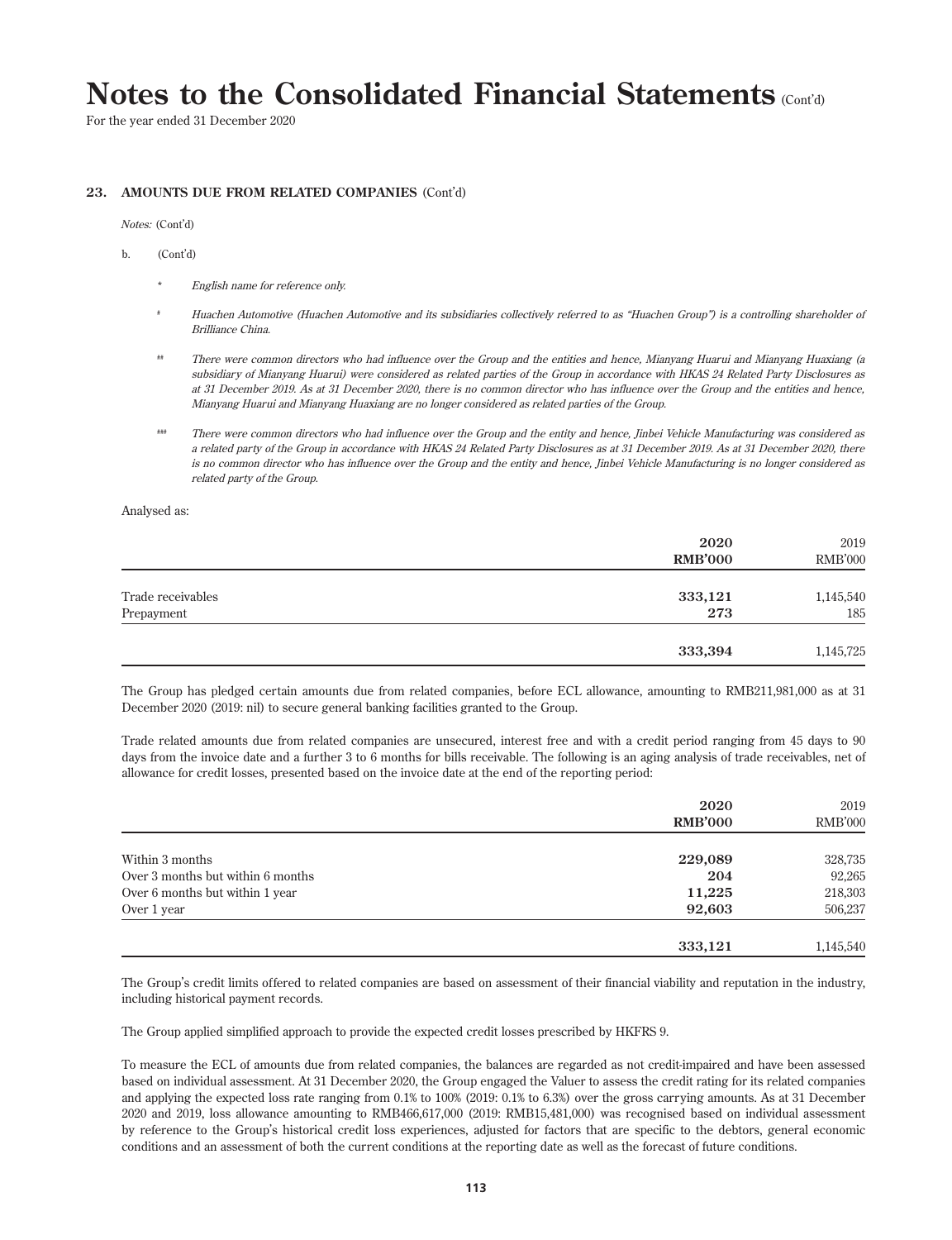For the year ended 31 December 2020

### **23. AMOUNTS DUE FROM RELATED COMPANIES** (Cont'd)

Notes: (Cont'd)

#### b. (Cont'd)

- English name for reference only.
- # Huachen Automotive (Huachen Automotive and its subsidiaries collectively referred to as "Huachen Group") is a controlling shareholder of Brilliance China.
- There were common directors who had influence over the Group and the entities and hence, Mianyang Huarui and Mianyang Huaxiang (a subsidiary of Mianyang Huarui) were considered as related parties of the Group in accordance with HKAS 24 Related Party Disclosures as at 31 December 2019. As at 31 December 2020, there is no common director who has influence over the Group and the entities and hence, Mianyang Huarui and Mianyang Huaxiang are no longer considered as related parties of the Group.
- ### There were common directors who had influence over the Group and the entity and hence, Jinbei Vehicle Manufacturing was considered as a related party of the Group in accordance with HKAS 24 Related Party Disclosures as at 31 December 2019. As at 31 December 2020, there is no common director who has influence over the Group and the entity and hence, Jinbei Vehicle Manufacturing is no longer considered as related party of the Group.

Analysed as:

|                                 | 2020<br><b>RMB'000</b> | 2019<br><b>RMB'000</b> |
|---------------------------------|------------------------|------------------------|
| Trade receivables<br>Prepayment | 333,121<br>273         | 1,145,540<br>185       |
|                                 | 333,394                | 1,145,725              |

The Group has pledged certain amounts due from related companies, before ECL allowance, amounting to RMB211,981,000 as at 31 December 2020 (2019: nil) to secure general banking facilities granted to the Group.

Trade related amounts due from related companies are unsecured, interest free and with a credit period ranging from 45 days to 90 days from the invoice date and a further 3 to 6 months for bills receivable. The following is an aging analysis of trade receivables, net of allowance for credit losses, presented based on the invoice date at the end of the reporting period:

|                                   | 2020<br><b>RMB'000</b> | 2019<br><b>RMB'000</b> |
|-----------------------------------|------------------------|------------------------|
|                                   |                        |                        |
| Within 3 months                   | 229,089                | 328,735                |
| Over 3 months but within 6 months | 204                    | 92,265                 |
| Over 6 months but within 1 year   | 11,225                 | 218,303                |
| Over 1 year                       | 92,603                 | 506,237                |
|                                   | 333,121                | 1,145,540              |

The Group's credit limits offered to related companies are based on assessment of their financial viability and reputation in the industry, including historical payment records.

The Group applied simplified approach to provide the expected credit losses prescribed by HKFRS 9.

To measure the ECL of amounts due from related companies, the balances are regarded as not credit-impaired and have been assessed based on individual assessment. At 31 December 2020, the Group engaged the Valuer to assess the credit rating for its related companies and applying the expected loss rate ranging from 0.1% to 100% (2019: 0.1% to 6.3%) over the gross carrying amounts. As at 31 December 2020 and 2019, loss allowance amounting to RMB466,617,000 (2019: RMB15,481,000) was recognised based on individual assessment by reference to the Group's historical credit loss experiences, adjusted for factors that are specific to the debtors, general economic conditions and an assessment of both the current conditions at the reporting date as well as the forecast of future conditions.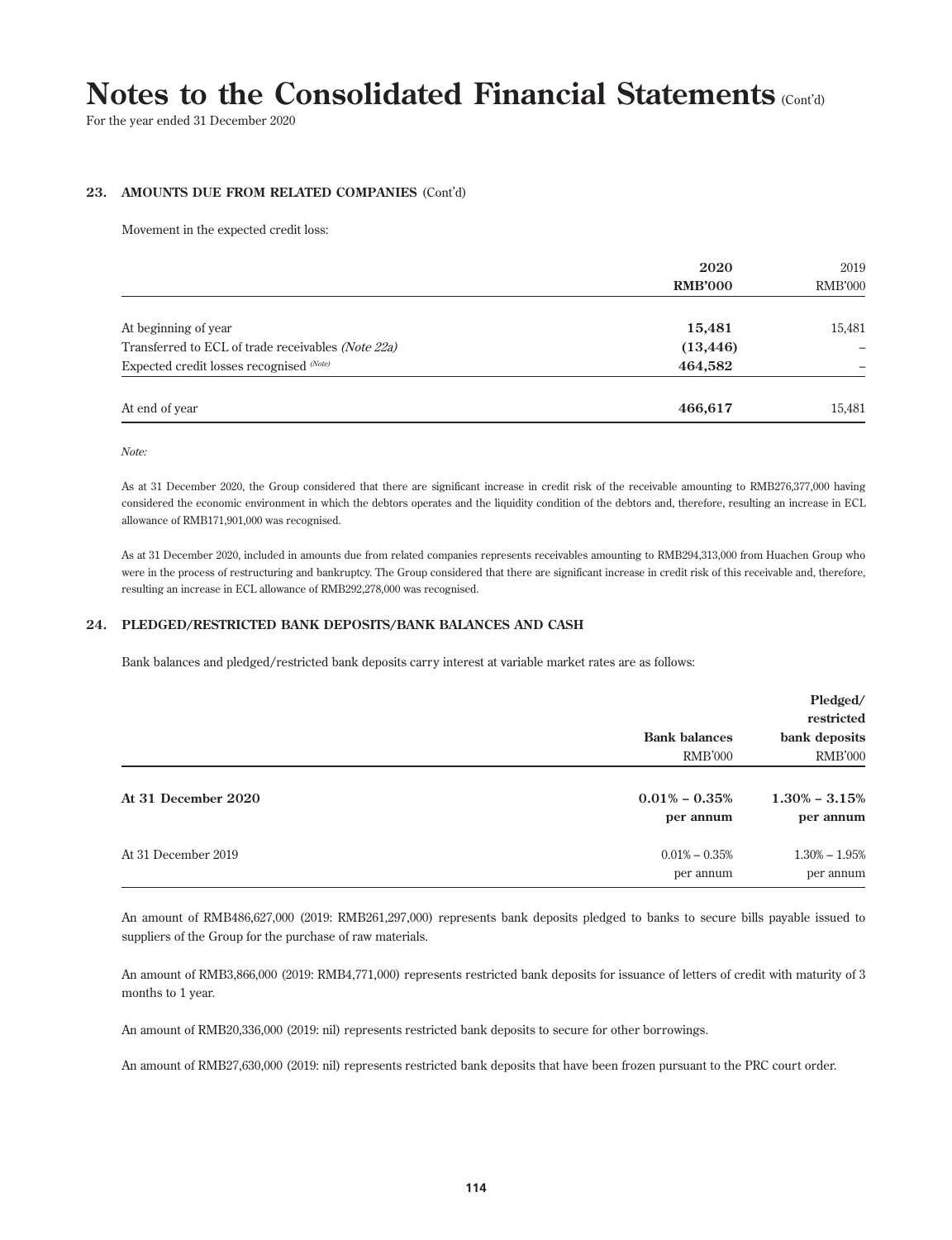For the year ended 31 December 2020

## **23. AMOUNTS DUE FROM RELATED COMPANIES** (Cont'd)

Movement in the expected credit loss:

|                                                    | 2020<br><b>RMB'000</b> | 2019<br><b>RMB'000</b> |
|----------------------------------------------------|------------------------|------------------------|
| At beginning of year                               | 15,481                 | 15,481                 |
| Transferred to ECL of trade receivables (Note 22a) | (13, 446)              |                        |
| Expected credit losses recognised (Note)           | 464,582                |                        |
| At end of year                                     | 466,617                | 15,481                 |

Note:

As at 31 December 2020, the Group considered that there are significant increase in credit risk of the receivable amounting to RMB276,377,000 having considered the economic environment in which the debtors operates and the liquidity condition of the debtors and, therefore, resulting an increase in ECL allowance of RMB171,901,000 was recognised.

As at 31 December 2020, included in amounts due from related companies represents receivables amounting to RMB294,313,000 from Huachen Group who were in the process of restructuring and bankruptcy. The Group considered that there are significant increase in credit risk of this receivable and, therefore, resulting an increase in ECL allowance of RMB292,278,000 was recognised.

### **24. PLEDGED/RESTRICTED BANK DEPOSITS/BANK BALANCES AND CASH**

Bank balances and pledged/restricted bank deposits carry interest at variable market rates are as follows:

|                     |                                        | Pledged/<br>restricted          |  |
|---------------------|----------------------------------------|---------------------------------|--|
|                     | <b>Bank balances</b><br><b>RMB'000</b> | bank deposits<br><b>RMB'000</b> |  |
| At 31 December 2020 | $0.01\% - 0.35\%$<br>per annum         | $1.30\% - 3.15\%$<br>per annum  |  |
| At 31 December 2019 | $0.01\% - 0.35\%$<br>per annum         | $1.30\% - 1.95\%$<br>per annum  |  |

An amount of RMB486,627,000 (2019: RMB261,297,000) represents bank deposits pledged to banks to secure bills payable issued to suppliers of the Group for the purchase of raw materials.

An amount of RMB3,866,000 (2019: RMB4,771,000) represents restricted bank deposits for issuance of letters of credit with maturity of 3 months to 1 year.

An amount of RMB20,336,000 (2019: nil) represents restricted bank deposits to secure for other borrowings.

An amount of RMB27,630,000 (2019: nil) represents restricted bank deposits that have been frozen pursuant to the PRC court order.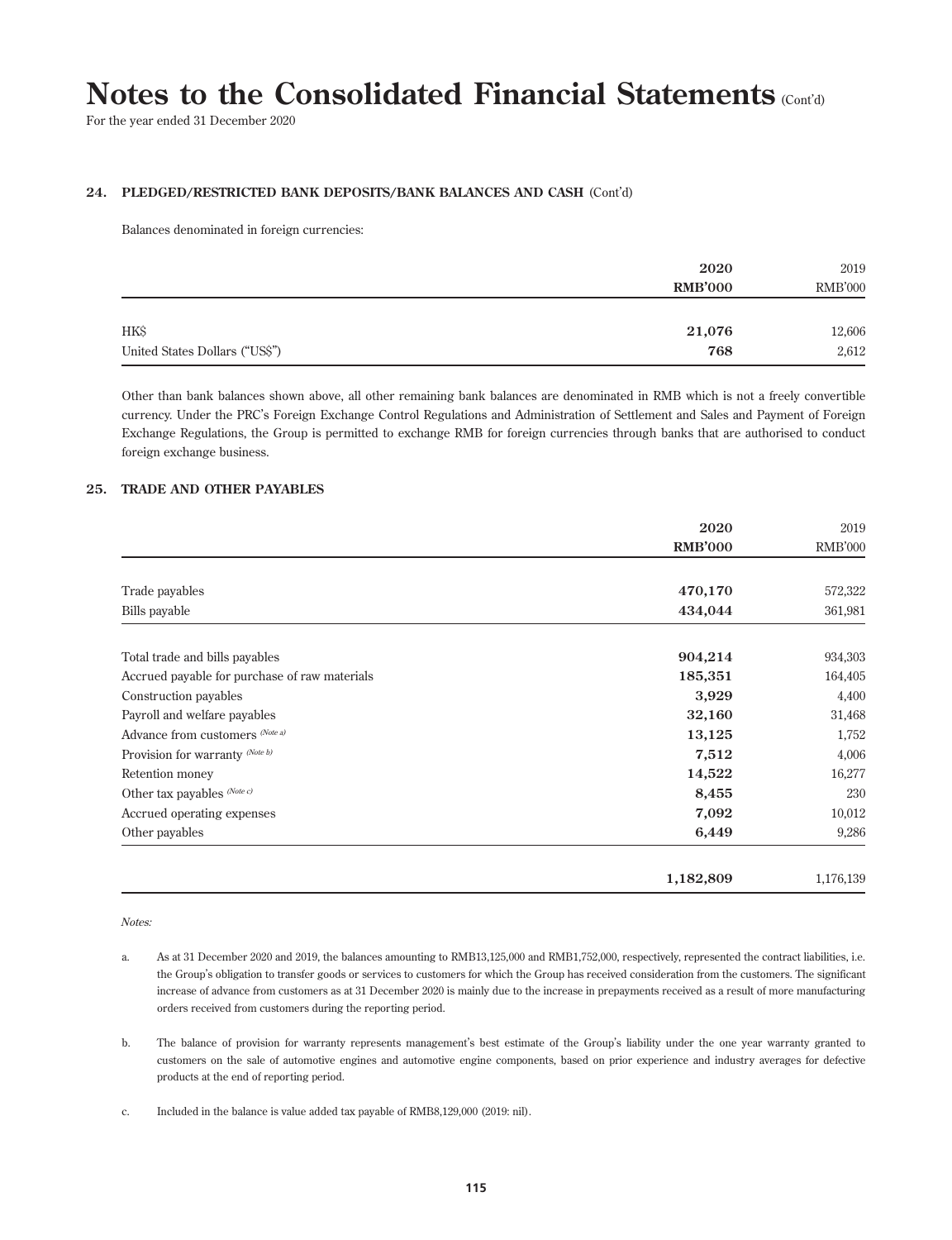For the year ended 31 December 2020

## **24. PLEDGED/RESTRICTED BANK DEPOSITS/BANK BALANCES AND CASH** (Cont'd)

Balances denominated in foreign currencies:

|                                | 2020           | 2019           |
|--------------------------------|----------------|----------------|
|                                | <b>RMB'000</b> | <b>RMB'000</b> |
|                                |                |                |
| <b>HKS</b>                     | 21,076         | 12,606         |
| United States Dollars ("US\$") | 768            | 2,612          |

Other than bank balances shown above, all other remaining bank balances are denominated in RMB which is not a freely convertible currency. Under the PRC's Foreign Exchange Control Regulations and Administration of Settlement and Sales and Payment of Foreign Exchange Regulations, the Group is permitted to exchange RMB for foreign currencies through banks that are authorised to conduct foreign exchange business.

#### **25. TRADE AND OTHER PAYABLES**

|                                               | 2020<br><b>RMB'000</b> | 2019<br><b>RMB'000</b> |
|-----------------------------------------------|------------------------|------------------------|
|                                               |                        |                        |
|                                               |                        |                        |
| Trade payables                                | 470,170                | 572,322                |
| Bills payable                                 | 434,044                | 361,981                |
| Total trade and bills payables                | 904,214                | 934,303                |
| Accrued payable for purchase of raw materials | 185,351                | 164,405                |
| Construction payables                         | 3,929                  | 4,400                  |
| Payroll and welfare payables                  | 32,160                 | 31,468                 |
| Advance from customers (Note a)               | 13,125                 | 1,752                  |
| Provision for warranty (Note b)               | 7,512                  | 4,006                  |
| Retention money                               | 14,522                 | 16,277                 |
| Other tax payables $^{(Note c)}$              | 8,455                  | 230                    |
| Accrued operating expenses                    | 7,092                  | 10,012                 |
| Other payables                                | 6,449                  | 9,286                  |
|                                               | 1,182,809              | 1,176,139              |

Notes:

- a. As at 31 December 2020 and 2019, the balances amounting to RMB13,125,000 and RMB1,752,000, respectively, represented the contract liabilities, i.e. the Group's obligation to transfer goods or services to customers for which the Group has received consideration from the customers. The significant increase of advance from customers as at 31 December 2020 is mainly due to the increase in prepayments received as a result of more manufacturing orders received from customers during the reporting period.
- b. The balance of provision for warranty represents management's best estimate of the Group's liability under the one year warranty granted to customers on the sale of automotive engines and automotive engine components, based on prior experience and industry averages for defective products at the end of reporting period.
- c. Included in the balance is value added tax payable of RMB8,129,000 (2019: nil).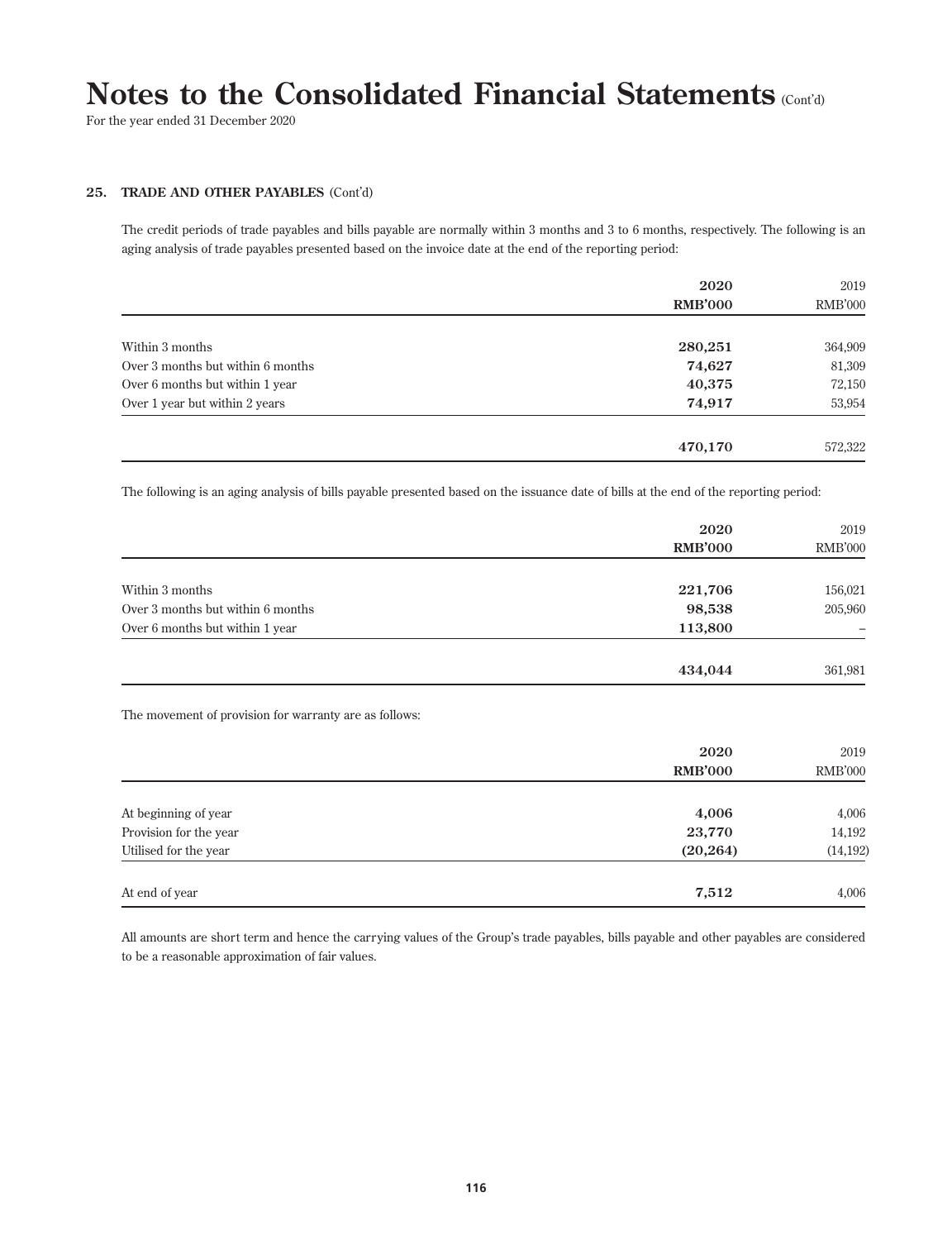For the year ended 31 December 2020

## **25. TRADE AND OTHER PAYABLES** (Cont'd)

The credit periods of trade payables and bills payable are normally within 3 months and 3 to 6 months, respectively. The following is an aging analysis of trade payables presented based on the invoice date at the end of the reporting period:

|                                   | 2020<br><b>RMB'000</b> | 2019<br><b>RMB'000</b> |
|-----------------------------------|------------------------|------------------------|
| Within 3 months                   | 280,251                | 364,909                |
| Over 3 months but within 6 months | 74,627                 | 81,309                 |
| Over 6 months but within 1 year   | 40,375                 | 72,150                 |
| Over 1 year but within 2 years    | 74,917                 | 53,954                 |
|                                   | 470,170                | 572,322                |

The following is an aging analysis of bills payable presented based on the issuance date of bills at the end of the reporting period:

|                                   | 2020           | 2019           |
|-----------------------------------|----------------|----------------|
|                                   | <b>RMB'000</b> | <b>RMB'000</b> |
| Within 3 months                   | 221,706        | 156,021        |
| Over 3 months but within 6 months | 98,538         | 205,960        |
| Over 6 months but within 1 year   | 113,800        |                |
|                                   | 434,044        | 361,981        |

The movement of provision for warranty are as follows:

|                        | 2020<br><b>RMB'000</b> | 2019<br><b>RMB'000</b> |
|------------------------|------------------------|------------------------|
|                        |                        |                        |
| At beginning of year   | 4,006                  | 4,006                  |
| Provision for the year | 23,770                 | 14,192                 |
| Utilised for the year  | (20, 264)              | (14, 192)              |
| At end of year         | 7,512                  | 4,006                  |

All amounts are short term and hence the carrying values of the Group's trade payables, bills payable and other payables are considered to be a reasonable approximation of fair values.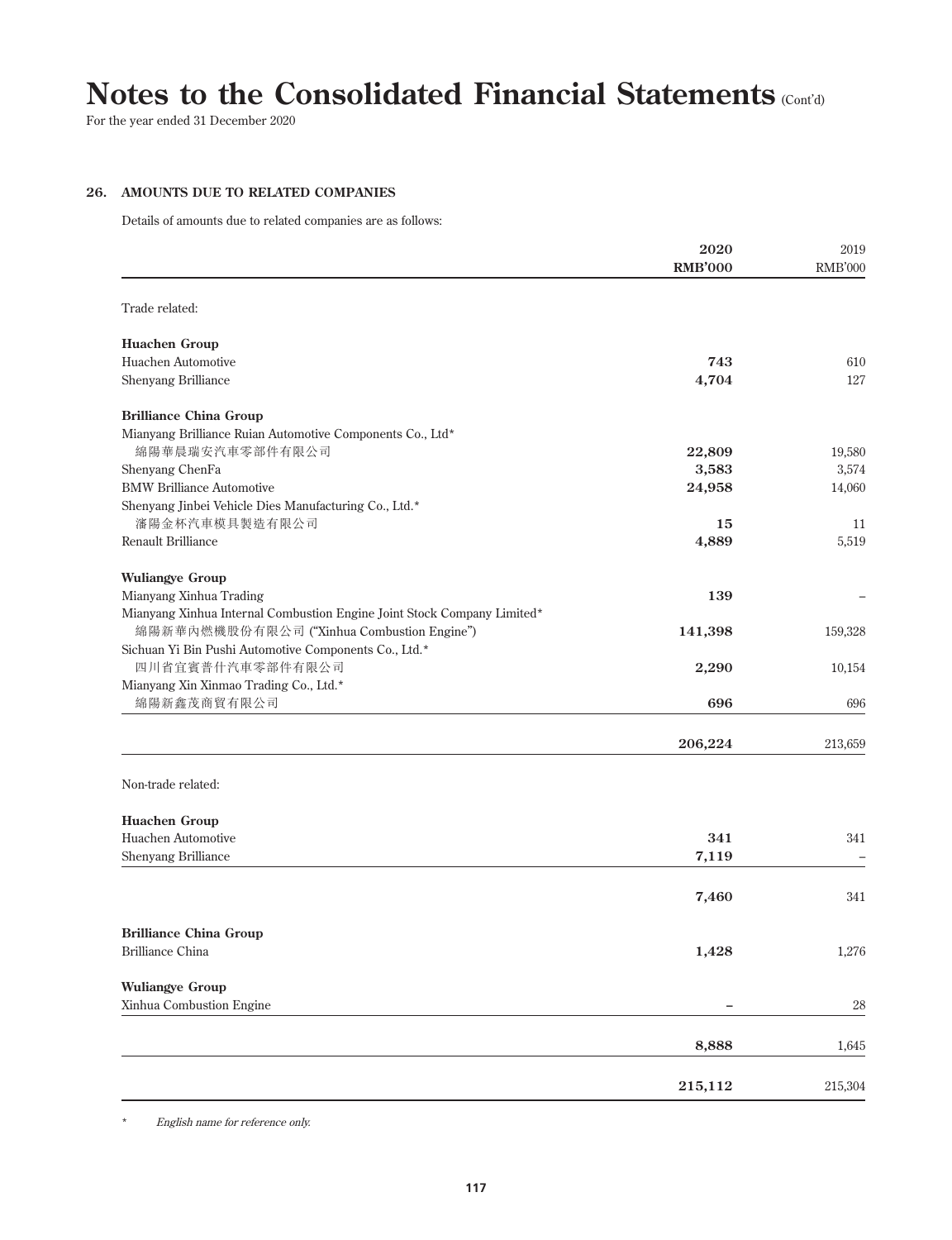For the year ended 31 December 2020

## **26. AMOUNTS DUE TO RELATED COMPANIES**

Details of amounts due to related companies are as follows:

|                                                                         | 2020<br><b>RMB'000</b> | 2019<br><b>RMB'000</b> |
|-------------------------------------------------------------------------|------------------------|------------------------|
|                                                                         |                        |                        |
| Trade related:                                                          |                        |                        |
| <b>Huachen Group</b>                                                    |                        |                        |
| Huachen Automotive                                                      | 743                    | 610                    |
| <b>Shenyang Brilliance</b>                                              | 4,704                  | 127                    |
| <b>Brilliance China Group</b>                                           |                        |                        |
| Mianyang Brilliance Ruian Automotive Components Co., Ltd*               |                        |                        |
| 綿陽華晨瑞安汽車零部件有限公司                                                         | 22,809                 | 19,580                 |
| Shenyang ChenFa                                                         | 3,583                  | 3,574                  |
| <b>BMW Brilliance Automotive</b>                                        | 24,958                 | 14,060                 |
| Shenyang Jinbei Vehicle Dies Manufacturing Co., Ltd.*                   |                        |                        |
| 瀋陽金杯汽車模具製造有限公司                                                          | 15                     | 11                     |
| <b>Renault Brilliance</b>                                               | 4,889                  | 5,519                  |
| <b>Wuliangye Group</b>                                                  |                        |                        |
| Mianyang Xinhua Trading                                                 | 139                    |                        |
| Mianyang Xinhua Internal Combustion Engine Joint Stock Company Limited* |                        |                        |
| 綿陽新華內燃機股份有限公司 ("Xinhua Combustion Engine")                              | 141,398                | 159,328                |
| Sichuan Yi Bin Pushi Automotive Components Co., Ltd.*                   |                        |                        |
| 四川省宜賓普什汽車零部件有限公司                                                        | 2,290                  | 10,154                 |
| Mianyang Xin Xinmao Trading Co., Ltd.*                                  |                        |                        |
| 綿陽新鑫茂商貿有限公司                                                             | 696                    | 696                    |
|                                                                         | 206,224                | 213,659                |
|                                                                         |                        |                        |
| Non-trade related:                                                      |                        |                        |
| <b>Huachen Group</b>                                                    |                        |                        |
| <b>Huachen Automotive</b>                                               | 341                    | 341                    |
| Shenyang Brilliance                                                     | 7,119                  |                        |
|                                                                         | 7,460                  | 341                    |
|                                                                         |                        |                        |
| <b>Brilliance China Group</b>                                           |                        |                        |
| Brilliance China                                                        | 1,428                  | 1,276                  |
| <b>Wuliangye Group</b>                                                  |                        |                        |
| Xinhua Combustion Engine                                                |                        | 28                     |
|                                                                         | 8,888                  | 1,645                  |
|                                                                         |                        |                        |
|                                                                         | 215,112                | 215,304                |

\* English name for reference only.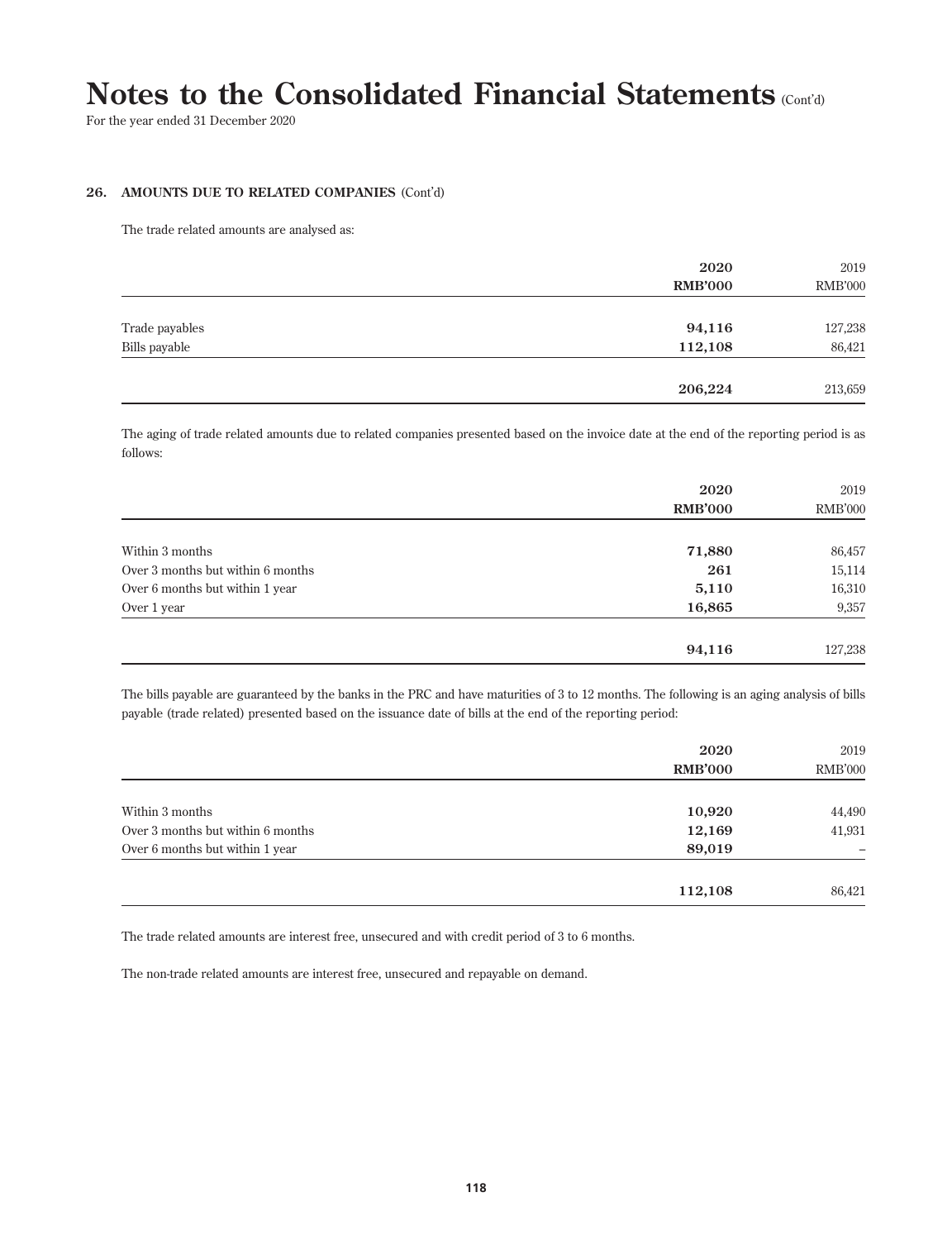For the year ended 31 December 2020

## **26. AMOUNTS DUE TO RELATED COMPANIES** (Cont'd)

The trade related amounts are analysed as:

|                | 2020           | 2019           |
|----------------|----------------|----------------|
|                | <b>RMB'000</b> | <b>RMB'000</b> |
|                |                |                |
| Trade payables | 94,116         | 127,238        |
| Bills payable  | 112,108        | 86,421         |
|                |                |                |
|                | 206,224        | 213,659        |

The aging of trade related amounts due to related companies presented based on the invoice date at the end of the reporting period is as follows:

|                                   | 2020<br><b>RMB'000</b> | 2019<br><b>RMB'000</b> |
|-----------------------------------|------------------------|------------------------|
| Within 3 months                   | 71,880                 | 86,457                 |
| Over 3 months but within 6 months | 261                    | 15,114                 |
| Over 6 months but within 1 year   | 5,110                  | 16,310                 |
| Over 1 year                       | 16,865                 | 9,357                  |
|                                   | 94,116                 | 127,238                |

The bills payable are guaranteed by the banks in the PRC and have maturities of 3 to 12 months. The following is an aging analysis of bills payable (trade related) presented based on the issuance date of bills at the end of the reporting period:

|                                   | 2020           | 2019           |  |
|-----------------------------------|----------------|----------------|--|
|                                   | <b>RMB'000</b> | <b>RMB'000</b> |  |
|                                   |                |                |  |
| Within 3 months                   | 10,920         | 44,490         |  |
| Over 3 months but within 6 months | 12,169         | 41,931         |  |
| Over 6 months but within 1 year   | 89,019         |                |  |
|                                   | 112,108        | 86,421         |  |

The trade related amounts are interest free, unsecured and with credit period of 3 to 6 months.

The non-trade related amounts are interest free, unsecured and repayable on demand.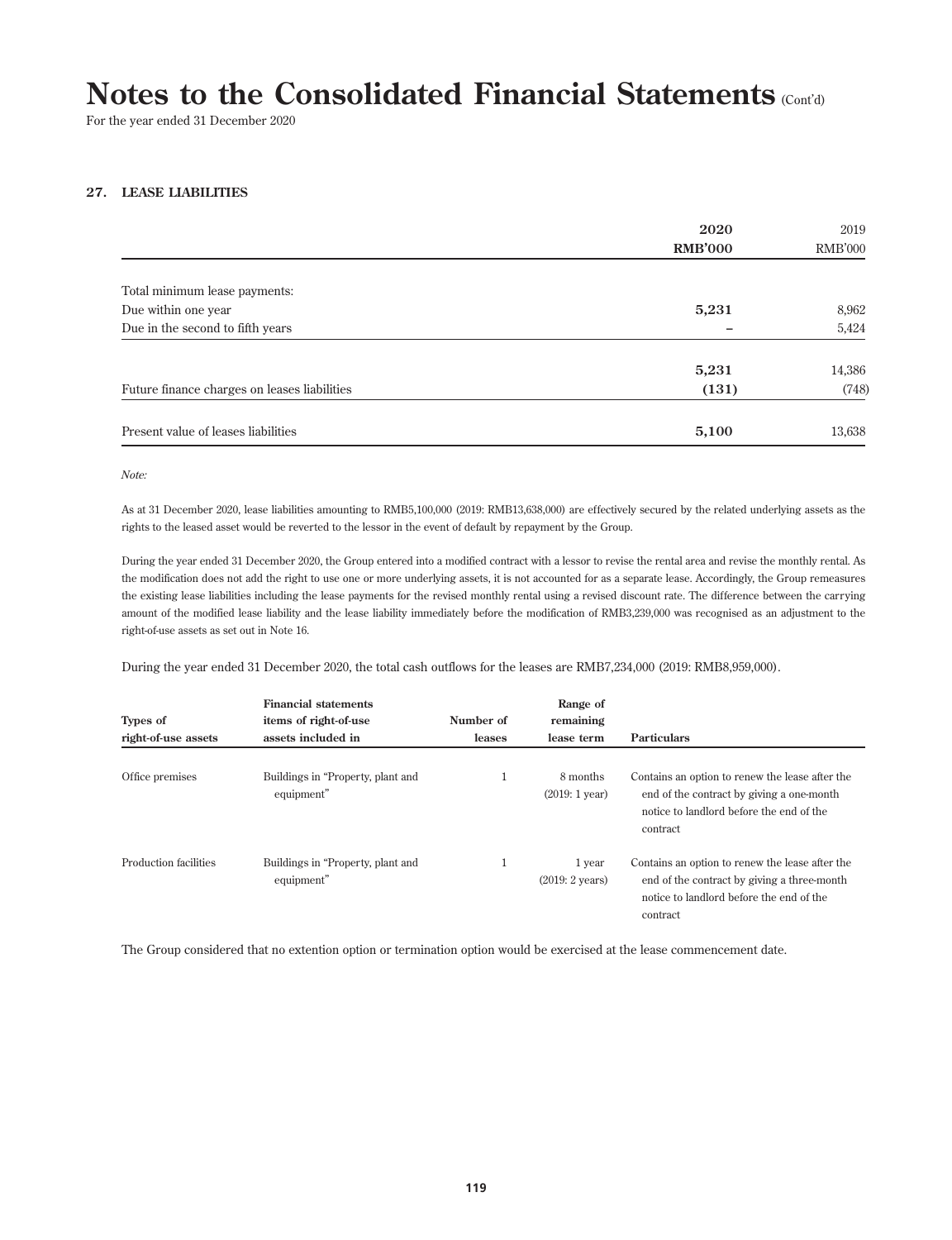For the year ended 31 December 2020

## **27. LEASE LIABILITIES**

|                                              | 2020<br><b>RMB'000</b> | 2019<br><b>RMB'000</b> |
|----------------------------------------------|------------------------|------------------------|
|                                              |                        |                        |
| Total minimum lease payments:                |                        |                        |
| Due within one year                          | 5,231                  | 8,962                  |
| Due in the second to fifth years             |                        | 5,424                  |
|                                              | 5,231                  | 14,386                 |
| Future finance charges on leases liabilities | (131)                  | (748)                  |
| Present value of leases liabilities          | 5,100                  | 13,638                 |

#### Note:

As at 31 December 2020, lease liabilities amounting to RMB5,100,000 (2019: RMB13,638,000) are effectively secured by the related underlying assets as the rights to the leased asset would be reverted to the lessor in the event of default by repayment by the Group.

During the year ended 31 December 2020, the Group entered into a modified contract with a lessor to revise the rental area and revise the monthly rental. As the modification does not add the right to use one or more underlying assets, it is not accounted for as a separate lease. Accordingly, the Group remeasures the existing lease liabilities including the lease payments for the revised monthly rental using a revised discount rate. The difference between the carrying amount of the modified lease liability and the lease liability immediately before the modification of RMB3,239,000 was recognised as an adjustment to the right-of-use assets as set out in Note 16.

During the year ended 31 December 2020, the total cash outflows for the leases are RMB7,234,000 (2019: RMB8,959,000).

| Types of<br>right-of-use assets | <b>Financial statements</b><br>items of right-of-use<br>assets included in | Number of<br>leases | Range of<br>remaining<br>lease term | <b>Particulars</b>                                                                                                                                     |
|---------------------------------|----------------------------------------------------------------------------|---------------------|-------------------------------------|--------------------------------------------------------------------------------------------------------------------------------------------------------|
| Office premises                 | Buildings in "Property, plant and<br>equipment"                            | -1                  | 8 months<br>$(2019:1$ year)         | Contains an option to renew the lease after the<br>end of the contract by giving a one-month<br>notice to landlord before the end of the<br>contract   |
| Production facilities           | Buildings in "Property, plant and<br>equipment"                            |                     | 1 year<br>$(2019:2 \text{ years})$  | Contains an option to renew the lease after the<br>end of the contract by giving a three-month<br>notice to landlord before the end of the<br>contract |

The Group considered that no extention option or termination option would be exercised at the lease commencement date.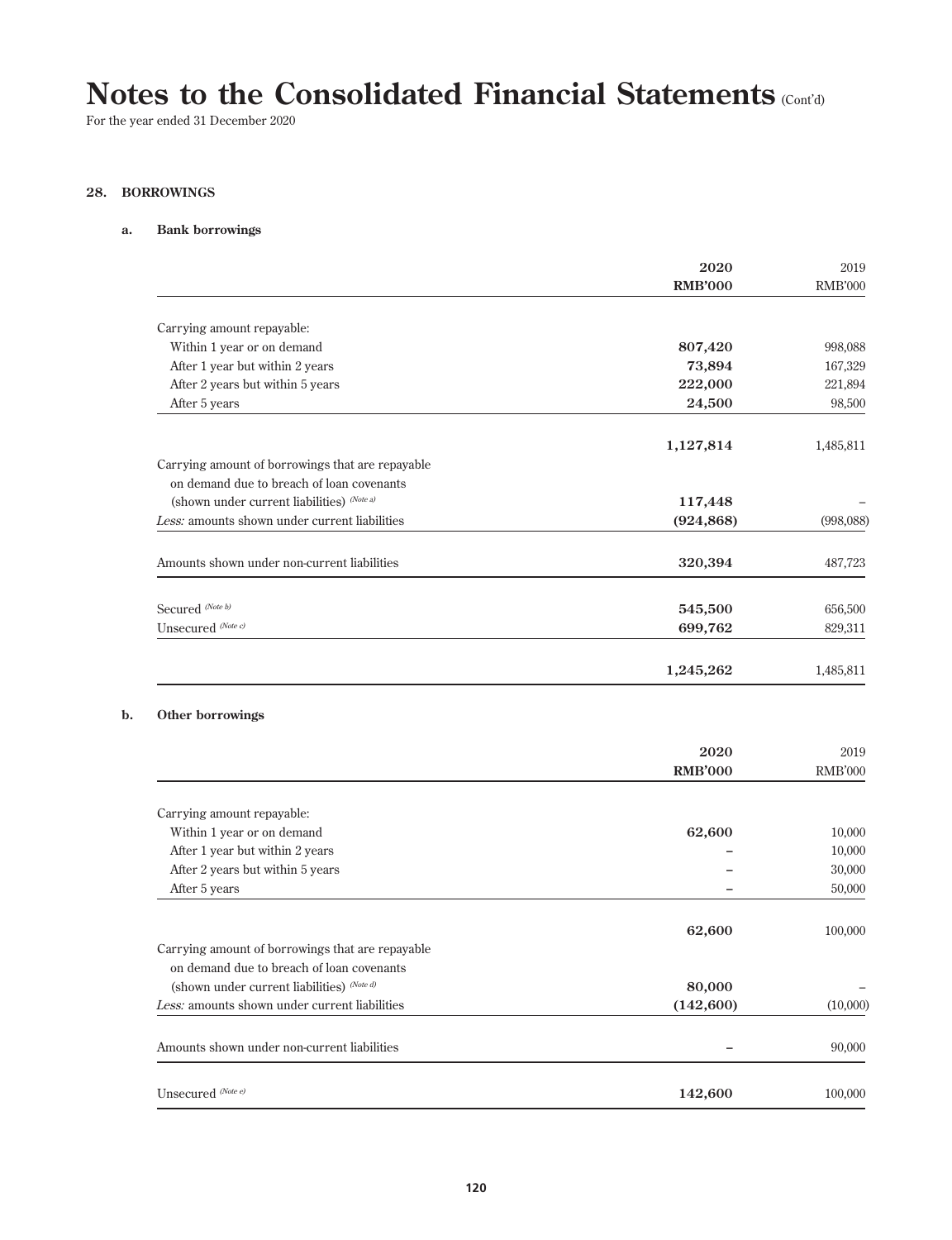For the year ended 31 December 2020

## **28. BORROWINGS**

### **a. Bank borrowings**

|                                                  | 2020                     | 2019           |
|--------------------------------------------------|--------------------------|----------------|
|                                                  | <b>RMB'000</b>           | <b>RMB'000</b> |
| Carrying amount repayable:                       |                          |                |
| Within 1 year or on demand                       | 807,420                  | 998,088        |
| After 1 year but within 2 years                  | 73,894                   | 167,329        |
| After 2 years but within 5 years                 | 222,000                  | 221,894        |
| After 5 years                                    | 24,500                   | 98,500         |
|                                                  |                          |                |
|                                                  | 1,127,814                | 1,485,811      |
| Carrying amount of borrowings that are repayable |                          |                |
| on demand due to breach of loan covenants        |                          |                |
| (shown under current liabilities) $^{(Note a)}$  | 117,448                  |                |
| Less: amounts shown under current liabilities    | (924, 868)               | (998,088)      |
| Amounts shown under non-current liabilities      | 320,394                  | 487,723        |
|                                                  |                          |                |
| Secured (Note b)                                 | 545,500                  | 656,500        |
| Unsecured $\textit{{\tiny (Note c)}}$            | 699,762                  | 829,311        |
|                                                  | 1,245,262                | 1,485,811      |
| Other borrowings                                 |                          |                |
|                                                  | 2020                     | 2019           |
|                                                  | <b>RMB'000</b>           | <b>RMB'000</b> |
| Carrying amount repayable:                       |                          |                |
| Within 1 year or on demand                       | 62,600                   | 10,000         |
| After 1 year but within 2 years                  |                          | 10,000         |
| After 2 years but within 5 years                 |                          | 30,000         |
| After 5 years                                    |                          | 50,000         |
|                                                  |                          |                |
|                                                  | 62,600                   | 100,000        |
| Carrying amount of borrowings that are repayable |                          |                |
| on demand due to breach of loan covenants        |                          |                |
| (shown under current liabilities) (Note d)       | 80,000                   |                |
| Less: amounts shown under current liabilities    | (142,600)                | (10,000)       |
| Amounts shown under non-current liabilities      | $\overline{\phantom{0}}$ | 90,000         |
| Unsecured $\sp{(Notee)}$                         | 142,600                  |                |
|                                                  |                          | 100,000        |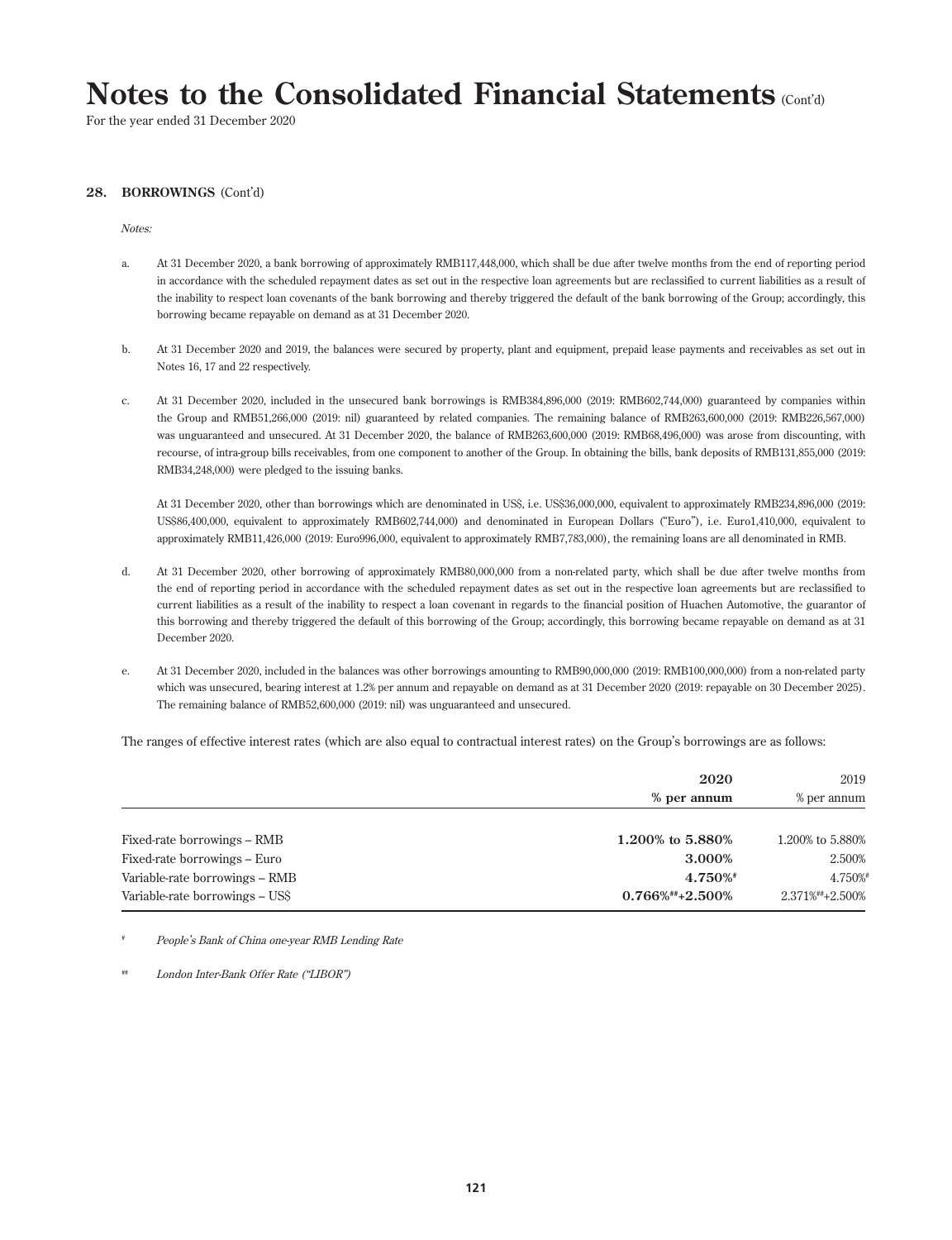For the year ended 31 December 2020

#### **28. BORROWINGS** (Cont'd)

Notes:

- a. At 31 December 2020, a bank borrowing of approximately RMB117,448,000, which shall be due after twelve months from the end of reporting period in accordance with the scheduled repayment dates as set out in the respective loan agreements but are reclassified to current liabilities as a result of the inability to respect loan covenants of the bank borrowing and thereby triggered the default of the bank borrowing of the Group; accordingly, this borrowing became repayable on demand as at 31 December 2020.
- b. At 31 December 2020 and 2019, the balances were secured by property, plant and equipment, prepaid lease payments and receivables as set out in Notes 16, 17 and 22 respectively.
- c. At 31 December 2020, included in the unsecured bank borrowings is RMB384,896,000 (2019: RMB602,744,000) guaranteed by companies within the Group and RMB51,266,000 (2019: nil) guaranteed by related companies. The remaining balance of RMB263,600,000 (2019: RMB226,567,000) was unguaranteed and unsecured. At 31 December 2020, the balance of RMB263,600,000 (2019: RMB68,496,000) was arose from discounting, with recourse, of intra-group bills receivables, from one component to another of the Group. In obtaining the bills, bank deposits of RMB131,855,000 (2019: RMB34,248,000) were pledged to the issuing banks.

At 31 December 2020, other than borrowings which are denominated in US\$, i.e. US\$36,000,000, equivalent to approximately RMB234,896,000 (2019: US\$86,400,000, equivalent to approximately RMB602,744,000) and denominated in European Dollars ("Euro"), i.e. Euro1,410,000, equivalent to approximately RMB11,426,000 (2019: Euro996,000, equivalent to approximately RMB7,783,000), the remaining loans are all denominated in RMB.

- d. At 31 December 2020, other borrowing of approximately RMB80,000,000 from a non-related party, which shall be due after twelve months from the end of reporting period in accordance with the scheduled repayment dates as set out in the respective loan agreements but are reclassified to current liabilities as a result of the inability to respect a loan covenant in regards to the financial position of Huachen Automotive, the guarantor of this borrowing and thereby triggered the default of this borrowing of the Group; accordingly, this borrowing became repayable on demand as at 31 December 2020.
- e. At 31 December 2020, included in the balances was other borrowings amounting to RMB90,000,000 (2019: RMB100,000,000) from a non-related party which was unsecured, bearing interest at 1.2% per annum and repayable on demand as at 31 December 2020 (2019: repayable on 30 December 2025). The remaining balance of RMB52,600,000 (2019: nil) was unguaranteed and unsecured.

The ranges of effective interest rates (which are also equal to contractual interest rates) on the Group's borrowings are as follows:

|                                 | 2020                | 2019               |  |
|---------------------------------|---------------------|--------------------|--|
|                                 | % per annum         | % per annum        |  |
| Fixed-rate borrowings – RMB     | 1.200% to 5.880%    | 1.200% to 5.880%   |  |
| Fixed-rate borrowings – Euro    | 3.000%              | 2.500%             |  |
| Variable-rate borrowings – RMB  | 4.750%#             | 4.750%             |  |
| Variable-rate borrowings – US\$ | $0.766\%$ ##+2.500% | $2.371\%$ #+2.500% |  |

People's Bank of China one-year RMB Lending Rate

## London Inter-Bank Offer Rate ("LIBOR")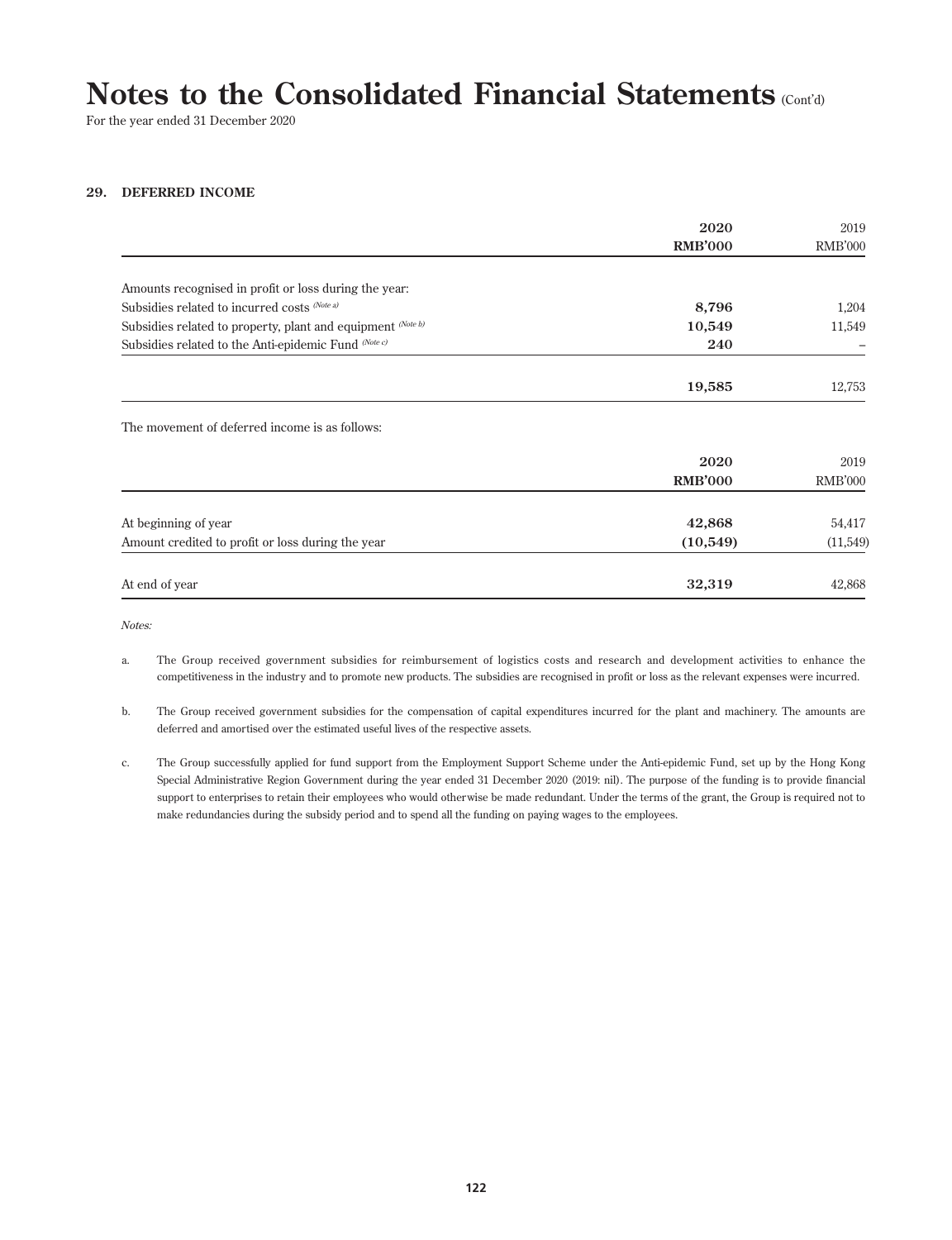For the year ended 31 December 2020

### **29. DEFERRED INCOME**

|                                                             | 2020           | 2019           |
|-------------------------------------------------------------|----------------|----------------|
|                                                             | <b>RMB'000</b> | <b>RMB'000</b> |
| Amounts recognised in profit or loss during the year:       |                |                |
| Subsidies related to incurred costs (Note a)                | 8,796          | 1,204          |
| Subsidies related to property, plant and equipment (Note b) | 10,549         | 11,549         |
| Subsidies related to the Anti-epidemic Fund (Note c)        | 240            |                |
|                                                             | 19,585         | 12,753         |
| The movement of deferred income is as follows:              |                |                |
|                                                             | 2020           | 2019           |
|                                                             | <b>RMB'000</b> | <b>RMB'000</b> |
| At beginning of year                                        | 42,868         | 54,417         |
| Amount credited to profit or loss during the year           | (10, 549)      | (11,549)       |
| At end of year                                              | 32,319         | 42,868         |

Notes:

- a. The Group received government subsidies for reimbursement of logistics costs and research and development activities to enhance the competitiveness in the industry and to promote new products. The subsidies are recognised in profit or loss as the relevant expenses were incurred.
- b. The Group received government subsidies for the compensation of capital expenditures incurred for the plant and machinery. The amounts are deferred and amortised over the estimated useful lives of the respective assets.
- c. The Group successfully applied for fund support from the Employment Support Scheme under the Anti-epidemic Fund, set up by the Hong Kong Special Administrative Region Government during the year ended 31 December 2020 (2019: nil). The purpose of the funding is to provide financial support to enterprises to retain their employees who would otherwise be made redundant. Under the terms of the grant, the Group is required not to make redundancies during the subsidy period and to spend all the funding on paying wages to the employees.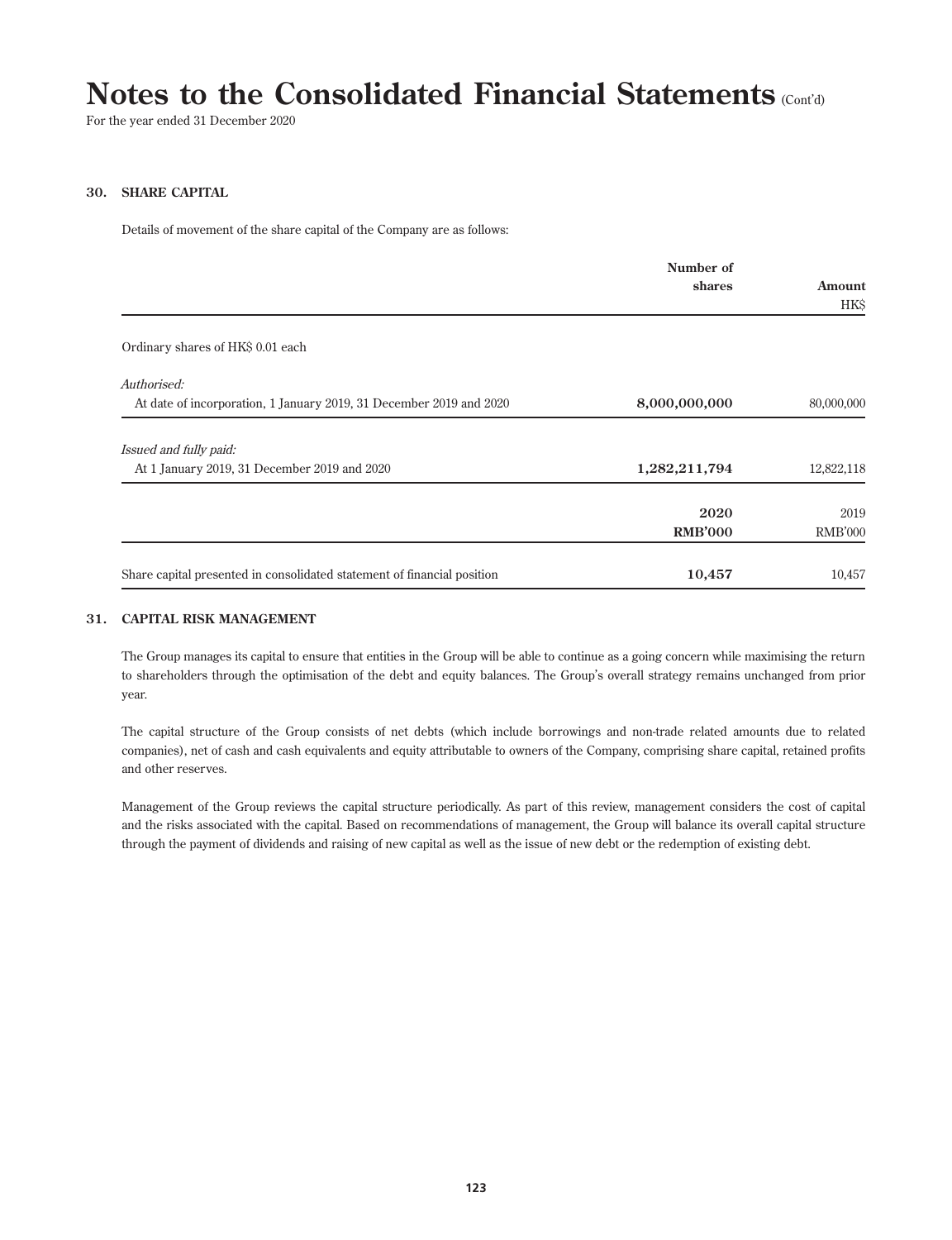For the year ended 31 December 2020

### **30. SHARE CAPITAL**

Details of movement of the share capital of the Company are as follows:

|                                                                         | Number of<br>shares | Amount<br><b>HKS</b> |
|-------------------------------------------------------------------------|---------------------|----------------------|
| Ordinary shares of HK\$ 0.01 each                                       |                     |                      |
| Authorised:                                                             |                     |                      |
| At date of incorporation, 1 January 2019, 31 December 2019 and 2020     | 8,000,000,000       | 80,000,000           |
| Issued and fully paid:                                                  |                     |                      |
| At 1 January 2019, 31 December 2019 and 2020                            | 1,282,211,794       | 12,822,118           |
|                                                                         | 2020                | 2019                 |
|                                                                         | <b>RMB'000</b>      | <b>RMB'000</b>       |
| Share capital presented in consolidated statement of financial position | 10,457              | 10,457               |

#### **31. CAPITAL RISK MANAGEMENT**

The Group manages its capital to ensure that entities in the Group will be able to continue as a going concern while maximising the return to shareholders through the optimisation of the debt and equity balances. The Group's overall strategy remains unchanged from prior year.

The capital structure of the Group consists of net debts (which include borrowings and non-trade related amounts due to related companies), net of cash and cash equivalents and equity attributable to owners of the Company, comprising share capital, retained profits and other reserves.

Management of the Group reviews the capital structure periodically. As part of this review, management considers the cost of capital and the risks associated with the capital. Based on recommendations of management, the Group will balance its overall capital structure through the payment of dividends and raising of new capital as well as the issue of new debt or the redemption of existing debt.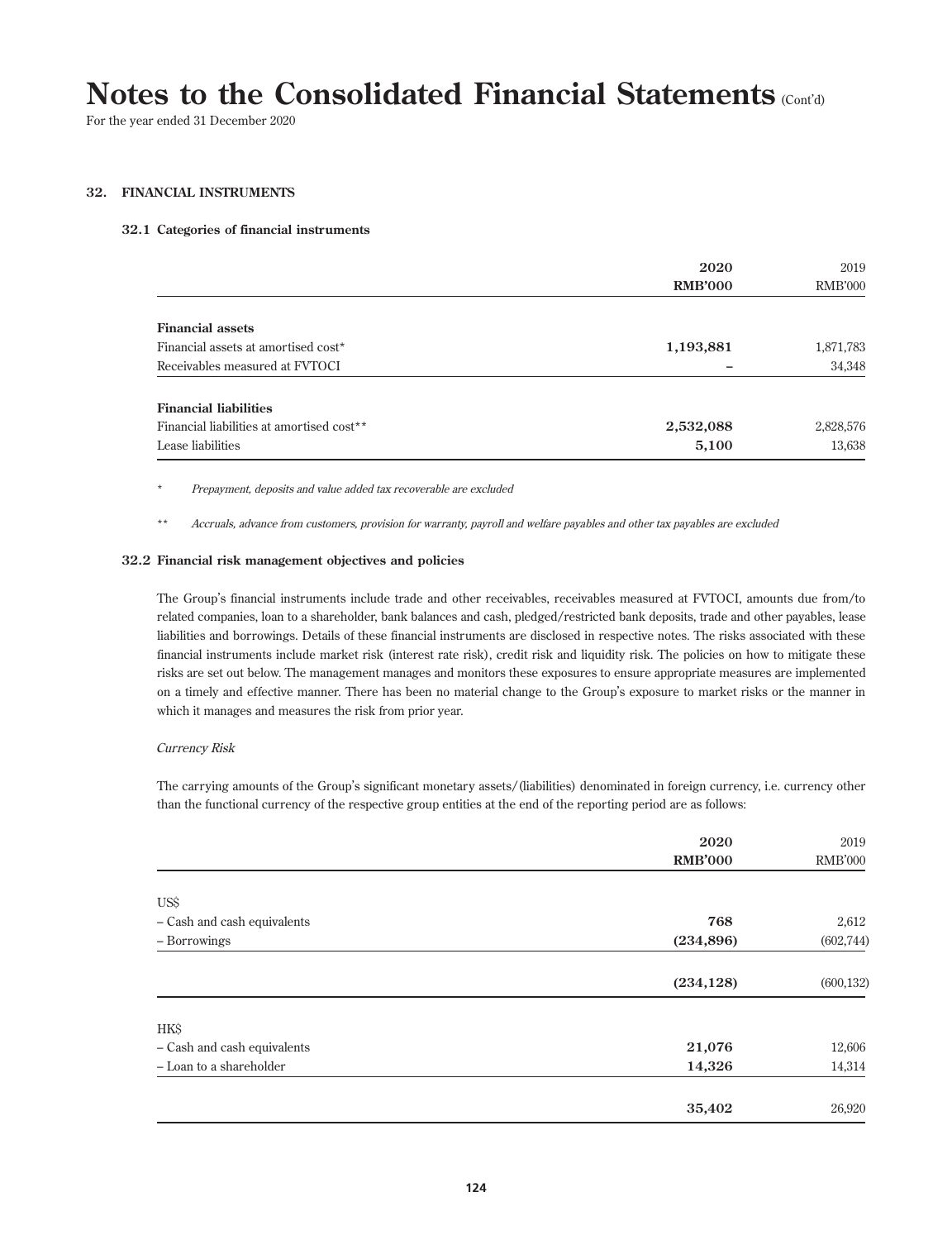For the year ended 31 December 2020

## **32. FINANCIAL INSTRUMENTS**

#### **32.1 Categories of financial instruments**

| 2020      | 2019<br><b>RMB'000</b> |
|-----------|------------------------|
|           |                        |
|           |                        |
| 1,193,881 | 1,871,783              |
|           | 34,348                 |
|           |                        |
| 2,532,088 | 2,828,576              |
| 5,100     | 13,638                 |
|           | <b>RMB'000</b>         |

Prepayment, deposits and value added tax recoverable are excluded

\*\* Accruals, advance from customers, provision for warranty, payroll and welfare payables and other tax payables are excluded

#### **32.2 Financial risk management objectives and policies**

The Group's financial instruments include trade and other receivables, receivables measured at FVTOCI, amounts due from/to related companies, loan to a shareholder, bank balances and cash, pledged/restricted bank deposits, trade and other payables, lease liabilities and borrowings. Details of these financial instruments are disclosed in respective notes. The risks associated with these financial instruments include market risk (interest rate risk), credit risk and liquidity risk. The policies on how to mitigate these risks are set out below. The management manages and monitors these exposures to ensure appropriate measures are implemented on a timely and effective manner. There has been no material change to the Group's exposure to market risks or the manner in which it manages and measures the risk from prior year.

#### Currency Risk

The carrying amounts of the Group's significant monetary assets/(liabilities) denominated in foreign currency, i.e. currency other than the functional currency of the respective group entities at the end of the reporting period are as follows:

|                             | 2020           | 2019           |
|-----------------------------|----------------|----------------|
|                             | <b>RMB'000</b> | <b>RMB'000</b> |
|                             |                |                |
| US\$                        | 768            |                |
| - Cash and cash equivalents |                | 2,612          |
| - Borrowings                | (234, 896)     | (602, 744)     |
|                             | (234, 128)     | (600, 132)     |
| <b>HK\$</b>                 |                |                |
| - Cash and cash equivalents | 21,076         | 12,606         |
| - Loan to a shareholder     | 14,326         | 14,314         |
|                             | 35,402         | 26,920         |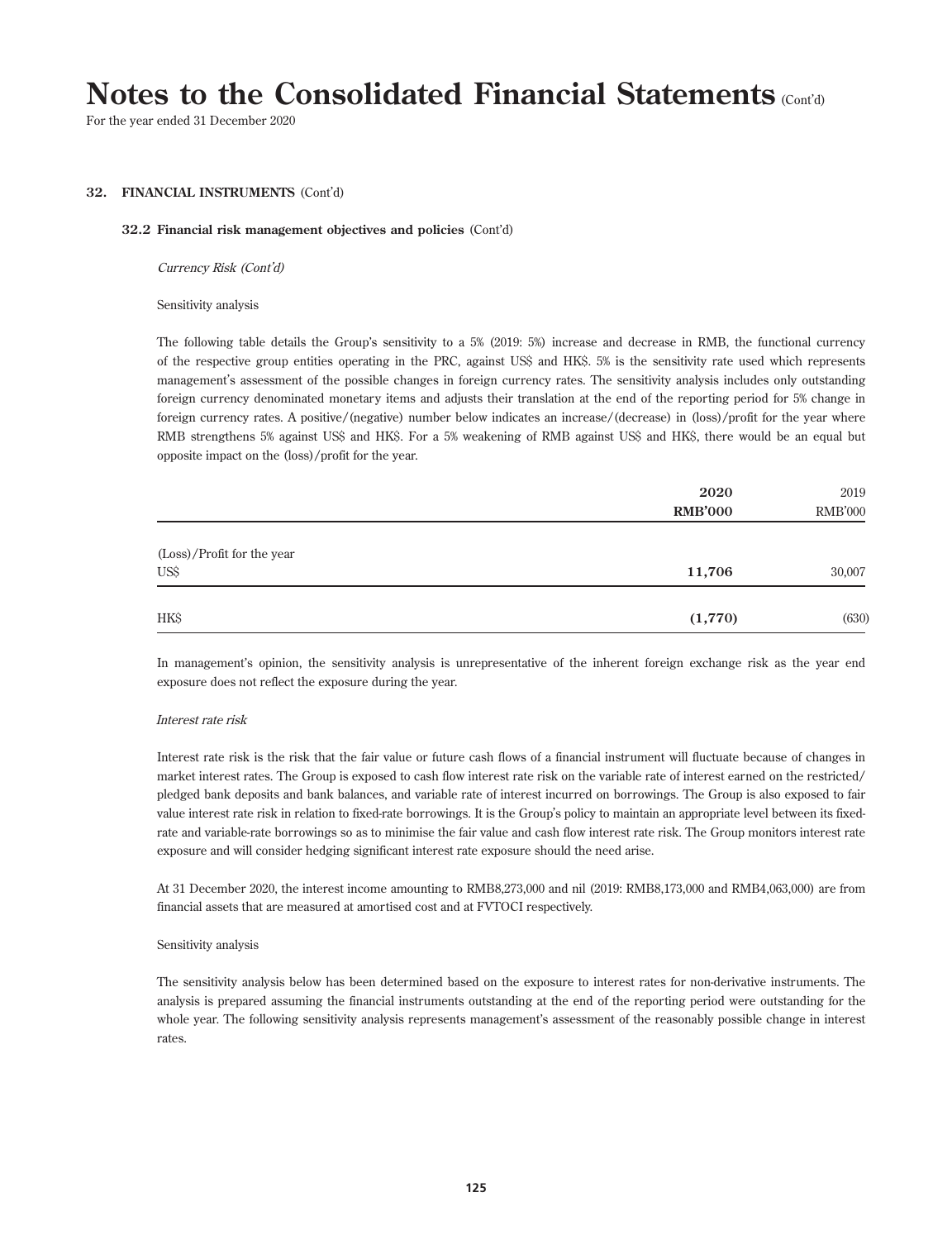For the year ended 31 December 2020

### **32. FINANCIAL INSTRUMENTS** (Cont'd)

#### **32.2 Financial risk management objectives and policies** (Cont'd)

Currency Risk (Cont'd)

#### Sensitivity analysis

The following table details the Group's sensitivity to a 5% (2019: 5%) increase and decrease in RMB, the functional currency of the respective group entities operating in the PRC, against US\$ and HK\$. 5% is the sensitivity rate used which represents management's assessment of the possible changes in foreign currency rates. The sensitivity analysis includes only outstanding foreign currency denominated monetary items and adjusts their translation at the end of the reporting period for 5% change in foreign currency rates. A positive/(negative) number below indicates an increase/(decrease) in (loss)/profit for the year where RMB strengthens 5% against US\$ and HK\$. For a 5% weakening of RMB against US\$ and HK\$, there would be an equal but opposite impact on the (loss)/profit for the year.

|                            | 2020           | 2019    |
|----------------------------|----------------|---------|
|                            | <b>RMB'000</b> | RMB'000 |
| (Loss)/Profit for the year |                |         |
| US\$                       | 11,706         | 30,007  |
| HKS                        | (1,770)        | (630)   |

In management's opinion, the sensitivity analysis is unrepresentative of the inherent foreign exchange risk as the year end exposure does not reflect the exposure during the year.

#### Interest rate risk

Interest rate risk is the risk that the fair value or future cash flows of a financial instrument will fluctuate because of changes in market interest rates. The Group is exposed to cash flow interest rate risk on the variable rate of interest earned on the restricted/ pledged bank deposits and bank balances, and variable rate of interest incurred on borrowings. The Group is also exposed to fair value interest rate risk in relation to fixed-rate borrowings. It is the Group's policy to maintain an appropriate level between its fixedrate and variable-rate borrowings so as to minimise the fair value and cash flow interest rate risk. The Group monitors interest rate exposure and will consider hedging significant interest rate exposure should the need arise.

At 31 December 2020, the interest income amounting to RMB8,273,000 and nil (2019: RMB8,173,000 and RMB4,063,000) are from financial assets that are measured at amortised cost and at FVTOCI respectively.

#### Sensitivity analysis

The sensitivity analysis below has been determined based on the exposure to interest rates for non-derivative instruments. The analysis is prepared assuming the financial instruments outstanding at the end of the reporting period were outstanding for the whole year. The following sensitivity analysis represents management's assessment of the reasonably possible change in interest rates.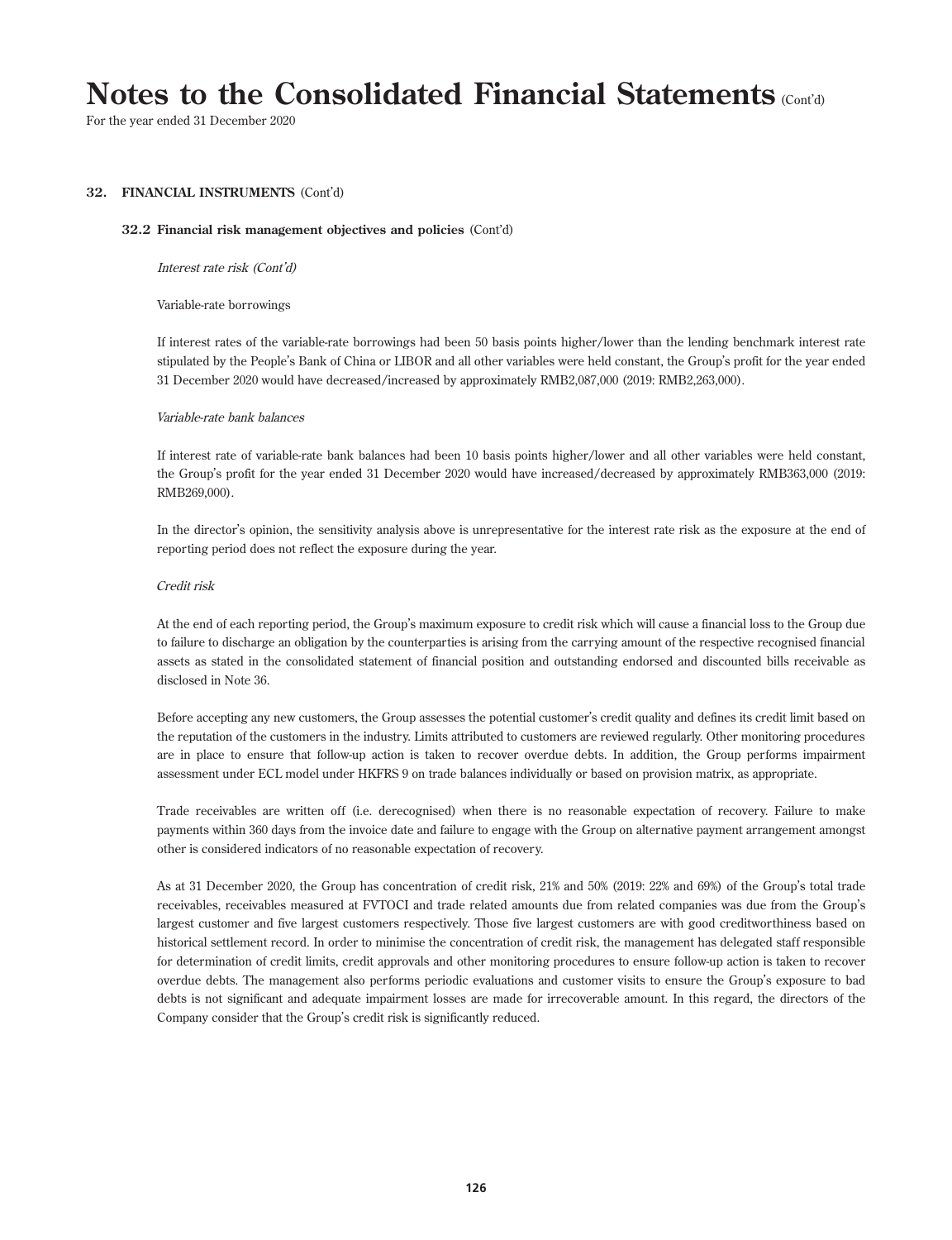For the year ended 31 December 2020

### **32. FINANCIAL INSTRUMENTS** (Cont'd)

#### **32.2 Financial risk management objectives and policies** (Cont'd)

Interest rate risk (Cont'd)

Variable-rate borrowings

If interest rates of the variable-rate borrowings had been 50 basis points higher/lower than the lending benchmark interest rate stipulated by the People's Bank of China or LIBOR and all other variables were held constant, the Group's profit for the year ended 31 December 2020 would have decreased/increased by approximately RMB2,087,000 (2019: RMB2,263,000).

#### Variable-rate bank balances

If interest rate of variable-rate bank balances had been 10 basis points higher/lower and all other variables were held constant, the Group's profit for the year ended 31 December 2020 would have increased/decreased by approximately RMB363,000 (2019: RMB269,000).

In the director's opinion, the sensitivity analysis above is unrepresentative for the interest rate risk as the exposure at the end of reporting period does not reflect the exposure during the year.

#### Credit risk

At the end of each reporting period, the Group's maximum exposure to credit risk which will cause a financial loss to the Group due to failure to discharge an obligation by the counterparties is arising from the carrying amount of the respective recognised financial assets as stated in the consolidated statement of financial position and outstanding endorsed and discounted bills receivable as disclosed in Note 36.

Before accepting any new customers, the Group assesses the potential customer's credit quality and defines its credit limit based on the reputation of the customers in the industry. Limits attributed to customers are reviewed regularly. Other monitoring procedures are in place to ensure that follow-up action is taken to recover overdue debts. In addition, the Group performs impairment assessment under ECL model under HKFRS 9 on trade balances individually or based on provision matrix, as appropriate.

Trade receivables are written off (i.e. derecognised) when there is no reasonable expectation of recovery. Failure to make payments within 360 days from the invoice date and failure to engage with the Group on alternative payment arrangement amongst other is considered indicators of no reasonable expectation of recovery.

As at 31 December 2020, the Group has concentration of credit risk, 21% and 50% (2019: 22% and 69%) of the Group's total trade receivables, receivables measured at FVTOCI and trade related amounts due from related companies was due from the Group's largest customer and five largest customers respectively. Those five largest customers are with good creditworthiness based on historical settlement record. In order to minimise the concentration of credit risk, the management has delegated staff responsible for determination of credit limits, credit approvals and other monitoring procedures to ensure follow-up action is taken to recover overdue debts. The management also performs periodic evaluations and customer visits to ensure the Group's exposure to bad debts is not significant and adequate impairment losses are made for irrecoverable amount. In this regard, the directors of the Company consider that the Group's credit risk is significantly reduced.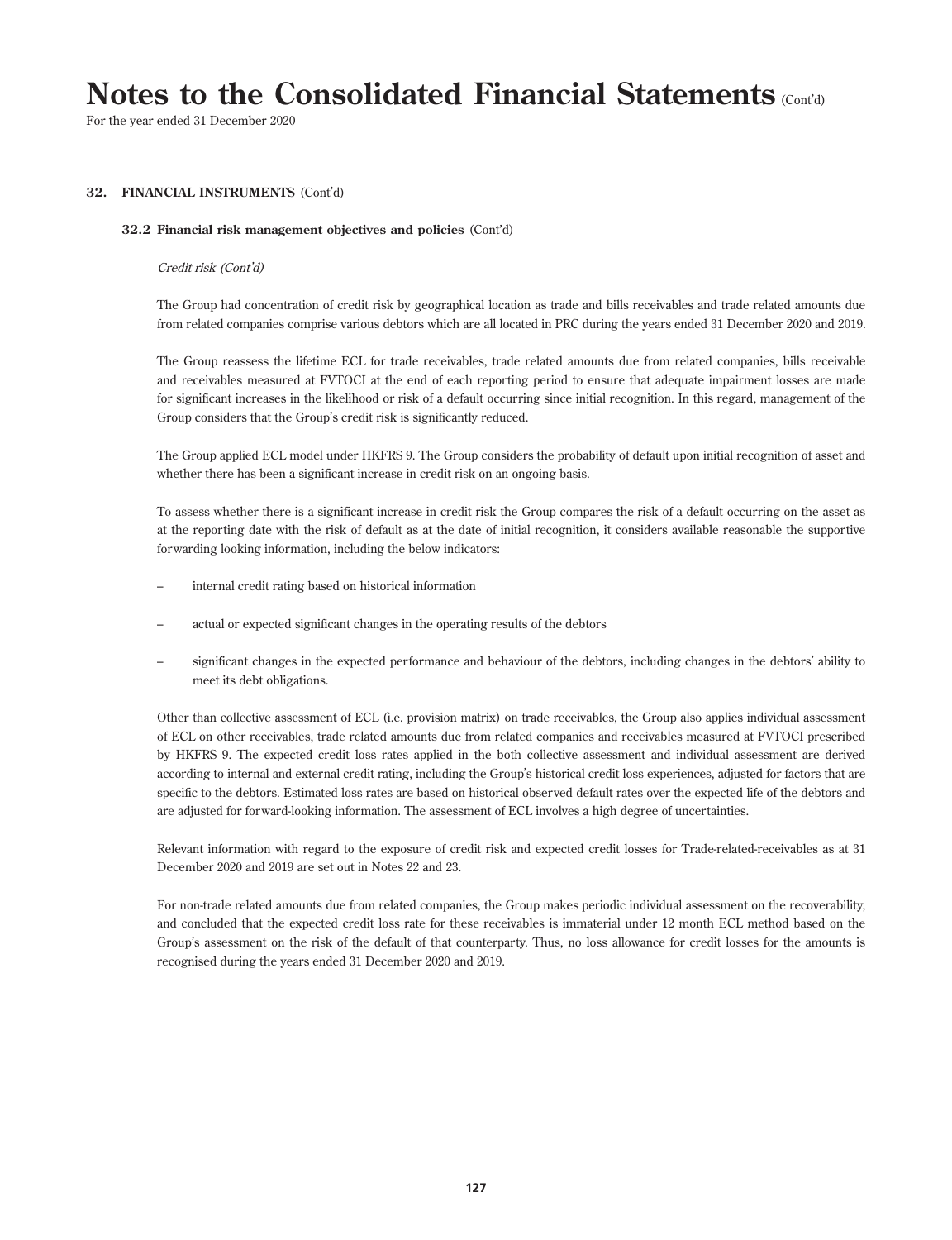For the year ended 31 December 2020

### **32. FINANCIAL INSTRUMENTS** (Cont'd)

#### **32.2 Financial risk management objectives and policies** (Cont'd)

#### Credit risk (Cont'd)

The Group had concentration of credit risk by geographical location as trade and bills receivables and trade related amounts due from related companies comprise various debtors which are all located in PRC during the years ended 31 December 2020 and 2019.

The Group reassess the lifetime ECL for trade receivables, trade related amounts due from related companies, bills receivable and receivables measured at FVTOCI at the end of each reporting period to ensure that adequate impairment losses are made for significant increases in the likelihood or risk of a default occurring since initial recognition. In this regard, management of the Group considers that the Group's credit risk is significantly reduced.

The Group applied ECL model under HKFRS 9. The Group considers the probability of default upon initial recognition of asset and whether there has been a significant increase in credit risk on an ongoing basis.

To assess whether there is a significant increase in credit risk the Group compares the risk of a default occurring on the asset as at the reporting date with the risk of default as at the date of initial recognition, it considers available reasonable the supportive forwarding looking information, including the below indicators:

- internal credit rating based on historical information
- actual or expected significant changes in the operating results of the debtors
- significant changes in the expected performance and behaviour of the debtors, including changes in the debtors' ability to meet its debt obligations.

Other than collective assessment of ECL (i.e. provision matrix) on trade receivables, the Group also applies individual assessment of ECL on other receivables, trade related amounts due from related companies and receivables measured at FVTOCI prescribed by HKFRS 9. The expected credit loss rates applied in the both collective assessment and individual assessment are derived according to internal and external credit rating, including the Group's historical credit loss experiences, adjusted for factors that are specific to the debtors. Estimated loss rates are based on historical observed default rates over the expected life of the debtors and are adjusted for forward-looking information. The assessment of ECL involves a high degree of uncertainties.

Relevant information with regard to the exposure of credit risk and expected credit losses for Trade-related-receivables as at 31 December 2020 and 2019 are set out in Notes 22 and 23.

For non-trade related amounts due from related companies, the Group makes periodic individual assessment on the recoverability, and concluded that the expected credit loss rate for these receivables is immaterial under 12 month ECL method based on the Group's assessment on the risk of the default of that counterparty. Thus, no loss allowance for credit losses for the amounts is recognised during the years ended 31 December 2020 and 2019.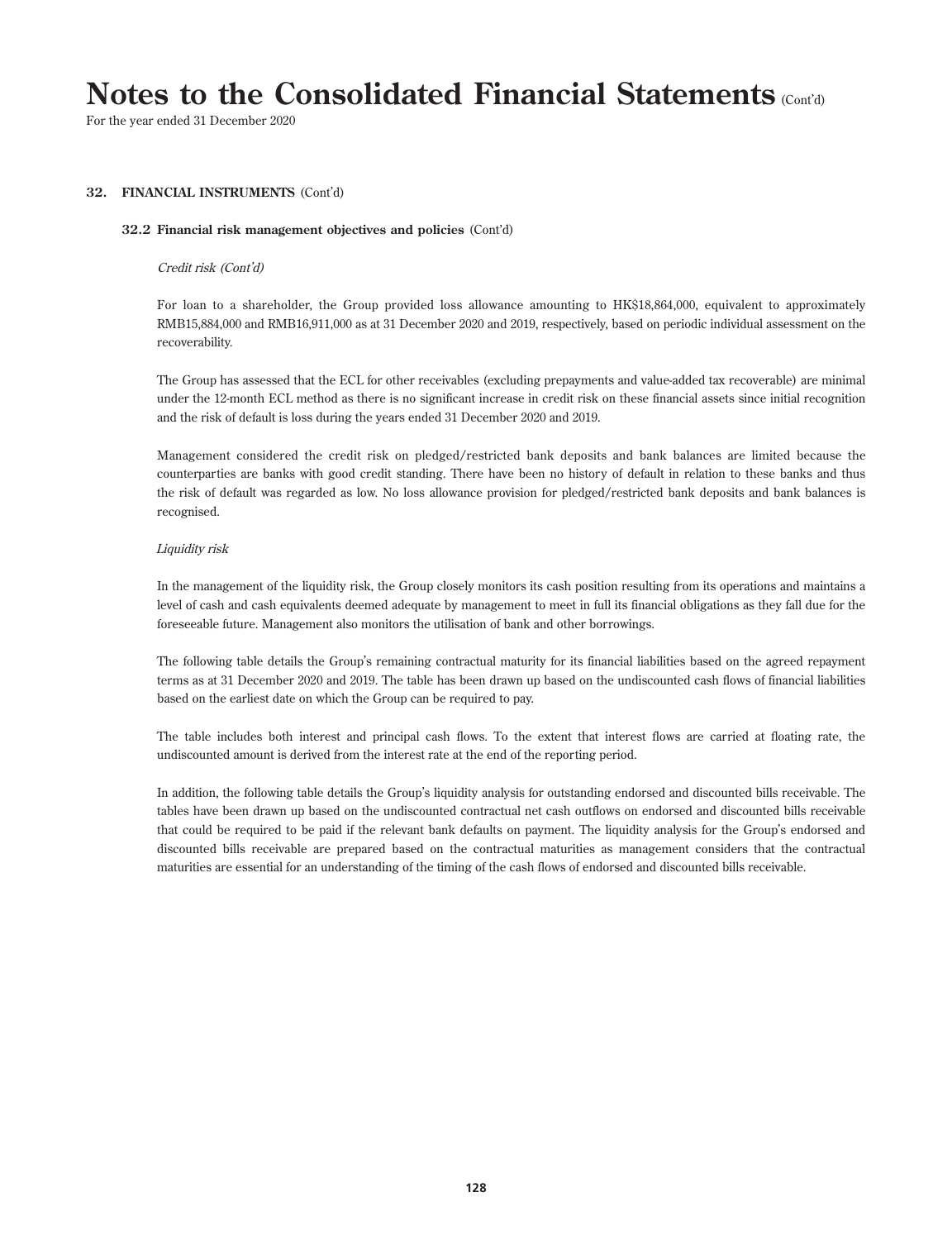For the year ended 31 December 2020

### **32. FINANCIAL INSTRUMENTS** (Cont'd)

#### **32.2 Financial risk management objectives and policies** (Cont'd)

#### Credit risk (Cont'd)

For loan to a shareholder, the Group provided loss allowance amounting to HK\$18,864,000, equivalent to approximately RMB15,884,000 and RMB16,911,000 as at 31 December 2020 and 2019, respectively, based on periodic individual assessment on the recoverability.

The Group has assessed that the ECL for other receivables (excluding prepayments and value-added tax recoverable) are minimal under the 12-month ECL method as there is no significant increase in credit risk on these financial assets since initial recognition and the risk of default is loss during the years ended 31 December 2020 and 2019.

Management considered the credit risk on pledged/restricted bank deposits and bank balances are limited because the counterparties are banks with good credit standing. There have been no history of default in relation to these banks and thus the risk of default was regarded as low. No loss allowance provision for pledged/restricted bank deposits and bank balances is recognised.

#### Liquidity risk

In the management of the liquidity risk, the Group closely monitors its cash position resulting from its operations and maintains a level of cash and cash equivalents deemed adequate by management to meet in full its financial obligations as they fall due for the foreseeable future. Management also monitors the utilisation of bank and other borrowings.

The following table details the Group's remaining contractual maturity for its financial liabilities based on the agreed repayment terms as at 31 December 2020 and 2019. The table has been drawn up based on the undiscounted cash flows of financial liabilities based on the earliest date on which the Group can be required to pay.

The table includes both interest and principal cash flows. To the extent that interest flows are carried at floating rate, the undiscounted amount is derived from the interest rate at the end of the reporting period.

In addition, the following table details the Group's liquidity analysis for outstanding endorsed and discounted bills receivable. The tables have been drawn up based on the undiscounted contractual net cash outflows on endorsed and discounted bills receivable that could be required to be paid if the relevant bank defaults on payment. The liquidity analysis for the Group's endorsed and discounted bills receivable are prepared based on the contractual maturities as management considers that the contractual maturities are essential for an understanding of the timing of the cash flows of endorsed and discounted bills receivable.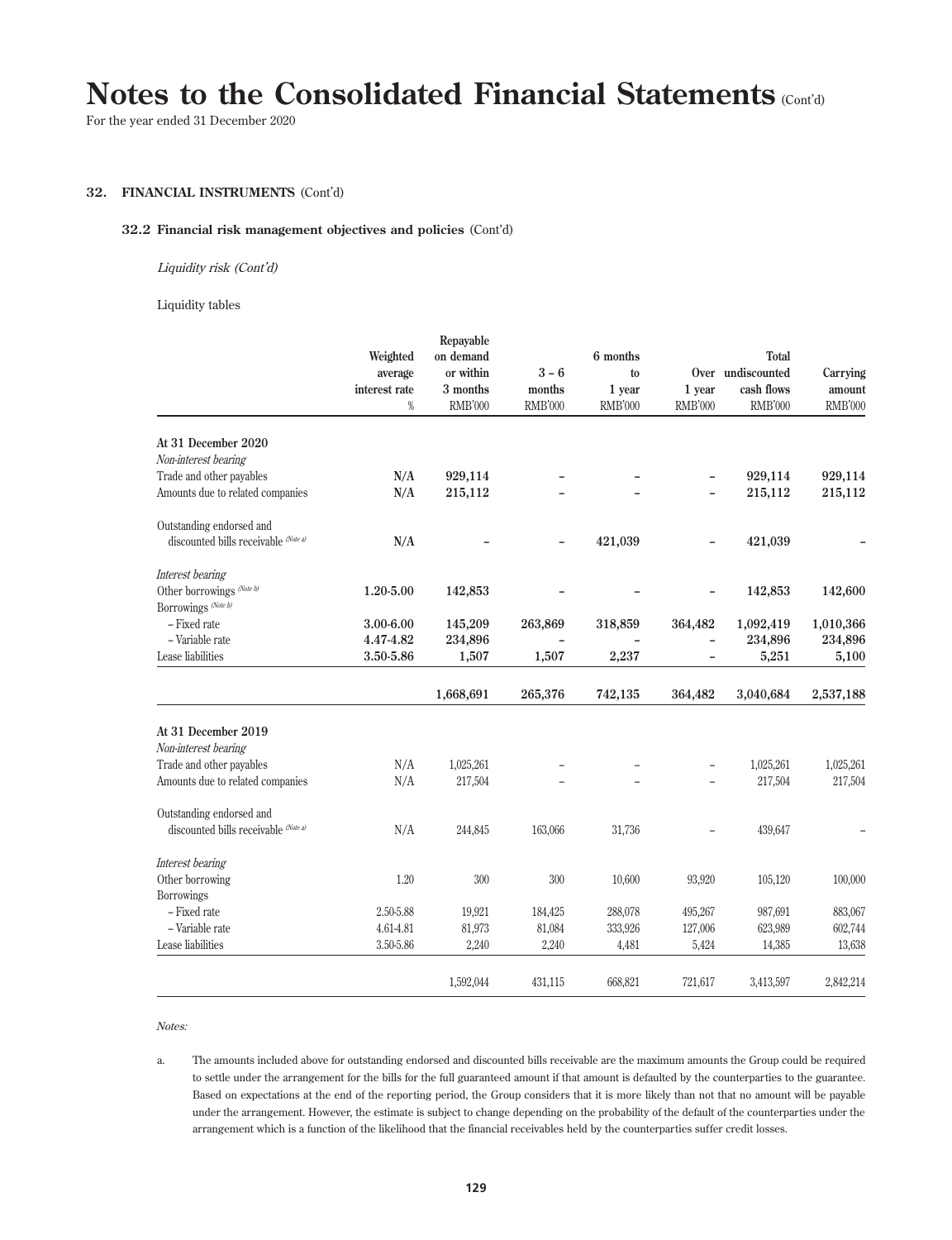For the year ended 31 December 2020

## **32. FINANCIAL INSTRUMENTS** (Cont'd)

#### **32.2 Financial risk management objectives and policies** (Cont'd)

Liquidity risk (Cont'd)

Liquidity tables

|                                                  | Weighted<br>average<br>interest rate<br>$\%$ | Repayable<br>on demand<br>or within<br>3 months<br><b>RMB'000</b> | $3 - 6$<br>months<br><b>RMB'000</b> | 6 months<br>to<br>1 year<br><b>RMB'000</b> | 1 year<br><b>RMB'000</b> | <b>Total</b><br>Over undiscounted<br>cash flows<br><b>RMB'000</b> | Carrying<br>amount<br><b>RMB'000</b> |
|--------------------------------------------------|----------------------------------------------|-------------------------------------------------------------------|-------------------------------------|--------------------------------------------|--------------------------|-------------------------------------------------------------------|--------------------------------------|
| At 31 December 2020                              |                                              |                                                                   |                                     |                                            |                          |                                                                   |                                      |
| Non-interest bearing                             |                                              |                                                                   |                                     |                                            |                          |                                                                   |                                      |
| Trade and other payables                         | N/A                                          | 929,114                                                           |                                     |                                            | $\overline{\phantom{0}}$ | 929,114                                                           | 929,114                              |
| Amounts due to related companies                 | N/A                                          | 215,112                                                           |                                     |                                            | $\overline{\phantom{0}}$ | 215,112                                                           | 215,112                              |
| Outstanding endorsed and                         |                                              |                                                                   |                                     |                                            |                          |                                                                   |                                      |
| discounted bills receivable (Note a)             | N/A                                          |                                                                   |                                     | 421,039                                    |                          | 421,039                                                           |                                      |
| Interest bearing                                 |                                              |                                                                   |                                     |                                            |                          |                                                                   |                                      |
| Other borrowings (Note b)                        | 1.20-5.00                                    | 142,853                                                           |                                     |                                            |                          | 142,853                                                           | 142,600                              |
| Borrowings (Note b)                              |                                              |                                                                   |                                     |                                            |                          |                                                                   |                                      |
| - Fixed rate                                     | 3.00-6.00                                    | 145,209                                                           | 263,869                             | 318,859                                    | 364,482                  | 1,092,419                                                         | 1,010,366                            |
| - Variable rate                                  | 4.47-4.82                                    | 234,896                                                           |                                     |                                            |                          | 234,896                                                           | 234,896                              |
| Lease liabilities                                | 3.50-5.86                                    | 1,507                                                             | 1,507                               | 2,237                                      |                          | 5,251                                                             | 5,100                                |
|                                                  |                                              | 1,668,691                                                         | 265,376                             | 742,135                                    | 364,482                  | 3,040,684                                                         | 2,537,188                            |
|                                                  |                                              |                                                                   |                                     |                                            |                          |                                                                   |                                      |
| At 31 December 2019                              |                                              |                                                                   |                                     |                                            |                          |                                                                   |                                      |
| Non-interest bearing<br>Trade and other payables | N/A                                          | 1,025,261                                                         |                                     |                                            |                          | 1,025,261                                                         | 1,025,261                            |
|                                                  | N/A                                          |                                                                   |                                     |                                            |                          |                                                                   |                                      |
| Amounts due to related companies                 |                                              | 217,504                                                           |                                     |                                            |                          | 217,504                                                           | 217,504                              |
| Outstanding endorsed and                         |                                              |                                                                   |                                     |                                            |                          |                                                                   |                                      |
| discounted bills receivable (Note a)             | N/A                                          | 244,845                                                           | 163,066                             | 31,736                                     |                          | 439,647                                                           |                                      |
| Interest bearing                                 |                                              |                                                                   |                                     |                                            |                          |                                                                   |                                      |
| Other borrowing                                  | 1.20                                         | 300                                                               | 300                                 | 10,600                                     | 93,920                   | 105,120                                                           | 100,000                              |
| Borrowings                                       |                                              |                                                                   |                                     |                                            |                          |                                                                   |                                      |
| - Fixed rate                                     | 2.50-5.88                                    | 19,921                                                            | 184,425                             | 288,078                                    | 495,267                  | 987,691                                                           | 883,067                              |
| - Variable rate                                  | 4.61-4.81                                    | 81,973                                                            | 81,084                              | 333,926                                    | 127,006                  | 623,989                                                           | 602,744                              |
| Lease liabilities                                | 3.50-5.86                                    | 2,240                                                             | 2,240                               | 4,481                                      | 5,424                    | 14,385                                                            | 13,638                               |
|                                                  |                                              | 1,592,044                                                         | 431,115                             | 668,821                                    | 721,617                  | 3,413,597                                                         | 2,842,214                            |

Notes:

a. The amounts included above for outstanding endorsed and discounted bills receivable are the maximum amounts the Group could be required to settle under the arrangement for the bills for the full guaranteed amount if that amount is defaulted by the counterparties to the guarantee. Based on expectations at the end of the reporting period, the Group considers that it is more likely than not that no amount will be payable under the arrangement. However, the estimate is subject to change depending on the probability of the default of the counterparties under the arrangement which is a function of the likelihood that the financial receivables held by the counterparties suffer credit losses.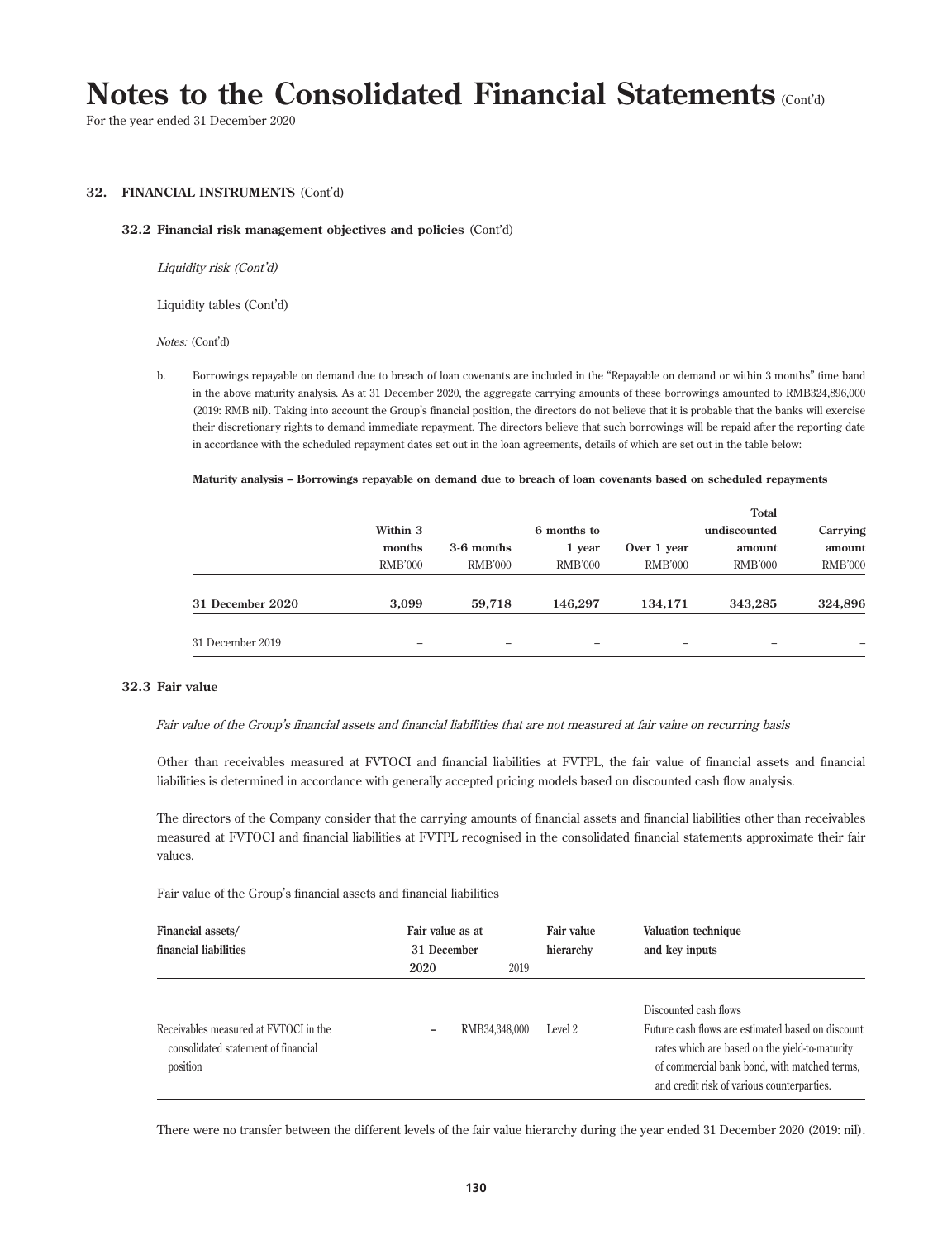For the year ended 31 December 2020

### **32. FINANCIAL INSTRUMENTS** (Cont'd)

#### **32.2 Financial risk management objectives and policies** (Cont'd)

Liquidity risk (Cont'd)

Liquidity tables (Cont'd)

Notes: (Cont'd)

b. Borrowings repayable on demand due to breach of loan covenants are included in the "Repayable on demand or within 3 months" time band in the above maturity analysis. As at 31 December 2020, the aggregate carrying amounts of these borrowings amounted to RMB324,896,000 (2019: RMB nil). Taking into account the Group's financial position, the directors do not believe that it is probable that the banks will exercise their discretionary rights to demand immediate repayment. The directors believe that such borrowings will be repaid after the reporting date in accordance with the scheduled repayment dates set out in the loan agreements, details of which are set out in the table below:

#### **Maturity analysis – Borrowings repayable on demand due to breach of loan covenants based on scheduled repayments**

|                  |                |                                     |                |                | <b>Total</b>   |                |  |  |  |  |        |  |  |  |  |        |
|------------------|----------------|-------------------------------------|----------------|----------------|----------------|----------------|--|--|--|--|--------|--|--|--|--|--------|
|                  | Within 3       | 6 months to                         |                | undiscounted   | Carrying       |                |  |  |  |  |        |  |  |  |  |        |
|                  | months         | 3-6 months<br>Over 1 year<br>1 year |                |                |                |                |  |  |  |  | amount |  |  |  |  | amount |
|                  | <b>RMB'000</b> | RMB'000                             | <b>RMB'000</b> | <b>RMB'000</b> | <b>RMB'000</b> | <b>RMB'000</b> |  |  |  |  |        |  |  |  |  |        |
| 31 December 2020 | 3.099          | 59.718                              | 146.297        | 134.171        | 343,285        | 324,896        |  |  |  |  |        |  |  |  |  |        |
| 31 December 2019 |                |                                     |                |                |                |                |  |  |  |  |        |  |  |  |  |        |

#### **32.3 Fair value**

Fair value of the Group's financial assets and financial liabilities that are not measured at fair value on recurring basis

Other than receivables measured at FVTOCI and financial liabilities at FVTPL, the fair value of financial assets and financial liabilities is determined in accordance with generally accepted pricing models based on discounted cash flow analysis.

The directors of the Company consider that the carrying amounts of financial assets and financial liabilities other than receivables measured at FVTOCI and financial liabilities at FVTPL recognised in the consolidated financial statements approximate their fair values.

Fair value of the Group's financial assets and financial liabilities

| Financial assets/<br>financial liabilities                                               | Fair value as at<br>31 December<br>2020 | 2019          | Fair value<br>hierarchy | <b>Valuation technique</b><br>and key inputs                                                                                                                                                                               |
|------------------------------------------------------------------------------------------|-----------------------------------------|---------------|-------------------------|----------------------------------------------------------------------------------------------------------------------------------------------------------------------------------------------------------------------------|
| Receivables measured at FVTOCI in the<br>consolidated statement of financial<br>position |                                         | RMB34.348,000 | Level 2                 | Discounted cash flows<br>Future cash flows are estimated based on discount<br>rates which are based on the yield-to-maturity<br>of commercial bank bond, with matched terms,<br>and credit risk of various counterparties. |

There were no transfer between the different levels of the fair value hierarchy during the year ended 31 December 2020 (2019: nil).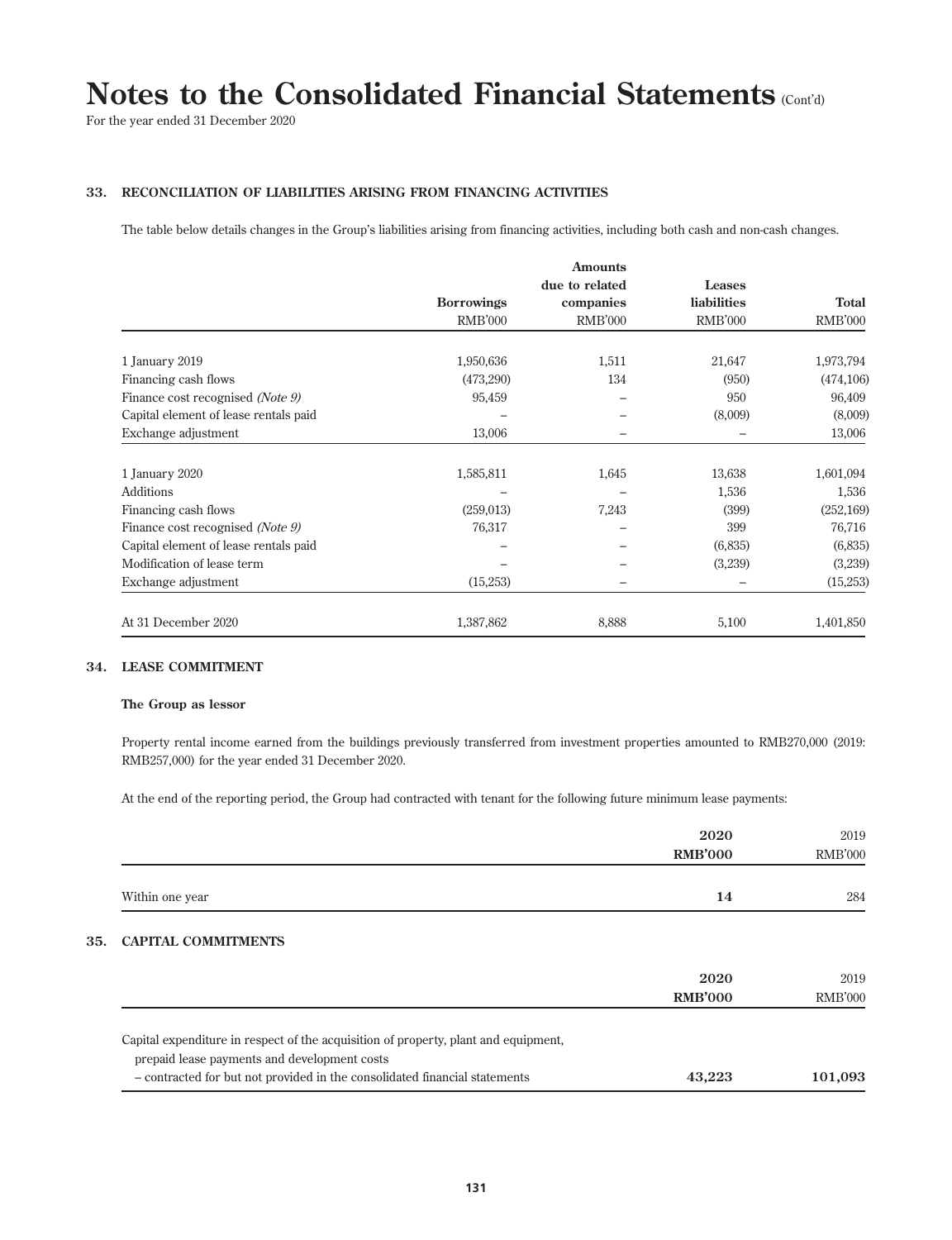For the year ended 31 December 2020

## **33. RECONCILIATION OF LIABILITIES ARISING FROM FINANCING ACTIVITIES**

The table below details changes in the Group's liabilities arising from financing activities, including both cash and non-cash changes.

|                                       |                   | <b>Amounts</b> |                |                |
|---------------------------------------|-------------------|----------------|----------------|----------------|
|                                       |                   | due to related | <b>Leases</b>  | <b>Total</b>   |
|                                       | <b>Borrowings</b> | companies      | liabilities    |                |
|                                       | <b>RMB'000</b>    | <b>RMB'000</b> | <b>RMB'000</b> | <b>RMB'000</b> |
| 1 January 2019                        | 1,950,636         | 1,511          | 21,647         | 1,973,794      |
| Financing cash flows                  | (473,290)         | 134            | (950)          | (474, 106)     |
| Finance cost recognised (Note 9)      | 95,459            |                | 950            | 96,409         |
| Capital element of lease rentals paid |                   |                | (8,009)        | (8,009)        |
| Exchange adjustment                   | 13,006            |                |                | 13,006         |
| 1 January 2020                        | 1,585,811         | 1,645          | 13,638         | 1,601,094      |
| <b>Additions</b>                      |                   |                | 1,536          | 1,536          |
| Financing cash flows                  | (259, 013)        | 7,243          | (399)          | (252, 169)     |
| Finance cost recognised (Note 9)      | 76,317            |                | 399            | 76,716         |
| Capital element of lease rentals paid |                   |                | (6,835)        | (6,835)        |
| Modification of lease term            |                   |                | (3,239)        | (3,239)        |
| Exchange adjustment                   | (15,253)          |                |                | (15,253)       |
| At 31 December 2020                   | 1,387,862         | 8,888          | 5,100          | 1,401,850      |

### **34. LEASE COMMITMENT**

#### **The Group as lessor**

Property rental income earned from the buildings previously transferred from investment properties amounted to RMB270,000 (2019: RMB257,000) for the year ended 31 December 2020.

At the end of the reporting period, the Group had contracted with tenant for the following future minimum lease payments:

|     |                                                                                                                                                                                                                   | 2020<br><b>RMB'000</b> | 2019<br><b>RMB'000</b> |
|-----|-------------------------------------------------------------------------------------------------------------------------------------------------------------------------------------------------------------------|------------------------|------------------------|
|     | Within one year                                                                                                                                                                                                   | 14                     | 284                    |
| 35. | <b>CAPITAL COMMITMENTS</b>                                                                                                                                                                                        |                        |                        |
|     |                                                                                                                                                                                                                   | 2020<br><b>RMB'000</b> | 2019<br><b>RMB'000</b> |
|     | Capital expenditure in respect of the acquisition of property, plant and equipment,<br>prepaid lease payments and development costs<br>- contracted for but not provided in the consolidated financial statements | 43,223                 | 101,093                |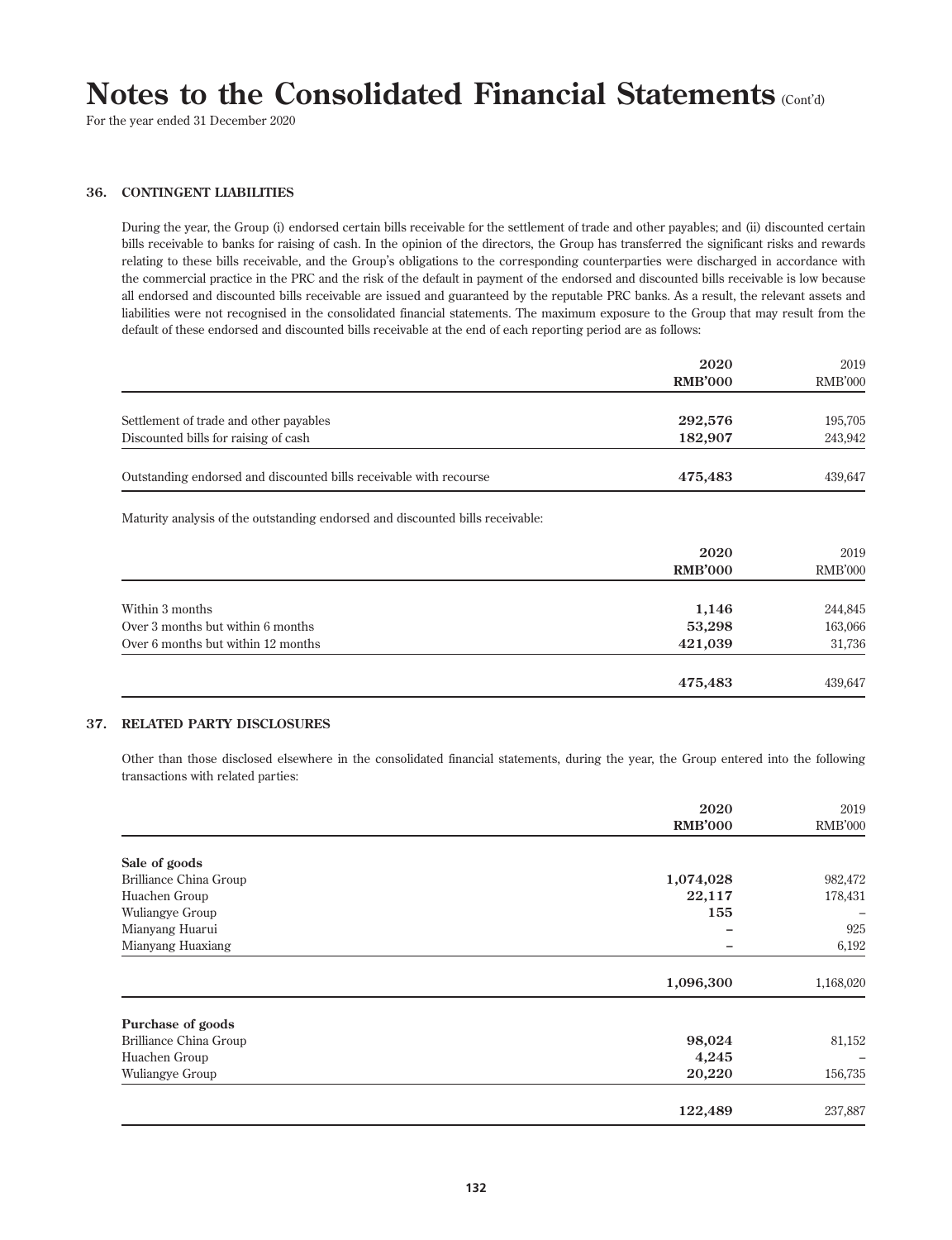For the year ended 31 December 2020

## **36. CONTINGENT LIABILITIES**

During the year, the Group (i) endorsed certain bills receivable for the settlement of trade and other payables; and (ii) discounted certain bills receivable to banks for raising of cash. In the opinion of the directors, the Group has transferred the significant risks and rewards relating to these bills receivable, and the Group's obligations to the corresponding counterparties were discharged in accordance with the commercial practice in the PRC and the risk of the default in payment of the endorsed and discounted bills receivable is low because all endorsed and discounted bills receivable are issued and guaranteed by the reputable PRC banks. As a result, the relevant assets and liabilities were not recognised in the consolidated financial statements. The maximum exposure to the Group that may result from the default of these endorsed and discounted bills receivable at the end of each reporting period are as follows:

|                                                                    | 2020<br><b>RMB'000</b> | 2019<br><b>RMB'000</b> |
|--------------------------------------------------------------------|------------------------|------------------------|
| Settlement of trade and other payables                             | 292,576                | 195,705                |
| Discounted bills for raising of cash                               | 182.907                | 243.942                |
| Outstanding endorsed and discounted bills receivable with recourse | 475,483                | 439,647                |

Maturity analysis of the outstanding endorsed and discounted bills receivable:

|                                    | 2020<br><b>RMB'000</b> | 2019<br><b>RMB'000</b> |
|------------------------------------|------------------------|------------------------|
| Within 3 months                    | 1,146                  | 244,845                |
| Over 3 months but within 6 months  | 53,298                 | 163,066                |
| Over 6 months but within 12 months | 421,039                | 31,736                 |
|                                    | 475,483                | 439,647                |

#### **37. RELATED PARTY DISCLOSURES**

Other than those disclosed elsewhere in the consolidated financial statements, during the year, the Group entered into the following transactions with related parties:

|                        | 2020           | 2019           |
|------------------------|----------------|----------------|
|                        | <b>RMB'000</b> | <b>RMB'000</b> |
| Sale of goods          |                |                |
| Brilliance China Group | 1,074,028      | 982,472        |
| Huachen Group          | 22,117         | 178,431        |
| <b>Wuliangye Group</b> | 155            |                |
| Mianyang Huarui        |                | 925            |
| Mianyang Huaxiang      |                | 6,192          |
|                        | 1,096,300      | 1,168,020      |
| Purchase of goods      |                |                |
| Brilliance China Group | 98,024         | 81,152         |
| Huachen Group          | 4,245          |                |
| <b>Wuliangye Group</b> | 20,220         | 156,735        |
|                        | 122,489        | 237,887        |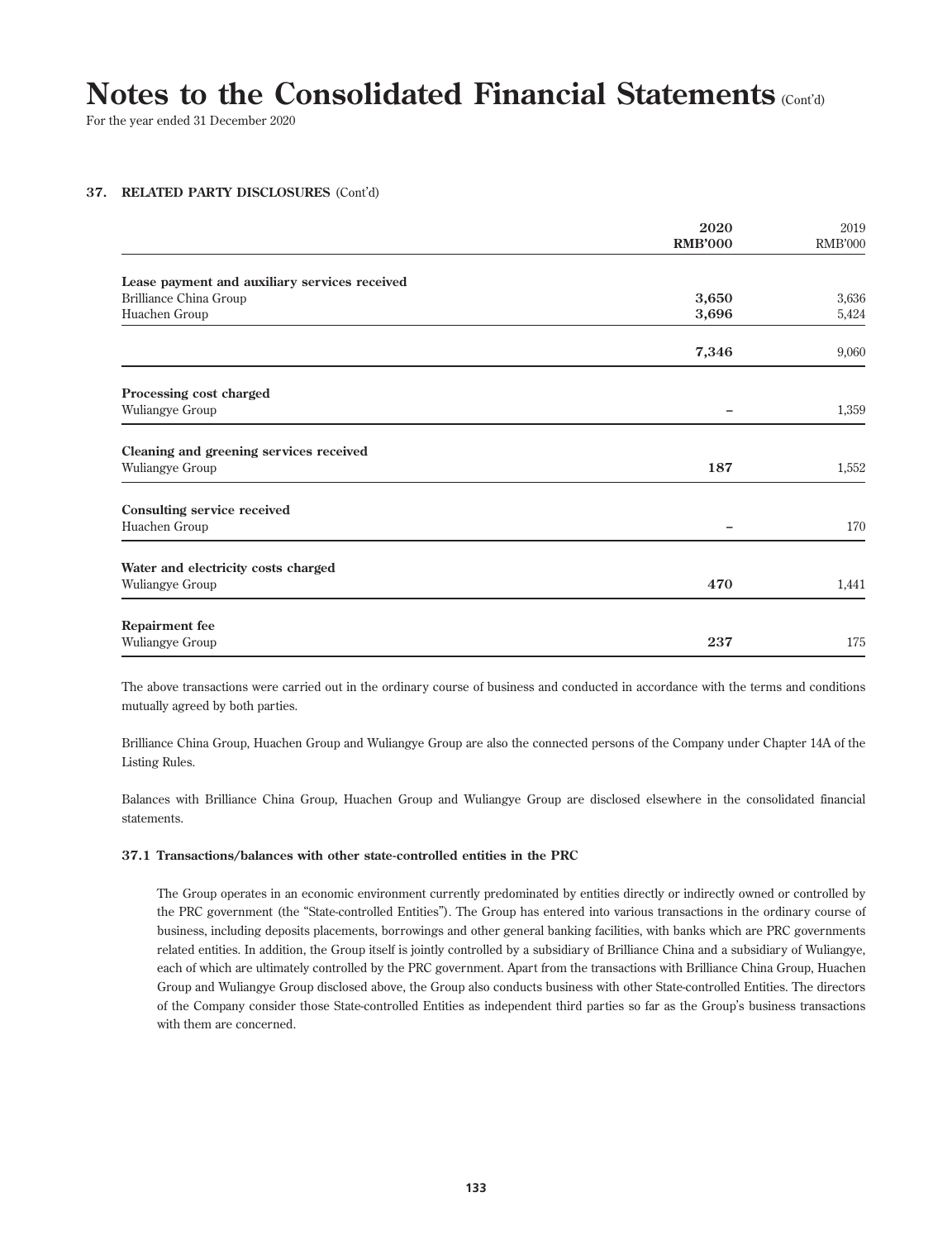For the year ended 31 December 2020

### **37. RELATED PARTY DISCLOSURES** (Cont'd)

|                                               | 2020           | 2019           |
|-----------------------------------------------|----------------|----------------|
|                                               | <b>RMB'000</b> | <b>RMB'000</b> |
| Lease payment and auxiliary services received |                |                |
| Brilliance China Group                        | 3,650          | 3,636          |
| Huachen Group                                 | 3,696          | 5,424          |
|                                               | 7,346          | 9,060          |
| Processing cost charged                       |                |                |
| Wuliangye Group                               |                | 1,359          |
| Cleaning and greening services received       |                |                |
| Wuliangye Group                               | 187            | 1,552          |
| Consulting service received                   |                |                |
| Huachen Group                                 |                | 170            |
| Water and electricity costs charged           |                |                |
| Wuliangye Group                               | 470            | 1,441          |
| <b>Repairment</b> fee                         |                |                |
| <b>Wuliangye Group</b>                        | 237            | 175            |

The above transactions were carried out in the ordinary course of business and conducted in accordance with the terms and conditions mutually agreed by both parties.

Brilliance China Group, Huachen Group and Wuliangye Group are also the connected persons of the Company under Chapter 14A of the Listing Rules.

Balances with Brilliance China Group, Huachen Group and Wuliangye Group are disclosed elsewhere in the consolidated financial statements.

#### **37.1 Transactions/balances with other state-controlled entities in the PRC**

The Group operates in an economic environment currently predominated by entities directly or indirectly owned or controlled by the PRC government (the "State-controlled Entities"). The Group has entered into various transactions in the ordinary course of business, including deposits placements, borrowings and other general banking facilities, with banks which are PRC governments related entities. In addition, the Group itself is jointly controlled by a subsidiary of Brilliance China and a subsidiary of Wuliangye, each of which are ultimately controlled by the PRC government. Apart from the transactions with Brilliance China Group, Huachen Group and Wuliangye Group disclosed above, the Group also conducts business with other State-controlled Entities. The directors of the Company consider those State-controlled Entities as independent third parties so far as the Group's business transactions with them are concerned.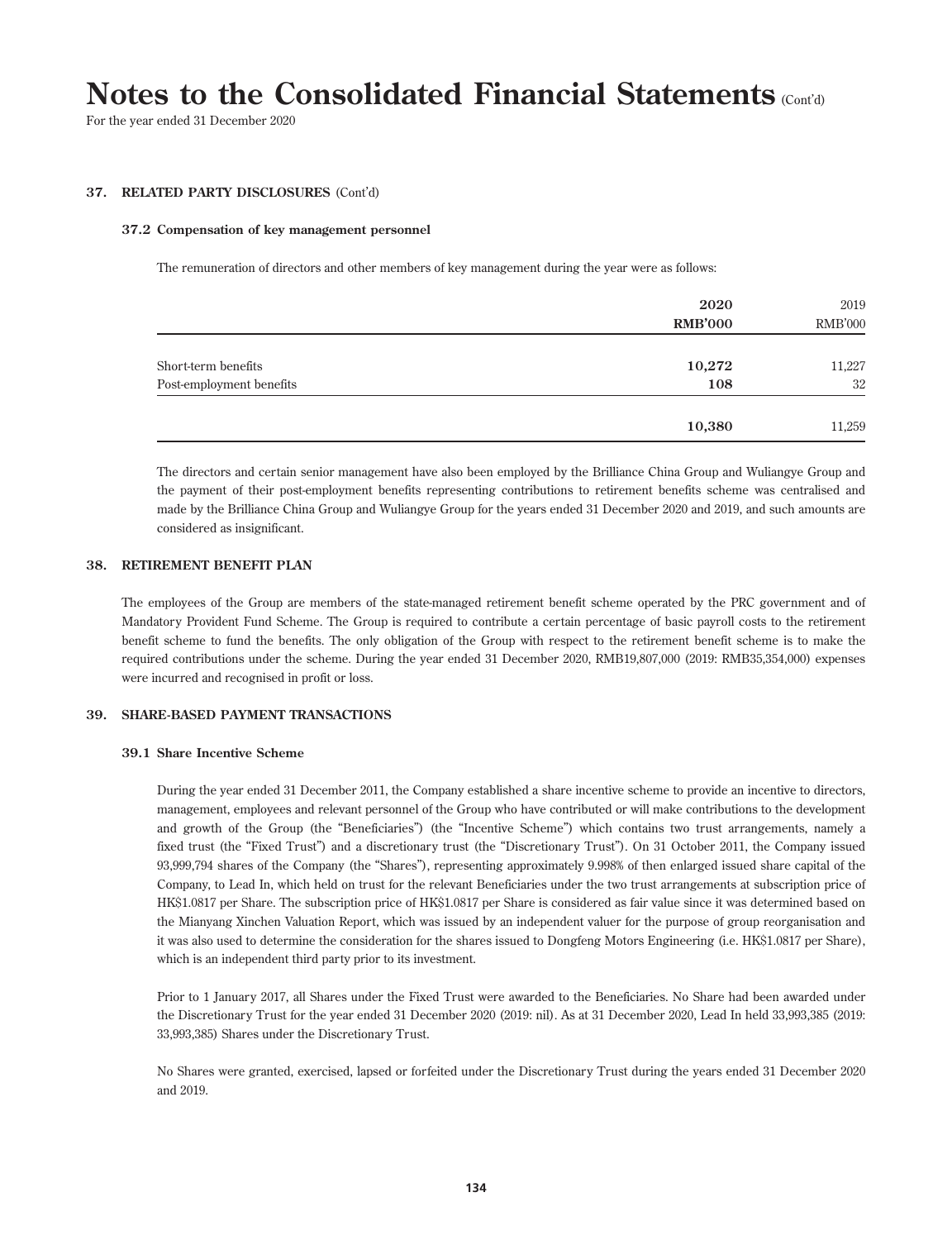For the year ended 31 December 2020

### **37. RELATED PARTY DISCLOSURES** (Cont'd)

#### **37.2 Compensation of key management personnel**

The remuneration of directors and other members of key management during the year were as follows:

|                          | 2020<br><b>RMB'000</b> | 2019<br><b>RMB'000</b> |
|--------------------------|------------------------|------------------------|
|                          |                        |                        |
| Short-term benefits      | 10,272                 | 11,227                 |
| Post-employment benefits | 108                    | 32                     |
|                          |                        |                        |
|                          | 10,380                 | 11,259                 |

The directors and certain senior management have also been employed by the Brilliance China Group and Wuliangye Group and the payment of their post-employment benefits representing contributions to retirement benefits scheme was centralised and made by the Brilliance China Group and Wuliangye Group for the years ended 31 December 2020 and 2019, and such amounts are considered as insignificant.

#### **38. RETIREMENT BENEFIT PLAN**

The employees of the Group are members of the state-managed retirement benefit scheme operated by the PRC government and of Mandatory Provident Fund Scheme. The Group is required to contribute a certain percentage of basic payroll costs to the retirement benefit scheme to fund the benefits. The only obligation of the Group with respect to the retirement benefit scheme is to make the required contributions under the scheme. During the year ended 31 December 2020, RMB19,807,000 (2019: RMB35,354,000) expenses were incurred and recognised in profit or loss.

#### **39. SHARE-BASED PAYMENT TRANSACTIONS**

#### **39.1 Share Incentive Scheme**

During the year ended 31 December 2011, the Company established a share incentive scheme to provide an incentive to directors, management, employees and relevant personnel of the Group who have contributed or will make contributions to the development and growth of the Group (the "Beneficiaries") (the "Incentive Scheme") which contains two trust arrangements, namely a fixed trust (the "Fixed Trust") and a discretionary trust (the "Discretionary Trust"). On 31 October 2011, the Company issued 93,999,794 shares of the Company (the "Shares"), representing approximately 9.998% of then enlarged issued share capital of the Company, to Lead In, which held on trust for the relevant Beneficiaries under the two trust arrangements at subscription price of HK\$1.0817 per Share. The subscription price of HK\$1.0817 per Share is considered as fair value since it was determined based on the Mianyang Xinchen Valuation Report, which was issued by an independent valuer for the purpose of group reorganisation and it was also used to determine the consideration for the shares issued to Dongfeng Motors Engineering (i.e. HK\$1.0817 per Share), which is an independent third party prior to its investment.

Prior to 1 January 2017, all Shares under the Fixed Trust were awarded to the Beneficiaries. No Share had been awarded under the Discretionary Trust for the year ended 31 December 2020 (2019: nil). As at 31 December 2020, Lead In held 33,993,385 (2019: 33,993,385) Shares under the Discretionary Trust.

No Shares were granted, exercised, lapsed or forfeited under the Discretionary Trust during the years ended 31 December 2020 and 2019.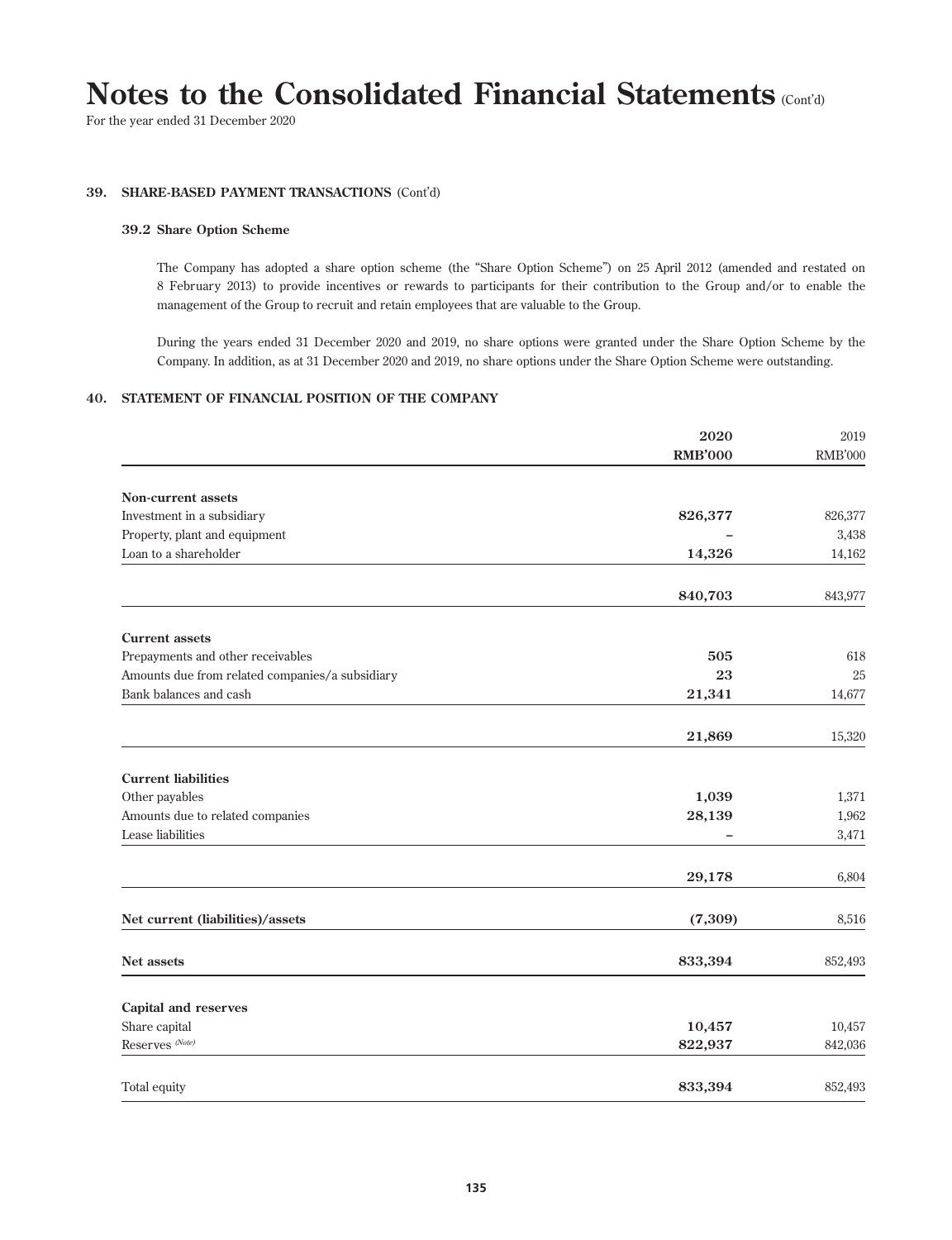For the year ended 31 December 2020

## **39. SHARE-BASED PAYMENT TRANSACTIONS** (Cont'd)

#### **39.2 Share Option Scheme**

The Company has adopted a share option scheme (the "Share Option Scheme") on 25 April 2012 (amended and restated on 8 February 2013) to provide incentives or rewards to participants for their contribution to the Group and/or to enable the management of the Group to recruit and retain employees that are valuable to the Group.

During the years ended 31 December 2020 and 2019, no share options were granted under the Share Option Scheme by the Company. In addition, as at 31 December 2020 and 2019, no share options under the Share Option Scheme were outstanding.

### **40. STATEMENT OF FINANCIAL POSITION OF THE COMPANY**

|                                                        | 2020           | 2019           |
|--------------------------------------------------------|----------------|----------------|
|                                                        | <b>RMB'000</b> | <b>RMB'000</b> |
| Non-current assets                                     |                |                |
|                                                        |                |                |
| Investment in a subsidiary                             | 826,377        | 826,377        |
| Property, plant and equipment<br>Loan to a shareholder |                | 3,438          |
|                                                        | 14,326         | 14,162         |
|                                                        | 840,703        | 843,977        |
| <b>Current assets</b>                                  |                |                |
| Prepayments and other receivables                      | 505            | 618            |
| Amounts due from related companies/a subsidiary        | 23             | 25             |
| Bank balances and cash                                 | 21,341         | 14,677         |
|                                                        | 21,869         | 15,320         |
| <b>Current liabilities</b>                             |                |                |
| Other payables                                         | 1,039          | 1,371          |
| Amounts due to related companies                       | 28,139         | 1,962          |
| Lease liabilities                                      |                | 3,471          |
|                                                        | 29,178         | 6,804          |
| Net current (liabilities)/assets                       | (7, 309)       | 8,516          |
| Net assets                                             | 833,394        | 852,493        |
| Capital and reserves                                   |                |                |
| Share capital                                          | 10,457         | 10,457         |
| Reserves <sup>(Note)</sup>                             | 822,937        | 842,036        |
| Total equity                                           | 833,394        | 852,493        |